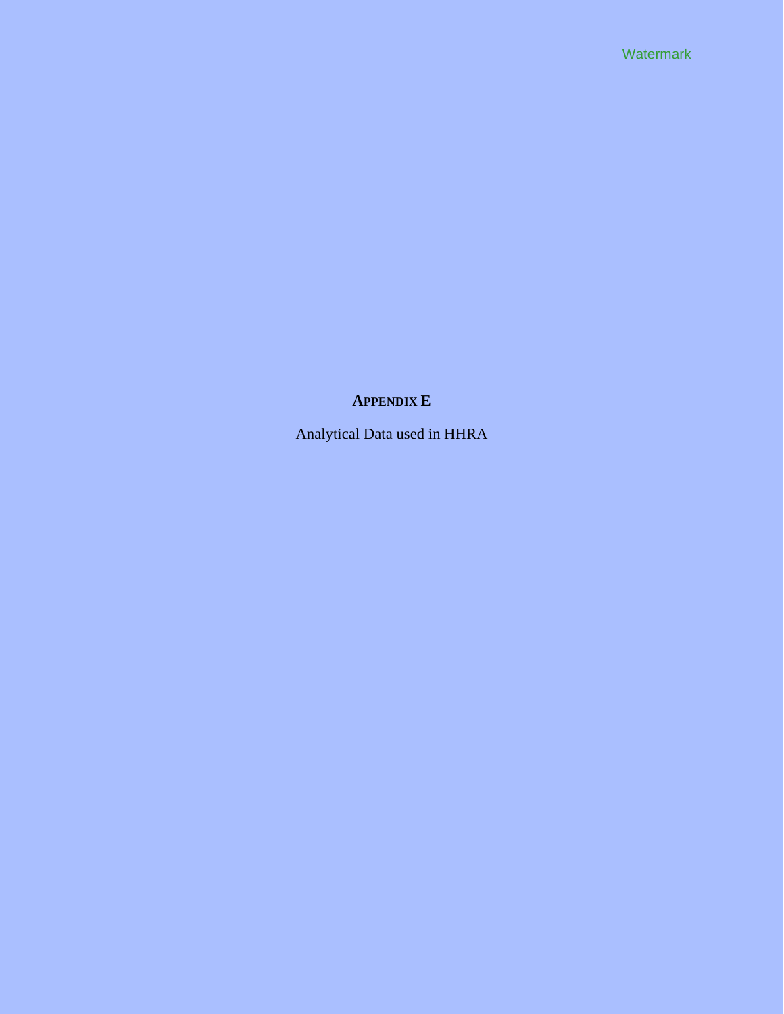**Watermark** 

# **APPENDIX E**

Analytical Data used in HHRA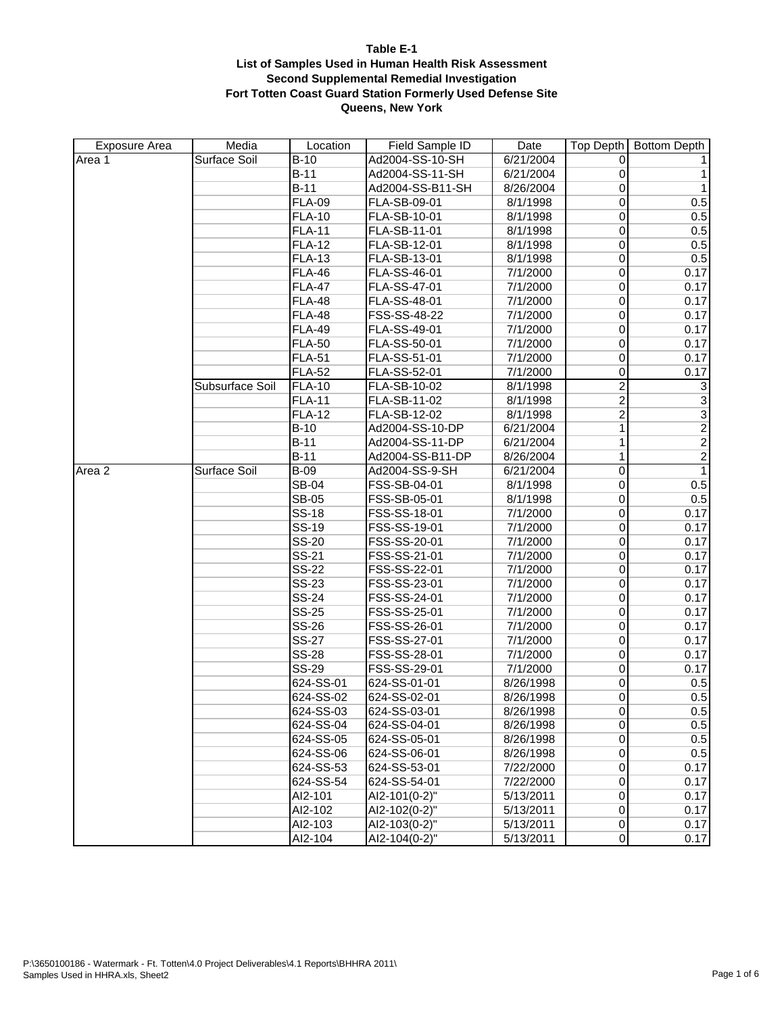| <b>Exposure Area</b> | Media           | Location      | Field Sample ID  | Date      | Top Depth        | <b>Bottom Depth</b>       |
|----------------------|-----------------|---------------|------------------|-----------|------------------|---------------------------|
| Area 1               | Surface Soil    | $B-10$        | Ad2004-SS-10-SH  | 6/21/2004 | 0                |                           |
|                      |                 | $B-11$        | Ad2004-SS-11-SH  | 6/21/2004 | $\boldsymbol{0}$ | $\mathbf{1}$              |
|                      |                 | $B-11$        | Ad2004-SS-B11-SH | 8/26/2004 | 0                | $\mathbf{1}$              |
|                      |                 | <b>FLA-09</b> | FLA-SB-09-01     | 8/1/1998  | $\overline{0}$   | 0.5                       |
|                      |                 | <b>FLA-10</b> | FLA-SB-10-01     | 8/1/1998  | 0                | 0.5                       |
|                      |                 | <b>FLA-11</b> | FLA-SB-11-01     | 8/1/1998  | $\mathbf 0$      | 0.5                       |
|                      |                 | <b>FLA-12</b> | FLA-SB-12-01     | 8/1/1998  | $\mathbf 0$      | 0.5                       |
|                      |                 | <b>FLA-13</b> | FLA-SB-13-01     | 8/1/1998  | $\mathbf 0$      | 0.5                       |
|                      |                 | <b>FLA-46</b> | FLA-SS-46-01     | 7/1/2000  | 0                | 0.17                      |
|                      |                 | <b>FLA-47</b> | FLA-SS-47-01     | 7/1/2000  | $\overline{0}$   | 0.17                      |
|                      |                 | <b>FLA-48</b> | FLA-SS-48-01     | 7/1/2000  | 0                | 0.17                      |
|                      |                 | <b>FLA-48</b> | FSS-SS-48-22     | 7/1/2000  | $\overline{0}$   | 0.17                      |
|                      |                 | <b>FLA-49</b> | FLA-SS-49-01     | 7/1/2000  | $\overline{0}$   | 0.17                      |
|                      |                 | <b>FLA-50</b> | FLA-SS-50-01     | 7/1/2000  | 0                | 0.17                      |
|                      |                 | <b>FLA-51</b> | FLA-SS-51-01     | 7/1/2000  | 0                | 0.17                      |
|                      |                 | <b>FLA-52</b> | FLA-SS-52-01     | 7/1/2000  | $\mathbf 0$      | 0.17                      |
|                      | Subsurface Soil | <b>FLA-10</b> | FLA-SB-10-02     | 8/1/1998  | $\overline{2}$   | $\ensuremath{\mathsf{3}}$ |
|                      |                 | <b>FLA-11</b> | FLA-SB-11-02     | 8/1/1998  | $\overline{2}$   | $\overline{\mathbf{3}}$   |
|                      |                 | <b>FLA-12</b> | FLA-SB-12-02     | 8/1/1998  | $\overline{2}$   | $\overline{3}$            |
|                      |                 | $B-10$        | Ad2004-SS-10-DP  | 6/21/2004 | 1                | $\overline{2}$            |
|                      |                 | $B-11$        | Ad2004-SS-11-DP  | 6/21/2004 | 1                | $\overline{2}$            |
|                      |                 | $B-11$        | Ad2004-SS-B11-DP | 8/26/2004 | 1                | $\overline{2}$            |
| Area 2               | Surface Soil    | $B-09$        | Ad2004-SS-9-SH   | 6/21/2004 | $\overline{0}$   | $\mathbf{1}$              |
|                      |                 | <b>SB-04</b>  | FSS-SB-04-01     | 8/1/1998  | 0                | 0.5                       |
|                      |                 | <b>SB-05</b>  | FSS-SB-05-01     | 8/1/1998  | $\mathbf 0$      | 0.5                       |
|                      |                 | <b>SS-18</b>  | FSS-SS-18-01     | 7/1/2000  | $\overline{0}$   | 0.17                      |
|                      |                 | <b>SS-19</b>  | FSS-SS-19-01     | 7/1/2000  | $\mathbf 0$      | 0.17                      |
|                      |                 | SS-20         | FSS-SS-20-01     | 7/1/2000  | $\mathbf 0$      | 0.17                      |
|                      |                 | SS-21         | FSS-SS-21-01     | 7/1/2000  | $\overline{0}$   | 0.17                      |
|                      |                 | <b>SS-22</b>  | FSS-SS-22-01     | 7/1/2000  | 0                | 0.17                      |
|                      |                 | <b>SS-23</b>  | FSS-SS-23-01     | 7/1/2000  | $\mathbf 0$      | 0.17                      |
|                      |                 | <b>SS-24</b>  | FSS-SS-24-01     | 7/1/2000  | $\mathbf 0$      | 0.17                      |
|                      |                 | <b>SS-25</b>  | FSS-SS-25-01     | 7/1/2000  | $\mathbf 0$      | 0.17                      |
|                      |                 | <b>SS-26</b>  | FSS-SS-26-01     | 7/1/2000  | 0                | 0.17                      |
|                      |                 | <b>SS-27</b>  | FSS-SS-27-01     | 7/1/2000  | $\overline{0}$   | 0.17                      |
|                      |                 | <b>SS-28</b>  | FSS-SS-28-01     | 7/1/2000  | 0                | 0.17                      |
|                      |                 | <b>SS-29</b>  | FSS-SS-29-01     | 7/1/2000  | $\overline{0}$   | 0.17                      |
|                      |                 | 624-SS-01     | 624-SS-01-01     | 8/26/1998 | $\mathbf 0$      | 0.5                       |
|                      |                 | 624-SS-02     | 624-SS-02-01     | 8/26/1998 | 0                | 0.5                       |
|                      |                 | 624-SS-03     | 624-SS-03-01     | 8/26/1998 | $\overline{0}$   | 0.5                       |
|                      |                 | 624-SS-04     | 624-SS-04-01     | 8/26/1998 | $\overline{0}$   | 0.5                       |
|                      |                 | 624-SS-05     | 624-SS-05-01     | 8/26/1998 | 0                | 0.5                       |
|                      |                 | 624-SS-06     | 624-SS-06-01     | 8/26/1998 | 0                | 0.5                       |
|                      |                 | 624-SS-53     | 624-SS-53-01     | 7/22/2000 | 0                | 0.17                      |
|                      |                 | 624-SS-54     | 624-SS-54-01     | 7/22/2000 | $\overline{0}$   | 0.17                      |
|                      |                 | AI2-101       | AI2-101(0-2)"    | 5/13/2011 | 0                | 0.17                      |
|                      |                 | AI2-102       | AI2-102(0-2)"    | 5/13/2011 | $\overline{0}$   | 0.17                      |
|                      |                 | AI2-103       | Al2-103(0-2)"    | 5/13/2011 | $\overline{0}$   | 0.17                      |
|                      |                 | AI2-104       | AI2-104(0-2)"    | 5/13/2011 | 0                | 0.17                      |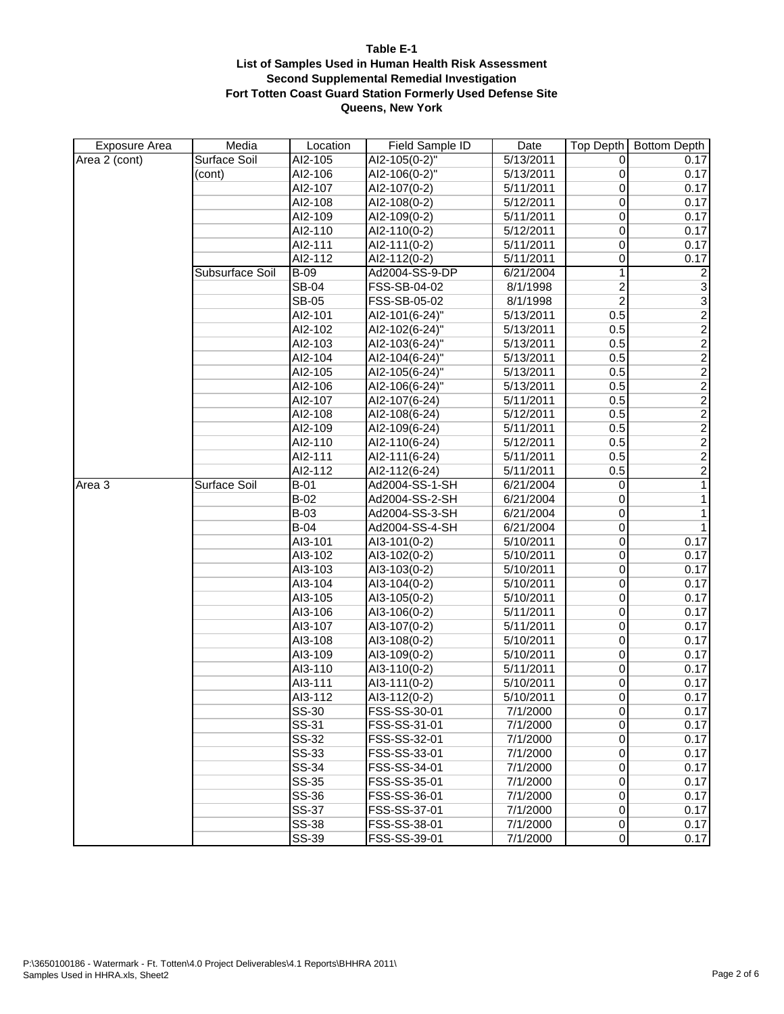| Exposure Area | Media           | Location     | Field Sample ID             | Date      | Top Depth             | <b>Bottom Depth</b> |
|---------------|-----------------|--------------|-----------------------------|-----------|-----------------------|---------------------|
| Area 2 (cont) | Surface Soil    | AI2-105      | AI2-105(0-2)"               | 5/13/2011 | 0                     | 0.17                |
|               | (cont)          | AI2-106      | AI2-106(0-2)"               | 5/13/2011 | $\boldsymbol{0}$      | 0.17                |
|               |                 | AI2-107      | AI2-107(0-2)                | 5/11/2011 | 0                     | 0.17                |
|               |                 | AI2-108      | AI2-108(0-2)                | 5/12/2011 | $\overline{0}$        | 0.17                |
|               |                 | AI2-109      | AI2-109(0-2)                | 5/11/2011 | 0                     | 0.17                |
|               |                 | AI2-110      | AI2-110(0-2)                | 5/12/2011 | 0                     | 0.17                |
|               |                 | AI2-111      | AI2-111(0-2)                | 5/11/2011 | $\mathbf 0$           | 0.17                |
|               |                 | AI2-112      | AI2-112(0-2)                | 5/11/2011 | 0                     | 0.17                |
|               | Subsurface Soil | $B-09$       | Ad2004-SS-9-DP              | 6/21/2004 | 1                     | $\overline{a}$      |
|               |                 | <b>SB-04</b> | FSS-SB-04-02                | 8/1/1998  | $\overline{2}$        | $\overline{3}$      |
|               |                 | <b>SB-05</b> | FSS-SB-05-02                | 8/1/1998  | $\overline{2}$        | $\overline{3}$      |
|               |                 | AI2-101      | AI2-101(6-24)"              | 5/13/2011 | 0.5                   | $\frac{2}{2}$       |
|               |                 | AI2-102      | AI2-102(6-24)"              | 5/13/2011 | 0.5                   |                     |
|               |                 | AI2-103      | AI2-103(6-24)"              | 5/13/2011 | 0.5                   | $\overline{2}$      |
|               |                 | AI2-104      | AI2-104(6-24)"              | 5/13/2011 | 0.5                   | $\overline{2}$      |
|               |                 | AI2-105      | AI2-105(6-24)"              | 5/13/2011 | 0.5                   | $\overline{2}$      |
|               |                 | AI2-106      | AI2-106(6-24)"              | 5/13/2011 | 0.5                   | $\overline{2}$      |
|               |                 | AI2-107      | AI2-107(6-24)               | 5/11/2011 | 0.5                   | $\overline{2}$      |
|               |                 | AI2-108      | AI2-108(6-24)               | 5/12/2011 | 0.5                   | $\overline{2}$      |
|               |                 | AI2-109      | AI2-109(6-24)               | 5/11/2011 | 0.5                   | $\overline{2}$      |
|               |                 | AI2-110      | AI2-110(6-24)               | 5/12/2011 | 0.5                   | $\overline{2}$      |
|               |                 | AI2-111      | Al2-111(6-24)               | 5/11/2011 | 0.5                   | $\overline{2}$      |
|               |                 | AI2-112      | AI2-112(6-24)               | 5/11/2011 | 0.5                   | $\overline{2}$      |
| Area 3        | Surface Soil    | $B-01$       | Ad2004-SS-1-SH              | 6/21/2004 | 0                     | 1                   |
|               |                 | $B-02$       | Ad2004-SS-2-SH              | 6/21/2004 | 0                     | 1                   |
|               |                 | $B-03$       | Ad2004-SS-3-SH              | 6/21/2004 | $\overline{0}$        | $\mathbf{1}$        |
|               |                 | $B-04$       | Ad2004-SS-4-SH              | 6/21/2004 | $\pmb{0}$             | $\mathbf{1}$        |
|               |                 | AI3-101      | AI3-101(0-2)                | 5/10/2011 | $\boldsymbol{0}$      | 0.17                |
|               |                 | AI3-102      | AI3-102(0-2)                | 5/10/2011 | $\overline{0}$        | 0.17                |
|               |                 | AI3-103      | $\overline{A13} - 103(0-2)$ | 5/10/2011 | 0                     | 0.17                |
|               |                 | AI3-104      | AI3-104(0-2)                | 5/10/2011 | 0                     | 0.17                |
|               |                 | AI3-105      | $\overline{A13-105(0-2)}$   | 5/10/2011 | $\overline{0}$        | 0.17                |
|               |                 | AI3-106      | AI3-106(0-2)                | 5/11/2011 | $\mathbf 0$           | 0.17                |
|               |                 | AI3-107      | AI3-107(0-2)                | 5/11/2011 | $\overline{0}$        | 0.17                |
|               |                 | AI3-108      | AI3-108(0-2)                | 5/10/2011 | $\overline{0}$        | 0.17                |
|               |                 | AI3-109      | AI3-109(0-2)                | 5/10/2011 | 0                     | 0.17                |
|               |                 | AI3-110      | AI3-110(0-2)                | 5/11/2011 | $\overline{0}$        | 0.17                |
|               |                 | AI3-111      | AI3-111(0-2)                | 5/10/2011 | $\mathbf 0$           | 0.17                |
|               |                 | AI3-112      | AI3-112(0-2)                | 5/10/2011 | $\overline{0}$        | 0.17                |
|               |                 | SS-30        | FSS-SS-30-01                | 7/1/2000  | $\overline{0}$        | 0.17                |
|               |                 | SS-31        | FSS-SS-31-01                | 7/1/2000  | $\overline{0}$        | 0.17                |
|               |                 | SS-32        | FSS-SS-32-01                | 7/1/2000  | $\overline{\text{o}}$ | 0.17                |
|               |                 | SS-33        | FSS-SS-33-01                | 7/1/2000  | $\overline{0}$        | 0.17                |
|               |                 | <b>SS-34</b> | FSS-SS-34-01                | 7/1/2000  | 0                     | 0.17                |
|               |                 | SS-35        | FSS-SS-35-01                | 7/1/2000  | $\overline{0}$        | 0.17                |
|               |                 | <b>SS-36</b> | FSS-SS-36-01                | 7/1/2000  | 0                     | 0.17                |
|               |                 | SS-37        | FSS-SS-37-01                | 7/1/2000  | $\overline{0}$        | 0.17                |
|               |                 | <b>SS-38</b> | FSS-SS-38-01                | 7/1/2000  | $\overline{0}$        | 0.17                |
|               |                 | <b>SS-39</b> | FSS-SS-39-01                | 7/1/2000  | 0                     | 0.17                |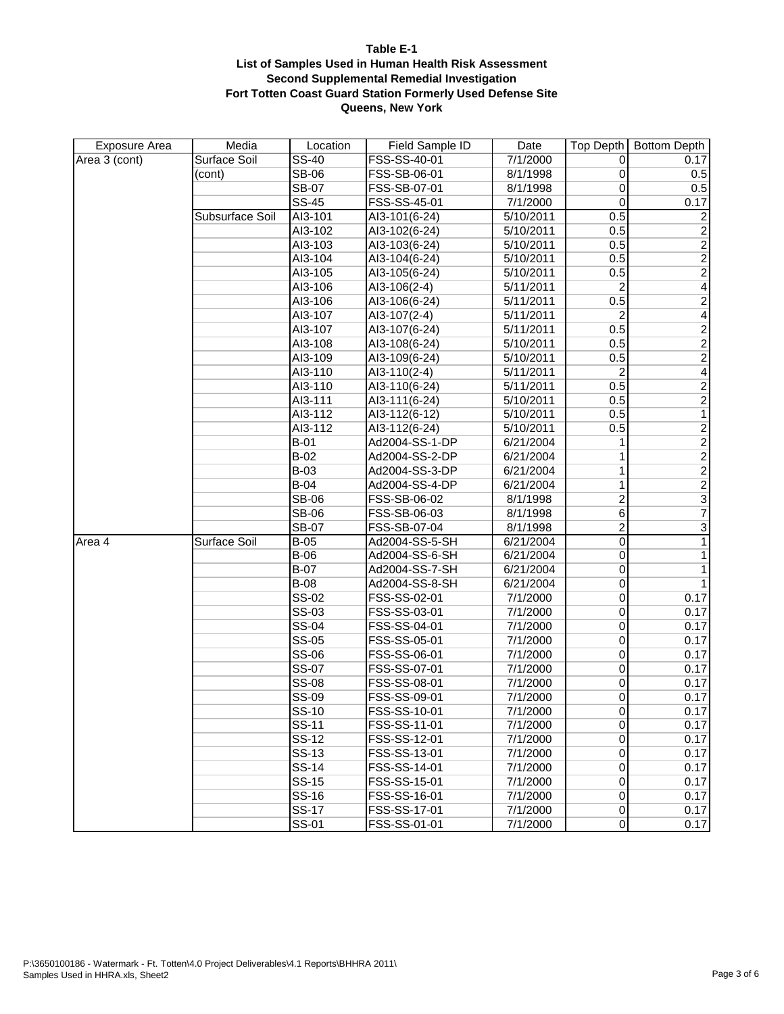| <b>Exposure Area</b> | Media           | Location                  | Field Sample ID | Date      | Top Depth             | <b>Bottom Depth</b>     |
|----------------------|-----------------|---------------------------|-----------------|-----------|-----------------------|-------------------------|
| Area 3 (cont)        | Surface Soil    | $SS-40$                   | FSS-SS-40-01    | 7/1/2000  | 0                     | 0.17                    |
|                      | (cont)          | <b>SB-06</b>              | FSS-SB-06-01    | 8/1/1998  | 0                     | 0.5                     |
|                      |                 | <b>SB-07</b>              | FSS-SB-07-01    | 8/1/1998  | 0                     | 0.5                     |
|                      |                 | <b>SS-45</b>              | FSS-SS-45-01    | 7/1/2000  | $\mathbf 0$           | 0.17                    |
|                      | Subsurface Soil | AI3-101                   | AI3-101(6-24)   | 5/10/2011 | 0.5                   | $\overline{2}$          |
|                      |                 | AI3-102                   | AI3-102(6-24)   | 5/10/2011 | 0.5                   | $\overline{\mathbf{c}}$ |
|                      |                 | AI3-103                   | AI3-103(6-24)   | 5/10/2011 | 0.5                   | $\overline{2}$          |
|                      |                 | AI3-104                   | AI3-104(6-24)   | 5/10/2011 | 0.5                   | $\overline{2}$          |
|                      |                 | AI3-105                   | AI3-105(6-24)   | 5/10/2011 | 0.5                   | $\overline{2}$          |
|                      |                 | AI3-106                   | AI3-106(2-4)    | 5/11/2011 | $\overline{2}$        | $\overline{4}$          |
|                      |                 | AI3-106                   | AI3-106(6-24)   | 5/11/2011 | 0.5                   | $\overline{2}$          |
|                      |                 | AI3-107                   | AI3-107(2-4)    | 5/11/2011 | 2                     | $\overline{4}$          |
|                      |                 | AI3-107                   | AI3-107(6-24)   | 5/11/2011 | 0.5                   | $\overline{2}$          |
|                      |                 | AI3-108                   | AI3-108(6-24)   | 5/10/2011 | 0.5                   | $\overline{2}$          |
|                      |                 | AI3-109                   | AI3-109(6-24)   | 5/10/2011 | 0.5                   | $\overline{2}$          |
|                      |                 | AI3-110                   | AI3-110(2-4)    | 5/11/2011 | $\overline{2}$        | $\overline{4}$          |
|                      |                 | AI3-110                   | AI3-110(6-24)   | 5/11/2011 | 0.5                   | $\frac{2}{2}$           |
|                      |                 | AI3-111                   | AI3-111(6-24)   | 5/10/2011 | 0.5                   |                         |
|                      |                 | AI3-112                   | AI3-112(6-12)   | 5/10/2011 | 0.5                   | $\overline{1}$          |
|                      |                 | AI3-112                   | AI3-112(6-24)   | 5/10/2011 | 0.5                   | $\frac{2}{2}$           |
|                      |                 | $B-01$                    | Ad2004-SS-1-DP  | 6/21/2004 | 1                     |                         |
|                      |                 | $B-02$                    | Ad2004-SS-2-DP  | 6/21/2004 | 1                     | $\overline{2}$          |
|                      |                 | $B-03$                    | Ad2004-SS-3-DP  | 6/21/2004 | 1                     |                         |
|                      |                 | $B-04$                    | Ad2004-SS-4-DP  | 6/21/2004 | 1                     | $\frac{2}{3}$           |
|                      |                 | <b>SB-06</b>              | FSS-SB-06-02    | 8/1/1998  | $\overline{2}$        |                         |
|                      |                 | <b>SB-06</b>              | FSS-SB-06-03    | 8/1/1998  | $\overline{6}$        | $\overline{7}$          |
|                      |                 | <b>SB-07</b>              | FSS-SB-07-04    | 8/1/1998  | $\overline{2}$        | $\overline{3}$          |
| Area 4               | Surface Soil    | $B-05$                    | Ad2004-SS-5-SH  | 6/21/2004 | $\overline{0}$        | $\overline{1}$          |
|                      |                 | $B-06$                    | Ad2004-SS-6-SH  | 6/21/2004 | $\overline{0}$        | $\overline{1}$          |
|                      |                 | $B-07$                    | Ad2004-SS-7-SH  | 6/21/2004 | $\mathbf 0$           | $\overline{1}$          |
|                      |                 | $B-08$                    | Ad2004-SS-8-SH  | 6/21/2004 | $\overline{0}$        | $\mathbf{1}$            |
|                      |                 | SS-02                     | FSS-SS-02-01    | 7/1/2000  | $\mathbf 0$           | 0.17                    |
|                      |                 | SS-03                     | FSS-SS-03-01    | 7/1/2000  | $\mathbf 0$           | 0.17                    |
|                      |                 | <b>SS-04</b>              | FSS-SS-04-01    | 7/1/2000  | $\mathbf 0$           | 0.17                    |
|                      |                 | <b>SS-05</b>              | FSS-SS-05-01    | 7/1/2000  | $\mathbf 0$           | 0.17                    |
|                      |                 | SS-06                     | FSS-SS-06-01    | 7/1/2000  | 0                     | 0.17                    |
|                      |                 | <b>SS-07</b>              | FSS-SS-07-01    | 7/1/2000  | 0                     | 0.17                    |
|                      |                 | <b>SS-08</b>              | FSS-SS-08-01    | 7/1/2000  | $\mathbf 0$           | 0.17                    |
|                      |                 | SS-09                     | FSS-SS-09-01    | 7/1/2000  | $\overline{0}$        | 0.17                    |
|                      |                 | $SS-10$                   | FSS-SS-10-01    | 7/1/2000  | $\overline{\text{o}}$ | 0.17                    |
|                      |                 | $\overline{\text{SS-11}}$ | FSS-SS-11-01    | 7/1/2000  | $\overline{0}$        | 0.17                    |
|                      |                 | $SS-12$                   | FSS-SS-12-01    | 7/1/2000  | $\overline{0}$        | 0.17                    |
|                      |                 | <b>SS-13</b>              | FSS-SS-13-01    | 7/1/2000  | $\overline{0}$        | 0.17                    |
|                      |                 | <b>SS-14</b>              | FSS-SS-14-01    | 7/1/2000  | $\overline{0}$        | 0.17                    |
|                      |                 | <b>SS-15</b>              | FSS-SS-15-01    | 7/1/2000  | $\overline{0}$        | 0.17                    |
|                      |                 | <b>SS-16</b>              | FSS-SS-16-01    | 7/1/2000  | $\overline{0}$        | 0.17                    |
|                      |                 | <b>SS-17</b>              | FSS-SS-17-01    | 7/1/2000  | $\overline{0}$        | 0.17                    |
|                      |                 | SS-01                     | FSS-SS-01-01    | 7/1/2000  | $\overline{0}$        | 0.17                    |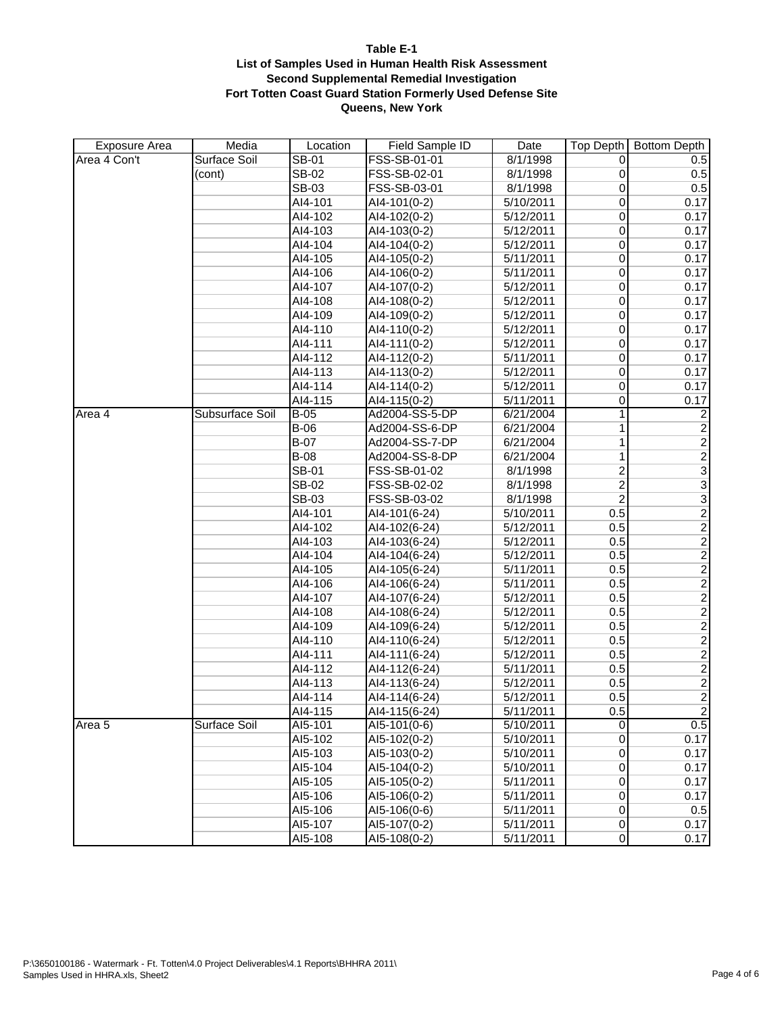| <b>Exposure Area</b> | Media           | Location     | Field Sample ID             | Date      | Top Depth             | <b>Bottom Depth</b> |
|----------------------|-----------------|--------------|-----------------------------|-----------|-----------------------|---------------------|
| Area 4 Con't         | Surface Soil    | SB-01        | FSS-SB-01-01                | 8/1/1998  | 0                     | 0.5                 |
|                      | (cont)          | <b>SB-02</b> | FSS-SB-02-01                | 8/1/1998  | 0                     | 0.5                 |
|                      |                 | <b>SB-03</b> | FSS-SB-03-01                | 8/1/1998  | $\mathbf 0$           | 0.5                 |
|                      |                 | AI4-101      | AI4-101(0-2)                | 5/10/2011 | $\overline{0}$        | 0.17                |
|                      |                 | AI4-102      | AI4-102(0-2)                | 5/12/2011 | 0                     | 0.17                |
|                      |                 | AI4-103      | AI4-103(0-2)                | 5/12/2011 | $\overline{0}$        | 0.17                |
|                      |                 | AI4-104      | AI4-104(0-2)                | 5/12/2011 | $\overline{0}$        | 0.17                |
|                      |                 | AI4-105      | $\overline{A14} - 105(0-2)$ | 5/11/2011 | 0                     | 0.17                |
|                      |                 | AI4-106      | $AI4-106(0-2)$              | 5/11/2011 | 0                     | 0.17                |
|                      |                 | AI4-107      | AI4-107(0-2)                | 5/12/2011 | $\overline{0}$        | 0.17                |
|                      |                 | AI4-108      | $\overline{A14} - 108(0-2)$ | 5/12/2011 | 0                     | 0.17                |
|                      |                 | AI4-109      | AI4-109(0-2)                | 5/12/2011 | $\overline{0}$        | 0.17                |
|                      |                 | AI4-110      | AI4-110(0-2)                | 5/12/2011 | $\overline{0}$        | 0.17                |
|                      |                 | AI4-111      | AI4-111(0-2)                | 5/12/2011 | 0                     | 0.17                |
|                      |                 | AI4-112      | AI4-112(0-2)                | 5/11/2011 | $\overline{0}$        | 0.17                |
|                      |                 | AI4-113      | $\overline{A14-113(0-2)}$   | 5/12/2011 | $\mathbf 0$           | 0.17                |
|                      |                 | AI4-114      | AI4-114(0-2)                | 5/12/2011 | 0                     | 0.17                |
|                      |                 | AI4-115      | AI4-115(0-2)                | 5/11/2011 | 0                     | 0.17                |
| Area 4               | Subsurface Soil | $B-05$       | Ad2004-SS-5-DP              | 6/21/2004 | $\mathbf{1}$          | $\overline{c}$      |
|                      |                 | $B-06$       | Ad2004-SS-6-DP              | 6/21/2004 | 1                     | $\overline{2}$      |
|                      |                 | $B-07$       | Ad2004-SS-7-DP              | 6/21/2004 | 1                     | $\overline{2}$      |
|                      |                 | $B-08$       | Ad2004-SS-8-DP              | 6/21/2004 | 1                     | $\overline{2}$      |
|                      |                 | <b>SB-01</b> | FSS-SB-01-02                | 8/1/1998  | $\overline{2}$        | $\frac{3}{3}$       |
|                      |                 | SB-02        | FSS-SB-02-02                | 8/1/1998  | $\overline{2}$        |                     |
|                      |                 | <b>SB-03</b> | FSS-SB-03-02                | 8/1/1998  | $\overline{2}$        | $\overline{3}$      |
|                      |                 | AI4-101      | AI4-101(6-24)               | 5/10/2011 | 0.5                   | $\frac{2}{2}$       |
|                      |                 | AI4-102      | Al4-102(6-24)               | 5/12/2011 | 0.5                   |                     |
|                      |                 | AI4-103      | AI4-103(6-24)               | 5/12/2011 | 0.5                   | $\overline{2}$      |
|                      |                 | AI4-104      | $\overline{A14-104}$ (6-24) | 5/12/2011 | 0.5                   |                     |
|                      |                 | AI4-105      | AI4-105(6-24)               | 5/11/2011 | 0.5                   | $\frac{2}{2}$       |
|                      |                 | AI4-106      | AI4-106(6-24)               | 5/11/2011 | 0.5                   |                     |
|                      |                 | AI4-107      | AI4-107(6-24)               | 5/12/2011 | 0.5                   | $\overline{2}$      |
|                      |                 | AI4-108      | AI4-108(6-24)               | 5/12/2011 | 0.5                   | $\overline{2}$      |
|                      |                 | AI4-109      | AI4-109(6-24)               | 5/12/2011 | 0.5                   | $\overline{2}$      |
|                      |                 | AI4-110      | AI4-110(6-24)               | 5/12/2011 | 0.5                   | $\overline{2}$      |
|                      |                 | AI4-111      | AI4-111(6-24)               | 5/12/2011 | 0.5                   | $\overline{2}$      |
|                      |                 | AI4-112      | AI4-112(6-24)               | 5/11/2011 | 0.5                   | $\overline{2}$      |
|                      |                 | AI4-113      | AI4-113(6-24)               | 5/12/2011 | 0.5                   | $\overline{2}$      |
|                      |                 | AI4-114      | AI4-114(6-24)               | 5/12/2011 | 0.5                   | $\overline{2}$      |
|                      |                 | AI4-115      | AI4-115(6-24)               | 5/11/2011 | 0.5                   | $\overline{2}$      |
| Area 5               | Surface Soil    | AI5-101      | AI5-101(0-6)                | 5/10/2011 | $\mathbf 0$           | 0.5                 |
|                      |                 | AI5-102      | AI5-102(0-2)                | 5/10/2011 | $\overline{0}$        | 0.17                |
|                      |                 | AI5-103      | AI5-103(0-2)                | 5/10/2011 | $\overline{0}$        | 0.17                |
|                      |                 | AI5-104      | AI5-104(0-2)                | 5/10/2011 | $\overline{0}$        | 0.17                |
|                      |                 | AI5-105      | AI5-105(0-2)                | 5/11/2011 | $\overline{0}$        | 0.17                |
|                      |                 | AI5-106      | $AI5-106(0-2)$              | 5/11/2011 | $\overline{0}$        | 0.17                |
|                      |                 | AI5-106      | AI5-106(0-6)                | 5/11/2011 | $\overline{0}$        | 0.5                 |
|                      |                 | AI5-107      | AI5-107(0-2)                | 5/11/2011 | $\overline{0}$        | 0.17                |
|                      |                 | AI5-108      | AI5-108(0-2)                | 5/11/2011 | $\overline{\text{o}}$ | 0.17                |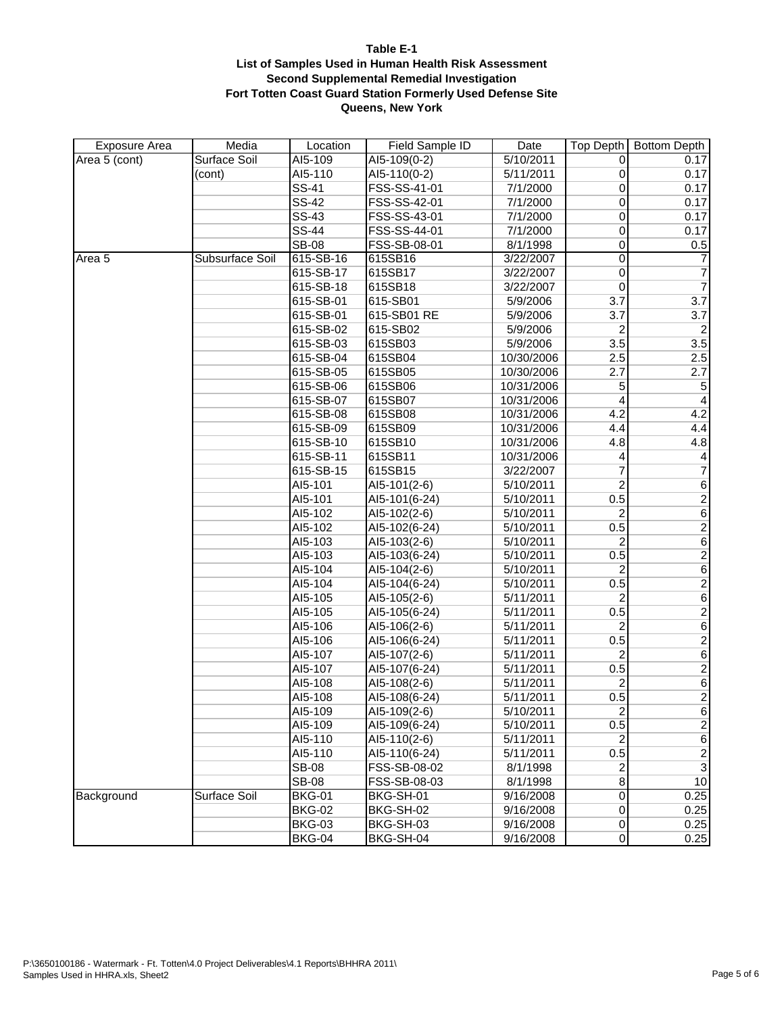| <b>Exposure Area</b> | Media           | Location      | Field Sample ID | Date       | Top Depth               | <b>Bottom Depth</b>     |
|----------------------|-----------------|---------------|-----------------|------------|-------------------------|-------------------------|
| Area 5 (cont)        | Surface Soil    | AI5-109       | AI5-109(0-2)    | 5/10/2011  | 0                       | 0.17                    |
|                      | (cont)          | AI5-110       | AI5-110(0-2)    | 5/11/2011  | 0                       | 0.17                    |
|                      |                 | <b>SS-41</b>  | FSS-SS-41-01    | 7/1/2000   | 0                       | 0.17                    |
|                      |                 | <b>SS-42</b>  | FSS-SS-42-01    | 7/1/2000   | 0                       | 0.17                    |
|                      |                 | <b>SS-43</b>  | FSS-SS-43-01    | 7/1/2000   | 0                       | 0.17                    |
|                      |                 | <b>SS-44</b>  | FSS-SS-44-01    | 7/1/2000   | 0                       | 0.17                    |
|                      |                 | <b>SB-08</b>  | FSS-SB-08-01    | 8/1/1998   | 0                       | 0.5                     |
| Area 5               | Subsurface Soil | 615-SB-16     | 615SB16         | 3/22/2007  | 0                       | $\overline{7}$          |
|                      |                 | 615-SB-17     | 615SB17         | 3/22/2007  | 0                       | $\overline{7}$          |
|                      |                 | 615-SB-18     | 615SB18         | 3/22/2007  | $\mathbf 0$             | $\overline{7}$          |
|                      |                 | 615-SB-01     | 615-SB01        | 5/9/2006   | 3.7                     | 3.7                     |
|                      |                 | 615-SB-01     | 615-SB01 RE     | 5/9/2006   | 3.7                     | 3.7                     |
|                      |                 | 615-SB-02     | 615-SB02        | 5/9/2006   | 2                       | $\overline{c}$          |
|                      |                 | 615-SB-03     | 615SB03         | 5/9/2006   | 3.5                     | 3.5                     |
|                      |                 | 615-SB-04     | 615SB04         | 10/30/2006 | 2.5                     | 2.5                     |
|                      |                 | 615-SB-05     | 615SB05         | 10/30/2006 | 2.7                     | 2.7                     |
|                      |                 | 615-SB-06     | 615SB06         | 10/31/2006 | 5                       | $\mathbf 5$             |
|                      |                 | 615-SB-07     | 615SB07         | 10/31/2006 | 4                       | 4                       |
|                      |                 | 615-SB-08     | 615SB08         | 10/31/2006 | 4.2                     | 4.2                     |
|                      |                 | 615-SB-09     | 615SB09         | 10/31/2006 | 4.4                     | 4.4                     |
|                      |                 | 615-SB-10     | 615SB10         | 10/31/2006 | 4.8                     | 4.8                     |
|                      |                 | 615-SB-11     | 615SB11         | 10/31/2006 | 4                       | $\overline{\mathbf{4}}$ |
|                      |                 | 615-SB-15     | 615SB15         | 3/22/2007  | 7                       | $\overline{7}$          |
|                      |                 | AI5-101       | AI5-101(2-6)    | 5/10/2011  | $\overline{2}$          | $\overline{6}$          |
|                      |                 | AI5-101       | AI5-101(6-24)   | 5/10/2011  | 0.5                     | $\overline{2}$          |
|                      |                 | AI5-102       | AI5-102(2-6)    | 5/10/2011  | $\overline{c}$          | $6\,$                   |
|                      |                 | AI5-102       | AI5-102(6-24)   | 5/10/2011  | 0.5                     | $\overline{2}$          |
|                      |                 | AI5-103       | AI5-103(2-6)    | 5/10/2011  | $\overline{c}$          | $\overline{6}$          |
|                      |                 | AI5-103       | AI5-103(6-24)   | 5/10/2011  | 0.5                     | $\overline{2}$          |
|                      |                 | AI5-104       | AI5-104(2-6)    | 5/10/2011  | 2                       | $\overline{6}$          |
|                      |                 | AI5-104       | AI5-104(6-24)   | 5/10/2011  | 0.5                     | $\overline{2}$          |
|                      |                 | AI5-105       | AI5-105(2-6)    | 5/11/2011  | $\overline{\mathbf{c}}$ | $\overline{6}$          |
|                      |                 | AI5-105       | AI5-105(6-24)   | 5/11/2011  | 0.5                     | $\overline{2}$          |
|                      |                 | AI5-106       | AI5-106(2-6)    | 5/11/2011  | $\overline{2}$          | $\overline{6}$          |
|                      |                 | AI5-106       | AI5-106(6-24)   | 5/11/2011  | 0.5                     | $\overline{2}$          |
|                      |                 | AI5-107       | AI5-107(2-6)    | 5/11/2011  | 2                       | $\sqrt{6}$              |
|                      |                 | AI5-107       | AI5-107(6-24)   | 5/11/2011  | 0.5                     | $\overline{2}$          |
|                      |                 | AI5-108       | AI5-108(2-6)    | 5/11/2011  | 2                       | $\sqrt{6}$              |
|                      |                 | AI5-108       | AI5-108(6-24)   | 5/11/2011  | 0.5                     | $\overline{2}$          |
|                      |                 | AI5-109       | $AI5-109(2-6)$  | 5/10/2011  | $\overline{2}$          | $\overline{6}$          |
|                      |                 | AI5-109       | AI5-109(6-24)   | 5/10/2011  | 0.5                     | $\overline{2}$          |
|                      |                 | AI5-110       | AI5-110(2-6)    | 5/11/2011  | 2                       | $\sqrt{6}$              |
|                      |                 | AI5-110       | AI5-110(6-24)   | 5/11/2011  | 0.5                     | $\frac{2}{3}$           |
|                      |                 | <b>SB-08</b>  | FSS-SB-08-02    | 8/1/1998   | 2                       |                         |
|                      |                 | <b>SB-08</b>  | FSS-SB-08-03    | 8/1/1998   | $\overline{\bf 8}$      | 10                      |
| Background           | Surface Soil    | <b>BKG-01</b> | BKG-SH-01       | 9/16/2008  | $\overline{0}$          | 0.25                    |
|                      |                 | <b>BKG-02</b> | BKG-SH-02       | 9/16/2008  | $\overline{0}$          | 0.25                    |
|                      |                 | <b>BKG-03</b> | BKG-SH-03       | 9/16/2008  | $\pmb{0}$               | 0.25                    |
|                      |                 | <b>BKG-04</b> | BKG-SH-04       | 9/16/2008  | $\pmb{0}$               | 0.25                    |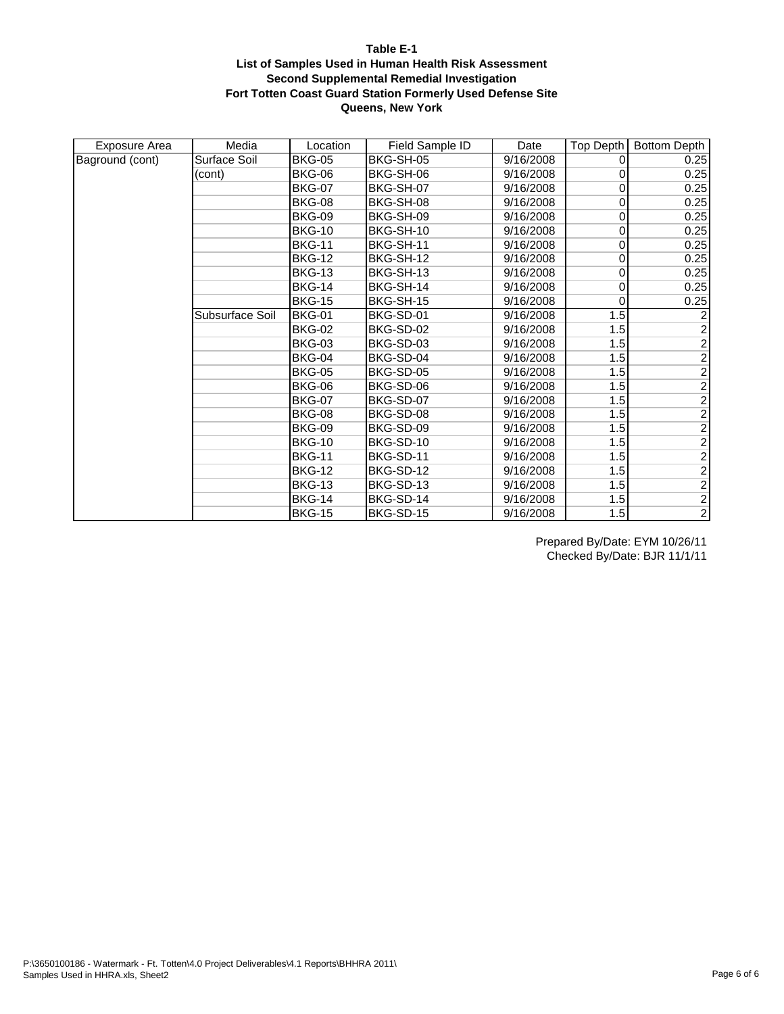| Exposure Area   | Media           | Location      | Field Sample ID | Date      | Top Depth   | <b>Bottom Depth</b> |
|-----------------|-----------------|---------------|-----------------|-----------|-------------|---------------------|
| Baground (cont) | Surface Soil    | <b>BKG-05</b> | BKG-SH-05       | 9/16/2008 | 0           | 0.25                |
|                 | (cont)          | BKG-06        | BKG-SH-06       | 9/16/2008 | 0           | 0.25                |
|                 |                 | <b>BKG-07</b> | BKG-SH-07       | 9/16/2008 | 0           | 0.25                |
|                 |                 | <b>BKG-08</b> | BKG-SH-08       | 9/16/2008 | $\mathbf 0$ | 0.25                |
|                 |                 | <b>BKG-09</b> | BKG-SH-09       | 9/16/2008 | 0           | 0.25                |
|                 |                 | <b>BKG-10</b> | BKG-SH-10       | 9/16/2008 | 0           | 0.25                |
|                 |                 | <b>BKG-11</b> | BKG-SH-11       | 9/16/2008 | 0           | 0.25                |
|                 |                 | <b>BKG-12</b> | BKG-SH-12       | 9/16/2008 | 0           | 0.25                |
|                 |                 | <b>BKG-13</b> | BKG-SH-13       | 9/16/2008 | 0           | 0.25                |
|                 |                 | <b>BKG-14</b> | BKG-SH-14       | 9/16/2008 | 0           | 0.25                |
|                 |                 | <b>BKG-15</b> | BKG-SH-15       | 9/16/2008 | 0           | 0.25                |
|                 | Subsurface Soil | <b>BKG-01</b> | BKG-SD-01       | 9/16/2008 | 1.5         | $\overline{c}$      |
|                 |                 | <b>BKG-02</b> | BKG-SD-02       | 9/16/2008 | 1.5         |                     |
|                 |                 | <b>BKG-03</b> | BKG-SD-03       | 9/16/2008 | 1.5         | $\frac{2}{2}$       |
|                 |                 | <b>BKG-04</b> | BKG-SD-04       | 9/16/2008 | 1.5         | $\overline{2}$      |
|                 |                 | <b>BKG-05</b> | BKG-SD-05       | 9/16/2008 | 1.5         |                     |
|                 |                 | <b>BKG-06</b> | BKG-SD-06       | 9/16/2008 | 1.5         | $\frac{2}{2}$       |
|                 |                 | <b>BKG-07</b> | BKG-SD-07       | 9/16/2008 | 1.5         |                     |
|                 |                 | <b>BKG-08</b> | BKG-SD-08       | 9/16/2008 | 1.5         |                     |
|                 |                 | <b>BKG-09</b> | BKG-SD-09       | 9/16/2008 | 1.5         | $\frac{2}{2}$       |
|                 |                 | <b>BKG-10</b> | BKG-SD-10       | 9/16/2008 | 1.5         |                     |
|                 |                 | <b>BKG-11</b> | BKG-SD-11       | 9/16/2008 | 1.5         | $\overline{2}$      |
|                 |                 | <b>BKG-12</b> | BKG-SD-12       | 9/16/2008 | 1.5         | $\overline{2}$      |
|                 |                 | <b>BKG-13</b> | BKG-SD-13       | 9/16/2008 | 1.5         | $\overline{2}$      |
|                 |                 | <b>BKG-14</b> | BKG-SD-14       | 9/16/2008 | 1.5         | $\overline{2}$      |
|                 |                 | <b>BKG-15</b> | BKG-SD-15       | 9/16/2008 | 1.5         | $\overline{2}$      |

Prepared By/Date: EYM 10/26/11 Checked By/Date: BJR 11/1/11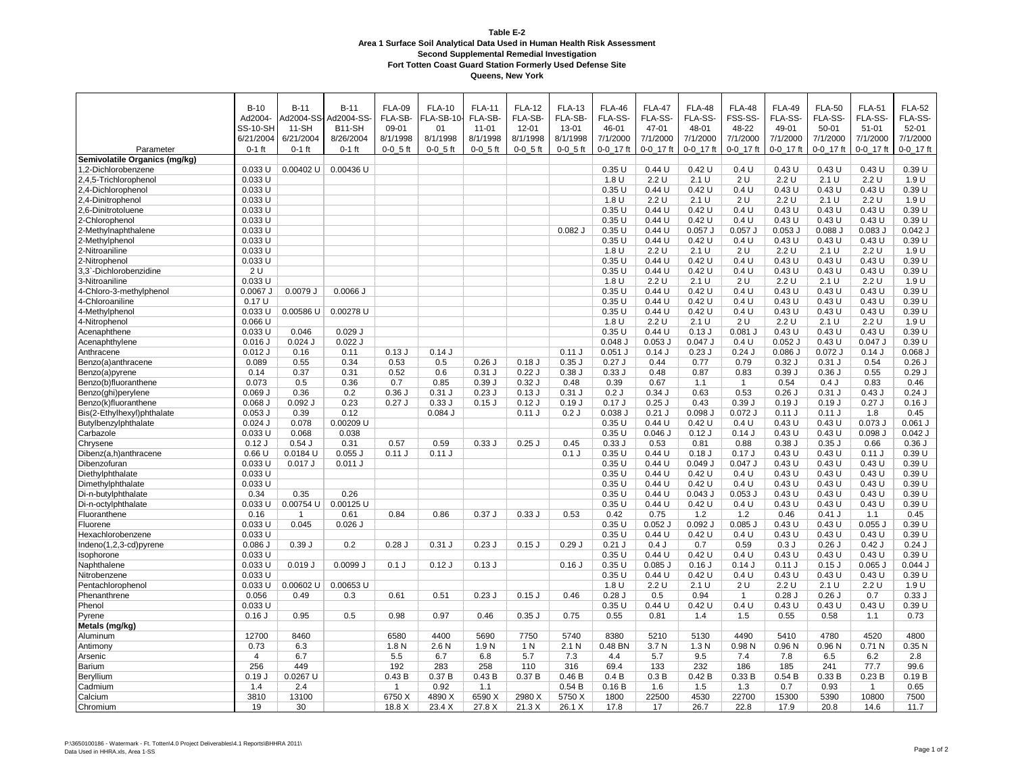|                                   | $B-10$                 | $B-11$         | $B-11$              | <b>FLA-09</b> | <b>FLA-10</b> | <b>FLA-11</b>    | <b>FLA-12</b> | <b>FLA-13</b> | <b>FLA-46</b>  | <b>FLA-47</b>     | <b>FLA-48</b>     | <b>FLA-48</b>     | <b>FLA-49</b>     | <b>FLA-50</b>  | <b>FLA-51</b>            | <b>FLA-52</b>          |
|-----------------------------------|------------------------|----------------|---------------------|---------------|---------------|------------------|---------------|---------------|----------------|-------------------|-------------------|-------------------|-------------------|----------------|--------------------------|------------------------|
|                                   | Ad2004-                | Ad2004-SS-     | Ad2004-SS           | FLA-SB-       | FLA-SB-10-    | FLA-SB-          | FLA-SB-       | FLA-SB-       | FLA-SS-        | FLA-SS-           | FLA-SS-           | FSS-SS-           | FLA-SS-           | FLA-SS-        | FLA-SS-                  | FLA-SS-                |
|                                   | SS-10-SH               | $11-SH$        | B <sub>11</sub> -SH | 09-01         | 01            | $11 - 01$        | $12 - 01$     | 13-01         | 46-01          | 47-01             | 48-01             | 48-22             | 49-01             | 50-01          | $51 - 01$                | $52 - 01$              |
|                                   | 6/21/2004              | 6/21/2004      | 8/26/2004           | 8/1/1998      | 8/1/1998      | 8/1/1998         | 8/1/1998      | 8/1/1998      | 7/1/2000       | 7/1/2000          | 7/1/2000          | 7/1/2000          | 7/1/2000          | 7/1/2000       | 7/1/2000                 | 7/1/2000               |
| Parameter                         | $0-1$ ft               | $0-1$ ft       | $0-1$ ft            | $0-0.5$ ft    | $0-0.5$ ft    | $0-0$ 5 ft       | $0-0$ 5 ft    | $0-0$ 5 ft    | 0-0 17 ft      | 0-0 17 ft         | 0-0 17 ft         | 0-0 17 ft         | 0-0 17 ft         | 0-0 17 ft      | 0-0 17 ft                | 0-0 17 ft              |
| Semivolatile Organics (mg/kg)     |                        |                |                     |               |               |                  |               |               |                |                   |                   |                   |                   |                |                          |                        |
| 1,2-Dichlorobenzene               | $0.033$ U              | 0.00402 U      | 0.00436 U           |               |               |                  |               |               | 0.35U          | 0.44U             | 0.42U             | 0.4 U             | 0.43U             | 0.43U          | 0.43U                    | 0.39U                  |
| 2,4,5-Trichlorophenol             | 0.033U                 |                |                     |               |               |                  |               |               | 1.8 U          | 2.2U              | 2.1 U             | 2 U               | 2.2U              | 2.1 U          | 2.2U                     | 1.9 U                  |
| 2,4-Dichlorophenol                | $0.033$ U              |                |                     |               |               |                  |               |               | 0.35U          | 0.44U             | 0.42U             | 0.4 U             | 0.43U             | 0.43U          | 0.43U                    | 0.39U                  |
| 2,4-Dinitrophenol                 | $0.033$ U              |                |                     |               |               |                  |               |               | 1.8 U          | 2.2 U             | 2.1 U             | 2 U               | 2.2 U             | 2.1 U          | 2.2 U                    | 1.9 U                  |
| 2,6-Dinitrotoluene                | 0.033U                 |                |                     |               |               |                  |               |               | 0.35U          | 0.44U             | 0.42U             | 0.4 U             | 0.43U             | 0.43U          | 0.43U                    | 0.39U                  |
| 2-Chlorophenol                    | $0.033$ U              |                |                     |               |               |                  |               |               | 0.35U          | 0.44U             | 0.42U             | 0.4 U             | 0.43U             | 0.43U          | 0.43U                    | 0.39U                  |
| 2-Methylnaphthalene               | $0.033$ U              |                |                     |               |               |                  |               | $0.082$ J     | 0.35U          | 0.44U             | $0.057$ J         | $0.057$ J         | $0.053$ J         | $0.088$ $J$    | $0.083$ $J$              | $0.042$ J              |
| 2-Methylphenol                    | $0.033$ U              |                |                     |               |               |                  |               |               | 0.35U          | 0.44U             | 0.42U             | 0.4 U             | 0.43U             | 0.43U          | 0.43U                    | 0.39U                  |
| 2-Nitroaniline                    | 0.033 U                |                |                     |               |               |                  |               |               | 1.8 U          | 2.2U              | 2.1 U             | 2U                | 2.2U              | 2.1 U          | 2.2U                     | 1.9 U                  |
| 2-Nitrophenol                     | 0.033U                 |                |                     |               |               |                  |               |               | 0.35U          | 0.44U             | 0.42U             | 0.4 U             | 0.43U             | 0.43U          | 0.43U                    | 0.39U                  |
| 3,3`-Dichlorobenzidine            | 2 U                    |                |                     |               |               |                  |               |               | 0.35U          | 0.44U             | 0.42U             | 0.4 U             | 0.43U             | 0.43U          | 0.43U                    | 0.39U                  |
| 3-Nitroaniline                    | 0.033U                 |                |                     |               |               |                  |               |               | 1.8 U          | 2.2U              | 2.1 U             | 2 U               | 2.2U              | 2.1 U          | 2.2U                     | 1.9 U                  |
| 4-Chloro-3-methylphenol           | $0.0067$ J             | 0.0079 J       | $0.0066$ J          |               |               |                  |               |               | 0.35U          | 0.44U             | 0.42U             | 0.4 U             | 0.43U             | 0.43U          | 0.43U                    | 0.39U                  |
| 4-Chloroaniline                   | 0.17U                  |                |                     |               |               |                  |               |               | 0.35U          | 0.44U             | 0.42U             | 0.4 U             | 0.43U             | 0.43U          | 0.43U                    | 0.39U                  |
| 4-Methylphenol                    | $0.033$ U              | $0.00586$ U    | 0.00278 U           |               |               |                  |               |               | 0.35U          | 0.44U             | 0.42U             | 0.4 U             | 0.43U             | 0.43U          | 0.43U                    | 0.39U                  |
| 4-Nitrophenol                     | $0.066$ U              |                |                     |               |               |                  |               |               | 1.8 U          | 2.2U              | 2.1 U             | 2 U               | 2.2U              | 2.1 U          | 2.2 U                    | 1.9 U                  |
| Acenaphthene                      | $0.033$ U              | 0.046          | $0.029$ J           |               |               |                  |               |               | 0.35U          | 0.44U             | $0.13$ J          | $0.081$ J         | 0.43U             | 0.43U          | 0.43U                    | 0.39U                  |
| Acenaphthylene                    | $0.016$ J              | $0.024$ J      | $0.022$ J           |               |               |                  |               |               | $0.048$ $J$    | $0.053$ J         | $0.047$ J         | 0.4 U             | $0.052$ J         | 0.43U          | $0.047$ J                | 0.39U                  |
| Anthracene                        | $0.012$ J              | 0.16           | 0.11                | 0.13J         | 0.14J         |                  |               | 0.11 J        | $0.051$ J      | 0.14J             | $0.23$ J          | $0.24$ J          | $0.086$ J         | $0.072$ J      | 0.14J                    | $0.068$ J              |
| Benzo(a)anthracene                | 0.089                  | 0.55           | 0.34                | 0.53          | 0.5           | $0.26$ J         | 0.18J         | $0.35$ J      | 0.27J          | 0.44              | 0.77              | 0.79              | 0.32J             | $0.31$ J       | 0.54                     | 0.26J                  |
| Benzo(a)pyrene                    | 0.14                   | 0.37           | 0.31                | 0.52          | 0.6           | $0.31$ J         | 0.22J         | 0.38J         | 0.33J          | 0.48              | 0.87              | 0.83              | 0.39J             | 0.36J          | 0.55                     | 0.29J                  |
| Benzo(b)fluoranthene              | 0.073                  | 0.5            | 0.36                | 0.7           | 0.85          | 0.39J            | 0.32J         | 0.48          | 0.39           | 0.67              | 1.1               | $\overline{1}$    | 0.54              | 0.4J           | 0.83                     | 0.46                   |
| Benzo(ghi)perylene                | 0.069J                 | 0.36           | 0.2                 | 0.36J         | $0.31$ J      | 0.23J            | 0.13J         | $0.31$ J      | 0.2J           | 0.34J             | 0.63              | 0.53              | $0.26$ J          | 0.31J          | 0.43J                    | 0.24J                  |
| Benzo(k)fluoranthene              | $0.068$ J              | $0.092$ J      | 0.23                | 0.27J         | 0.33J         | 0.15J            | 0.12J         | 0.19J         | 0.17J          | $0.25$ J          | 0.43              | 0.39J             | 0.19J             | 0.19J          | 0.27J                    | 0.16J                  |
| Bis(2-Ethylhexyl)phthalate        | $0.053$ J              | 0.39           | 0.12                |               | $0.084$ J     |                  | 0.11J         | 0.2J          | 0.038J         | $0.21$ J<br>0.44U | $0.098$ J         | $0.072$ J         | 0.11 J            | 0.11J          | 1.8                      | 0.45                   |
| Butylbenzylphthalate<br>Carbazole | $0.024$ J<br>$0.033$ U | 0.078<br>0.068 | 0.00209 U<br>0.038  |               |               |                  |               |               | 0.35U<br>0.35U | $0.046$ J         | 0.42U<br>$0.12$ J | 0.4 U<br>0.14J    | 0.43U<br>0.43U    | 0.43U<br>0.43U | $0.073$ J<br>$0.098$ $J$ | $0.061$ J<br>$0.042$ J |
|                                   | 0.12J                  | $0.54$ J       | 0.31                | 0.57          | 0.59          | 0.33J            | $0.25$ J      | 0.45          | 0.33J          | 0.53              | 0.81              | 0.88              | 0.38J             | 0.35J          | 0.66                     | 0.36J                  |
| Chrysene<br>Dibenz(a,h)anthracene | 0.66U                  | 0.0184 U       | $0.055$ J           | 0.11 J        | 0.11 J        |                  |               | $0.1$ J       | 0.35U          | 0.44U             | $0.18$ J          | 0.17J             | 0.43U             | 0.43U          | 0.11J                    | 0.39U                  |
| Dibenzofuran                      | 0.033 U                | $0.017$ J      | $0.011$ J           |               |               |                  |               |               | 0.35U          | 0.44U             | 0.049J            | $0.047$ J         | 0.43U             | 0.43U          | 0.43U                    | 0.39U                  |
| Diethylphthalate                  | 0.033 U                |                |                     |               |               |                  |               |               | 0.35U          | 0.44U             | 0.42U             | 0.4 U             | 0.43U             | 0.43U          | 0.43U                    | 0.39U                  |
| Dimethylphthalate                 | $0.033$ U              |                |                     |               |               |                  |               |               | 0.35U          | 0.44U             | 0.42U             | 0.4 U             | 0.43U             | 0.43U          | 0.43U                    | 0.39U                  |
| Di-n-butylphthalate               | 0.34                   | 0.35           | 0.26                |               |               |                  |               |               | 0.35U          | 0.44U             | $0.043$ J         | $0.053$ J         | 0.43U             | 0.43U          | 0.43U                    | 0.39U                  |
| Di-n-octylphthalate               | $0.033$ U              | $0.00754$ U    | 0.00125 U           |               |               |                  |               |               | 0.35U          | 0.44U             | 0.42U             | 0.4 U             | 0.43U             | 0.43U          | 0.43U                    | 0.39U                  |
| Fluoranthene                      | 0.16                   | $\overline{1}$ | 0.61                | 0.84          | 0.86          | 0.37J            | 0.33J         | 0.53          | 0.42           | 0.75              | 1.2               | 1.2               | 0.46              | $0.41$ J       | 1.1                      | 0.45                   |
| Fluorene                          | 0.033 U                | 0.045          | $0.026$ J           |               |               |                  |               |               | 0.35U          | $0.052$ J         | $0.092$ J         | $0.085$ J         | 0.43U             | 0.43U          | $0.055$ $J$              | 0.39U                  |
| Hexachlorobenzene                 | $0.033$ U              |                |                     |               |               |                  |               |               | 0.35U          | 0.44U             | 0.42U             | 0.4 U             | 0.43U             | 0.43U          | 0.43U                    | 0.39U                  |
| Indeno(1,2,3-cd)pyrene            | $0.086$ J              | 0.39J          | 0.2                 | 0.28J         | $0.31$ J      | $0.23$ J         | $0.15$ J      | 0.29J         | $0.21$ J       | 0.4J              | 0.7               | 0.59              | 0.3J              | 0.26J          | 0.42J                    | 0.24J                  |
| Isophorone                        | 0.033U                 |                |                     |               |               |                  |               |               | 0.35U          | 0.44U             | 0.42U             | 0.4 U             | 0.43U             | 0.43U          | 0.43U                    | 0.39U                  |
| Naphthalene                       | $0.033$ U              | 0.019J         | 0.0099 J            | 0.1J          | 0.12J         | 0.13J            |               | $0.16$ J      | 0.35U          | $0.085$ $J$       | $0.16$ J          | 0.14J             | 0.11 J            | $0.15$ $J$     | $0.065$ J                | $0.044$ J              |
| Nitrobenzene                      | 0.033 U                |                |                     |               |               |                  |               |               | 0.35U          | 0.44U             | 0.42U             | 0.4 U             | 0.43U             | 0.43U          | 0.43U                    | 0.39U                  |
| Pentachlorophenol                 | $0.033$ U              | 0.00602 U      | 0.00653 U           |               |               |                  |               |               | 1.8 U          | 2.2U              | 2.1 U             | 2U                | 2.2U              | 2.1 U          | 2.2 U                    | 1.9 U                  |
| Phenanthrene                      | 0.056                  | 0.49           | 0.3                 | 0.61          | 0.51          | $0.23$ J         | $0.15$ J      | 0.46          | $0.28$ J       | 0.5               | 0.94              | $\overline{1}$    | $0.28$ J          | 0.26J          | 0.7                      | 0.33J                  |
| Phenol                            | 0.033 U                |                |                     |               |               |                  |               |               | 0.35U          | 0.44U             | 0.42U             | 0.4 U             | 0.43U             | 0.43U          | 0.43U                    | 0.39U                  |
| Pyrene                            | 0.16J                  | 0.95           | 0.5                 | 0.98          | 0.97          | 0.46             | $0.35$ J      | 0.75          | 0.55           | 0.81              | 1.4               | 1.5               | 0.55              | 0.58           | 1.1                      | 0.73                   |
| Metals (mg/kg)                    |                        |                |                     |               |               |                  |               |               |                |                   |                   |                   |                   |                |                          |                        |
| Aluminum                          | 12700                  | 8460           |                     | 6580          | 4400          | 5690             | 7750          | 5740          | 8380           | 5210              | 5130              | 4490              | 5410              | 4780           | 4520                     | 4800                   |
| Antimony                          | 0.73                   | 6.3            |                     | 1.8 N         | 2.6N          | 1.9 <sub>N</sub> | 1 N           | 2.1 N         | 0.48 BN        | 3.7 N             | 1.3 <sub>N</sub>  | 0.98 <sub>N</sub> | 0.96 <sub>N</sub> | 0.96N          | 0.71N                    | 0.35N                  |
| Arsenic                           | 4                      | 6.7            |                     | 5.5           | 6.7           | 6.8              | 5.7           | 7.3           | 4.4            | 5.7               | 9.5               | 7.4               | 7.8               | 6.5            | 6.2                      | 2.8                    |
| Barium                            | 256                    | 449            |                     | 192           | 283           | 258              | 110           | 316           | 69.4           | 133               | 232               | 186               | 185               | 241            | 77.7                     | 99.6                   |
| Beryllium                         | 0.19J                  | $0.0267$ U     |                     | 0.43B         | 0.37B         | 0.43B            | 0.37B         | 0.46B         | 0.4B           | 0.3B              | 0.42B             | 0.33B             | 0.54B             | 0.33B          | 0.23B                    | 0.19B                  |
| Cadmium                           | 1.4                    | 2.4            |                     |               | 0.92          | 1.1              |               | 0.54B         | 0.16B          | 1.6               | 1.5               | 1.3               | 0.7               | 0.93           | -1                       | 0.65                   |
| Calcium                           | 3810                   | 13100          |                     | 6750 X        | 4890 X        | 6590 X           | 2980 X        | 5750 X        | 1800           | 22500             | 4530              | 22700             | 15300             | 5390           | 10800                    | 7500                   |
| Chromium                          | 19                     | 30             |                     | 18.8 X        | 23.4 X        | 27.8 X           | 21.3X         | 26.1 X        | 17.8           | 17                | 26.7              | 22.8              | 17.9              | 20.8           | 14.6                     | 11.7                   |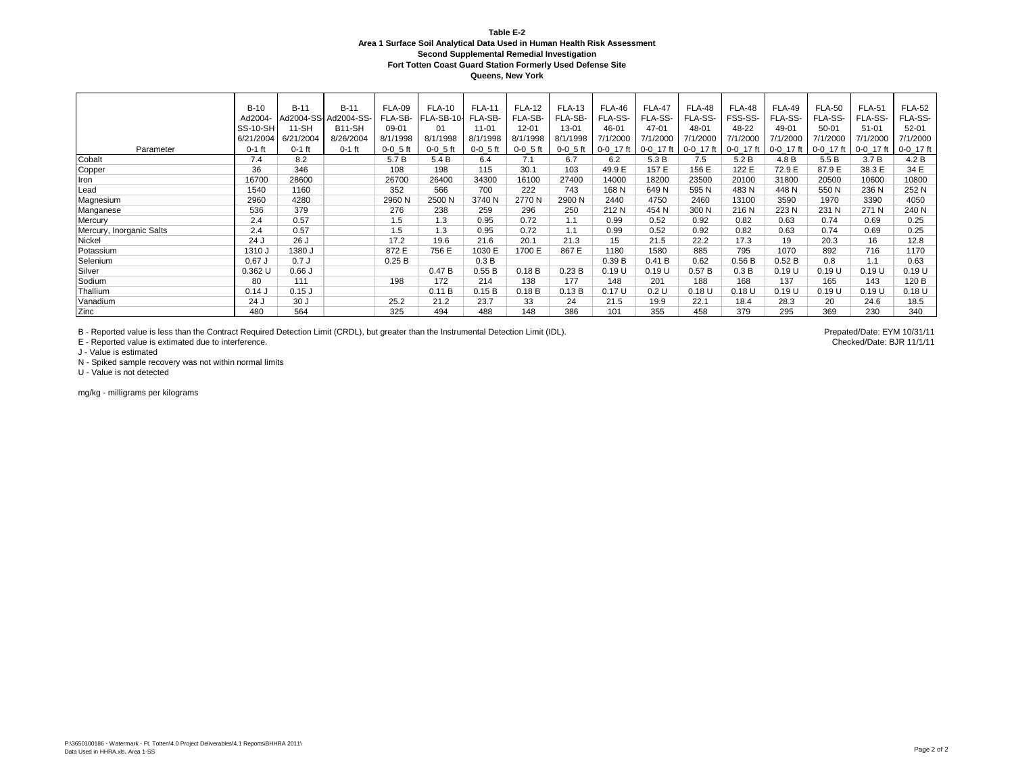**Queens, New York**

|                          | $B-10$          | $B-11$     | $B-11$               | <b>FLA-09</b>  | <b>FLA-10</b>  | <b>FLA-11</b>  | <b>FLA-12</b>  | <b>FLA-13</b>  | <b>FLA-46</b>   | <b>FLA-47</b> | FLA-48          | <b>FLA-48</b> | <b>FLA-49</b> | <b>FLA-50</b> | <b>FLA-51</b> | <b>FLA-52</b> |
|--------------------------|-----------------|------------|----------------------|----------------|----------------|----------------|----------------|----------------|-----------------|---------------|-----------------|---------------|---------------|---------------|---------------|---------------|
|                          | Ad2004-         |            | Ad2004-SS-Ad2004-SS- | FLA-SB-        | FLA-SB-10-     | FLA-SB-        | FLA-SB-        | FLA-SB-        | FLA-SS-         | FLA-SS-       | FLA-SS-         | FSS-SS-       | FLA-SS-       | FLA-SS-       | FLA-SS-       | FLA-SS-       |
|                          | <b>SS-10-SH</b> | $11-SH$    | B11-SH               | 09-01          | 01             | $11 - 01$      | $12 - 0'$      | $13 - 01$      | 46-01           | 47-01         | 48-01           | 48-22         | 49-01         | $50 - 01$     | $51 - 01$     | 52-01         |
|                          | 6/21/2004       | 6/21/2004  | 8/26/2004            | 8/1/1998       | 8/1/1998       | 8/1/1998       | 8/1/1998       | 8/1/1998       | 7/1/2000        | 7/1/2000      | 7/1/2000        | 7/1/2000      | 7/1/2000      | 7/1/2000      | 7/1/2000      | 7/1/2000      |
| Parameter                | $0-1$ ft        | $0-1$ ft   | $0-1$ ft             | $0 - 0 - 5$ ft | $0 - 0 - 5$ ft | $0 - 0 - 5$ ft | $0 - 0 - 5$ ft | $0 - 0 - 5$ ft | $0 - 0 - 17$ ft | 0-0_17 ft     | $0 - 0 - 17$ ft | $0 - 0$ 17 ft | 0-0 17 ft     | $0-0$ 17 ft   | $0-0$ 17 ft   | 0-0_17 ft     |
| Cobalt                   | 7.4             | 8.2        |                      | 5.7 B          | 5.4 B          | 6.4            | 7.1            | 6.7            | 6.2             | 5.3 B         | 7.5             | 5.2B          | 4.8 B         | 5.5 B         | 3.7B          | 4.2 B         |
| Copper                   | 36              | 346        |                      | 108            | 198            | 115            | 30.1           | 103            | 49.9 E          | 157 E         | 156 E           | 122 E         | 72.9 E        | 87.9 E        | 38.3 E        | 34 E          |
| Iron                     | 16700           | 28600      |                      | 26700          | 26400          | 34300          | 16100          | 27400          | 14000           | 18200         | 23500           | 20100         | 31800         | 20500         | 10600         | 10800         |
| Lead                     | 1540            | 1160       |                      | 352            | 566            | 700            | 222            | 743            | 168 N           | 649 N         | 595 N           | 483N          | 448 N         | 550 N         | 236 N         | 252 N         |
| Magnesium                | 2960            | 4280       |                      | 2960 N         | 2500 N         | 3740 N         | 2770N          | 2900 N         | 2440            | 4750          | 2460            | 13100         | 3590          | 1970          | 3390          | 4050          |
| Manganese                | 536             | 379        |                      | 276            | 238            | 259            | 296            | 250            | 212N            | 454 N         | 300 N           | 216N          | 223 N         | 231 N         | 271 N         | 240 N         |
| Mercury                  | 2.4             | 0.57       |                      | 1.5            | 1.3            | 0.95           | 0.72           | 1.1            | 0.99            | 0.52          | 0.92            | 0.82          | 0.63          | 0.74          | 0.69          | 0.25          |
| Mercury, Inorganic Salts | 2.4             | 0.57       |                      | 1.5            | 1.3            | 0.95           | 0.72           | 1.1            | 0.99            | 0.52          | 0.92            | 0.82          | 0.63          | 0.74          | 0.69          | 0.25          |
| Nickel                   | 24 J            | 26 J       |                      | 17.2           | 19.6           | 21.6           | 20.1           | 21.3           | 15              | 21.5          | 22.2            | 17.3          | 19            | 20.3          | 16            | 12.8          |
| Potassium                | 1310 J          | 1380 J     |                      | 872 E          | 756 E          | 1030 E         | 1700 E         | 867 E          | 1180            | 1580          | 885             | 795           | 1070          | 892           | 716           | 1170          |
| Selenium                 | $0.67$ J        | 0.7J       |                      | 0.25B          |                | 0.3B           |                |                | 0.39B           | 0.41 B        | 0.62            | 0.56B         | 0.52B         | 0.8           | 1.1           | 0.63          |
| Silver                   | $0.362$ U       | 0.66J      |                      |                | 0.47B          | 0.55B          | 0.18B          | 0.23B          | 0.19U           | 0.19U         | 0.57B           | 0.3B          | 0.19U         | 0.19U         | 0.19U         | 0.19U         |
| Sodium                   | 80              | 111        |                      | 198            | 172            | 214            | 138            | 177            | 148             | 201           | 188             | 168           | 137           | 165           | 143           | 120 B         |
| Thallium                 | 0.14J           | $0.15$ $J$ |                      |                | 0.11B          | 0.15B          | 0.18B          | 0.13B          | 0.17U           | 0.2 U         | 0.18U           | 0.18U         | 0.19U         | 0.19U         | 0.19U         | 0.18U         |
| Vanadium                 | 24 J            | 30 J       |                      | 25.2           | 21.2           | 23.7           | 33             | 24             | 21.5            | 19.9          | 22.1            | 18.4          | 28.3          | 20            | 24.6          | 18.5          |
| Zinc                     | 480             | 564        |                      | 325            | 494            | 488            | 148            | 386            | 101             | 355           | 458             | 379           | 295           | 369           | 230           | 340           |

B - Reported value is less than the Contract Required Detection Limit (CRDL), but greater than the Instrumental Detection Limit (IDL).<br>E - Reported value is extimated due to interference.<br>Checked/Date: BJR 11/1/11

E - Reported value is extimated due to interference.

J - Value is estimated

N - Spiked sample recovery was not within normal limits

U - Value is not detected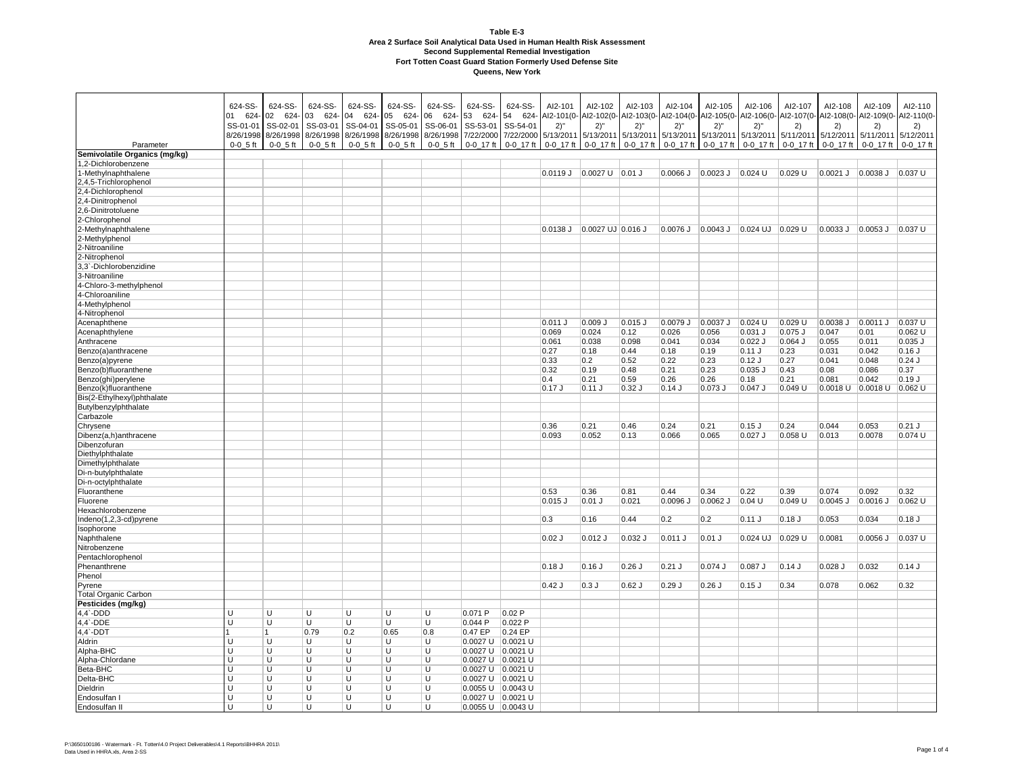| Parameter                        | 624-SS-<br>624-<br>01<br>SS-01-01<br>8/26/1998<br>$0 - 0 - 5$ ft | 624-SS-<br>624-<br>02<br>SS-02-01<br>8/26/1998<br>$0 - 0 - 5$ ft | 624-SS-<br>03<br>624-<br>SS-03-01<br>8/26/1998 8/26/1998<br>$0 - 0 - 5$ ft | 624-SS-<br>04 624-<br>SS-04-01<br>$0 - 0 - 5$ ft | 624-SS-<br>05<br>624-<br>SS-05-01<br>$0 - 0 - 5$ ft | 624-SS-<br>06 624- 53 624-<br>SS-06-01<br>$0 - 0 - 5$ ft | 624-SS-<br>SS-53-01<br>8/26/1998 8/26/1998 7/22/2000 7/22/2000 5/13/2011 5/13/2011 | 624-SS-<br>54 624-<br>SS-54-01<br>0-0_17 ft 0-0_17 ft | AI2-101<br>Al2-101(0-Al2-102(0-<br>2)''<br>$0 - 0 - 17$ ft | AI2-102<br>2)''<br>$0 - 0 - 17$ ft | AI2-103<br>Al2-103(0- Al2-104(0- Al2-105(0-<br>2)''<br>5/13/2011 5/13/2011 5/13/2011 5/13/2011 5/11/2011 5/12/2011 5/11/2011<br>$0 - 0 - 17$ ft | AI2-104<br>2)''<br>$0 - 0 - 17$ ft | AI2-105<br>2)''<br>$0 - 0 - 17$ ft        | AI2-106<br>2)''<br>0-0_17 ft          | AI2-107<br>Al2-106(0- Al2-107(0- Al2-108(0- Al2-109(0-<br>2)<br>$0 - 0 - 17$ ft | AI2-108<br>2)<br>$0 - 0 - 17$ ft | AI2-109<br>2)<br>$0 - 0$ 17 ft | AI2-110<br>AI2-110(0-<br>2)<br>5/12/2011<br>$0 - 0 - 17$ ft |
|----------------------------------|------------------------------------------------------------------|------------------------------------------------------------------|----------------------------------------------------------------------------|--------------------------------------------------|-----------------------------------------------------|----------------------------------------------------------|------------------------------------------------------------------------------------|-------------------------------------------------------|------------------------------------------------------------|------------------------------------|-------------------------------------------------------------------------------------------------------------------------------------------------|------------------------------------|-------------------------------------------|---------------------------------------|---------------------------------------------------------------------------------|----------------------------------|--------------------------------|-------------------------------------------------------------|
| Semivolatile Organics (mg/kg)    |                                                                  |                                                                  |                                                                            |                                                  |                                                     |                                                          |                                                                                    |                                                       |                                                            |                                    |                                                                                                                                                 |                                    |                                           |                                       |                                                                                 |                                  |                                |                                                             |
| 1,2-Dichlorobenzene              |                                                                  |                                                                  |                                                                            |                                                  |                                                     |                                                          |                                                                                    |                                                       |                                                            |                                    |                                                                                                                                                 |                                    |                                           |                                       |                                                                                 |                                  |                                |                                                             |
| 1-Methylnaphthalene              |                                                                  |                                                                  |                                                                            |                                                  |                                                     |                                                          |                                                                                    |                                                       | $0.0119$ J $0.0027$ U $0.01$ J                             |                                    |                                                                                                                                                 |                                    | $0.0066$ J $\big 0.0023$ J $\big 0.024$ U |                                       | $0.029$ U                                                                       | $0.0021$ J                       | 0.0038 J   0.037 U             |                                                             |
| 2,4,5-Trichlorophenol            |                                                                  |                                                                  |                                                                            |                                                  |                                                     |                                                          |                                                                                    |                                                       |                                                            |                                    |                                                                                                                                                 |                                    |                                           |                                       |                                                                                 |                                  |                                |                                                             |
| 2,4-Dichlorophenol               |                                                                  |                                                                  |                                                                            |                                                  |                                                     |                                                          |                                                                                    |                                                       |                                                            |                                    |                                                                                                                                                 |                                    |                                           |                                       |                                                                                 |                                  |                                |                                                             |
| 2,4-Dinitrophenol                |                                                                  |                                                                  |                                                                            |                                                  |                                                     |                                                          |                                                                                    |                                                       |                                                            |                                    |                                                                                                                                                 |                                    |                                           |                                       |                                                                                 |                                  |                                |                                                             |
| 2,6-Dinitrotoluene               |                                                                  |                                                                  |                                                                            |                                                  |                                                     |                                                          |                                                                                    |                                                       |                                                            |                                    |                                                                                                                                                 |                                    |                                           |                                       |                                                                                 |                                  |                                |                                                             |
| 2-Chlorophenol                   |                                                                  |                                                                  |                                                                            |                                                  |                                                     |                                                          |                                                                                    |                                                       |                                                            |                                    |                                                                                                                                                 |                                    |                                           |                                       |                                                                                 |                                  |                                |                                                             |
| 2-Methylnaphthalene              |                                                                  |                                                                  |                                                                            |                                                  |                                                     |                                                          |                                                                                    |                                                       | $0.0138$ J                                                 | $0.0027$ UJ 0.016 J                |                                                                                                                                                 | 0.0076 J                           | $0.0043$ J                                | $ 0.024 \text{ UJ}   0.029 \text{ U}$ |                                                                                 | $0.0033$ J                       | 0.0053 J   0.037 U             |                                                             |
| 2-Methylphenol                   |                                                                  |                                                                  |                                                                            |                                                  |                                                     |                                                          |                                                                                    |                                                       |                                                            |                                    |                                                                                                                                                 |                                    |                                           |                                       |                                                                                 |                                  |                                |                                                             |
| 2-Nitroaniline                   |                                                                  |                                                                  |                                                                            |                                                  |                                                     |                                                          |                                                                                    |                                                       |                                                            |                                    |                                                                                                                                                 |                                    |                                           |                                       |                                                                                 |                                  |                                |                                                             |
| 2-Nitrophenol                    |                                                                  |                                                                  |                                                                            |                                                  |                                                     |                                                          |                                                                                    |                                                       |                                                            |                                    |                                                                                                                                                 |                                    |                                           |                                       |                                                                                 |                                  |                                |                                                             |
| 3,3`-Dichlorobenzidine           |                                                                  |                                                                  |                                                                            |                                                  |                                                     |                                                          |                                                                                    |                                                       |                                                            |                                    |                                                                                                                                                 |                                    |                                           |                                       |                                                                                 |                                  |                                |                                                             |
| 3-Nitroaniline                   |                                                                  |                                                                  |                                                                            |                                                  |                                                     |                                                          |                                                                                    |                                                       |                                                            |                                    |                                                                                                                                                 |                                    |                                           |                                       |                                                                                 |                                  |                                |                                                             |
| 4-Chloro-3-methylphenol          |                                                                  |                                                                  |                                                                            |                                                  |                                                     |                                                          |                                                                                    |                                                       |                                                            |                                    |                                                                                                                                                 |                                    |                                           |                                       |                                                                                 |                                  |                                |                                                             |
| 4-Chloroaniline                  |                                                                  |                                                                  |                                                                            |                                                  |                                                     |                                                          |                                                                                    |                                                       |                                                            |                                    |                                                                                                                                                 |                                    |                                           |                                       |                                                                                 |                                  |                                |                                                             |
| 4-Methylphenol                   |                                                                  |                                                                  |                                                                            |                                                  |                                                     |                                                          |                                                                                    |                                                       |                                                            |                                    |                                                                                                                                                 |                                    |                                           |                                       |                                                                                 |                                  |                                |                                                             |
| 4-Nitrophenol                    |                                                                  |                                                                  |                                                                            |                                                  |                                                     |                                                          |                                                                                    |                                                       |                                                            |                                    |                                                                                                                                                 |                                    |                                           |                                       |                                                                                 |                                  |                                |                                                             |
| Acenaphthene                     |                                                                  |                                                                  |                                                                            |                                                  |                                                     |                                                          |                                                                                    |                                                       | $0.011$ J                                                  | $0.009$ J                          | $0.015$ J                                                                                                                                       | 0.0079 J                           | $0.0037$ J                                | $0.024$ U                             | 0.029 U                                                                         | $0.0038$ J                       | $0.0011$ J                     | $0.037$ U                                                   |
| Acenaphthylene                   |                                                                  |                                                                  |                                                                            |                                                  |                                                     |                                                          |                                                                                    |                                                       | 0.069                                                      | 0.024                              | 0.12                                                                                                                                            | 0.026                              | 0.056                                     | $0.031$ J                             | 0.075 J                                                                         | 0.047                            | 0.01                           | 0.062 U                                                     |
| Anthracene                       |                                                                  |                                                                  |                                                                            |                                                  |                                                     |                                                          |                                                                                    |                                                       | 0.061                                                      | 0.038                              | 0.098                                                                                                                                           | 0.041                              | 0.034                                     | $0.022$ J                             | $0.064$ J                                                                       | 0.055                            | 0.011                          | $0.035$ J                                                   |
| Benzo(a)anthracene               |                                                                  |                                                                  |                                                                            |                                                  |                                                     |                                                          |                                                                                    |                                                       | 0.27                                                       | 0.18                               | 0.44                                                                                                                                            | 0.18                               | 0.19                                      | $0.11$ J                              | 0.23                                                                            | 0.031                            | 0.042                          | $0.16$ J                                                    |
| Benzo(a)pyrene                   |                                                                  |                                                                  |                                                                            |                                                  |                                                     |                                                          |                                                                                    |                                                       | 0.33                                                       | 0.2                                | 0.52                                                                                                                                            | 0.22                               | 0.23                                      | $0.12$ J                              | 0.27                                                                            | 0.041                            | 0.048                          | $0.24$ J                                                    |
| Benzo(b)fluoranthene             |                                                                  |                                                                  |                                                                            |                                                  |                                                     |                                                          |                                                                                    |                                                       | 0.32                                                       | 0.19                               | 0.48                                                                                                                                            | 0.21                               | 0.23                                      | $0.035$ $J$                           | 0.43                                                                            | 0.08                             | 0.086                          | 0.37                                                        |
| Benzo(ghi)perylene               |                                                                  |                                                                  |                                                                            |                                                  |                                                     |                                                          |                                                                                    |                                                       | 0.4                                                        | 0.21                               | 0.59                                                                                                                                            | 0.26                               | 0.26                                      | 0.18                                  | 0.21                                                                            | 0.081                            | 0.042                          | 0.19J                                                       |
| Benzo(k)fluoranthene             |                                                                  |                                                                  |                                                                            |                                                  |                                                     |                                                          |                                                                                    |                                                       | 0.17J                                                      | 0.11J                              | $0.32$ J                                                                                                                                        | $0.14$ J                           | $0.073$ J                                 | $0.047$ J                             | 0.049 U                                                                         | 0.0018 U                         | $ 0.0018$ U                    | $0.062$ U                                                   |
| Bis(2-Ethylhexyl)phthalate       |                                                                  |                                                                  |                                                                            |                                                  |                                                     |                                                          |                                                                                    |                                                       |                                                            |                                    |                                                                                                                                                 |                                    |                                           |                                       |                                                                                 |                                  |                                |                                                             |
| Butylbenzylphthalate             |                                                                  |                                                                  |                                                                            |                                                  |                                                     |                                                          |                                                                                    |                                                       |                                                            |                                    |                                                                                                                                                 |                                    |                                           |                                       |                                                                                 |                                  |                                |                                                             |
| Carbazole                        |                                                                  |                                                                  |                                                                            |                                                  |                                                     |                                                          |                                                                                    |                                                       |                                                            |                                    |                                                                                                                                                 |                                    |                                           |                                       |                                                                                 |                                  |                                |                                                             |
| Chrysene                         |                                                                  |                                                                  |                                                                            |                                                  |                                                     |                                                          |                                                                                    |                                                       | 0.36                                                       | 0.21                               | 0.46                                                                                                                                            | 0.24                               | 0.21                                      | $0.15$ J                              | 0.24                                                                            | 0.044                            | 0.053                          | $0.21$ J                                                    |
| Dibenz(a,h)anthracene            |                                                                  |                                                                  |                                                                            |                                                  |                                                     |                                                          |                                                                                    |                                                       | 0.093                                                      | 0.052                              | 0.13                                                                                                                                            | 0.066                              | 0.065                                     | $0.027$ J                             | 0.058 U                                                                         | 0.013                            | 0.0078                         | 0.074 U                                                     |
| Dibenzofuran<br>Diethylphthalate |                                                                  |                                                                  |                                                                            |                                                  |                                                     |                                                          |                                                                                    |                                                       |                                                            |                                    |                                                                                                                                                 |                                    |                                           |                                       |                                                                                 |                                  |                                |                                                             |
| Dimethylphthalate                |                                                                  |                                                                  |                                                                            |                                                  |                                                     |                                                          |                                                                                    |                                                       |                                                            |                                    |                                                                                                                                                 |                                    |                                           |                                       |                                                                                 |                                  |                                |                                                             |
| Di-n-butylphthalate              |                                                                  |                                                                  |                                                                            |                                                  |                                                     |                                                          |                                                                                    |                                                       |                                                            |                                    |                                                                                                                                                 |                                    |                                           |                                       |                                                                                 |                                  |                                |                                                             |
| Di-n-octylphthalate              |                                                                  |                                                                  |                                                                            |                                                  |                                                     |                                                          |                                                                                    |                                                       |                                                            |                                    |                                                                                                                                                 |                                    |                                           |                                       |                                                                                 |                                  |                                |                                                             |
| Fluoranthene                     |                                                                  |                                                                  |                                                                            |                                                  |                                                     |                                                          |                                                                                    |                                                       | 0.53                                                       | 0.36                               | 0.81                                                                                                                                            | 0.44                               | 0.34                                      | 0.22                                  | 0.39                                                                            | 0.074                            | 0.092                          | 0.32                                                        |
| Fluorene                         |                                                                  |                                                                  |                                                                            |                                                  |                                                     |                                                          |                                                                                    |                                                       | $0.015$ $J$                                                | $0.01$ J                           | 0.021                                                                                                                                           | $0.0096$ J                         | $0.0062$ J                                | 0.04 U                                | 0.049 U                                                                         | $0.0045$ J                       | 0.0016 J                       | $0.062$ U                                                   |
| Hexachlorobenzene                |                                                                  |                                                                  |                                                                            |                                                  |                                                     |                                                          |                                                                                    |                                                       |                                                            |                                    |                                                                                                                                                 |                                    |                                           |                                       |                                                                                 |                                  |                                |                                                             |
| Indeno(1,2,3-cd)pyrene           |                                                                  |                                                                  |                                                                            |                                                  |                                                     |                                                          |                                                                                    |                                                       | 0.3                                                        | 0.16                               | 0.44                                                                                                                                            | 0.2                                | 0.2                                       | 0.11J                                 | $0.18$ J                                                                        | 0.053                            | 0.034                          | 0.18J                                                       |
| Isophorone                       |                                                                  |                                                                  |                                                                            |                                                  |                                                     |                                                          |                                                                                    |                                                       |                                                            |                                    |                                                                                                                                                 |                                    |                                           |                                       |                                                                                 |                                  |                                |                                                             |
| Naphthalene                      |                                                                  |                                                                  |                                                                            |                                                  |                                                     |                                                          |                                                                                    |                                                       | $0.02$ J                                                   | $0.012$ J                          | $0.032$ J                                                                                                                                       | $0.011$ J                          | $0.01$ J                                  | $0.024$ UJ                            | 0.029 U                                                                         | 0.0081                           | $0.0056$ J                     | 0.037 U                                                     |
| Nitrobenzene                     |                                                                  |                                                                  |                                                                            |                                                  |                                                     |                                                          |                                                                                    |                                                       |                                                            |                                    |                                                                                                                                                 |                                    |                                           |                                       |                                                                                 |                                  |                                |                                                             |
| Pentachlorophenol                |                                                                  |                                                                  |                                                                            |                                                  |                                                     |                                                          |                                                                                    |                                                       |                                                            |                                    |                                                                                                                                                 |                                    |                                           |                                       |                                                                                 |                                  |                                |                                                             |
| Phenanthrene                     |                                                                  |                                                                  |                                                                            |                                                  |                                                     |                                                          |                                                                                    |                                                       | $0.18$ J                                                   | $0.16$ J                           | $0.26$ J                                                                                                                                        | $0.21$ J                           | $0.074$ J                                 | $0.087$ J                             | $0.14$ J                                                                        | $0.028$ J                        | 0.032                          | 0.14J                                                       |
| Phenol                           |                                                                  |                                                                  |                                                                            |                                                  |                                                     |                                                          |                                                                                    |                                                       |                                                            |                                    |                                                                                                                                                 |                                    |                                           |                                       |                                                                                 |                                  |                                |                                                             |
| Pyrene                           |                                                                  |                                                                  |                                                                            |                                                  |                                                     |                                                          |                                                                                    |                                                       | $0.42$ J                                                   | 0.3J                               | $0.62$ J                                                                                                                                        | 0.29J                              | $0.26$ J                                  | 0.15J                                 | 0.34                                                                            | 0.078                            | 0.062                          | 0.32                                                        |
| <b>Total Organic Carbon</b>      |                                                                  |                                                                  |                                                                            |                                                  |                                                     |                                                          |                                                                                    |                                                       |                                                            |                                    |                                                                                                                                                 |                                    |                                           |                                       |                                                                                 |                                  |                                |                                                             |
| Pesticides (mg/kg)               |                                                                  |                                                                  |                                                                            |                                                  |                                                     |                                                          |                                                                                    |                                                       |                                                            |                                    |                                                                                                                                                 |                                    |                                           |                                       |                                                                                 |                                  |                                |                                                             |
| 4,4`-DDD                         |                                                                  | U                                                                | U                                                                          | U                                                | U                                                   | U                                                        | 0.071 P                                                                            | 0.02P                                                 |                                                            |                                    |                                                                                                                                                 |                                    |                                           |                                       |                                                                                 |                                  |                                |                                                             |
| 4,4`-DDE                         |                                                                  | $\overline{U}$                                                   | $\overline{U}$                                                             | U                                                | U                                                   | U                                                        | 0.044P                                                                             | 0.022P                                                |                                                            |                                    |                                                                                                                                                 |                                    |                                           |                                       |                                                                                 |                                  |                                |                                                             |
| 4,4`-DDT                         |                                                                  | 1                                                                | 0.79                                                                       | 0.2                                              | 0.65                                                | 0.8                                                      | 0.47EP                                                                             | $0.24 E$ P                                            |                                                            |                                    |                                                                                                                                                 |                                    |                                           |                                       |                                                                                 |                                  |                                |                                                             |
| Aldrin                           |                                                                  | U                                                                | U                                                                          | U                                                | U                                                   | U                                                        | 0.0027 U 0.0021 U                                                                  |                                                       |                                                            |                                    |                                                                                                                                                 |                                    |                                           |                                       |                                                                                 |                                  |                                |                                                             |
| Alpha-BHC                        |                                                                  | U                                                                | U                                                                          | U                                                | U                                                   | U                                                        | 0.0027 U 0.0021 U                                                                  |                                                       |                                                            |                                    |                                                                                                                                                 |                                    |                                           |                                       |                                                                                 |                                  |                                |                                                             |
| Alpha-Chlordane                  |                                                                  | U                                                                | U                                                                          | U                                                | U                                                   | U                                                        | 0.0027 U 0.0021 U                                                                  |                                                       |                                                            |                                    |                                                                                                                                                 |                                    |                                           |                                       |                                                                                 |                                  |                                |                                                             |
| Beta-BHC                         | п                                                                | U                                                                | U                                                                          | U                                                | U                                                   | U                                                        | 0.0027 U 0.0021 U                                                                  |                                                       |                                                            |                                    |                                                                                                                                                 |                                    |                                           |                                       |                                                                                 |                                  |                                |                                                             |
| Delta-BHC                        | П                                                                | U                                                                | U                                                                          | U                                                | U                                                   | U                                                        | 0.0027 U 0.0021 U                                                                  |                                                       |                                                            |                                    |                                                                                                                                                 |                                    |                                           |                                       |                                                                                 |                                  |                                |                                                             |
| Dieldrin                         |                                                                  | U                                                                | U                                                                          | U                                                | U                                                   | U                                                        | 0.0055 U 0.0043 U                                                                  |                                                       |                                                            |                                    |                                                                                                                                                 |                                    |                                           |                                       |                                                                                 |                                  |                                |                                                             |
| Endosulfan I                     | U                                                                | U                                                                | U                                                                          | U                                                | U                                                   | U                                                        | 0.0027 U 0.0021 U                                                                  |                                                       |                                                            |                                    |                                                                                                                                                 |                                    |                                           |                                       |                                                                                 |                                  |                                |                                                             |
| Endosulfan II                    | $\blacksquare$                                                   | $\cup$                                                           | U                                                                          | U                                                | U                                                   | $\overline{U}$                                           | $0.0055 U$ 0.0043 U                                                                |                                                       |                                                            |                                    |                                                                                                                                                 |                                    |                                           |                                       |                                                                                 |                                  |                                |                                                             |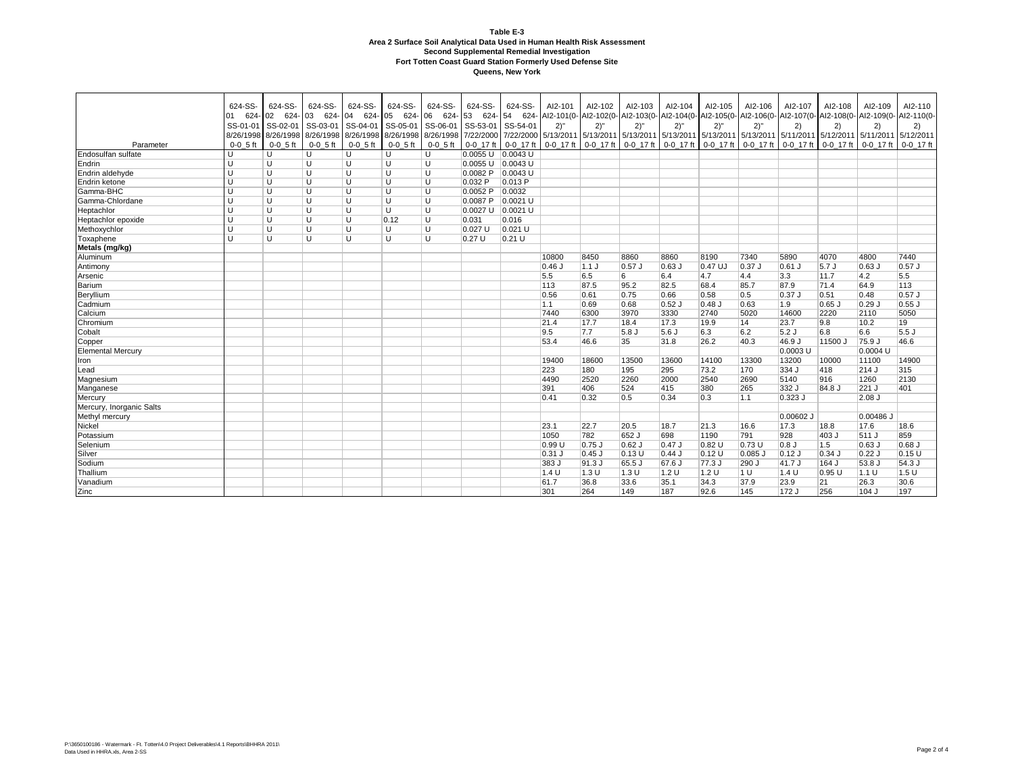|                          | 624-SS-      | 624-SS-      | 624-SS-    | 624-SS-          | 624-SS-             | 624-SS-       | 624-SS-               | 624-SS-    | AI2-101   | AI2-102          | AI2-103   | AI2-104                                                                                                                    | Al2-105  | AI2-106             | AI2-107   | AI2-108        | AI2-109     | AI2-110       |
|--------------------------|--------------|--------------|------------|------------------|---------------------|---------------|-----------------------|------------|-----------|------------------|-----------|----------------------------------------------------------------------------------------------------------------------------|----------|---------------------|-----------|----------------|-------------|---------------|
|                          | 624-<br>01   | 02 624-      | 03 624-    | 04<br>$624 - 05$ |                     | 624-06 624-53 |                       |            |           |                  |           | 624- 54 624- Al2-101(0- Al2-102(0- Al2-103(0- Al2-104(0- Al2-105(0- Al2-106(0- Al2-107(0- Al2-108(0- Al2-109(0- Al2-110(0- |          |                     |           |                |             |               |
|                          | SS-01-01     | SS-02-01     | SS-03-01   | SS-04-01         | SS-05-01 SS-06-01   |               | SS-53-01              | SS-54-01   | 2)''      | 2)''             | 2)''      | 2)''                                                                                                                       | 2)''     | 2)''                | 2)        | $\overline{2}$ | 2)          | 2)            |
|                          | 8/26/1998    | 8/26/1998    | 8/26/1998  | 8/26/1998        | 8/26/1998 8/26/1998 |               | 7/22/2000             | 7/22/2000  | 5/13/2011 |                  |           | 5/13/2011 5/13/2011 5/13/2011 5/13/2011 5/13/2011 5/11/2011 5/12/2011 5/11/2011                                            |          |                     |           |                |             | 5/12/2011     |
| Parameter                | $0 - 0$ 5 ft | $0 - 0$ 5 ft | $0-0$ 5 ft | $0-0$ 5 ft       | $0-0$ 5 ft          | $0-0$ 5 ft    | 0-0 17 ft 0-0 17 ft   |            | 0-0 17 ft | 0-0 17 ft        | 0-0 17 ft | 0-0 17 ft                                                                                                                  |          | 0-0 17 ft 0-0 17 ft | 0-0 17 ft | 0-0 17 ft      | $0-0$ 17 ft | $0 - 0$ 17 ft |
| Endosulfan sulfate       | $\cup$       | U            | U          | U                | U                   | U             | $0.0055$ U            | $0.0043$ U |           |                  |           |                                                                                                                            |          |                     |           |                |             |               |
| Endrin                   | U            | U            | U          | U                | U                   | U             | $0.0055$ U $0.0043$ U |            |           |                  |           |                                                                                                                            |          |                     |           |                |             |               |
| Endrin aldehyde          | U            | U            | U          | U                | U                   | U             | 0.0082P               | $0.0043$ U |           |                  |           |                                                                                                                            |          |                     |           |                |             |               |
| Endrin ketone            | U            | U            | U          | U                | $\cup$              | U             | 0.032 P               | 0.013P     |           |                  |           |                                                                                                                            |          |                     |           |                |             |               |
| Gamma-BHC                | $\mathbf{U}$ | U            | U          | U                | U                   | U             | 0.0052P               | 0.0032     |           |                  |           |                                                                                                                            |          |                     |           |                |             |               |
| Gamma-Chlordane          | $\mathbf{U}$ | U            | U          | U                | U                   | U             | 0.0087 P              | $0.0021$ U |           |                  |           |                                                                                                                            |          |                     |           |                |             |               |
| Heptachlor               | U            | U            | U          | U                | U                   | U             | 0.0027 U              | $0.0021$ U |           |                  |           |                                                                                                                            |          |                     |           |                |             |               |
| Heptachlor epoxide       | U            | U            | U          | U                | 0.12                | U             | 0.031                 | 0.016      |           |                  |           |                                                                                                                            |          |                     |           |                |             |               |
| Methoxychlor             | U            | U            | U          | U                | U                   | U             | 0.027 U               | $0.021$ U  |           |                  |           |                                                                                                                            |          |                     |           |                |             |               |
| Toxaphene                | U            | U            | U          | U                | U                   | U             | 0.27U                 | $0.21$ U   |           |                  |           |                                                                                                                            |          |                     |           |                |             |               |
| Metals (mg/kg)           |              |              |            |                  |                     |               |                       |            |           |                  |           |                                                                                                                            |          |                     |           |                |             |               |
| Aluminum                 |              |              |            |                  |                     |               |                       |            | 10800     | 8450             | 8860      | 8860                                                                                                                       | 8190     | 7340                | 5890      | 4070           | 4800        | 7440          |
| Antimony                 |              |              |            |                  |                     |               |                       |            | $0.46$ J  | 1.1J             | $0.57$ J  | $0.63$ J                                                                                                                   | 0.47 UJ  | 0.37 J              | $0.61$ J  | 5.7 J          | $0.63$ J    | $0.57$ J      |
| Arsenic                  |              |              |            |                  |                     |               |                       |            | 5.5       | 6.5              | 6         | 6.4                                                                                                                        | 4.7      | 4.4                 | 3.3       | 11.7           | 4.2         | 5.5           |
| Barium                   |              |              |            |                  |                     |               |                       |            | 113       | 87.5             | 95.2      | 82.5                                                                                                                       | 68.4     | 85.7                | 87.9      | 71.4           | 64.9        | 113           |
| Beryllium                |              |              |            |                  |                     |               |                       |            | 0.56      | 0.61             | 0.75      | 0.66                                                                                                                       | 0.58     | 0.5                 | 0.37      | 0.51           | 0.48        | $0.57$ J      |
| Cadmium                  |              |              |            |                  |                     |               |                       |            | 1.1       | 0.69             | 0.68      | $0.52$ J                                                                                                                   | $0.48$ J | 0.63                | 1.9       | $0.65$ J       | $0.29$ J    | $0.55$ J      |
| Calcium                  |              |              |            |                  |                     |               |                       |            | 7440      | 6300             | 3970      | 3330                                                                                                                       | 2740     | 5020                | 14600     | 2220           | 2110        | 5050          |
| Chromium                 |              |              |            |                  |                     |               |                       |            | 21.4      | 17.7             | 18.4      | 17.3                                                                                                                       | 19.9     | $ 14\rangle$        | 23.7      | 9.8            | 10.2        | 19            |
| Cobalt                   |              |              |            |                  |                     |               |                       |            | 9.5       | 7.7              | 5.8J      | 5.6 J                                                                                                                      | 6.3      | 6.2                 | 5.2J      | 6.8            | 6.6         | 5.5J          |
| Copper                   |              |              |            |                  |                     |               |                       |            | 53.4      | 46.6             | 35        | 31.8                                                                                                                       | 26.2     | 40.3                | 46.9 J    | 11500 J        | 75.9 J      | 46.6          |
| <b>Elemental Mercury</b> |              |              |            |                  |                     |               |                       |            |           |                  |           |                                                                                                                            |          |                     | 0.0003 U  |                | 0.0004 U    |               |
| Iron                     |              |              |            |                  |                     |               |                       |            | 19400     | 18600            | 13500     | 13600                                                                                                                      | 14100    | 13300               | 13200     | 10000          | 11100       | 14900         |
| Lead                     |              |              |            |                  |                     |               |                       |            | 223       | 180              | 195       | 295                                                                                                                        | 73.2     | 170                 | 334 J     | 418            | 214 J       | 315           |
| Magnesium                |              |              |            |                  |                     |               |                       |            | 4490      | 2520             | 2260      | 2000                                                                                                                       | 2540     | 2690                | 5140      | 916            | 1260        | 2130          |
| Manganese                |              |              |            |                  |                     |               |                       |            | 391       | 406              | 524       | 415                                                                                                                        | 380      | 265                 | 332 J     | 84.8 J         | 221 J       | 401           |
| Mercury                  |              |              |            |                  |                     |               |                       |            | 0.41      | 0.32             | 0.5       | 0.34                                                                                                                       | 0.3      | 1.1                 | $0.323$ J |                | $2.08$ J    |               |
| Mercury, Inorganic Salts |              |              |            |                  |                     |               |                       |            |           |                  |           |                                                                                                                            |          |                     |           |                |             |               |
| Methyl mercury           |              |              |            |                  |                     |               |                       |            |           |                  |           |                                                                                                                            |          |                     | 0.00602 J |                | $0.00486$ J |               |
| Nickel                   |              |              |            |                  |                     |               |                       |            | 23.1      | 22.7             | 20.5      | 18.7                                                                                                                       | 21.3     | 16.6                | 17.3      | 18.8           | 17.6        | 18.6          |
| Potassium                |              |              |            |                  |                     |               |                       |            | 1050      | 782              | 652 J     | 698                                                                                                                        | 1190     | 791                 | 928       | 403 J          | 511 J       | 859           |
| Selenium                 |              |              |            |                  |                     |               |                       |            | 0.99 U    | $0.75$ J         | $0.62$ J  | $0.47$ J                                                                                                                   | 0.82 U   | 0.73U               | 0.8J      | 1.5            | $0.63$ J    | $0.68$ J      |
| Silver                   |              |              |            |                  |                     |               |                       |            | $0.31$ J  | $0.45$ J         | 0.13U     | $0.44$ J                                                                                                                   | 0.12U    | 0.085 J             | $0.12$ J  | $0.34$ J       | $0.22$ J    | 0.15U         |
| Sodium                   |              |              |            |                  |                     |               |                       |            | 383 J     | 91.3 J           | 65.5 J    | 67.6 J                                                                                                                     | 77.3 J   | 290 J               | 41.7 J    | 164 J          | 53.8 J      | 54.3 J        |
| Thallium                 |              |              |            |                  |                     |               |                       |            | 1.4 U     | $1.3 \mathrm{U}$ | 1.3 U     | 1.2 U                                                                                                                      | 1.2 U    | 1 U                 | 1.4 U     | 0.95U          | 1.1 U       | 1.5U          |
| Vanadium                 |              |              |            |                  |                     |               |                       |            | 61.7      | 36.8             | 33.6      | 35.1                                                                                                                       | 34.3     | 37.9                | 23.9      | 21             | 26.3        | 30.6          |
| Zinc                     |              |              |            |                  |                     |               |                       |            | 301       | 264              | 149       | 187                                                                                                                        | 92.6     | 145                 | 172 J     | 256            | 104 J       | 197           |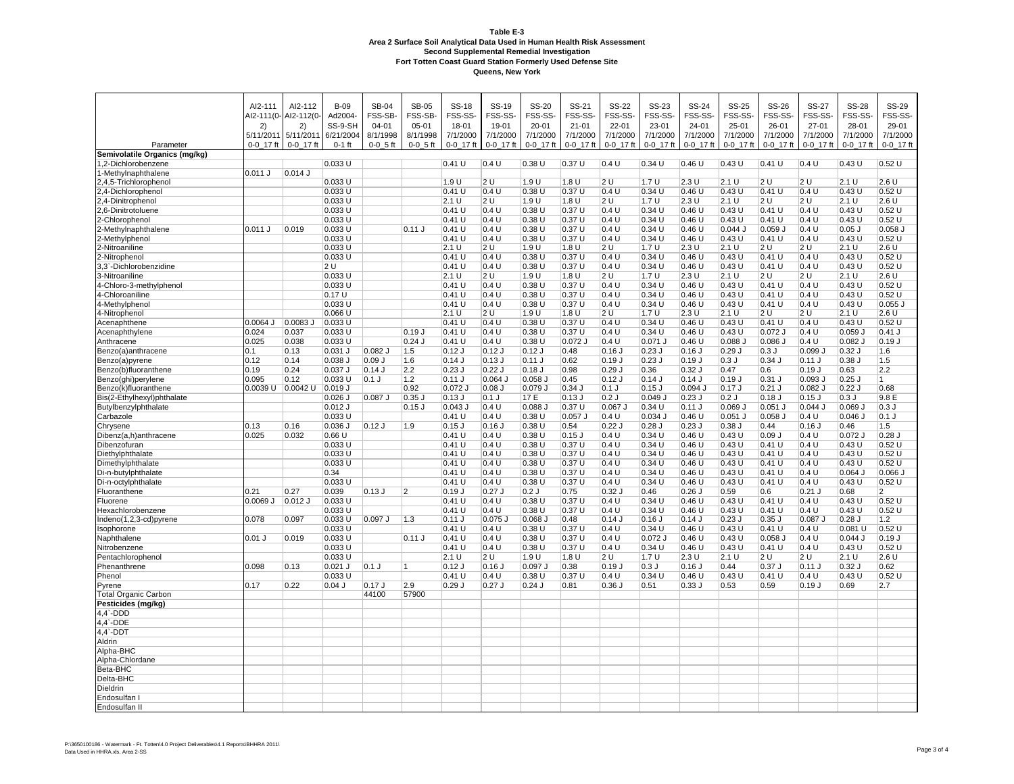|                                            | AI2-111<br>AI2-111(0- | AI2-112<br>AI2-112(0- | $B-09$<br>Ad2004-      | <b>SB-04</b><br>FSS-SB | <b>SB-05</b><br>FSS-SB- | <b>SS-18</b><br>FSS-SS- | SS-19<br>FSS-SS-      | <b>SS-20</b><br>FSS-SS- | SS-21<br>FSS-SS       | <b>SS-22</b><br>FSS-SS- | SS-23<br>FSS-SS-    | <b>SS-24</b><br>FSS-SS- | SS-25<br>FSS-SS-     | SS-26<br>FSS-SS-     | <b>SS-27</b><br>FSS-SS- | <b>SS-28</b><br>FSS-SS- | <b>SS-29</b><br>FSS-SS- |
|--------------------------------------------|-----------------------|-----------------------|------------------------|------------------------|-------------------------|-------------------------|-----------------------|-------------------------|-----------------------|-------------------------|---------------------|-------------------------|----------------------|----------------------|-------------------------|-------------------------|-------------------------|
|                                            | 2)<br>5/11/2011       | 2)<br>5/11/2011       | SS-9-SH<br>6/21/2004   | $04 - 01$<br>8/1/1998  | $05 - 01$<br>8/1/1998   | 18-01<br>7/1/2000       | 19-01<br>7/1/2000     | 20-01<br>7/1/2000       | $21 - 01$<br>7/1/2000 | $22 - 01$<br>7/1/2000   | 23-01<br>7/1/2000   | 24-01<br>7/1/2000       | 25-01<br>7/1/2000    | 26-01<br>7/1/2000    | 27-01<br>7/1/2000       | 28-01<br>7/1/2000       | 29-01<br>7/1/2000       |
| Parameter<br>Semivolatile Organics (mg/kg) | 0-0 17 ft             | $0 - 0 - 17$ ft       | $0-1$ ft               | $0 - 0 - 5$ ft         | $0 - 0 - 5$ ft          | $0 - 0 - 17$ ft         | $0 - 0 - 17$ ft       | $0 - 0 - 17$ ft         | $0 - 0 - 17$ ft       | $0 - 0 - 17$ ft         | $0 - 0 - 17$ ft     | $0 - 0 - 17$ ft         | $0 - 0 - 17$ ft      | $0 - 0 - 17$ ft      | $0 - 0 - 17$ ft         | $0 - 0 - 17$ ft         | $0 - 0 - 17$ ft         |
| 1,2-Dichlorobenzene                        |                       |                       | 0.033U                 |                        |                         | 0.41U                   | 0.4 U                 | 0.38U                   | 0.37U                 | 0.4 U                   | 0.34U               | 0.46U                   | 0.43U                | 0.41 U               | 0.4 U                   | 0.43U                   | 0.52U                   |
| 1-Methylnaphthalene                        | 0.011 J               | 0.014J                |                        |                        |                         |                         |                       |                         |                       |                         |                     |                         |                      |                      |                         |                         |                         |
| 2,4,5-Trichlorophenol                      |                       |                       | 0.033 U                |                        |                         | 1.9U                    | 2U                    | 1.9U                    | 1.8U                  | 2U                      | 1.7U                | 2.3U                    | 2.1 U                | 2U                   | 2U                      | 2.1 U                   | 2.6U                    |
| 2,4-Dichlorophenol                         |                       |                       | 0.033 U                |                        |                         | 0.41U                   | 0.4 U                 | 0.38U                   | 0.37U                 | 0.4 U                   | 0.34U               | 0.46U                   | 0.43U                | 0.41 U               | 0.4 U                   | 0.43U                   | 0.52U                   |
| 2,4-Dinitrophenol                          |                       |                       | 0.033 U                |                        |                         | 2.1 U                   | 2U                    | 1.9U                    | 1.8 U                 | 2U                      | 1.7U                | 2.3U                    | 2.1 U                | 2U                   | 2U                      | 2.1 U                   | 2.6U                    |
| 2,6-Dinitrotoluene                         |                       |                       | 0.033 U                |                        |                         | 0.41 U                  | 0.4 U                 | 0.38U                   | 0.37U                 | 0.4 U                   | 0.34U               | 0.46U                   | 0.43U                | $0.41$ U             | 0.4 U                   | 0.43U                   | 0.52U                   |
| 2-Chlorophenol                             |                       |                       | 0.033 U                |                        |                         | 0.41 U                  | 0.4 U                 | 0.38 U                  | 0.37U                 | 0.4 U                   | 0.34U               | 0.46U                   | 0.43U                | $0.41$ U             | 0.4 U                   | 0.43U                   | 0.52U                   |
| 2-Methylnaphthalene                        | 0.011 J               | 0.019                 | 0.033 U                |                        | $0.11$ J                | 0.41U                   | 0.4 U                 | 0.38 U                  | 0.37 U                | 0.4 U                   | 0.34U               | 0.46U                   | $0.044$ J            | $0.059$ J            | 0.4 U                   | $0.05$ J                | $0.058$ $J$             |
| 2-Methylphenol                             |                       |                       | 0.033 U                |                        |                         | 0.41U                   | 0.4 U                 | 0.38U                   | 0.37U                 | 0.4 U                   | 0.34U               | 0.46U                   | 0.43U                | 0.41 U               | 0.4 U                   | 0.43U                   | 0.52U                   |
| 2-Nitroaniline                             |                       |                       | 0.033 U                |                        |                         | 2.1 U                   | 2U                    | 1.9 U                   | 1.8 U                 | 2 U                     | 1.7U                | 2.3U                    | 2.1 U                | 2U                   | 2 U                     | 2.1 U                   | 2.6U                    |
| 2-Nitrophenol                              |                       |                       | 0.033U                 |                        |                         | 0.41 U                  | 0.4 U                 | 0.38U                   | 0.37U                 | 0.4 U                   | 0.34U               | 0.46U                   | 0.43U                | 0.41U                | 0.4 U                   | 0.43U                   | 0.52U                   |
| 3,3`-Dichlorobenzidine                     |                       |                       | 12 U                   |                        |                         | 0.41 U                  | 0.4 U                 | 0.38 U                  | 0.37 U                | 0.4 U                   | 0.34 U              | 0.46 U                  | 0.43U                | 0.41 U               | 0.4 U                   | 0.43 U                  | 0.52 U                  |
| 3-Nitroaniline                             |                       |                       | 0.033 U                |                        |                         | 2.1 U                   | 2U                    | 1.9 U                   | 1.8 U                 | 2 U                     | 1.7U                | 2.3U                    | 2.1 U                | 2U                   | 2 U                     | 2.1 U                   | 2.6U                    |
| 4-Chloro-3-methylphenol                    |                       |                       | 0.033 U                |                        |                         | $0.41$ U                | 0.4 U                 | 0.38 U                  | 0.37 U                | 0.4 U                   | 0.34U               | 0.46U                   | 0.43U                | 0.41 U               | 0.4 U                   | 0.43U                   | 0.52U                   |
| 4-Chloroaniline                            |                       |                       | 0.17 U                 |                        |                         | 0.41U                   | 0.4 U                 | 0.38U                   | 0.37U                 | 0.4 U                   | 0.34U               | 0.46U                   | 0.43U                | 0.41U                | 0.4 U                   | 0.43U                   | 0.52U                   |
| 4-Methylphenol                             |                       |                       | $0.033$ U              |                        |                         | 0.41U                   | 0.4 U                 | 0.38 U                  | 0.37U                 | 0.4 U                   | 0.34U               | 0.46U                   | 0.43U                | 0.41U                | 0.4 U                   | 0.43U                   | $0.055$ J               |
| 4-Nitrophenol                              |                       |                       | $0.066$ U              |                        |                         | 2.1 U                   | 2U                    | 1.9U                    | 1.8 U                 | 2 U                     | 1.7U                | 2.3U                    | 2.1 U                | 2 U                  | 2 U                     | $2.1 \overline{U}$      | 2.6U                    |
| Acenaphthene                               | $0.0064$ J            | $0.0083$ J            | 0.033 U                |                        |                         | 0.41U                   | 0.4 U                 | 0.38 U                  | 0.37 U                | 0.4 U                   | 0.34U               | 0.46U                   | 0.43U                | 0.41U                | 0.4 U                   | 0.43U                   | 0.52 U                  |
| Acenaphthylene                             | 0.024                 | 0.037                 | $0.033$ U              |                        | 0.19J                   | 0.41 U                  | 0.4 U                 | 0.38 U                  | 0.37U                 | 0.4 U                   | 0.34U               | 0.46U                   | 0.43U                | 0.072 J              | 0.4 U                   | $0.059$ J               | $0.41$ J                |
| Anthracene                                 | 0.025                 | 0.038                 | 0.033 U                |                        | $0.24$ J                | 0.41 U                  | 0.4 U                 | 0.38 U                  | $0.072$ J             | 0.4 U                   | $0.071$ J           | 0.46U                   | 0.088                | 0.086                | 0.4 U                   | $0.082$ J               | 0.19J                   |
| Benzo(a)anthracene                         | 0.1                   | 0.13                  | $0.031$ J              | $0.082$ J              | 1.5                     | $0.12$ J                | $0.12$ J              | $0.12$ J                | 0.48                  | $0.16$ J                | $0.23$ J            | $0.16$ J                | 0.29J                | 0.3J                 | 0.099                   | $0.32$ J                | 1.6                     |
| Benzo(a)pyrene                             | 0.12<br>0.19          | 0.14                  | $0.038$ J              | 0.09J                  | 1.6                     | 0.14J                   | 0.13J                 | $0.11$ J<br>$0.18$ J    | 0.62                  | 0.19J<br>0.29J          | 0.23J               | 0.19J                   | 0.3J                 | $0.34$ J             | $0.11$ J                | 0.38J                   | 1.5<br>2.2              |
| Benzo(b)fluoranthene                       |                       | 0.24                  | 0.037 J                | 0.14J                  | 2.2                     | $0.23$ J                | 0.22J                 |                         | 0.98                  |                         | 0.36                | $0.32$ J                | 0.47                 | 0.6                  | 0.19J                   | 0.63                    |                         |
| Benzo(ghi)perylene<br>Benzo(k)fluoranthene | 0.095<br>0.0039 U     | 0.12<br>$0.0042$ U    | $0.033$ U<br>$0.019$ J | $0.1$ J                | $1.2$<br>0.92           | 0.11 J<br>$0.072$ J     | $0.064$ J<br>$0.08$ J | $0.058$ J<br>0.079 J    | 0.45<br>$0.34$ J      | $0.12$ J<br>$0.1$ J     | 0.14J<br>$0.15$ $J$ | 0.14J<br>$0.094$ J      | $0.19$ J<br>$0.17$ J | $0.31$ J<br>$0.21$ J | $0.093$ J<br>0.082 J    | $0.25$ J<br>0.22J       | $\vert$ 1<br>0.68       |
| Bis(2-Ethylhexyl)phthalate                 |                       |                       | $0.026$ J              | $0.087$ J              | $0.35$ J                | $0.13$ J                | $0.1$ J               | 17 E                    | 0.13J                 | 0.2J                    | 0.049J              | $0.23$ J                | 0.2J                 | $0.18$ J             | $0.15$ J                | 0.3J                    | 9.8 E                   |
| Butylbenzylphthalate                       |                       |                       | $0.012$ J              |                        | $0.15$ J                | $0.043$ J               | 0.4 U                 | 0.088                   | 0.37 U                | 0.067                   | 0.34U               | 0.11J                   | 0.069                | $0.051$ J            | 0.044                   | $0.069$ J               | 0.3J                    |
| Carbazole                                  |                       |                       | 0.033 U                |                        |                         | 0.41U                   | 0.4 U                 | 0.38U                   | $0.057$ J             | 0.4 U                   | 0.034J              | 0.46U                   | 0.051                | 0.058                | 0.4 U                   | $0.046$ J               | $0.1$ J                 |
| Chrysene                                   | 0.13                  | 0.16                  | $0.036$ J              | $0.12$ J               | 1.9                     | $0.15$ J                | $0.16$ J              | 0.38U                   | 0.54                  | $0.22$ J                | 0.28J               | $0.23$ J                | $0.38$ J             | 0.44                 | $0.16$ J                | 0.46                    | 1.5                     |
| Dibenz(a,h)anthracene                      | 0.025                 | 0.032                 | 0.66U                  |                        |                         | 0.41U                   | 0.4 U                 | 0.38U                   | $0.15$ $J$            | 0.4 U                   | 0.34U               | 0.46U                   | 0.43U                | 0.09J                | 0.4 U                   | $0.072$ J               | $0.28$ J                |
| Dibenzofuran                               |                       |                       | 0.033U                 |                        |                         | 0.41 U                  | 0.4 U                 | 0.38U                   | 0.37 U                | 0.4 U                   | 0.34U               | 0.46U                   | 0.43U                | 0.41U                | 0.4 U                   | 0.43U                   | 0.52U                   |
| Diethylphthalate                           |                       |                       | 0.033 U                |                        |                         | 0.41U                   | 0.4 U                 | 0.38U                   | 0.37U                 | 0.4 U                   | 0.34U               | 0.46U                   | 0.43U                | 0.41 U               | 0.4 U                   | 0.43U                   | 0.52U                   |
| Dimethylphthalate                          |                       |                       | $0.033$ U              |                        |                         | $0.41$ U                | 0.4 U                 | 0.38 U                  | 0.37 U                | 0.4 U                   | 0.34U               | 0.46U                   | 0.43U                | 0.41 U               | 0.4 U                   | 0.43U                   | 0.52U                   |
| Di-n-butylphthalate                        |                       |                       | 0.34                   |                        |                         | 0.41U                   | 0.4 U                 | 0.38 U                  | 0.37U                 | 0.4 U                   | 0.34U               | 0.46U                   | 0.43U                | 0.41 U               | 0.4 U                   | $0.064$ J               | $0.066$ J               |
| Di-n-octylphthalate                        |                       |                       | 0.033 U                |                        |                         | 0.41 U                  | 0.4 U                 | 0.38 U                  | 0.37 U                | 0.4 U                   | 0.34U               | 0.46U                   | 0.43U                | 0.41 U               | 0.4 U                   | 0.43U                   | 0.52U                   |
| Fluoranthene                               | 0.21                  | 0.27                  | 0.039                  | 0.13J                  | 2                       | 0.19J                   | $0.27$ J              | 0.2J                    | 0.75                  | $0.32$ J                | 0.46                | $0.26$ J                | 0.59                 | 0.6                  | $0.21$ J                | 0.68                    | $\overline{2}$          |
| Fluorene                                   | U 6900.0              | 0.012 J               | $ 0.033$ U             |                        |                         | 0.41 U                  | 0.4 U                 | 0.38U                   | 0.37U                 | 0.4 U                   | 0.34U               | 0.46U                   | 0.43U                | 0.41 U               | 0.4 U                   | 0.43U                   | 0.52 U                  |
| Hexachlorobenzene                          |                       |                       | 0.033 U                |                        |                         | $0.41$ U                | 0.4 U                 | 0.38 U                  | 0.37 U                | 0.4 U                   | 0.34U               | 0.46U                   | $0.43 \overline{U}$  | 0.41 U               | 0.4 U                   | 0.43U                   | 0.52U                   |
| Indeno(1,2,3-cd)pyrene                     | 0.078                 | 0.097                 | $0.033$ U              | $0.097$ J              | 1.3                     | 0.11 J                  | $0.075$ J             | 0.068                   | 0.48                  | $0.14$ J                | 0.16J               | $0.14$ J                | $0.23$ J             | $0.35$ J             | 0.087                   | $0.28$ J                | 1.2                     |
| Isophorone                                 |                       |                       | 0.033 U                |                        |                         | 0.41U                   | 0.4 U                 | 0.38 U                  | 0.37 U                | 0.4 U                   | 0.34U               | 0.46U                   | 0.43U                | 0.41 U               | 0.4 U                   | $0.081$ U               | 0.52 U                  |
| Naphthalene                                | $0.01$ J              | 0.019                 | 0.033 U                |                        | $0.11$ J                | 0.41U                   | 0.4 U                 | 0.38 U                  | 0.37 U                | 0.4 U                   | $0.072$ J           | 0.46U                   | 0.43U                | $0.058$ $J$          | 0.4 U                   | 0.044J                  | 0.19J                   |
| Nitrobenzene                               |                       |                       | 0.033 U                |                        |                         | 0.41U                   | 0.4 U                 | 0.38 U                  | 0.37U                 | 0.4 U                   | 0.34U               | 0.46 U                  | 0.43U                | 0.41 U               | 0.4 U                   | 0.43U                   | 0.52U                   |
| Pentachlorophenol                          |                       |                       | 0.033 U                |                        |                         | 2.1 U                   | 2U                    | 1.9 U                   | 1.8 U                 | 2 U                     | 1.7U                | 2.3U                    | 2.1 U                | 2U                   | 2 U                     | 2.1 U                   | 2.6U                    |
| Phenanthrene                               | 0.098                 | 0.13                  | $0.021$ J              | $0.1$ J                | $\overline{1}$          | $0.12$ J                | $0.16$ J              | 0.097                   | 0.38                  | $0.19$ J                | 0.3J                | $0.16$ J                | 0.44                 | 0.37J                | $0.11$ J                | $0.32$ J                | 0.62                    |
| Phenol                                     |                       |                       | 0.033 U                |                        |                         | 0.41U                   | 0.4 U                 | 0.38U                   | 0.37 U                | 0.4 U                   | 0.34U               | 0.46U                   | 0.43U                | 0.41 U               | 0.4 U                   | 0.43U                   | 0.52U                   |
| Pyrene                                     | 0.17                  | 0.22                  | $0.04$ J               | 0.17J                  | 2.9                     | 0.29J                   | $0.27$ J              | $0.24$ J                | 0.81                  | $0.36$ J                | 0.51                | 0.33J                   | 0.53                 | 0.59                 | 0.19J                   | 0.69                    | 2.7                     |
| <b>Total Organic Carbon</b>                |                       |                       |                        | 44100                  | 57900                   |                         |                       |                         |                       |                         |                     |                         |                      |                      |                         |                         |                         |
| Pesticides (mg/kg)                         |                       |                       |                        |                        |                         |                         |                       |                         |                       |                         |                     |                         |                      |                      |                         |                         |                         |
| $4,4$ -DDD<br>$4,4$ -DDE                   |                       |                       |                        |                        |                         |                         |                       |                         |                       |                         |                     |                         |                      |                      |                         |                         |                         |
| $4,4$ -DD                                  |                       |                       |                        |                        |                         |                         |                       |                         |                       |                         |                     |                         |                      |                      |                         |                         |                         |
| Aldrin                                     |                       |                       |                        |                        |                         |                         |                       |                         |                       |                         |                     |                         |                      |                      |                         |                         |                         |
| Alpha-BHC                                  |                       |                       |                        |                        |                         |                         |                       |                         |                       |                         |                     |                         |                      |                      |                         |                         |                         |
| Alpha-Chlordane                            |                       |                       |                        |                        |                         |                         |                       |                         |                       |                         |                     |                         |                      |                      |                         |                         |                         |
| Beta-BHC                                   |                       |                       |                        |                        |                         |                         |                       |                         |                       |                         |                     |                         |                      |                      |                         |                         |                         |
| Delta-BHC                                  |                       |                       |                        |                        |                         |                         |                       |                         |                       |                         |                     |                         |                      |                      |                         |                         |                         |
| Dieldrin                                   |                       |                       |                        |                        |                         |                         |                       |                         |                       |                         |                     |                         |                      |                      |                         |                         |                         |
| Endosulfan                                 |                       |                       |                        |                        |                         |                         |                       |                         |                       |                         |                     |                         |                      |                      |                         |                         |                         |
| Endosulfan II                              |                       |                       |                        |                        |                         |                         |                       |                         |                       |                         |                     |                         |                      |                      |                         |                         |                         |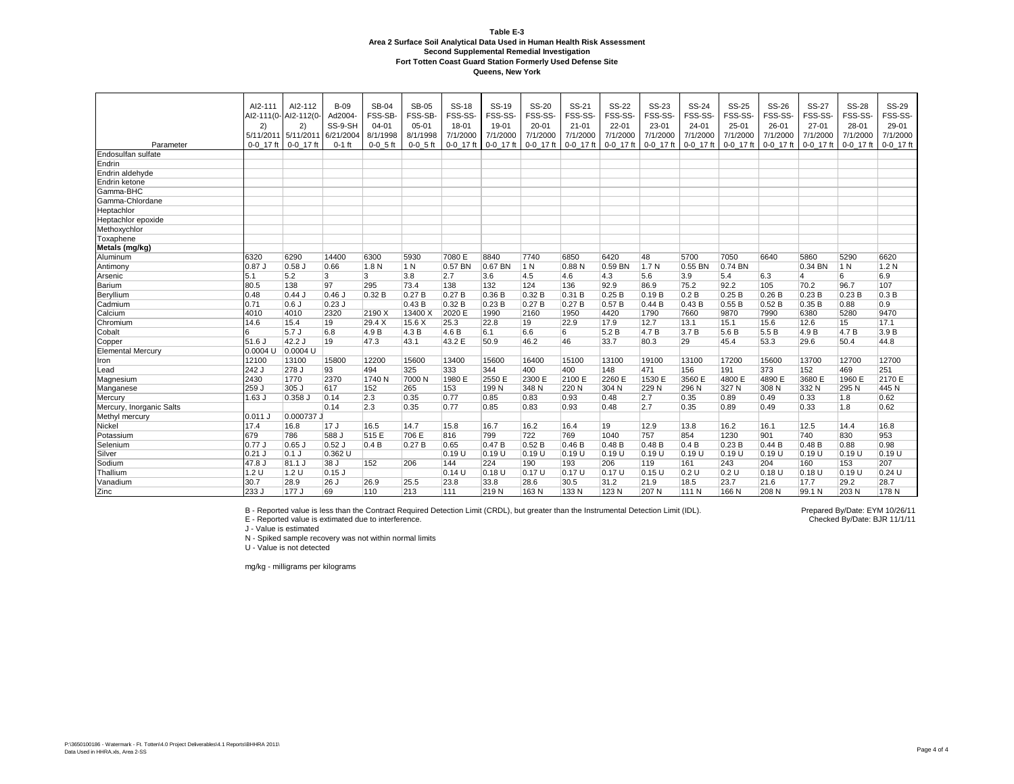|                          | AI2-111<br>2)<br>5/11/2011 5/11/2011 | AI2-112<br>AI2-111(0- AI2-112(0-<br>2) | <b>B-09</b><br>Ad2004-<br>SS-9-SH<br>6/21/2004 | <b>SB-04</b><br>FSS-SB-<br>$04 - 01$<br>8/1/1998 | <b>SB-05</b><br>FSS-SB-<br>$05 - 01$<br>8/1/1998 | <b>SS-18</b><br>FSS-SS-<br>18-01<br>7/1/2000 | SS-19<br>FSS-SS-<br>19-01<br>7/1/2000 | <b>SS-20</b><br>FSS-SS-<br>$20 - 01$<br>7/1/2000 | SS-21<br>FSS-SS-<br>$21 - 01$<br>7/1/2000 | <b>SS-22</b><br>FSS-SS-<br>$22 - 01$<br>7/1/2000 | <b>SS-23</b><br>FSS-SS-<br>23-01<br>7/1/2000 | <b>SS-24</b><br>FSS-SS-<br>$24 - 01$<br>7/1/2000 | SS-25<br>FSS-SS-<br>$25 - 01$<br>7/1/2000 | SS-26<br>FSS-SS-<br>26-01<br>7/1/2000 | <b>SS-27</b><br>FSS-SS-<br>$27 - 01$<br>7/1/2000 | <b>SS-28</b><br>FSS-SS-<br>28-01<br>7/1/2000 | <b>SS-29</b><br>FSS-SS-<br>29-01<br>7/1/2000 |
|--------------------------|--------------------------------------|----------------------------------------|------------------------------------------------|--------------------------------------------------|--------------------------------------------------|----------------------------------------------|---------------------------------------|--------------------------------------------------|-------------------------------------------|--------------------------------------------------|----------------------------------------------|--------------------------------------------------|-------------------------------------------|---------------------------------------|--------------------------------------------------|----------------------------------------------|----------------------------------------------|
| Parameter                | $0-0$ 17 ft                          | $0-0$ 17 ft                            | $0-1$ ft                                       | $0-0$ 5 ft                                       | $0 - 0 - 5$ ft                                   | $0-0$ 17 ft                                  | 0-0 17 ft                             | $0 - 0$ 17 ft                                    | 0-0 17 ft                                 | 0-0 17 ft                                        | 0-0 17 ft                                    | 0-0 17 ft                                        | $0 - 0$ 17 ft                             | 0-0 17 ft                             | 0-0 17 ft                                        | 0-0 17 ft                                    | 0-0 17 ft                                    |
| Endosulfan sulfate       |                                      |                                        |                                                |                                                  |                                                  |                                              |                                       |                                                  |                                           |                                                  |                                              |                                                  |                                           |                                       |                                                  |                                              |                                              |
| Endrin                   |                                      |                                        |                                                |                                                  |                                                  |                                              |                                       |                                                  |                                           |                                                  |                                              |                                                  |                                           |                                       |                                                  |                                              |                                              |
| Endrin aldehyde          |                                      |                                        |                                                |                                                  |                                                  |                                              |                                       |                                                  |                                           |                                                  |                                              |                                                  |                                           |                                       |                                                  |                                              |                                              |
| Endrin ketone            |                                      |                                        |                                                |                                                  |                                                  |                                              |                                       |                                                  |                                           |                                                  |                                              |                                                  |                                           |                                       |                                                  |                                              |                                              |
| Gamma-BHC                |                                      |                                        |                                                |                                                  |                                                  |                                              |                                       |                                                  |                                           |                                                  |                                              |                                                  |                                           |                                       |                                                  |                                              |                                              |
| Gamma-Chlordane          |                                      |                                        |                                                |                                                  |                                                  |                                              |                                       |                                                  |                                           |                                                  |                                              |                                                  |                                           |                                       |                                                  |                                              |                                              |
| Heptachlor               |                                      |                                        |                                                |                                                  |                                                  |                                              |                                       |                                                  |                                           |                                                  |                                              |                                                  |                                           |                                       |                                                  |                                              |                                              |
| Heptachlor epoxide       |                                      |                                        |                                                |                                                  |                                                  |                                              |                                       |                                                  |                                           |                                                  |                                              |                                                  |                                           |                                       |                                                  |                                              |                                              |
| Methoxychlor             |                                      |                                        |                                                |                                                  |                                                  |                                              |                                       |                                                  |                                           |                                                  |                                              |                                                  |                                           |                                       |                                                  |                                              |                                              |
| Toxaphene                |                                      |                                        |                                                |                                                  |                                                  |                                              |                                       |                                                  |                                           |                                                  |                                              |                                                  |                                           |                                       |                                                  |                                              |                                              |
| Metals (mg/kg)           |                                      |                                        |                                                |                                                  |                                                  |                                              |                                       |                                                  |                                           |                                                  |                                              |                                                  |                                           |                                       |                                                  |                                              |                                              |
| Aluminum                 | 6320                                 | 6290                                   | 14400                                          | 6300                                             | 5930                                             | 7080 E                                       | 8840                                  | 7740                                             | 6850                                      | 6420                                             | 48                                           | 5700                                             | 7050                                      | 6640                                  | 5860                                             | 5290                                         | 6620                                         |
| Antimony                 | 0.87J                                | 0.58                                   | 0.66                                           | 1.8 N                                            | 1 N                                              | 0.57 BN                                      | $0.67$ BN                             | 1 N                                              | 0.88 N                                    | 0.59 BN                                          | 1.7 <sub>N</sub>                             | $0.55$ BN                                        | $0.74$ BN                                 |                                       | 0.34 BN                                          | 1 N                                          | 1.2N                                         |
| Arsenic                  | 5.1                                  | 5.2                                    | 3                                              | 3                                                | 3.8                                              | 2.7                                          | 3.6                                   | 4.5                                              | 4.6                                       | 4.3                                              | 5.6                                          | 3.9                                              | 5.4                                       | 6.3                                   | 4                                                | 6                                            | 6.9                                          |
| Barium                   | 80.5                                 | 138                                    | 97                                             | 295                                              | 73.4                                             | 138                                          | 132                                   | 124                                              | 136                                       | 92.9                                             | 86.9                                         | 75.2                                             | 92.2                                      | 105                                   | 70.2                                             | 96.7                                         | 107                                          |
| Beryllium                | 0.48                                 | 0.44J                                  | $0.46$ J                                       | 0.32B                                            | 0.27B                                            | 0.27B                                        | 0.36B                                 | 0.32 B                                           | 0.31B                                     | 0.25B                                            | 0.19B                                        | 0.2 B                                            | 0.25B                                     | 0.26B                                 | 0.23B                                            | 0.23B                                        | 0.3B                                         |
| Cadmium                  | 0.71                                 | $0.6$ J                                | $0.23$ J                                       |                                                  | 0.43B                                            | 0.32B                                        | 0.23B                                 | 0.27B                                            | 0.27B                                     | 0.57B                                            | 0.44B                                        | 0.43B                                            | 0.55B                                     | 0.52B                                 | 0.35B                                            | 0.88                                         | 0.9                                          |
| Calcium                  | 4010                                 | 4010                                   | 2320                                           | 2190 X                                           | 13400 X                                          | 2020 E                                       | 1990                                  | 2160                                             | 1950                                      | 4420                                             | 1790                                         | 7660                                             | 9870                                      | 7990                                  | 6380                                             | 5280                                         | 9470                                         |
| Chromium                 | 14.6                                 | 15.4                                   | 19                                             | 29.4 X                                           | 15.6 X                                           | 25.3                                         | 22.8                                  | 19                                               | 22.9                                      | 17.9                                             | 12.7                                         | 13.1                                             | 15.1                                      | 15.6                                  | 12.6                                             | 15                                           | 17.1                                         |
| Cobalt                   | 6                                    | 5.7J                                   | 6.8                                            | 4.9 B                                            | 4.3B                                             | 4.6B                                         | 6.1                                   | 6.6                                              | 6                                         | 5.2B                                             | 4.7B                                         | 3.7B                                             | 5.6 B                                     | 5.5B                                  | 4.9B                                             | 4.7B                                         | 3.9B                                         |
| Copper                   | 51.6J                                | 42.2 J                                 | 19                                             | 47.3                                             | 43.1                                             | 43.2 E                                       | 50.9                                  | 46.2                                             | 46                                        | 33.7                                             | 80.3                                         | 29                                               | 45.4                                      | 53.3                                  | 29.6                                             | 50.4                                         | 44.8                                         |
| <b>Elemental Mercury</b> | 0.0004 U                             | $0.0004$ U                             |                                                |                                                  |                                                  |                                              |                                       |                                                  |                                           |                                                  |                                              |                                                  |                                           |                                       |                                                  |                                              |                                              |
| Iron                     | 12100                                | 13100                                  | 15800                                          | 12200                                            | 15600                                            | 13400                                        | 15600                                 | 16400                                            | 15100                                     | 13100                                            | 19100                                        | 13100                                            | 17200                                     | 15600                                 | 13700                                            | 12700                                        | 12700                                        |
| Lead                     | 242 J                                | 278 J                                  | 93                                             | 494                                              | 325                                              | 333                                          | 344                                   | 400                                              | 400                                       | 148                                              | 471                                          | 156                                              | 191                                       | 373                                   | 152                                              | 469                                          | 251                                          |
| Magnesium                | 2430                                 | 1770                                   | 2370                                           | 1740 N                                           | 7000 N                                           | 1980 E                                       | 2550 E                                | 2300 E                                           | 2100 E                                    | 2260 E                                           | 1530 E                                       | 3560 E                                           | 4800 E                                    | 4890 E                                | 3680 E                                           | 1960 E                                       | 2170 E                                       |
| Manganese                | 259 J                                | 305 J                                  | 617                                            | 152                                              | 265                                              | 153                                          | 199 N                                 | 348 N                                            | 220 N                                     | 304 N                                            | 229 N                                        | 296 N                                            | 327 N                                     | 308 N                                 | 332 N                                            | 295 N                                        | 445 N                                        |
| Mercury                  | $1.63$ J                             | 0.358 J                                | 0.14                                           | 2.3                                              | 0.35                                             | 0.77                                         | 0.85                                  | 0.83                                             | 0.93                                      | 0.48                                             | 2.7                                          | 0.35                                             | 0.89                                      | 0.49                                  | 0.33                                             | 1.8                                          | 0.62                                         |
| Mercury, Inorganic Salts |                                      |                                        | 0.14                                           | 2.3                                              | 0.35                                             | 0.77                                         | 0.85                                  | 0.83                                             | 0.93                                      | 0.48                                             | 2.7                                          | 0.35                                             | 0.89                                      | 0.49                                  | 0.33                                             | 1.8                                          | 0.62                                         |
| Methyl mercury           | 0.011 J                              | 0.000737 J                             |                                                |                                                  |                                                  |                                              |                                       |                                                  |                                           |                                                  |                                              |                                                  |                                           |                                       |                                                  |                                              |                                              |
| Nickel                   | 17.4                                 | 16.8                                   | 17J                                            | 16.5                                             | 14.7                                             | 15.8                                         | 16.7                                  | 16.2                                             | 16.4                                      | 19                                               | 12.9                                         | 13.8                                             | 16.2                                      | 16.1                                  | 12.5                                             | 14.4                                         | 16.8                                         |
| Potassium                | 679                                  | 786                                    | 588 J                                          | 515 E                                            | 706 E                                            | 816                                          | 799                                   | 722                                              | 769                                       | 1040                                             | 757                                          | 854                                              | 1230                                      | 901                                   | 740                                              | 830                                          | 953                                          |
| Selenium                 | 0.77J                                | 0.65                                   | $0.52$ J                                       | 0.4B                                             | 0.27B                                            | 0.65                                         | 0.47B                                 | 0.52B                                            | 0.46B                                     | 0.48B                                            | 0.48B                                        | 0.4B                                             | 0.23B                                     | 0.44B                                 | 0.48B                                            | 0.88                                         | 0.98                                         |
| Silver                   | $0.21$ J                             | $0.1$ J                                | 0.362 U                                        |                                                  |                                                  | 0.19U                                        | 0.19U                                 | 0.19U                                            | 0.19U                                     | 0.19U                                            | 0.19U                                        | 0.19U                                            | 0.19U                                     | 0.19 U                                | 0.19U                                            | 0.19U                                        | 0.19U                                        |
| Sodium                   | $47.8$ J                             | 81.1 J                                 | 38 J                                           | 152                                              | 206                                              | 144                                          | 224                                   | 190                                              | 193                                       | 206                                              | 119                                          | 161                                              | 243                                       | 204                                   | 160                                              | 153                                          | 207                                          |
| Thallium                 | 1.2U                                 | 1.2 U                                  | $0.15$ J                                       |                                                  |                                                  | 0.14U                                        | 0.18U                                 | 0.17U                                            | 0.17U                                     | 0.17 U                                           | 0.15U                                        | 0.2 U                                            | 0.2 U                                     | $0.18$ U                              | 0.18 U                                           | 0.19U                                        | 0.24U                                        |
| Vanadium                 | 30.7                                 | 28.9                                   | 26 J                                           | 26.9                                             | 25.5                                             | 23.8                                         | 33.8                                  | 28.6                                             | 30.5                                      | 31.2                                             | 21.9                                         | 18.5                                             | 23.7                                      | 21.6                                  | 17.7                                             | 29.2                                         | 28.7                                         |
| Zinc                     | 233J                                 | 177 J                                  | 69                                             | 110                                              | 213                                              | 111                                          | 219N                                  | 163N                                             | 133 N                                     | 123N                                             | 207 N                                        | 111 N                                            | 166 N                                     | 208 N                                 | 99.1 N                                           | 203 N                                        | 178N                                         |

B - Reported value is less than the Contract Required Detection Limit (CRDL), but greater than the Instrumental Detection Limit (IDL).<br>E - Reported value is extimated due to interference.

E - Reported value is extimated due to interference.

J - Value is estimated

N - Spiked sample recovery was not within normal limits

U - Value is not detected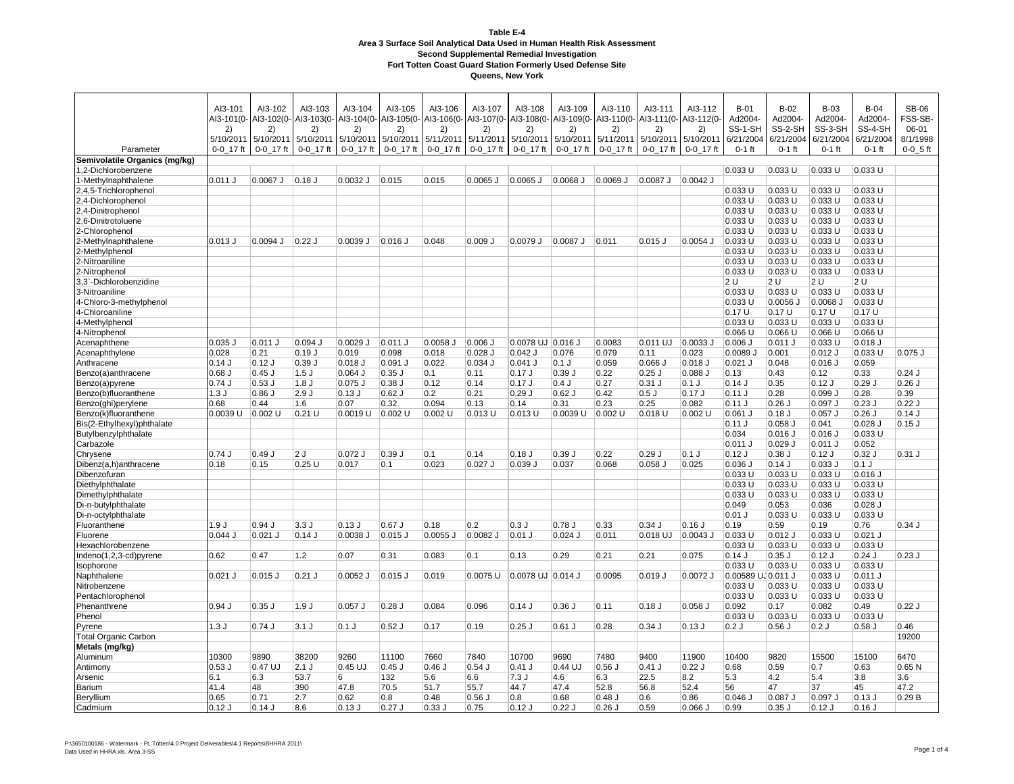|                                | AI3-101          | AI3-102          | AI3-103          | AI3-104     | AI3-105                    | AI3-106    | AI3-107                    | AI3-108           | AI3-109                                | AI3-110    | AI3-111          | AI3-112          | $B-01$                        | $B-02$             | $B-03$               | $B-04$               | <b>SB-06</b>     |
|--------------------------------|------------------|------------------|------------------|-------------|----------------------------|------------|----------------------------|-------------------|----------------------------------------|------------|------------------|------------------|-------------------------------|--------------------|----------------------|----------------------|------------------|
|                                | AI3-101(0-<br>2) | AI3-102(0-<br>2) | AI3-103(0-<br>2) | 2)          | AI3-104(0-AI3-105(0-<br>2) | 2)         | AI3-106(0-AI3-107(0-<br>2) | 2)                | Al3-108(0- Al3-109(0- Al3-110(0-<br>2) | 2)         | AI3-111(0-<br>2) | AI3-112(0-<br>2) | Ad2004<br>SS-1-SH             | Ad2004-<br>SS-2-SH | Ad2004-<br>SS-3-SH   | Ad2004-<br>SS-4-SH   | FSS-SB-<br>06-01 |
|                                | 5/10/2011        | 5/10/2011        | 5/10/2011        | 5/10/2011   | 5/10/2011                  | 5/11/2011  | 5/11/2011                  | 5/10/2011         | 5/10/2011 5/11/2011                    |            | 5/10/2011        | 5/10/2011        | 6/21/2004                     | 6/21/2004          | 6/21/2004            | 6/21/2004            | 8/1/1998         |
| Parameter                      | 0-0 17 ft        | 0-0 17 ft        | 0-0 17 ft        | 0-0 17 ft   | 0-0 17 ft                  | 0-0 17 ft  | 0-0 17 ft                  | 0-0 17 ft         | 0-0 17 ft                              | 0-0 17 ft  | 0-0 17 ft        | 0-0 17 ft        | $0-1$ ft                      | $0-1$ ft           | $0-1$ ft             | $0-1$ ft             | $0-0$ 5 ft       |
| Semivolatile Organics (mg/kg)  |                  |                  |                  |             |                            |            |                            |                   |                                        |            |                  |                  |                               |                    |                      |                      |                  |
| 1,2-Dichlorobenzene            |                  |                  |                  |             |                            |            |                            |                   |                                        |            |                  |                  | 0.033 U                       | 0.033 U            | 0.033 U              | 0.033 U              |                  |
| 1-Methylnaphthalene            | 0.011 J          | $0.0067$ J       | $0.18$ J         | $0.0032$ J  | 0.015                      | 0.015      | 0.0065 J                   | $0.0065$ J        | 0.0068 J                               | $0.0069$ J | 0.0087 J         | $0.0042$ J       |                               |                    |                      |                      |                  |
| 2,4,5-Trichlorophenol          |                  |                  |                  |             |                            |            |                            |                   |                                        |            |                  |                  | $0.033$ U                     | 0.033U             | $0.033$ U            | 0.033 U              |                  |
| 2,4-Dichlorophenol             |                  |                  |                  |             |                            |            |                            |                   |                                        |            |                  |                  | 0.033 U                       | 0.033 U            | 0.033 U              | 0.033 U              |                  |
| 2,4-Dinitrophenol              |                  |                  |                  |             |                            |            |                            |                   |                                        |            |                  |                  | 0.033 U                       | 0.033 U            | 0.033 U              | 0.033 U              |                  |
| 2,6-Dinitrotoluene             |                  |                  |                  |             |                            |            |                            |                   |                                        |            |                  |                  | 0.033 U                       | 0.033 U            | 0.033 U              | 0.033 U              |                  |
| 2-Chlorophenol                 |                  |                  |                  |             |                            |            |                            |                   |                                        |            |                  |                  | 0.033 U                       | 0.033 U            | 0.033 U              | 0.033 U              |                  |
| 2-Methylnaphthalene            | $0.013$ J        | $0.0094$ J       | $0.22$ J         | 0.0039 J    | $0.016$ J                  | 0.048      | $0.009$ J                  | 0.0079J           | 0.0087J                                | 0.011      | $0.015$ $J$      | 0.0054           | 0.033 U                       | 0.033 U            | 0.033 U              | 0.033 U              |                  |
| 2-Methylphenol                 |                  |                  |                  |             |                            |            |                            |                   |                                        |            |                  |                  | 0.033 U                       | 0.033 U            | 0.033 U              | 0.033 U              |                  |
| 2-Nitroaniline                 |                  |                  |                  |             |                            |            |                            |                   |                                        |            |                  |                  | 0.033 U                       | 0.033 U            | 0.033 U              | 0.033 U              |                  |
| 2-Nitrophenol                  |                  |                  |                  |             |                            |            |                            |                   |                                        |            |                  |                  | 0.033 U                       | 0.033 U            | 0.033 U              | 0.033 U              |                  |
| 3,3`-Dichlorobenzidine         |                  |                  |                  |             |                            |            |                            |                   |                                        |            |                  |                  | 2U                            | 2U                 | 2U                   | 2 U                  |                  |
| 3-Nitroaniline                 |                  |                  |                  |             |                            |            |                            |                   |                                        |            |                  |                  | 0.033 U                       | 0.033 U            | 0.033 U              | 0.033 U              |                  |
| 4-Chloro-3-methylphenol        |                  |                  |                  |             |                            |            |                            |                   |                                        |            |                  |                  | $0.033$ U                     | 0.0056 J           | $0.0068$ J           | 0.033 U              |                  |
| 4-Chloroaniline                |                  |                  |                  |             |                            |            |                            |                   |                                        |            |                  |                  | 0.17U                         | 0.17U              | 0.17U                | 0.17U                |                  |
| 4-Methylphenol                 |                  |                  |                  |             |                            |            |                            |                   |                                        |            |                  |                  | 0.033 U                       | 0.033 U            | 0.033 U              | 0.033 U              |                  |
| 4-Nitrophenol                  | $0.035$ J        | 0.011 J          | $0.094$ J        | $0.0029$ J  |                            | $0.0058$ J | $0.006$ J                  | 0.0078 UJ 0.016 J |                                        | 0.0083     | $0.011$ UJ       | 0.0033           | $0.066$ U<br>$0.006$ J        | 0.066 U            | 0.066 U<br>0.033 U   | 0.066 U              |                  |
| Acenaphthene<br>Acenaphthylene | 0.028            | 0.21             | 0.19J            | 0.019       | $ 0.011$ J<br>0.098        | 0.018      | $0.028$ J                  | $0.042$ J         | 0.076                                  | 0.079      | 0.11             | 0.023            | 0.0089                        | $0.011$ J<br>0.001 | $0.012$ J            | $0.018$ J<br>0.033U  | $0.075$ J        |
| Anthracene                     | 0.14J            | $0.12$ J         | 0.39J            | $0.018$ J   | $0.091$ J                  | 0.022      | $0.034$ J                  | $0.041$ J         | $0.1$ J                                | 0.059      | $0.066$ J        | $0.018$ J        | $0.021$ J                     | 0.048              | $0.016$ J            | 0.059                |                  |
| Benzo(a)anthracene             | $0.68$ J         | $0.45$ J         | $1.5$ J          | $0.064$ J   | $0.35$ J                   | 0.1        | 0.11                       | 0.17J             | 0.39J                                  | 0.22       | $0.25$ J         | $0.088$ J        | 0.13                          | 0.43               | 0.12                 | 0.33                 | $0.24$ J         |
| Benzo(a)pyrene                 | 0.74J            | 0.53J            | 1.8J             | $0.075$ $J$ | $0.38$ J                   | 0.12       | 0.14                       | 0.17J             | 0.4J                                   | 0.27       | $0.31$ J         | $0.1$ J          | $0.14$ J                      | 0.35               | $0.12$ J             | $0.29$ J             | $0.26$ J         |
| Benzo(b)fluoranthene           | 1.3J             | 0.86J            | 2.9J             | $0.13$ J    | $0.62$ J                   | 0.2        | 0.21                       | 0.29J             | $0.62$ J                               | 0.42       | 0.5J             | 0.17J            | $0.11$ J                      | 0.28               | 0.099                | 0.28                 | 0.39             |
| Benzo(ghi)perylene             | 0.68             | 0.44             | 1.6              | 0.07        | 0.32                       | 0.094      | 0.13                       | 0.14              | 0.31                                   | 0.23       | 0.25             | 0.082            | $0.11$ J                      | 0.26               | $0.097$ J            | $0.23$ J             | 0.22J            |
| Benzo(k)fluoranthene           | 0.0039 U         | $0.002$ U        | $0.21$ U         | 0.0019 U    | $0.002$ U                  | $0.002$ U  | $0.013$ U                  | $0.013$ U         | 0.0039 U                               | $0.002$ U  | $0.018$ U        | $0.002$ U        | 0.061 J                       | $0.18$ J           | $0.057$ J            | $0.26$ J             | 0.14J            |
| Bis(2-Ethylhexyl)phthalate     |                  |                  |                  |             |                            |            |                            |                   |                                        |            |                  |                  | $0.11$ J                      | $0.058$ J          | 0.041                | $0.028$ J            | $0.15$ J         |
| Butylbenzylphthalate           |                  |                  |                  |             |                            |            |                            |                   |                                        |            |                  |                  | 0.034                         | $0.016$ J          | $0.016$ J            | 0.033 U              |                  |
| Carbazole                      |                  |                  |                  |             |                            |            |                            |                   |                                        |            |                  |                  | $0.011$ J                     | $0.029$ J          | $0.011$ J            | 0.052                |                  |
| Chrysene                       | 0.74J            | 0.49J            | 2J               | $0.072$ J   | 0.39J                      | 0.1        | 0.14                       | 0.18J             | 0.39J                                  | 0.22       | 0.29J            | $0.1$ J          | $0.12$ J                      | 0.38J              | $0.12$ J             | $0.32$ J             | $0.31$ J         |
| Dibenz(a,h)anthracene          | 0.18             | 0.15             | 0.25U            | 0.017       | 0.1                        | 0.023      | $0.027$ J                  | 0.039J            | 0.037                                  | 0.068      | $0.058$ $J$      | 0.025            | $0.036$ J                     | $0.14$ J           | 0.033J               | $0.1$ J              |                  |
| Dibenzofuran                   |                  |                  |                  |             |                            |            |                            |                   |                                        |            |                  |                  | 0.033 U                       | 0.033 U            | 0.033 U              | $0.016$ J            |                  |
| Diethylphthalate               |                  |                  |                  |             |                            |            |                            |                   |                                        |            |                  |                  | $0.033$ U                     | 0.033U             | 0.033 U              | 0.033 U              |                  |
| Dimethylphthalate              |                  |                  |                  |             |                            |            |                            |                   |                                        |            |                  |                  | 0.033 U                       | 0.033 U            | 0.033 U              | 0.033 U              |                  |
| Di-n-butylphthalate            |                  |                  |                  |             |                            |            |                            |                   |                                        |            |                  |                  | 0.049                         | 0.053              | 0.036                | $0.028$ J            |                  |
| Di-n-octylphthalate            |                  |                  |                  |             |                            |            |                            |                   |                                        |            |                  |                  | $0.01$ J                      | 0.033 U            | 0.033 U              | 0.033 U              |                  |
| Fluoranthene                   | .9J              | 0.94J            | 3.3J             | 0.13J       | $0.67$ J                   | 0.18       | 0.2                        | 0.3J              | 0.78J                                  | 0.33       | 0.34J            | 0.16J            | 0.19                          | 0.59               | 0.19                 | 0.76                 | $0.34$ J         |
| Fluorene                       | 0.044J           | $0.021$ J        | $0.14$ J         | 0.0038 J    | $0.015$ J                  | 0.0055 J   | 0.0082 J                   | $0.01$ J          | $0.024$ J                              | 0.011      | 0.018 UJ         | $0.0043$ J       | $0.033$ U                     | $0.012$ J          | 0.033 U              | $0.021$ J            |                  |
| Hexachlorobenzene              |                  |                  |                  |             |                            |            |                            |                   |                                        |            |                  |                  | 0.033 U                       | 0.033 U            | 0.033 U              | 0.033 U              |                  |
| Indeno(1,2,3-cd)pyrene         | 0.62             | 0.47             | 1.2              | 0.07        | 0.31                       | 0.083      | 0.1                        | 0.13              | 0.29                                   | 0.21       | 0.21             | 0.075            | $0.14$ J                      | $0.35$ J           | $0.12$ J             | $0.24$ J             | $0.23$ J         |
| Isophorone                     | $0.021$ J        | $0.015$ J        | $0.21$ J         | $0.0052$ J  |                            |            | 0.0075 U                   | 0.0078 UJ 0.014 J |                                        | 0.0095     | 0.019J           | $0.0072$ J       | $0.033$ U                     | 0.033 U            | 0.033 U              | 0.033 U              |                  |
| Naphthalene<br>Nitrobenzene    |                  |                  |                  |             | $0.015$ J                  | 0.019      |                            |                   |                                        |            |                  |                  | 0.00589 UJ 0.011 J<br>0.033 U | 0.033 U            | $0.033$ U<br>0.033 U | $0.011$ J<br>0.033 U |                  |
| Pentachlorophenol              |                  |                  |                  |             |                            |            |                            |                   |                                        |            |                  |                  | 0.033 U                       | 0.033 U            | 0.033 U              | 0.033 U              |                  |
| Phenanthrene                   | 0.94J            | 0.35J            | 1.9J             | $0.057$ J   | $0.28$ J                   | 0.084      | 0.096                      | 0.14J             | 0.36J                                  | 0.11       | 0.18J            | $0.058$ $J$      | 0.092                         | 0.17               | 0.082                | 0.49                 | 0.22J            |
| Phenol                         |                  |                  |                  |             |                            |            |                            |                   |                                        |            |                  |                  | 0.033 U                       | 0.033 U            | 0.033 U              | 0.033 U              |                  |
| Pyrene                         | 1.3J             | 0.74J            | 3.1J             | $0.1$ J     | $0.52$ J                   | 0.17       | 0.19                       | $0.25$ J          | $0.61$ J                               | 0.28       | 0.34J            | 0.13J            | 0.2J                          | 0.56J              | 0.2J                 | $0.58$ J             | 0.46             |
| Total Organic Carbon           |                  |                  |                  |             |                            |            |                            |                   |                                        |            |                  |                  |                               |                    |                      |                      | 19200            |
| Metals (mg/kg)                 |                  |                  |                  |             |                            |            |                            |                   |                                        |            |                  |                  |                               |                    |                      |                      |                  |
| Aluminum                       | 10300            | 9890             | 38200            | 9260        | 11100                      | 7660       | 7840                       | 10700             | 9690                                   | 7480       | 9400             | 11900            | 10400                         | 9820               | 15500                | 15100                | 6470             |
| Antimony                       | 0.53J            | 0.47 UJ          | $2.1$ J          | $0.45$ UJ   | $0.45$ J                   | $0.46$ J   | $0.54$ J                   | $0.41$ J          | 0.44 UJ                                | 0.56       | $0.41$ J         | 0.22J            | 0.68                          | 0.59               | 0.7                  | 0.63                 | 0.65N            |
| Arsenic                        | 6.1              | 6.3              | 53.7             | 6           | 132                        | 5.6        | 6.6                        | 7.3J              | 4.6                                    | 6.3        | 22.5             | 8.2              | 5.3                           | 4.2                | 5.4                  | 3.8                  | 3.6              |
| Barium                         | 41.4             | 48               | 390              | 47.8        | 70.5                       | 51.7       | 55.7                       | 44.7              | 47.4                                   | 52.8       | 56.8             | 52.4             | 56                            | 47                 | 37                   | 45                   | 47.2             |
| Beryllium                      | 0.65             | 0.71             | 2.7              | 0.62        | 0.8                        | 0.48       | $0.56$ J                   | 0.8               | 0.68                                   | $0.48$ J   | 0.6              | 0.86             | $0.046$ J                     | 0.087 J            | $0.097$ J            | $0.13$ J             | 0.29B            |
| Cadmium                        | 0.12J            | $0.14$ J         | 8.6              | 0.13J       | $0.27$ J                   | 0.33J      | 0.75                       | 0.12J             | 0.22J                                  | $0.26$ J   | 0.59             | $0.066$ J        | 0.99                          | $0.35$ J           | $0.12$ J             | $0.16$ J             |                  |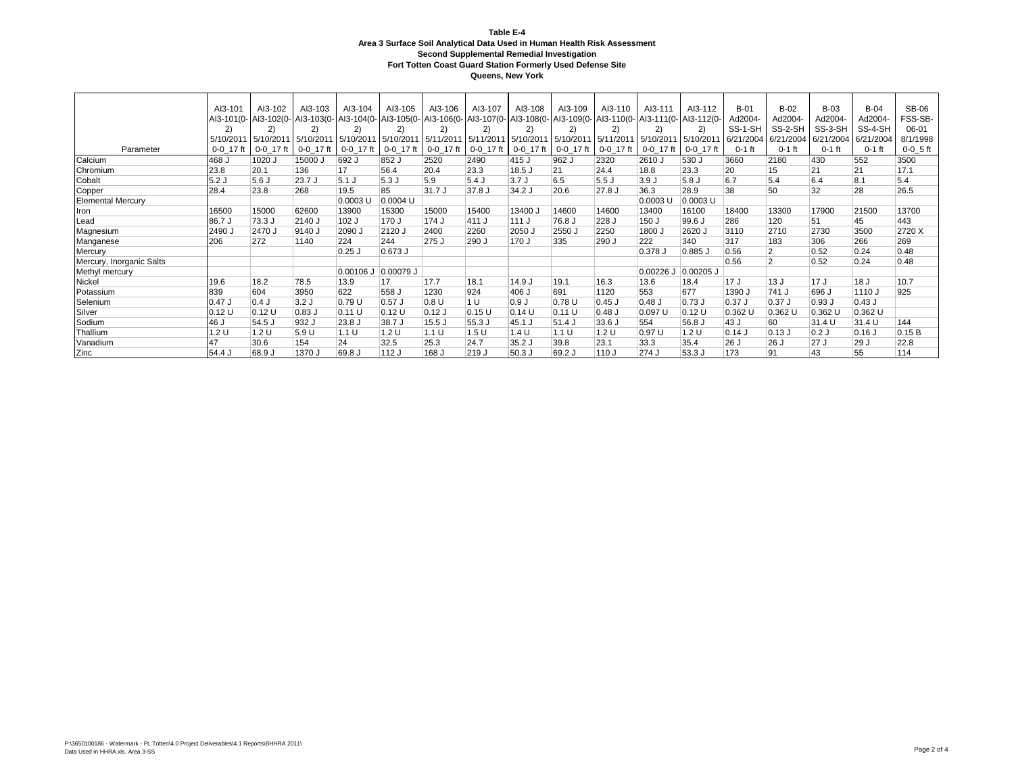|                          | AI3-101   | AI3-102                       | AI3-103     | AI3-104                                     | AI3-105   | AI3-106                                     | AI3-107                                       | AI3-108             | AI3-109                                     | AI3-110      | AI3-111     | AI3-112             | $B-01$   | $B-02$         | $B-03$    | $B-04$          | <b>SB-06</b> |
|--------------------------|-----------|-------------------------------|-------------|---------------------------------------------|-----------|---------------------------------------------|-----------------------------------------------|---------------------|---------------------------------------------|--------------|-------------|---------------------|----------|----------------|-----------|-----------------|--------------|
|                          |           |                               |             | AI3-101(0- AI3-102(0- AI3-103(0- AI3-104(0- |           | Al3-105(0- Al3-106(0- Al3-107(0- Al3-108(0- |                                               |                     | AI3-109(0- AI3-110(0- AI3-111(0- AI3-112(0- |              |             |                     | Ad2004-  | Ad2004-        | Ad2004-   | Ad2004-         | FSS-SB-      |
|                          | 2)        | 2)                            | (2)         | 2)                                          | 2)        | 2)                                          | $\mathsf{2}^{\scriptscriptstyle{\mathsf{1}}}$ | 2)                  | 2)                                          | $\mathbf{2}$ | 2)          | 2)                  | SS-1-SH  | SS-2-SH        | SS-3-SH   | SS-4-SH         | 06-01        |
|                          | 5/10/2011 | 5/10/2011 5/10/2011 5/10/2011 |             |                                             |           | 5/10/2011 5/11/2011 5/11/2011               |                                               | 5/10/2011 5/10/2011 |                                             | 5/11/2011    | 5/10/2011   | 5/10/2011 6/21/2004 |          | 6/21/2004      | 6/21/2004 | 6/21/2004       | 8/1/1998     |
| Parameter                | 0-0 17 ft | $0-0$ 17 ft                   | $0-0$ 17 ft | $0-0$ 17 ft                                 | 0-0 17 ft | $0-0$ 17 ft                                 | 0-0 17 ft                                     | 0-0 17 ft           | 0-0 17 ft                                   | 0-0 17 ft    | 0-0 17 ft   | 0-0 17 ft           | $0-1$ ft | $0-1$ ft       | $0-1$ ft  | $0-1$ ft        | $0-0$ 5 ft   |
| Calcium                  | 468 J     | 1020 J                        | 15000 J     | 692 J                                       | 852 J     | 2520                                        | 2490                                          | 415 J               | 962 J                                       | 2320         | 2610 J      | 530 J               | 3660     | 2180           | 430       | 552             | 3500         |
| Chromium                 | 23.8      | 20.1                          | 136         | 17                                          | 56.4      | 20.4                                        | 23.3                                          | 18.5 J              | 21                                          | 24.4         | 18.8        | 23.3                | 20       | 15             | 21        | 21              | 17.1         |
| Cobalt                   | 5.2J      | 5.6J                          | 23.7 J      | 5.1J                                        | 5.3J      | 5.9                                         | 5.4J                                          | 3.7J                | 6.5                                         | 5.5J         | 3.9J        | 5.8 J               | 6.7      | 5.4            | 6.4       | 8.1             | 5.4          |
| Copper                   | 28.4      | 23.8                          | 268         | 19.5                                        | 85        | 31.7 J                                      | 37.8 J                                        | 34.2 J              | 20.6                                        | 27.8 J       | 36.3        | 28.9                | 38       | 50             | 32        | 28              | 26.5         |
| <b>Elemental Mercury</b> |           |                               |             | 0.0003 U                                    | 0.0004 U  |                                             |                                               |                     |                                             |              | 0.0003L     | 0.0003 U            |          |                |           |                 |              |
| Iron                     | 16500     | 15000                         | 62600       | 13900                                       | 15300     | 15000                                       | 15400                                         | 13400,              | 14600                                       | 14600        | 13400       | 16100               | 18400    | 13300          | 17900     | 21500           | 13700        |
| Lead                     | 86.7 J    | 73.3 J                        | 2140 J      | 102 J                                       | 170 J     | 174 J                                       | 411 J                                         | 111J                | 76.8 J                                      | 228 J        | 150 J       | 99.6 J              | 286      | 120            | 51        | 45              | 443          |
| Magnesium                | 2490 J    | 2470 J                        | 9140 J      | 2090 J                                      | 2120 J    | 2400                                        | 2260                                          | 2050 J              | 2550 J                                      | 2250         | 1800 J      | 2620 J              | 3110     | 2710           | 2730      | 3500            | 2720 X       |
| Manganese                | 206       | 272                           | 1140        | 224                                         | 244       | 275 J                                       | 290 J                                         | 170 J               | 335                                         | 290 J        | 222         | 340                 | 317      | 183            | 306       | 266             | 269          |
| Mercury                  |           |                               |             | $0.25$ J                                    | 0.673 J   |                                             |                                               |                     |                                             |              | $0.378$ J   | $0.885$ $J$         | 0.56     | $\overline{2}$ | 0.52      | 0.24            | 0.48         |
| Mercury, Inorganic Salts |           |                               |             |                                             |           |                                             |                                               |                     |                                             |              |             |                     | 0.56     | $\overline{2}$ | 0.52      | 0.24            | 0.48         |
| Methyl mercury           |           |                               |             | $0.00106$ J                                 | 0.00079 J |                                             |                                               |                     |                                             |              | $0.00226$ J | $0.00205$ J         |          |                |           |                 |              |
| Nickel                   | 19.6      | 18.2                          | 78.5        | 13.9                                        | 17        | 17.7                                        | 18.1                                          | 14.9 J              | 19.1                                        | 16.3         | 13.6        | 18.4                | 17 J     | 13 J           | 17J       | 18 <sub>J</sub> | 10.7         |
| Potassium                | 839       | 604                           | 3950        | 622                                         | 558 J     | 1230                                        | 924                                           | 406 J               | 691                                         | 1120         | 553         | 677                 | 1390 J   | 741 J          | 696 J     | 1110 J          | 925          |
| Selenium                 | 0.47 J    | 0.4J                          | 3.2J        | 0.79 U                                      | $0.57$ J  | 0.8 U                                       | 1 <sup>U</sup>                                | 0.9J                | 0.78U                                       | $0.45$ J     | $0.48$ J    | 0.73J               | $0.37$ J | $0.37$ J       | 0.93J     | 0.43J           |              |
| Silver                   | 0.12U     | 0.12U                         | $0.83$ J    | 0.11 U                                      | 0.12U     | $0.12$ J                                    | 0.15U                                         | 0.14U               | 0.11 U                                      | $0.48$ J     | 0.097 U     | 0.12U               | 0.362 U  | 0.362 U        | 0.362 U   | 0.362 U         |              |
| Sodium                   | 46 J      | 54.5 J                        | 932 J       | 23.8 J                                      | 38.7 J    | 15.5J                                       | 55.3 J                                        | 45.1 J              | 51.4 J                                      | 33.6 J       | 554         | 56.8 J              | 43 J     | 60             | 31.4 U    | 31.4 U          | 144          |
| Thallium                 | 1.2 U     | 1.2 U                         | 5.9 U       | 1.1 U                                       | 1.2 U     | 1.1 U                                       | 1.5U                                          | 1.4 U               | 1.1 U                                       | 1.2 U        | 0.97U       | 1.2 U               | $0.14$ J | $0.13$ J       | 0.2J      | $0.16$ J        | 0.15B        |
| Vanadium                 | 47        | 30.6                          | 154         | 24                                          | 32.5      | 25.3                                        | 24.7                                          | 35.2J               | 39.8                                        | 23.1         | 33.3        | 35.4                | 26 J     | 126 J          | 27 J      | 29 J            | 22.8         |
| Zinc                     | 54.4 J    | 68.9 J                        | 1370 J      | 69.8 J                                      | 112 J     | 168 J                                       | 219 J                                         | $50.3$ J            | 69.2 J                                      | 110 J        | 274 J       | 53.3 J              | 173      | 91             | 43        | 55              | 114          |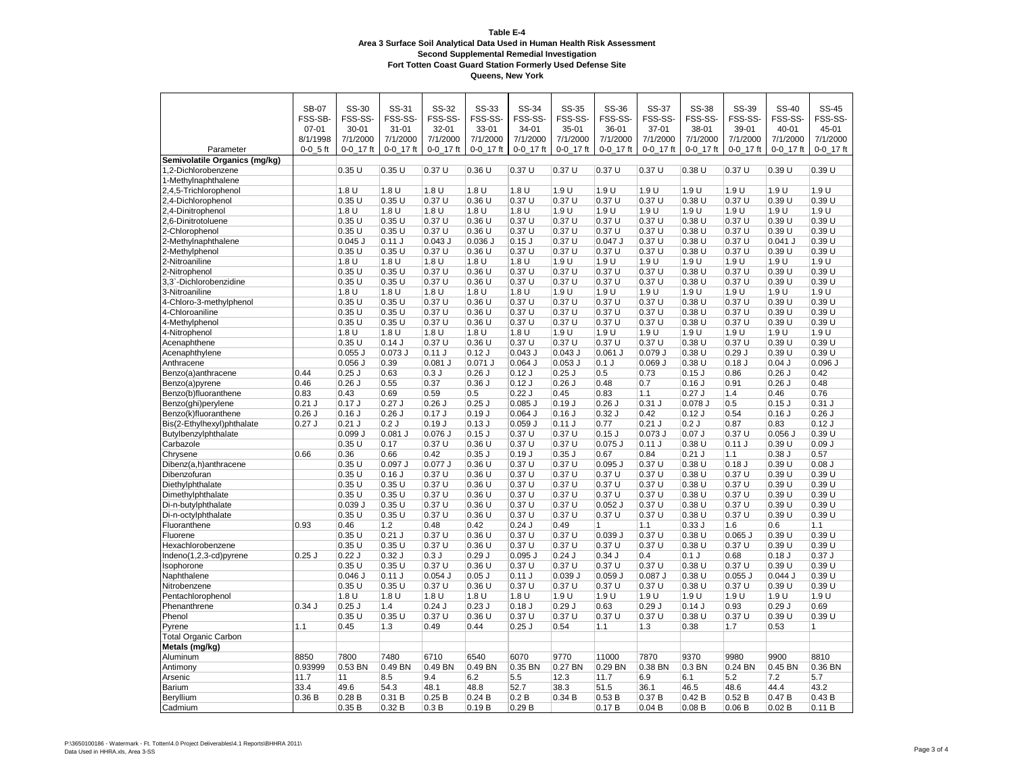|                               | <b>SB-07</b>   | SS-30            | SS-31            | SS-32     | SS-33            | SS-34            | SS-35     | SS-36           | <b>SS-37</b>    | SS-38           | SS-39     | SS-40           | <b>SS-45</b> |
|-------------------------------|----------------|------------------|------------------|-----------|------------------|------------------|-----------|-----------------|-----------------|-----------------|-----------|-----------------|--------------|
|                               | FSS-SB-        | FSS-SS-          | FSS-SS-          | FSS-SS-   | FSS-SS-          | FSS-SS-          | FSS-SS-   | FSS-SS-         | FSS-SS-         | FSS-SS-         | FSS-SS-   | FSS-SS-         | FSS-SS-      |
|                               | $07 - 01$      | $30 - 01$        | $31 - 01$        | 32-01     | $33 - 01$        | $34 - 01$        | $35 - 01$ | 36-01           | $37 - 01$       | 38-01           | 39-01     | $40 - 01$       | 45-01        |
|                               | 8/1/1998       | 7/1/2000         | 7/1/2000         | 7/1/2000  | 7/1/2000         | 7/1/2000         | 7/1/2000  | 7/1/2000        | 7/1/2000        | 7/1/2000        | 7/1/2000  | 7/1/2000        | 7/1/2000     |
| Parameter                     | $0 - 0 - 5$ ft | $0 - 0 - 17$ ft  | 0-0 17 ft        | 0-0 17 ft | 0-0 17 ft        | $0 - 0$ 17 ft    | 0-0 17 ft | $0 - 0 - 17$ ft | $0 - 0 - 17$ ft | $0 - 0 - 17$ ft | 0-0 17 ft | $0 - 0 - 17$ ft | 0-0_17 ft    |
| Semivolatile Organics (mg/kg) |                |                  |                  |           |                  |                  |           |                 |                 |                 |           |                 |              |
| 1,2-Dichlorobenzene           |                | 0.35U            | 0.35U            | 0.37U     | 0.36 U           | 0.37U            | 0.37U     | 0.37U           | 0.37U           | 0.38U           | 0.37 U    | 0.39 U          | 0.39 U       |
| 1-Methylnaphthalene           |                |                  |                  |           |                  |                  |           |                 |                 |                 |           |                 |              |
| 2,4,5-Trichlorophenol         |                | 1.8 <sub>U</sub> | 1.8 <sub>U</sub> | 1.8U      | 1.8 <sub>U</sub> | 1.8 <sub>U</sub> | 1.9U      | 1.9 U           | 1.9U            | 1.9 U           | 1.9U      | 1.9U            | 1.9U         |
| 2,4-Dichlorophenol            |                | 0.35U            | 0.35U            | 0.37U     | 0.36U            | 0.37U            | 0.37 U    | 0.37U           | 0.37U           | 0.38U           | 0.37U     | 0.39 U          | 0.39U        |
| 2,4-Dinitropheno              |                | 1.8 U            | 1.8U             | 1.8 U     | 1.8 U            | 1.8 U            | 1.9 U     | 1.9 U           | 1.9 U           | 1.9 U           | 1.9 U     | 1.9 U           | 1.9U         |
| 2,6-Dinitrotoluene            |                | 0.35U            | 0.35U            | 0.37U     | 0.36U            | 0.37U            | 0.37U     | 0.37U           | 0.37U           | 0.38U           | 0.37 U    | 0.39U           | 0.39 U       |
| 2-Chlorophenol                |                | 0.35U            | 0.35U            | 0.37U     | 0.36U            | 0.37U            | 0.37 U    | 0.37U           | 0.37U           | 0.38U           | 0.37U     | 0.39 U          | 0.39U        |
| 2-Methylnaphthalene           |                | $0.045$ J        | 0.11 J           | $0.043$ J | $0.036$ J        | $0.15$ J         | 0.37 U    | $0.047$ J       | 0.37 U          | 0.38 U          | 0.37 U    | $0.041$ J       | 0.39 U       |
| 2-Methylphenol                |                | 0.35U            | 0.35U            | 0.37U     | 0.36U            | 0.37U            | 0.37 U    | 0.37U           | 0.37U           | 0.38 U          | 0.37 U    | 0.39U           | 0.39U        |
| 2-Nitroaniline                |                | 1.8 <sub>U</sub> | 1.8U             | 1.8 U     | 1.8U             | 1.8U             | 1.9 U     | 1.9U            | 1.9 U           | 1.9 U           | 1.9 U     | 1.9 U           | 1.9U         |
| 2-Nitrophenol                 |                | 0.35U            | 0.35U            | 0.37U     | $0.36$ U         | 0.37U            | 0.37U     | 0.37U           | 0.37U           | 0.38U           | 0.37U     | 0.39U           | 0.39U        |
| 3,3'-Dichlorobenzidine        |                | 0.35U            | 0.35U            | 0.37U     | 0.36U            | 0.37U            | 0.37 U    | 0.37U           | 0.37U           | 0.38 U          | 0.37 U    | 0.39 U          | 0.39U        |
| 3-Nitroaniline                |                | 1.8 U            | 1.8U             | 1.8 U     | 1.8 U            | 1.8U             | 1.9 U     | 1.9U            | 1.9 U           | 1.9 U           | 1.9 U     | 1.9 U           | 1.9 U        |
| 4-Chloro-3-methylphenol       |                | 0.35U            | 0.35U            | 0.37U     | 0.36U            | 0.37U            | 0.37 U    | 0.37U           | 0.37U           | 0.38U           | 0.37 U    | 0.39 U          | 0.39 U       |
| 4-Chloroaniline               |                | 0.35U            | 0.35U            | 0.37U     | 0.36U            | 0.37U            | 0.37U     | 0.37U           | 0.37U           | 0.38U           | 0.37 U    | 0.39 U          | 0.39U        |
| 4-Methylphenol                |                | 0.35U            | 0.35U            | 0.37U     | 0.36U            | 0.37U            | 0.37 U    | 0.37U           | 0.37U           | 0.38U           | 0.37 U    | 0.39 U          | 0.39 U       |
| 4-Nitrophenol                 |                | 1.8 U            | 1.8 U            | 1.8 U     | 1.8 U            | 1.8 U            | 1.9 U     | 1.9U            | 1.9 U           | 1.9 U           | 1.9 U     | 1.9 U           | 1.9 U        |
| Acenaphthene                  |                | 0.35U            | 0.14J            | 0.37U     | 0.36U            | 0.37U            | 0.37 U    | 0.37U           | 0.37U           | 0.38U           | 0.37 U    | 0.39U           | 0.39U        |
| Acenaphthylene                |                | $0.055$ J        | $0.073$ J        | 0.11 J    | $0.12$ J         | $0.043$ $J$      | $0.043$ J | $0.061$ J       | 0.079J          | 0.38U           | 0.29J     | 0.39 U          | 0.39U        |
| Anthracene                    |                | $0.056$ $J$      | 0.39             | $0.081$ J | $0.071$ J        | $0.064$ J        | $0.053$ J | 0.1J            | $0.069$ J       | 0.38U           | 0.18J     | 0.04J           | $0.096$ J    |
| Benzo(a)anthracene            | 0.44           | $0.25$ J         | 0.63             | 0.3J      | $0.26$ J         | 0.12J            | $0.25$ J  | 0.5             | 0.73            | $0.15$ J        | 0.86      | 0.26J           | 0.42         |
| Benzo(a)pyrene                | 0.46           | $0.26$ J         | 0.55             | 0.37      | $0.36$ J         | 0.12J            | $0.26$ J  | 0.48            | 0.7             | 0.16J           | 0.91      | 0.26J           | 0.48         |
| Benzo(b)fluoranthene          | 0.83           | 0.43             | 0.69             | 0.59      | 0.5              | 0.22J            | 0.45      | 0.83            | 1.1             | 0.27J           | 1.4       | 0.46            | 0.76         |
| Benzo(ghi)perylene            | $0.21$ J       | 0.17J            | 0.27J            | 0.26J     | $0.25$ J         | $0.085$ $J$      | $0.19$ J  | $0.26$ J        | $0.31$ J        | $0.078$ $J$     | 0.5       | 0.15J           | $0.31$ J     |
| Benzo(k)fluoranthene          | $0.26$ J       | 0.16J            | $0.26$ J         | 0.17J     | $0.19$ J         | $0.064$ J        | $0.16$ J  | $0.32$ J        | 0.42            | 0.12J           | 0.54      | 0.16J           | $0.26$ J     |
| Bis(2-Ethylhexyl)phthalate    | 0.27J          | $0.21$ J         | 0.2J             | 0.19J     | $0.13$ J         | $0.059$ $J$      | $0.11$ J  | 0.77            | $0.21$ J        | 0.2J            | 0.87      | 0.83            | $0.12$ J     |
| Butylbenzylphthalate          |                | 0.099J           | $0.081$ J        | $0.076$ J | $0.15$ J         | 0.37U            | 0.37 U    | $0.15$ J        | $0.073$ J       | 0.07J           | 0.37U     | $0.056$ J       | 0.39U        |
| Carbazole                     |                | 0.35U            | 0.17             | 0.37U     | 0.36U            | 0.37U            | 0.37U     | $0.075$ J       | 0.11 J          | 0.38U           | 0.11J     | 0.39U           | $0.09$ J     |
| Chrysene                      | 0.66           | 0.36             | 0.66             | 0.42      | $0.35$ J         | 0.19J            | $0.35$ J  | 0.67            | 0.84            | $0.21$ J        | 1.1       | 0.38J           | 0.57         |
| Dibenz(a,h)anthracene         |                | 0.35U            | $0.097$ J        | 0.077J    | 0.36U            | 0.37U            | 0.37 U    | $0.095$ J       | 0.37U           | 0.38 U          | $0.18$ J  | 0.39U           | $0.08$ J     |
| Dibenzofuran                  |                | 0.35U            | 0.16J            | 0.37U     | 0.36U            | 0.37U            | 0.37 U    | 0.37U           | 0.37U           | 0.38 U          | 0.37 U    | 0.39U           | 0.39U        |
| Diethylphthalate              |                | 0.35U            | 0.35U            | 0.37U     | 0.36U            | 0.37U            | 0.37 U    | 0.37U           | 0.37U           | 0.38U           | 0.37 U    | 0.39U           | 0.39U        |
| Dimethylphthalate             |                | 0.35U            | 0.35U            | 0.37U     | 0.36U            | 0.37U            | 0.37 U    | 0.37U           | 0.37U           | 0.38U           | 0.37 U    | 0.39 U          | 0.39U        |
| Di-n-butylphthalate           |                | $0.039$ J        | 0.35U            | 0.37U     | 0.36U            | 0.37U            | 0.37 U    | $0.052$ J       | 0.37U           | 0.38U           | 0.37 U    | 0.39 U          | 0.39U        |
| Di-n-octylphthalate           |                | 0.35U            | 0.35U            | 0.37U     | 0.36U            | 0.37U            | 0.37U     | 0.37U           | 0.37 U          | 0.38 U          | 0.37 U    | 0.39U           | 0.39U        |
| Fluoranthene                  | 0.93           | 0.46             | 1.2              | 0.48      | 0.42             | 0.24J            | 0.49      | $\mathbf{1}$    | $1.1$           | 0.33J           | 1.6       | 0.6             | 1.1          |
| Fluorene                      |                | 0.35U            | $0.21$ J         | 0.37U     | 0.36U            | 0.37U            | 0.37U     | 0.039J          | 0.37 U          | 0.38U           | $0.065$ J | 0.39U           | 0.39 U       |
| Hexachlorobenzene             |                | 0.35 U           | 0.35U            | 0.37U     | 0.36 U           | 0.37U            | 0.37 U    | 0.37U           | 0.37U           | 0.38U           | 0.37 U    | 0.39 U          | 0.39 U       |
| Indeno(1,2,3-cd)pyrene        | $0.25$ J       | 0.22J            | 0.32J            | 0.3J      | $0.29$ J         | $0.095$ $J$      | $0.24$ J  | 0.34J           | 0.4             | 0.1J            | 0.68      | 0.18J           | $0.37$ J     |
| Isophorone                    |                | 0.35U            | 0.35U            | 0.37U     | 0.36U            | 0.37U            | 0.37 U    | 0.37U           | 0.37U           | 0.38U           | 0.37 U    | 0.39 U          | 0.39U        |
| Naphthalene                   |                | $0.046$ J        | 0.11J            | $0.054$ J | $0.05$ J         | 0.11 J           | $0.039$ J | $0.059$ $J$     | $0.087$ J       | 0.38U           | $0.055$ J | 0.044J          | 0.39U        |
| Nitrobenzene                  |                | 0.35U            | 0.35U            | 0.37U     | 0.36U            | 0.37U            | 0.37U     | 0.37U           | 0.37U           | 0.38U           | 0.37 U    | 0.39U           | 0.39U        |
| Pentachlorophenol             |                | 1.8 U            | 1.8U             | 1.8U      | 1.8U             | 1.8U             | 1.9 U     | 1.9U            | 1.9 U           | 1.9 U           | 1.9 U     | 1.9 U           | 1.9 U        |
| Phenanthrene                  | 0.34J          | $0.25$ J         | 1.4              | 0.24J     | $0.23$ J         | 0.18J            | $0.29$ J  | 0.63            | 0.29J           | 0.14J           | 0.93      | 0.29J           | 0.69         |
| Phenol                        |                | 0.35U            | 0.35U            | 0.37U     | 0.36U            | 0.37U            | 0.37 U    | 0.37U           | 0.37U           | 0.38U           | 0.37 U    | 0.39 U          | 0.39 U       |
| Pyrene                        | 1.1            | 0.45             | 1.3              | 0.49      | 0.44             | $0.25$ J         | 0.54      | 1.1             | 1.3             | 0.38            | 1.7       | 0.53            | $\vert$ 1    |
| <b>Total Organic Carbon</b>   |                |                  |                  |           |                  |                  |           |                 |                 |                 |           |                 |              |
| Metals (mg/kg)                |                |                  |                  |           |                  |                  |           |                 |                 |                 |           |                 |              |
| Aluminum                      | 8850           | 7800             | 7480             | 6710      | 6540             | 6070             | 9770      | 11000           | 7870            | 9370            | 9980      | 9900            | 8810         |
| Antimony                      | 0.93999        | 0.53 BN          | 0.49 BN          | $0.49$ BN | 0.49 BN          | 0.35 BN          | 0.27 BN   | 0.29 BN         | 0.38 BN         | 0.3 BN          | 0.24 BN   | 0.45 BN         | 0.36 BN      |
| Arsenic                       | 11.7           | 11               | 8.5              | 9.4       | 6.2              | 5.5              | 12.3      | 11.7            | 6.9             | 6.1             | 5.2       | 7.2             | 5.7          |
| Barium                        | 33.4           | 49.6             | 54.3             | 48.1      | 48.8             | 52.7             | 38.3      | 51.5            | 36.1            | 46.5            | 48.6      | 44.4            | 43.2         |
| Beryllium                     | 0.36B          | 0.28B            | 0.31B            | 0.25B     | 0.24B            | 0.2B             | 0.34B     | 0.53B           | 0.37 B          | 0.42B           | 0.52B     | 0.47B           | 0.43B        |
| Cadmium                       |                | 0.35B            | 0.32 B           | 0.3B      | 0.19B            | 0.29B            |           | 0.17B           | 0.04B           | 0.08B           | 0.06B     | 0.02B           | 0.11 B       |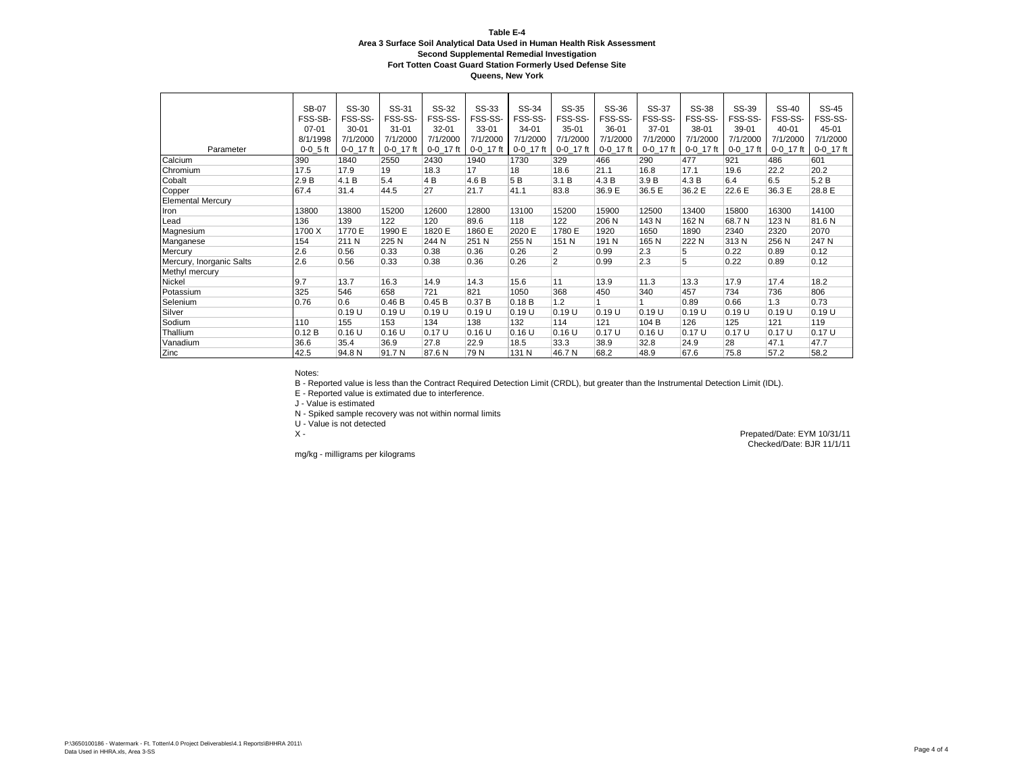**Queens, New York**

|                          | <b>SB-07</b> | SS-30     | SS-31       | SS-32     | SS-33       | SS-34          | SS-35          | SS-36       | SS-37       | SS-38       | SS-39       | SS-40       | SS-45       |
|--------------------------|--------------|-----------|-------------|-----------|-------------|----------------|----------------|-------------|-------------|-------------|-------------|-------------|-------------|
|                          | FSS-SB-      | FSS-SS-   | FSS-SS-     | FSS-SS-   | FSS-SS-     | FSS-SS-        | FSS-SS-        | FSS-SS-     | FSS-SS-     | FSS-SS-     | FSS-SS-     | FSS-SS-     | FSS-SS-     |
|                          | $07 - 01$    | $30 - 01$ | $31 - 01$   | 32-01     | 33-01       | 34-01          | $35-01$        | 36-01       | $37 - 01$   | $38-01$     | 39-01       | $40 - 01$   | 45-01       |
|                          | 8/1/1998     | 7/1/2000  | 7/1/2000    | 7/1/2000  | 7/1/2000    | 7/1/2000       | 7/1/2000       | 7/1/2000    | 7/1/2000    | 7/1/2000    | 7/1/2000    | 7/1/2000    | 7/1/2000    |
| Parameter                | $0-0.5$ ft   | 0-0 17 ft | $0-0$ 17 ft | 0-0 17 ft | $0-0$ 17 ft | 0-0 17 ft      | $0-0$ 17 ft    | $0-0$ 17 ft | $0-0$ 17 ft | $0-0$ 17 ft | $0-0$ 17 ft | $0-0$ 17 ft | $0-0$ 17 ft |
| Calcium                  | 390          | 1840      | 2550        | 2430      | 1940        | 1730           | 329            | 466         | 290         | 477         | 921         | 486         | 601         |
| Chromium                 | 17.5         | 17.9      | 19          | 18.3      | 17          | 18             | 18.6           | 21.1        | 16.8        | 17.1        | 19.6        | 22.2        | 20.2        |
| Cobalt                   | 2.9B         | 4.1 B     | 5.4         | 4B        | 4.6 B       | 5 <sub>B</sub> | 3.1 B          | 4.3 B       | 3.9 B       | 4.3B        | 6.4         | 6.5         | 5.2B        |
| Copper                   | 67.4         | 31.4      | 44.5        | 27        | 21.7        | 41.1           | 83.8           | 36.9 E      | 36.5 E      | 36.2 E      | 22.6 E      | 36.3 E      | 28.8 E      |
| <b>Elemental Mercury</b> |              |           |             |           |             |                |                |             |             |             |             |             |             |
| Iron                     | 13800        | 13800     | 15200       | 12600     | 12800       | 13100          | 15200          | 15900       | 12500       | 13400       | 15800       | 16300       | 14100       |
| Lead                     | 136          | 139       | 122         | 120       | 89.6        | 118            | 122            | 206 N       | 143 N       | 162 N       | 68.7 N      | 123 N       | 81.6N       |
| Magnesium                | 1700 X       | 1770 E    | 1990 E      | 1820 E    | 1860 E      | 2020 E         | 1780 E         | 1920        | 1650        | 1890        | 2340        | 2320        | 2070        |
| Manganese                | 154          | 211 N     | 225 N       | 244 N     | 251 N       | 255N           | 151 N          | 191 N       | 165N        | 222 N       | 313N        | 256 N       | 247 N       |
| Mercury                  | 2.6          | 0.56      | 0.33        | 0.38      | 0.36        | 0.26           | $\overline{2}$ | 0.99        | 2.3         | 5           | 0.22        | 0.89        | 0.12        |
| Mercury, Inorganic Salts | 2.6          | 0.56      | 0.33        | 0.38      | 0.36        | 0.26           | $\overline{2}$ | 0.99        | 2.3         | 5           | 0.22        | 0.89        | 0.12        |
| Methyl mercury           |              |           |             |           |             |                |                |             |             |             |             |             |             |
| Nickel                   | 9.7          | 13.7      | 16.3        | 14.9      | 14.3        | 15.6           | 11             | 13.9        | 11.3        | 13.3        | 17.9        | 17.4        | 18.2        |
| Potassium                | 325          | 546       | 658         | 721       | 821         | 1050           | 368            | 450         | 340         | 457         | 734         | 736         | 806         |
| Selenium                 | 0.76         | 0.6       | 0.46B       | 0.45 B    | 0.37B       | 0.18B          | 1.2            |             |             | 0.89        | 0.66        | 1.3         | 0.73        |
| Silver                   |              | 0.19U     | 0.19U       | 0.19U     | 0.19U       | 0.19U          | 0.19U          | 0.19U       | 0.19U       | 0.19U       | 0.19U       | 0.19U       | 0.19U       |
| Sodium                   | 110          | 155       | 153         | 134       | 138         | 132            | 114            | 121         | 104 B       | 126         | 125         | 121         | 119         |
| Thallium                 | 0.12B        | 0.16U     | 0.16U       | 0.17U     | 0.16U       | 0.16U          | 0.16 U         | 0.17U       | $0.16$ U    | 0.17U       | 0.17U       | 0.17U       | 0.17U       |
| Vanadium                 | 36.6         | 35.4      | 36.9        | 27.8      | 22.9        | 18.5           | 33.3           | 38.9        | 32.8        | 24.9        | 28          | 47.1        | 47.7        |
| Zinc                     | 42.5         | 94.8 N    | 91.7 N      | 87.6N     | 79 N        | 131 N          | 46.7 N         | 68.2        | 48.9        | 67.6        | 75.8        | 57.2        | 58.2        |

Notes:

B - Reported value is less than the Contract Required Detection Limit (CRDL), but greater than the Instrumental Detection Limit (IDL).

E - Reported value is extimated due to interference.

J - Value is estimated

N - Spiked sample recovery was not within normal limits

U - Value is not detected

mg/kg - milligrams per kilograms

Prepated/Date: EYM 10/31/11 Checked/Date: BJR 11/1/11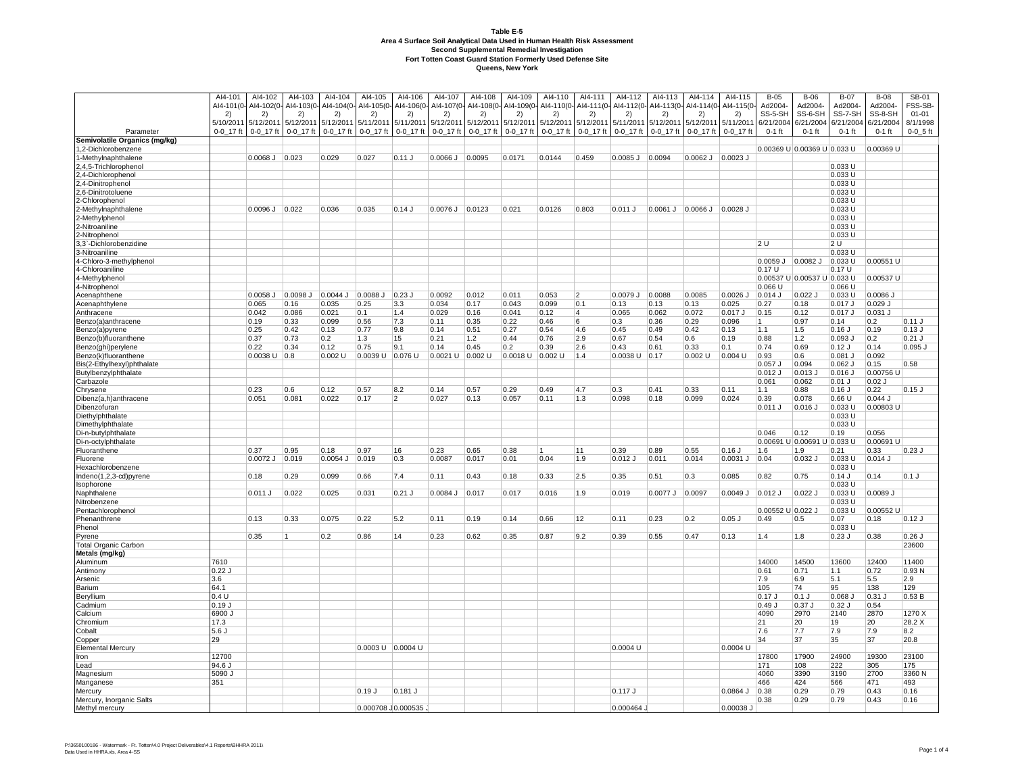|                                             | AI4-101        | AI4-102                     | AI4-103         | Al4-104          | AI4-105               | AI4-106         | AI4-107       | AI4-108                                | AI4-109          | Al4-110         | AI4-111         | Al4-112             | AI4-113                          | AI4-114                | Al4-115          | $B-05$                    | $B-06$                      | $B-07$                | $B-08$                | SB-01                |
|---------------------------------------------|----------------|-----------------------------|-----------------|------------------|-----------------------|-----------------|---------------|----------------------------------------|------------------|-----------------|-----------------|---------------------|----------------------------------|------------------------|------------------|---------------------------|-----------------------------|-----------------------|-----------------------|----------------------|
|                                             | 2)             | Al4-101(0- Al4-102(0-<br>2) | AI4-103(0<br>2) | AI4-104(0-<br>2) | AI4-105(0-<br>2)      | 2)              | 2)            | Al4-106(0- Al4-107(0- Al4-108(0-<br>2) | AI4-109(0-<br>2) | AI4-110(0<br>2) | AI4-111(0<br>2) | Al4-112(0-<br>2)    | AI4-113(0-<br>2)                 | AI4-114(0-<br>2)       | AI4-115(0-<br>2) | Ad2004-<br>SS-5-SH        | Ad2004-<br>SS-6-SH          | Ad2004-<br>SS-7-SH    | Ad2004-<br>SS-8-SH    | FSS-SB-<br>$01 - 01$ |
|                                             | 5/10/2011      | 5/12/2011                   | 5/12/2011       | 5/12/2011        | 5/11/2011             | 5/11/2011       | 5/12/2011     | 5/12/201                               | 5/12/2011        | 5/12/2011       | 5/12/201        | 5/11/2011           | 5/12/2011                        | 5/12/2011              | 5/11/201         | 6/21/2004                 | 6/21/2004                   | 6/21/2004             | 6/21/2004             | 8/1/1998             |
| Parameter                                   | 0-0 17 ft      | $0 - 0 - 17$ ft             | $0 - 0 - 17$ ft | $0 - 0 - 17$ ft  | 0-0_17 ft             | $0 - 0 - 17$ ft | $0 - 0$ 17 ft | $0 - 0 - 17$ ft                        | $0 - 0 - 17$ ft  | $0 - 0 - 17$ ft | 0-0_17 ft       | $0 - 0 - 17$ ft     | $0 - 0 - 17$ ft                  | 0-0_17 ft              | $0 - 0$ 17 ft    | $0-1$ ft                  | $0-1$ ft                    | $0-1$ ft              | $0-1$ ft              | $0 - 0 - 5$ ft       |
| Semivolatile Organics (mg/kg)               |                |                             |                 |                  |                       |                 |               |                                        |                  |                 |                 |                     |                                  |                        |                  |                           | 0.00369 U 0.00369 U 0.033 U |                       | 0.00369 U             |                      |
| 1,2-Dichlorobenzene<br>1-Methylnaphthalene  |                | $0.0068$ J $0.023$          |                 | 0.029            | 0.027                 | $0.11$ J        | $0.0066$ J    | 0.0095                                 | 0.0171           | 0.0144          | 0.459           | $0.0085$ J $0.0094$ |                                  | $0.0062$ J $ 0.0023$ J |                  |                           |                             |                       |                       |                      |
| 2,4,5-Trichlorophenol                       |                |                             |                 |                  |                       |                 |               |                                        |                  |                 |                 |                     |                                  |                        |                  |                           |                             | 0.033 U               |                       |                      |
| 2,4-Dichlorophenol                          |                |                             |                 |                  |                       |                 |               |                                        |                  |                 |                 |                     |                                  |                        |                  |                           |                             | 0.033 U               |                       |                      |
| 2,4-Dinitrophenol                           |                |                             |                 |                  |                       |                 |               |                                        |                  |                 |                 |                     |                                  |                        |                  |                           |                             | 0.033 U<br>0.033U     |                       |                      |
| 2,6-Dinitrotoluene<br>-Chlorophenol         |                |                             |                 |                  |                       |                 |               |                                        |                  |                 |                 |                     |                                  |                        |                  |                           |                             | 0.033 U               |                       |                      |
| -Methylnaphthalene                          |                | $0.0096$ J $0.022$          |                 | 0.036            | 0.035                 | 0.14J           | 0.0076 J      | 0.0123                                 | 0.021            | 0.0126          | 0.803           | 0.011 J             | $0.0061$ J $0.0066$ J $0.0028$ J |                        |                  |                           |                             | 0.033 U               |                       |                      |
| 2-Methylphenol                              |                |                             |                 |                  |                       |                 |               |                                        |                  |                 |                 |                     |                                  |                        |                  |                           |                             | 0.033 U               |                       |                      |
| 2-Nitroaniline                              |                |                             |                 |                  |                       |                 |               |                                        |                  |                 |                 |                     |                                  |                        |                  |                           |                             | 0.033 U               |                       |                      |
| 2-Nitrophenol<br>3,3`-Dichlorobenzidine     |                |                             |                 |                  |                       |                 |               |                                        |                  |                 |                 |                     |                                  |                        |                  | 2U                        |                             | 0.033 U<br>2 U        |                       |                      |
| 3-Nitroaniline                              |                |                             |                 |                  |                       |                 |               |                                        |                  |                 |                 |                     |                                  |                        |                  |                           |                             | 0.033 U               |                       |                      |
| 4-Chloro-3-methylphenol                     |                |                             |                 |                  |                       |                 |               |                                        |                  |                 |                 |                     |                                  |                        |                  | $0.0059$ J $0.0082$ J     |                             | $0.033$ U             | 0.00551 U             |                      |
| 4-Chloroaniline                             |                |                             |                 |                  |                       |                 |               |                                        |                  |                 |                 |                     |                                  |                        |                  | 0.17 U                    |                             | 0.17 U                |                       |                      |
| 4-Methylphenol<br>4-Nitrophenol             |                |                             |                 |                  |                       |                 |               |                                        |                  |                 |                 |                     |                                  |                        |                  | $0.066$ U                 | 0.00537 U 0.00537 U 0.033 U | 0.066 U               | 0.00537 U             |                      |
| Acenaphthene                                |                | 0.0058 J                    | 0.0098 J        | $0.0044$ J       | 0.0088 J              | $0.23$ J        | 0.0092        | 0.012                                  | 0.011            | 0.053           | 2               | 0.0079 J            | 0.0088                           | 0.0085                 | 0.0026           | $0.014$ J                 | 0.022.                      | 0.033 U               | $0.0086$ J            |                      |
| Acenaphthylene                              |                | 0.065                       | 0.16            | 0.035            | 0.25                  | 3.3             | 0.034         | 0.17                                   | 0.043            | 0.099           | 0.1             | 0.13                | 0.13                             | 0.13                   | 0.025            | 0.27                      | 0.18                        | 0.017 J               | $0.029$ J             |                      |
| Anthracene                                  |                | 0.042                       | 0.086           | 0.021            | 0.1                   | 1.4             | 0.029         | 0.16                                   | 0.041            | 0.12            | $\overline{A}$  | 0.065               | 0.062                            | 0.072                  | $0.017$ J        | 0.15                      | 0.12                        | $0.017$ J             | $0.031$ J             |                      |
| Benzo(a)anthracene                          |                | 0.19                        | 0.33            | 0.099            | 0.56                  | 7.3             | 0.11          | 0.35                                   | 0.22             | 0.46            | 6               | 0.3                 | 0.36                             | 0.29                   | 0.096            | 11                        | 0.97                        | 0.14                  | 0.2                   | 0.11 J               |
| Benzo(a)pyrene<br>Benzo(b)fluoranthene      |                | 0.25<br>0.37                | 0.42<br> 0.73   | 0.13<br>0.2      | 0.77<br>1.3           | 9.8<br>15       | 0.14<br>0.21  | 0.51<br>$1.2$                          | 0.27<br> 0.44    | 0.54<br>0.76    | 4.6<br>2.9      | 0.45<br>0.67        | 0.49<br>0.54                     | 0.42<br>0.6            | 0.13<br>0.19     | 1.1<br>0.88               | 1.5<br>$1.2$                | $0.16$ J<br>$0.093$ J | 0.19<br> 0.2          | $0.13$ J<br>$0.21$ J |
| Benzo(ghi)perylene                          |                | 0.22                        | 0.34            | 0.12             | 0.75                  | 9.1             | 0.14          | 0.45                                   | 0.2              | 0.39            | 2.6             | 0.43                | 0.61                             | 0.33                   | 0.1              | 0.74                      | 0.69                        | $0.12$ J              | 0.14                  | $0.095$ J            |
| Benzo(k)fluoranthene                        |                | $0.0038$ U $0.8$            |                 | $0.002$ U        | 0.0039 U              | 0.076 U         | 0.0021 U      | $0.002$ U                              | 0.0018 U         | $0.002$ U       | 1.4             | 0.0038 U            | 0.17                             | 0.002U                 | 0.004 U          | $ 0.93\rangle$            | 0.6                         | 0.081 J               | 0.092                 |                      |
| Bis(2-Ethylhexyl)phthalate                  |                |                             |                 |                  |                       |                 |               |                                        |                  |                 |                 |                     |                                  |                        |                  | $0.057$ J                 | 0.094                       | 0.062 J               | 0.15                  | 0.58                 |
| Butylbenzylphthalate                        |                |                             |                 |                  |                       |                 |               |                                        |                  |                 |                 |                     |                                  |                        |                  | $0.012$ J<br>0.061        | 0.013<br>0.062              | 0.016 J<br>$0.01$ J   | 0.00756 U<br>$0.02$ J |                      |
| Carbazole<br>Chrysene                       |                | 0.23                        | 0.6             | 0.12             | 0.57                  | 8.2             | 0.14          | 0.57                                   | 0.29             | 0.49            | 4.7             | 0.3                 | 0.41                             | 0.33                   | 0.11             | 1.1                       | 0.88                        | $0.16$ J              | 0.22                  | $0.15$ J             |
| Dibenz(a,h)anthracene                       |                | 0.051                       | 0.081           | 0.022            | 0.17                  | $\overline{2}$  | 0.027         | 0.13                                   | 0.057            | 0.11            | 1.3             | 0.098               | 0.18                             | 0.099                  | 0.024            | 0.39                      | 0.078                       | 0.66 U                | $0.044$ J             |                      |
| Dibenzofuran                                |                |                             |                 |                  |                       |                 |               |                                        |                  |                 |                 |                     |                                  |                        |                  | 0.011 J                   | 0.016                       | 0.033 U               | $0.00803$ U           |                      |
| Diethylphthalate                            |                |                             |                 |                  |                       |                 |               |                                        |                  |                 |                 |                     |                                  |                        |                  |                           |                             | 0.033 U<br>0.033U     |                       |                      |
| Dimethylphthalate<br>Di-n-butylphthalate    |                |                             |                 |                  |                       |                 |               |                                        |                  |                 |                 |                     |                                  |                        |                  | 0.046                     | 0.12                        | 0.19                  | 0.056                 |                      |
| Di-n-octylphthalate                         |                |                             |                 |                  |                       |                 |               |                                        |                  |                 |                 |                     |                                  |                        |                  | 0.00691                   | U 0.00691                   | U 0.033 U             | 0.00691 U             |                      |
| Fluoranthene                                |                | 0.37                        | 0.95            | 0.18             | 0.97                  | 16              | 0.23          | 0.65                                   | 0.38             | 11              | 11              | 0.39                | 0.89                             | 0.55                   | $0.16$ J         | 1.6                       | 1.9                         | 0.21                  | 0.33                  | 0.23J                |
| Fluorene                                    |                | 0.0072 J                    | 0.019           | $0.0054$ J       | 0.019                 | 0.3             | 0.0087        | 0.017                                  | 0.01             | 0.04            | 1.9             | 0.012 J             | 0.011                            | 0.014                  | 0.0031 J         | 0.04                      | $0.032$ J                   | 0.033 U               | $0.014$ J             |                      |
| Hexachlorobenzene<br>Indeno(1,2,3-cd)pyrene |                | 0.18                        | 0.29            | 0.099            | 0.66                  | 7.4             | 0.11          | 0.43                                   | 0.18             | 0.33            | 2.5             | 0.35                | 0.51                             | 0.3                    | 0.085            | 0.82                      | 0.75                        | 0.033 U<br>$0.14$ J   | 0.14                  | 0.1J                 |
| Isophorone                                  |                |                             |                 |                  |                       |                 |               |                                        |                  |                 |                 |                     |                                  |                        |                  |                           |                             | 0.033 U               |                       |                      |
| Naphthalene                                 |                | 0.011 J                     | 0.022           | 0.025            | 0.031                 | $0.21$ J        | 0.0084 J      | 0.017                                  | 0.017            | 0.016           | 1.9             | 0.019               | $0.0077$ J                       | 0.0097                 | 0.0049 J         | $0.012$ J                 | 0.022                       | 0.033 U               | 0.0089 J              |                      |
| Nitrobenzene                                |                |                             |                 |                  |                       |                 |               |                                        |                  |                 |                 |                     |                                  |                        |                  |                           |                             | 0.033 U               |                       |                      |
| Pentachlorophenol<br>Phenanthrene           |                | 0.13                        | 0.33            | 0.075            | 0.22                  | 5.2             | 0.11          | 0.19                                   | 0.14             | 0.66            | 12              | 0.11                | 0.23                             | 0.2                    | $0.05$ J         | 0.00552 U 0.022 J<br>0.49 | 0.5                         | 0.033 U<br>0.07       | 0.00552 U<br>0.18     | 0.12J                |
| Phenol                                      |                |                             |                 |                  |                       |                 |               |                                        |                  |                 |                 |                     |                                  |                        |                  |                           |                             | 0.033 U               |                       |                      |
| Pyrene                                      |                | 0.35                        | 11              | 0.2              | 0.86                  | 14              | 0.23          | 0.62                                   | 0.35             | 0.87            | 9.2             | 0.39                | 0.55                             | 0.47                   | 0.13             | 1.4                       | 1.8                         | $0.23$ J              | 0.38                  | $0.26$ J             |
| <b>Total Organic Carbon</b>                 |                |                             |                 |                  |                       |                 |               |                                        |                  |                 |                 |                     |                                  |                        |                  |                           |                             |                       |                       | 23600                |
| Metals (mg/kg)                              | 7610           |                             |                 |                  |                       |                 |               |                                        |                  |                 |                 |                     |                                  |                        |                  | 14000                     | 14500                       | 13600                 | 12400                 | 11400                |
| Aluminum<br>Antimony                        | 0.22J          |                             |                 |                  |                       |                 |               |                                        |                  |                 |                 |                     |                                  |                        |                  | 0.61                      | 0.71                        | 1.1                   | 0.72                  | 0.93N                |
| Arsenic                                     | 3.6            |                             |                 |                  |                       |                 |               |                                        |                  |                 |                 |                     |                                  |                        |                  | 7.9                       | 6.9                         | 5.1                   | 5.5                   | 2.9                  |
| Barium                                      | 64.1           |                             |                 |                  |                       |                 |               |                                        |                  |                 |                 |                     |                                  |                        |                  | 105                       | 74                          | 95                    | 138                   | 129                  |
| Beryllium                                   | 0.4 U          |                             |                 |                  |                       |                 |               |                                        |                  |                 |                 |                     |                                  |                        |                  | $0.17$ J                  | $0.1$ J                     | 0.068 J               | 0.31                  | 0.53B                |
| Cadmium<br>Calcium                          | 0.19J<br>6900J |                             |                 |                  |                       |                 |               |                                        |                  |                 |                 |                     |                                  |                        |                  | 0.49J<br>4090             | $0.37$ J<br>2970            | $0.32$ J<br>2140      | 0.54<br>2870          | 1270 X               |
| Chromium                                    | 17.3           |                             |                 |                  |                       |                 |               |                                        |                  |                 |                 |                     |                                  |                        |                  | 21                        | 20                          | 19                    | 20                    | 28.2 X               |
| Cobalt                                      | 5.6J           |                             |                 |                  |                       |                 |               |                                        |                  |                 |                 |                     |                                  |                        |                  | 7.6                       | 7.7                         | 7.9                   | 7.9                   | 8.2                  |
| Copper                                      | 29             |                             |                 |                  |                       |                 |               |                                        |                  |                 |                 |                     |                                  |                        |                  | 34                        | 37                          | 35                    | 37                    | 20.8                 |
| <b>Elemental Mercury</b><br>Iron            | 12700          |                             |                 |                  | $0.0003$ U $0.0004$ U |                 |               |                                        |                  |                 |                 | 0.0004 U            |                                  |                        | 0.0004 U         | 17800                     | 17900                       | 24900                 | 19300                 | 23100                |
| Lead                                        | 94.6 J         |                             |                 |                  |                       |                 |               |                                        |                  |                 |                 |                     |                                  |                        |                  | 171                       | 108                         | 222                   | 305                   | 175                  |
| Magnesium                                   | 5090J          |                             |                 |                  |                       |                 |               |                                        |                  |                 |                 |                     |                                  |                        |                  | 4060                      | 3390                        | 3190                  | 2700                  | 3360 N               |
| Manganese                                   | 351            |                             |                 |                  |                       |                 |               |                                        |                  |                 |                 |                     |                                  |                        |                  | 466                       | 424                         | 566                   | 471                   | 493                  |
| Mercury                                     |                |                             |                 |                  | 0.19J                 | $0.181$ J       |               |                                        |                  |                 |                 | 0.117 J             |                                  |                        | 0.0864 J         | 0.38<br>0.38              | 0.29<br>0.29                | 0.79<br>0.79          | 0.43<br>0.43          | 0.16                 |
| Mercury, Inorganic Salts<br>Methyl mercury  |                |                             |                 |                  | 0.000708 0.000535     |                 |               |                                        |                  |                 |                 | 0.000464            |                                  |                        | 0.00038 J        |                           |                             |                       |                       | 0.16                 |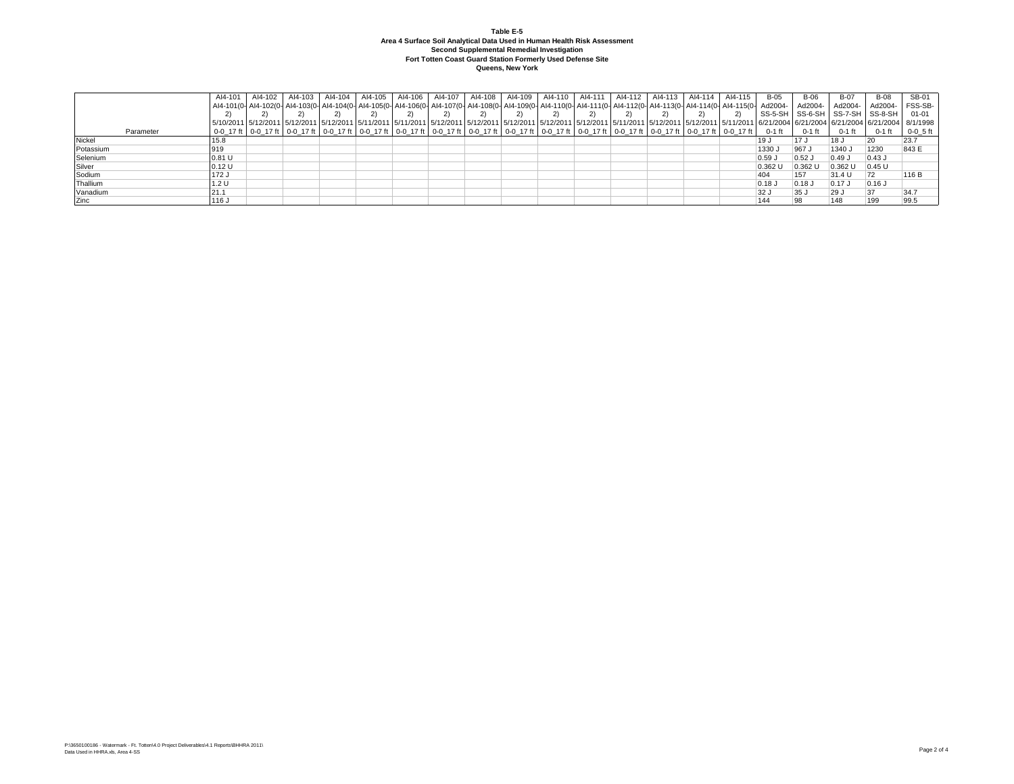|           | AI4-101 | Al4-102 | AI4-103 | Al4-104 | AI4-105                                                                                                                                                                                                                         | Al4-106 | AI4-107 AI4-108 | AI4-109 | AI4-110 | Al4-111   Al4-112 | AI4-113 AI4-114 | Al4-115 | B-05      | <b>B-06</b> | <b>B-07</b> | <b>B-08</b>                               | SB-01        |
|-----------|---------|---------|---------|---------|---------------------------------------------------------------------------------------------------------------------------------------------------------------------------------------------------------------------------------|---------|-----------------|---------|---------|-------------------|-----------------|---------|-----------|-------------|-------------|-------------------------------------------|--------------|
|           |         |         |         |         | -Al4-101(0- Al4-102(0- Al4-103(0- Al4-103(0- Al4-104(0- Al4-105(0- Al4-106(0- Al4-107(0- Al4-108(0- Al4-109(0- Al4-110(0- Al4-111(0- Al4-112(0- Al4-113(0- Al4-114(0- Al4-114(0- Al4-114)                                       |         |                 |         |         |                   |                 |         |           | Ad2004-     | Ad2004-     | Ad2004-                                   | FSS-SB-      |
|           |         |         |         |         |                                                                                                                                                                                                                                 |         |                 |         |         |                   |                 |         |           |             |             | I SS-5-SH I SS-6-SH I SS-7-SH I SS-8-SH I | 01-01        |
|           |         |         |         |         | 5/1/20011 5/12/2011 5/12/2011 5/12/2011 5/12/2011 5/11/2011 5/11/2011 5/12/2011 5/12/2011 5/12/2011 5/12/2011 5/12/2011 5/12/2011 5/12/2011 5/12/2011 5/12/2011 5/12/2011 5/12/2011 5/12/2011 5/12/2011 5/12/2011 5/12/2011 5/1 |         |                 |         |         |                   |                 |         |           |             |             |                                           |              |
| Parameter |         |         |         |         | 0-0 17 ft   0-0 17 ft   0-0 17 ft   0-0 17 ft   0-0 17 ft   0-0 17 ft   0-0 17 ft   0-0 17 ft   0-0 17 ft   0-0 17 ft   0-0 17 ft   0-0 17 ft   0-0 17 ft   0-0 17 ft   0-0 17 ft   0-0 17 ft   0-0 17 ft   0-1 17 ft   0-0 17  |         |                 |         |         |                   |                 |         |           | $0-1$ ft    | $0-1$ ft    | 0-1 ft                                    | $0 - 0.5$ ft |
| Nickel    | 15.8    |         |         |         |                                                                                                                                                                                                                                 |         |                 |         |         |                   |                 |         | 19 J      | 17 J        | 18 J        |                                           | 23.7         |
| Potassium | 919     |         |         |         |                                                                                                                                                                                                                                 |         |                 |         |         |                   |                 |         | 1330 J    | 967.        | 1340 J      | 1230                                      | 843 E        |
| Selenium  | 0.81U   |         |         |         |                                                                                                                                                                                                                                 |         |                 |         |         |                   |                 |         | $0.59$ J  | $0.52$ J    | 0.49J       | $0.43$ J                                  |              |
| Silver    | 0.12U   |         |         |         |                                                                                                                                                                                                                                 |         |                 |         |         |                   |                 |         | $0.362$ U | 0.362 U     | $0.362$ U   | 0.45 U                                    |              |
| Sodium    | 172J    |         |         |         |                                                                                                                                                                                                                                 |         |                 |         |         |                   |                 |         | 404       | 157         | 31.4 U      |                                           | 116 B        |
| Thallium  | 1.2 U   |         |         |         |                                                                                                                                                                                                                                 |         |                 |         |         |                   |                 |         | $0.18$ J  | $0.18$ J    | $0.17$ J    | $0.16$ J                                  |              |
| Vanadium  | 21.1    |         |         |         |                                                                                                                                                                                                                                 |         |                 |         |         |                   |                 |         | 32 J      | 35 J        | $ 29$ J     |                                           | 34.7         |
| Zinc      | 116 J   |         |         |         |                                                                                                                                                                                                                                 |         |                 |         |         |                   |                 |         | 144       |             | 148         | 199                                       | 99.5         |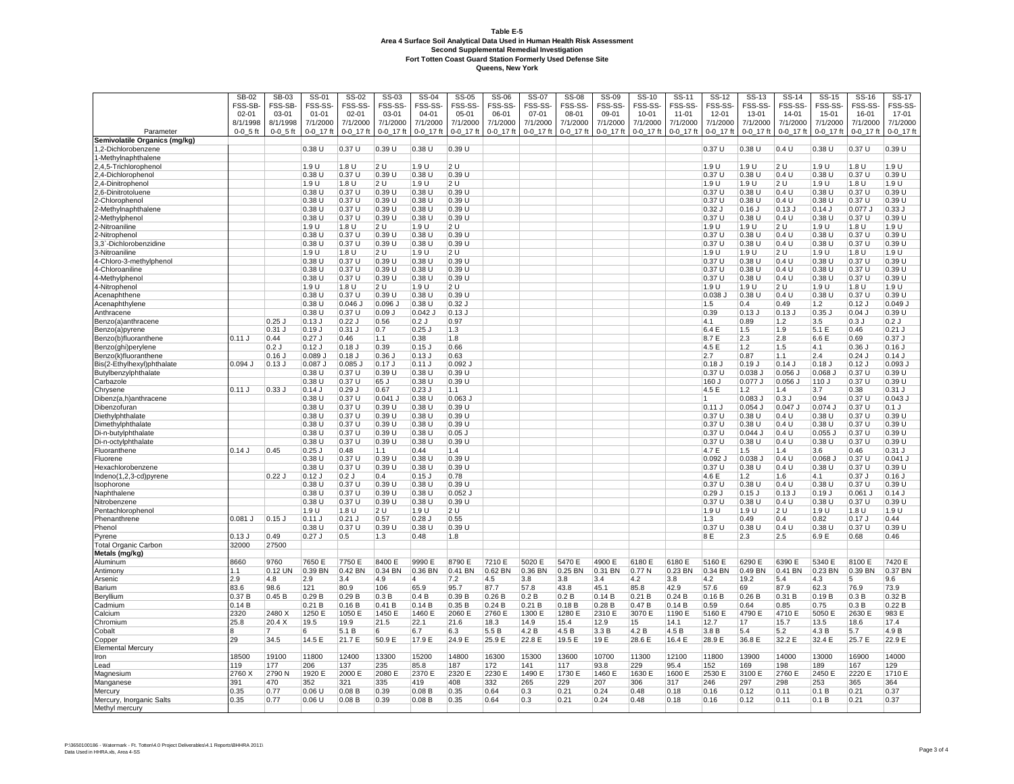|                                         | SB-02          | <b>SB-03</b>   | SS-01              | SS-02          | $SS-03$           | SS-04             | $SS-05$         | $SS-06$         | SS-07           | <b>SS-08</b>      | SS-09           | $SS-10$         | SS-11           | $SS-12$                 | SS-13            | <b>SS-14</b>    | $SS-15$         | SS-16         | SS-17                 |
|-----------------------------------------|----------------|----------------|--------------------|----------------|-------------------|-------------------|-----------------|-----------------|-----------------|-------------------|-----------------|-----------------|-----------------|-------------------------|------------------|-----------------|-----------------|---------------|-----------------------|
|                                         | FSS-SB         | FSS-SB-        | FSS-SS-            | FSS-SS         | FSS-SS-           | FSS-SS-           | FSS-SS          | FSS-SS-         | FSS-SS-         | FSS-SS-           | FSS-SS          | FSS-SS-         | FSS-SS-         | FSS-SS-                 | FSS-SS-          | FSS-SS-         | FSS-SS-         | FSS-SS-       | FSS-SS-               |
|                                         | $02 - 01$      | 03-01          | $01 - 01$          | $02 - 01$      | 03-01             | 04-01             | $05 - 01$       | 06-01           | $07 - 01$       | 08-01             | 09-01           | $10 - 01$       | 11-01           | 12-01                   | 13-01            | 14-01           | 15-01           | 16-01         | 17-01                 |
|                                         | 8/1/1998       | 8/1/1998       | 7/1/2000           | 7/1/2000       | 7/1/2000          | 7/1/2000          | 7/1/2000        | 7/1/2000        | 7/1/2000        | 7/1/2000          | 7/1/2000        | 7/1/2000        | 7/1/2000        | 7/1/2000                | 7/1/2000         | 7/1/2000        | 7/1/2000        | 7/1/2000      | 7/1/2000              |
| Parameter                               | $0 - 0 - 5$ ft | $0 - 0 - 5$ ft | $0 - 0 - 17$ ft    | 0-0_17 ft      | $0 - 0 - 17$ ft   | $0 - 0 - 17$ ft   | $0 - 0 - 17$ ft | $0 - 0 - 17$ ft | $0 - 0 - 17$ ft | 0-0_17 ft         | $0 - 0 - 17$ ft | $0 - 0 - 17$ ft | $0 - 0 - 17$ ft | $0 - 0 - 17$ ft         | 0-0_17 ft        | $0 - 0 - 17$ ft | $0 - 0 - 17$ ft | 0-0_17 ft     | 0-0_17 ft             |
| Semivolatile Organics (mg/kg)           |                |                |                    |                |                   |                   |                 |                 |                 |                   |                 |                 |                 |                         |                  |                 |                 |               |                       |
| ,2-Dichlorobenzene                      |                |                | 0.38U              | 0.37U          | 0.39U             | 0.38U             | 0.39 U          |                 |                 |                   |                 |                 |                 | 0.37U                   | 0.38U            | 0.4 U           | 0.38 U          | 0.37U         | 0.39U                 |
| -Methylnaphthalene                      |                |                |                    |                |                   |                   |                 |                 |                 |                   |                 |                 |                 |                         |                  |                 |                 |               |                       |
| 2,4,5-Trichloropheno                    |                |                | 1.9 U              | 1.8 U          | 2 U               | 1.9 U             | 2U              |                 |                 |                   |                 |                 |                 | 1.9 U                   | 1.9 U            | 2 U             | 1.9 U           | 1.8U          | 1.9 U                 |
| 2,4-Dichlorophenol<br>2,4-Dinitrophenol |                |                | 0.38 U<br>1.9 U    | 0.37U<br>1.8 U | 0.39 U<br>2U      | 0.38 U<br>1.9 U   | 0.39L<br>2U     |                 |                 |                   |                 |                 |                 | 0.37 U<br>1.9 U         | 0.38U<br>1.9 U   | 0.4 U<br>2U     | 0.38 U<br>1.9 U | 0.37U<br>1.8U | 0.39U<br>1.9 U        |
| .6-Dinitrotoluene                       |                |                | 0.38U              | 0.37U          | 0.39U             | 0.38U             | 0.39L           |                 |                 |                   |                 |                 |                 | 0.37U                   | 0.38U            | 0.4 U           | 0.38U           | 0.37U         | 0.39U                 |
| -Chlorophenol                           |                |                | 0.38 U             | 0.37U          | 0.39 U            | 0.38U             | 0.39 U          |                 |                 |                   |                 |                 |                 | 0.37 U                  | $0.38$ U         | 0.4 U           | 0.38 U          | 0.37 U        | 0.39 U                |
| -Methylnaphthalene                      |                |                | 0.38 U             | 0.37 U         | 0.39 U            | 0.38U             | 0.39 U          |                 |                 |                   |                 |                 |                 | $0.32$ J                | 0.16             | $0.13$ J        | $0.14$ J        | 0.077 J       | 0.33J                 |
| -Methylphenol                           |                |                | 0.38 U             | 0.37 U         | 0.39 U            | 0.38U             | 0.39 U          |                 |                 |                   |                 |                 |                 | 0.37 U                  | 0.38U            | 0.4 U           | 0.38 U          | 0.37 U        | 0.39 U                |
| -Nitroaniline                           |                |                | 1.9 U              | 1.8 U          | 2U                | 1.9 U             | 2 U             |                 |                 |                   |                 |                 |                 | 1.9 U                   | 1.9 U            | 2 U             | 1.9 U           | 1.8U          | 1.9 U                 |
| 2-Nitrophenol                           |                |                | 0.38 U             | 0.37U          | 0.39U             | 0.38U             | 0.39 U          |                 |                 |                   |                 |                 |                 | 0.37 U                  | 0.38U            | 0.4 U           | 0.38 U          | 0.37 U        | 0.39U                 |
| .3`-Dichlorobenzidine                   |                |                | 0.38 U             | 0.37 U         | 0.39 U            | 0.38U             | 0.39 U          |                 |                 |                   |                 |                 |                 | 0.37 U                  | $0.38$ U         | 0.4 U           | 0.38 U          | 0.37 U        | 0.39U                 |
| 3-Nitroaniline                          |                |                | 1.9 U              | 1.8 U          | 2 U               | 1.9 U             | 2 U             |                 |                 |                   |                 |                 |                 | 1.9 U                   | 1.9 U            | 2 U             | 1.9 U           | 1.8U          | 1.9 U                 |
| 4-Chloro-3-methylphenol                 |                |                | 0.38 U             | 0.37U          | 0.39 U            | 0.38U             | 0.39L           |                 |                 |                   |                 |                 |                 | 0.37 U                  | 0.38 U           | 0.4 U           | 0.38 U          | 0.37 U        | 0.39U                 |
| 4-Chloroaniline                         |                |                | 0.38 U             | 0.37U          | 0.39U             | 0.38U             | 0.39U           |                 |                 |                   |                 |                 |                 | 0.37U                   | 0.38U            | 0.4 U           | 0.38 U          | 0.37U         | 0.39U                 |
| 4-Methylpheno                           |                |                | 0.38 U             | 0.37U          | 0.39U             | 0.38U             | 0.39U           |                 |                 |                   |                 |                 |                 | 0.37U                   | 0.38U            | 0.4 U           | 0.38 U          | 0.37U         | 0.39U                 |
| 4-Nitrophenol                           |                |                | 1.9 U              | 1.8 U          | 2U                | 1.9 U             | 2 U             |                 |                 |                   |                 |                 |                 | 1.9 U                   | 1.9 U            | 2 U             | 1.9 U           | 1.8U          | 1.9 U                 |
| Acenaphthene                            |                |                | 0.38 U             | 0.37U          | 0.39U             | 0.38U             | 0.39L           |                 |                 |                   |                 |                 |                 | 0.038                   | 0.38 U           | 0.4 U           | 0.38 U          | 0.37U         | 0.39U                 |
| Acenaphthylene                          |                |                | 0.38 U             | $0.046$ J      | 0.096             | 0.38U             | $0.32$ J        |                 |                 |                   |                 |                 |                 | 1.5                     | 0.4              | 0.49            | 1.2             | $0.12$ J      | 0.049.                |
| Anthracene                              |                |                | 0.38U              | 0.37U          | 0.09J             | $0.042$ J         | $0.13$ J        |                 |                 |                   |                 |                 |                 | 0.39                    | 0.13.            | 0.13            | $0.35$ J        | $0.04$ J      | 0.39U                 |
| Benzo(a)anthracene                      |                | 0.25           | $0.13$ J           | 0.22J          | 0.56              | 0.2J              | 0.97            |                 |                 |                   |                 |                 |                 | 4.1                     | 0.89             | 1.2             | 3.5             | 0.3J          | 0.2J                  |
| Benzo(a)pyrene                          |                | $0.31$ J       | $0.19$ J           | $0.31$ J       | 0.7               | $0.25$ J          | 1.3             |                 |                 |                   |                 |                 |                 | 6.4 E                   | 1.5              | 1.9             | 5.1 E           | 0.46          | $0.21$ J              |
| Benzo(b)fluoranthene                    | 0.11J          | 0.44           | $0.27$ J           | 0.46           | 1.1               | 0.38              | 1.8             |                 |                 |                   |                 |                 |                 | 8.7 E                   | 2.3              | 2.8             | 6.6 E           | 0.69          | 0.37J                 |
| Benzo(ghi)perylene                      |                | 0.2J           | $0.12$ J           | $0.18$ $J$     | 0.39              | $0.15$ J          | 0.66            |                 |                 |                   |                 |                 |                 | 4.5 E                   | 1.2              | 1.5             | 4.1             | 0.36.         | 0.16J                 |
| Benzo(k)fluoranthene                    |                | $0.16$ J       | 0.089 J            | 0.18J          | $0.36$ J          | $0.13$ J          | 0.63            |                 |                 |                   |                 |                 |                 | 2.7                     | 0.87             | 1.1             | 2.4             | $0.24$ J      | $0.14$ J              |
| Bis(2-Ethylhexyl)phthalate              | 0.094J         | $0.13$ J       | 0.087              | $0.085$ $J$    | $0.17$ J          | $0.11$ J          | 0.092.          |                 |                 |                   |                 |                 |                 | $0.18$ J                | 0.19J            | $0.14$ J        | $0.18$ J        | $0.12$ J      | 0.093.                |
| Butylbenzylphthalate                    |                |                | 0.38 U             | 0.37U          | 0.39 U            | 0.38U             | 0.39 U          |                 |                 |                   |                 |                 |                 | 0.37L                   | 0.038 J          | 0.056 J         | 0.068           | 0.37 U        | 0.39 U                |
| Carbazole                               |                |                | 0.38 U             | 0.37U          | 65 J              | 0.38 U            | 0.39 U          |                 |                 |                   |                 |                 |                 | 160 J                   | 0.077 J          | 0.056 J         | 110 J           | 0.37 U        | 0.39U                 |
| Chrysene                                | 0.11J          | 0.33J          | $0.14$ J<br>0.38 U | 0.29J<br>0.37U | 0.67<br>$0.041$ J | $0.23$ J<br>0.38U | 1.1 <br>0.063   |                 |                 |                   |                 |                 |                 | 4.5 E<br>$\overline{1}$ | 1.2<br>$0.083$ J | 1.4<br>0.3J     | 3.7<br>0.94     | 0.38<br>0.37U | 0.31 J<br>$0.043$ $J$ |
| Dibenz(a,h)anthracene<br>Dibenzofurar   |                |                | 0.38 U             | 0.37U          | 0.39U             | 0.38U             | 0.39 U          |                 |                 |                   |                 |                 |                 | $0.11$ J                | $0.054$ J        | $0.047$ J       | 0.074           | 0.37U         | $0.1$ J               |
| Diethylphthalate                        |                |                | 0.38 U             | 0.37U          | 0.39U             | 0.38U             | 0.39L           |                 |                 |                   |                 |                 |                 | 0.37 U                  | 0.38U            | 0.4 U           | 0.38 U          | 0.37U         | 0.39U                 |
| Dimethylphthalate                       |                |                | 0.38 U             | 0.37U          | 0.39U             | 0.38U             | 0.39L           |                 |                 |                   |                 |                 |                 | 0.37 U                  | 0.38U            | 0.4 U           | 0.38 U          | 0.37U         | 0.39U                 |
| Di-n-butylphthalate                     |                |                | 0.38 U             | 0.37U          | 0.39U             | $0.38$ U          | $0.05$ J        |                 |                 |                   |                 |                 |                 | 0.37 U                  | $0.044$ J        | 0.4 U           | 0.055           | 0.37 U        | 0.39U                 |
| Di-n-octylphthalate                     |                |                | 0.38 U             | 0.37U          | 0.39 U            | 0.38U             | 0.39 U          |                 |                 |                   |                 |                 |                 | 0.37 U                  | 0.38U            | 0.4 U           | 0.38 U          | 0.37 U        | 0.39 U                |
| Fluoranthene                            | 0.14J          | 0.45           | $0.25$ J           | 0.48           | 1.1               | 0.44              | 1.4             |                 |                 |                   |                 |                 |                 | 4.7 E                   | 1.5              | 1.4             | 3.6             | 0.46          | 0.31J                 |
| Fluorene                                |                |                | 0.38 U             | 0.37U          | 0.39U             | 0.38U             | 0.39U           |                 |                 |                   |                 |                 |                 | 0.092.                  | 0.038            | 0.4 U           | $0.068$ J       | 0.37 U        | $0.041$ J             |
| Hexachlorobenzene                       |                |                | 0.38 U             | 0.37 U         | 0.39 U            | 0.38U             | 0.39 U          |                 |                 |                   |                 |                 |                 | 0.37 U                  | 0.38U            | 0.4 U           | 0.38 U          | 0.37 U        | 0.39U                 |
| Indeno(1,2,3-cd)pyrene                  |                | 0.22J          | $0.12$ J           | 0.2J           | 0.4               | $0.15$ J          | 0.78            |                 |                 |                   |                 |                 |                 | 4.6 E                   | 1.2              | 1.6             | 4.1             | 0.37J         | $0.16$ J              |
| Isophorone                              |                |                | 0.38 U             | 0.37U          | 0.39 U            | 0.38U             | 0.39 U          |                 |                 |                   |                 |                 |                 | 0.37 U                  | 0.38U            | 0.4 U           | 0.38 U          | 0.37 U        | 0.39U                 |
| Naphthalene                             |                |                | 0.38 U             | 0.37 U         | 0.39 U            | 0.38 U            | 0.052.          |                 |                 |                   |                 |                 |                 | $0.29$ J                | $0.15$ J         | $0.13$ J        | $0.19$ J        | $0.061$ J     | $0.14$ J              |
| Nitrobenzene                            |                |                | 0.38 U             | 0.37U          | 0.39 U            | 0.38U             | 0.39 U          |                 |                 |                   |                 |                 |                 | 0.37 U                  | 0.38U            | 0.4 U           | 0.38 U          | 0.37U         | 0.39U                 |
| Pentachlorophenol                       |                |                | 1.9 U              | 1.8 U          | 2 U               | 1.9 U             | 2 U             |                 |                 |                   |                 |                 |                 | 1.9 U                   | 1.9 U            | 2 U             | 1.9 U           | 1.8 U         | 1.9 U                 |
| Phenanthrene                            | $0.081$ J      | $0.15$ J       | $0.11$ J           | $0.21$ J       | 0.57              | $0.28$ $J$        | 0.55            |                 |                 |                   |                 |                 |                 | 1.3                     | 0.49             | 0.4             | 0.82            | 0.17.         | 0.44                  |
| Phenol                                  |                |                | 0.38 U             | 0.37U          | 0.39 U            | 0.38U             | 0.39L           |                 |                 |                   |                 |                 |                 | 0.37 U                  | 0.38U            | 0.4 U           | 0.38 U          | 0.37U         | 0.39U                 |
| Pyrene                                  | 0.13J          | 0.49           | $0.27$ J           | 0.5            | 1.3               | 0.48              | 1.8             |                 |                 |                   |                 |                 |                 | 8 E                     | 2.3              | 2.5             | 6.9 E           | 0.68          | 0.46                  |
| <b>Total Organic Carbon</b>             | 32000          | 27500          |                    |                |                   |                   |                 |                 |                 |                   |                 |                 |                 |                         |                  |                 |                 |               |                       |
| Metals (mg/kg)                          |                |                |                    |                |                   |                   |                 |                 |                 |                   |                 |                 |                 |                         |                  |                 |                 |               |                       |
| Aluminum                                | 8660           | 9760           | 7650 E             | 7750 E         | 8400 E            | 9990 E            | 8790 E          | 7210 E          | 5020 E          | 5470 E            | 4900 E          | 6180 E          | 6180 E          | 5160 E                  | 6290 E           | 6390 E          | 5340 E          | 8100 E        | 7420 E                |
| Antimony                                | $\cdot$ 1      | 0.12 UN        | 0.39 BN            | 0.42 BN        | 0.34 BN           | 0.36 BN           | 0.41 BN         | 0.62 BN         | 0.36 BN         | 0.25 BN           | 0.31 BN         | 0.77N           | 0.23 BN         | 0.34 BN                 | 0.49 BN          | 0.41 BN         | 0.23 BN         | 0.39 BN       | 0.37 BN               |
| Arsenic                                 | 2.9            | 4.8            | 2.9                | 3.4            | 4.9               | 4                 | 7.2             | 4.5             | 3.8             | 3.8               | 3.4             | 4.2             | 3.8             | 4.2                     | 19.2             | 5.4             | 4.3             | 5             | 9.6                   |
| Barium                                  | 33.6<br>0.37 B | 98.6<br>0.45B  | 121<br>0.29B       | 80.9<br>0.29B  | 106               | 65.9<br>0.4B      | 95.7<br>0.39B   | 87.7            | 57.8            | 43.8<br>0.2 B     | 45.1            | 85.8<br>0.21B   | 42.9<br>0.24B   | 57.6<br>0.16B           | 69               | 87.9            | 62.3<br>0.19B   | 76.9<br>0.3B  | 73.9<br>0.32B         |
| Beryllium<br>Cadmium                    | 0.14B          |                | 0.21 B             | 0.16B          | 0.3B<br>0.41B     | 0.14B             | 0.35B           | 0.26B<br>0.24B  | 0.2 B<br>0.21 B | 0.18 <sub>B</sub> | 0.14B<br>0.28B  | 0.47B           | 0.14B           | 0.59                    | 0.26B<br>0.64    | 0.31 B<br>0.85  | 0.75            | 0.3B          | 0.22B                 |
| Calcium                                 | 2320           | 2480 X         | 1250 E             | 1050 E         | 1450 E            | 1460 E            | 2060 E          | 2760 E          | 1300 E          | 1280 E            | 2310 E          | 3070 E          | 1190 E          | 5160 E                  | 4790 E           | 4710 E          | 5050 E          | 2630 E        | 983 E                 |
| Chromiun                                | 25.8           | 20.4 X         | 19.5               | 19.9           | 21.5              | 22.1              | 21.6            | 18.3            | 14.9            | 15.4              | 12.9            | 15              | 14.1            | 12.7                    | 17               | 15.7            | 13.5            | 18.6          | 17.4                  |
| Cobalt                                  |                | 7              | 6                  | 5.1 B          | 6                 | 6.7               | 6.3             | 5.5 B           | 4.2 B           | 4.5 B             | 3.3 B           | 4.2 B           | 4.5 B           | 3.8 B                   | 5.4              | 5.2             | 4.3 B           | 5.7           | 4.9 B                 |
| Copper                                  | 29             | 34.5           | 14.5 E             | 21.7 E         | 50.9 E            | 17.9 E            | 24.9 E          | 25.9 E          | 22.8 E          | 19.5 E            | 19 E            | 28.6 E          | 16.4 E          | 28.9 E                  | 36.8 E           | 32.2 E          | 32.4 E          | 25.7 E        | 22.9 E                |
| <b>Elemental Mercury</b>                |                |                |                    |                |                   |                   |                 |                 |                 |                   |                 |                 |                 |                         |                  |                 |                 |               |                       |
| Iron                                    | 18500          | 19100          | 11800              | 12400          | 13300             | 15200             | 14800           | 16300           | 15300           | 13600             | 10700           | 11300           | 12100           | 11800                   | 13900            | 14000           | 13000           | 16900         | 14000                 |
| Lead                                    | 119            | 177            | 206                | 137            | 235               | 85.8              | 187             | 172             | 141             | 117               | 93.8            | 229             | 95.4            | 152                     | 169              | 198             | 189             | 167           | 129                   |
| Magnesium                               | 2760 X         | 2790 N         | 1920 E             | 2000 E         | 2080 E            | 2370 E            | 2320 E          | 2230 E          | 1490 E          | 1730 E            | 1460 E          | 1630 E          | 1600 E          | 2530 E                  | 3100 E           | 2760 E          | 2450 E          | 2220 E        | 1710 E                |
| Manganese                               | 391            | 470            | 352                | 321            | 335               | 419               | 408             | 332             | 265             | 229               | 207             | 306             | 317             | 246                     | 297              | 298             | 253             | 365           | 364                   |
| Mercury                                 | 0.35           | 0.77           | 0.06 U             | 0.08B          | 0.39              | 0.08B             | 0.35            | 0.64            | 0.3             | 0.21              | 0.24            | 0.48            | 0.18            | 0.16                    | 0.12             | 0.11            | 0.1 B           | 0.21          | 0.37                  |
| Mercury, Inorganic Salts                | 0.35           | 0.77           | 0.06 U             | 0.08B          | 0.39              | 0.08B             | 0.35            | 0.64            | 0.3             | 0.21              | 0.24            | 0.48            | 0.18            | 0.16                    | 0.12             | 0.11            | 0.1 B           | 0.21          | 0.37                  |
| Methyl mercury                          |                |                |                    |                |                   |                   |                 |                 |                 |                   |                 |                 |                 |                         |                  |                 |                 |               |                       |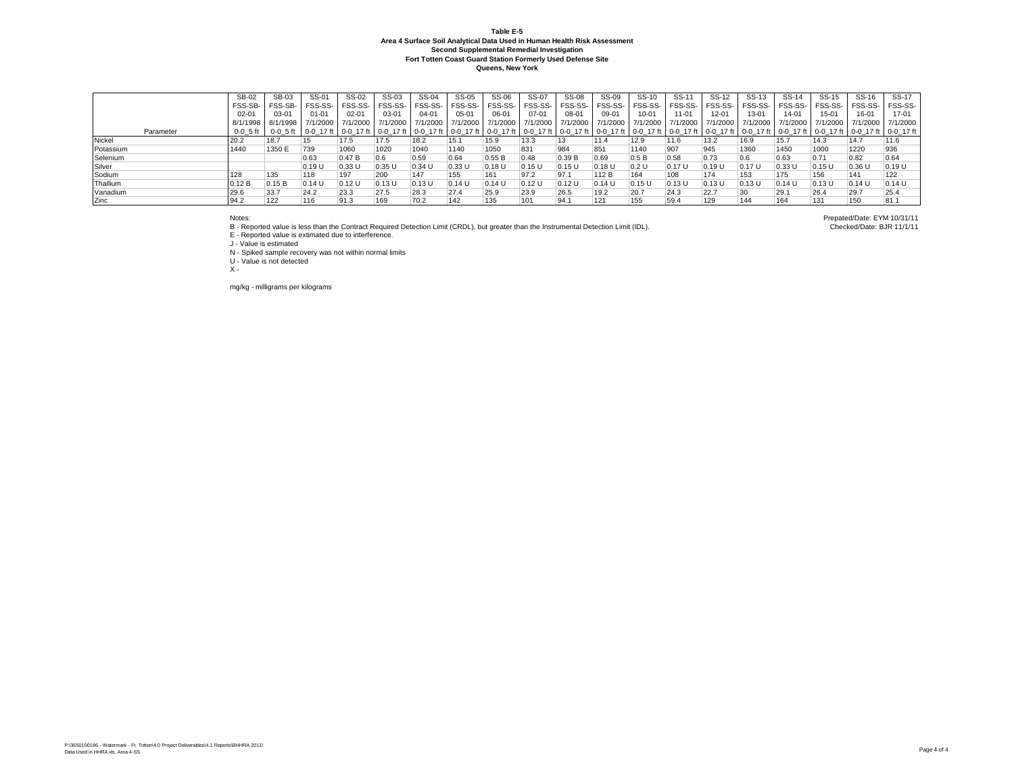|           | SB-02        | SB-03        | SS-01     | SS-02     | SS-03    | SS-04    | SS-05     | SS-06    | SS-07             | <b>SS-08</b> | SS-09    | SS-10          | SS-11     | SS-12     | SS-13     | SS-14                                                                                                                                                                                                                         | SS-15     | SS-16    | SS-17     |
|-----------|--------------|--------------|-----------|-----------|----------|----------|-----------|----------|-------------------|--------------|----------|----------------|-----------|-----------|-----------|-------------------------------------------------------------------------------------------------------------------------------------------------------------------------------------------------------------------------------|-----------|----------|-----------|
|           | FSS-SB-      | FSS-SB-      | FSS-SS-   | FSS-SS-   | FSS-SS-  | FSS-SS-  | FSS-SS-   | FSS-SS-  | FSS-SS-           | FSS-SS-      | FSS-SS-  | <b>FSS-SS-</b> | FSS-SS-   | FSS-SS    | FSS-SS-   | FSS-SS-                                                                                                                                                                                                                       | FSS-SS-   | FSS-SS-  | FSS-SS-   |
|           | $02 - 01$    | 03-01        | $01 - 01$ | $02 - 01$ | 03-01    | 04-01    | $05 - 01$ | 06-01    | $07 - 01$         | 08-01        | 09-01    | 10-01          | $11 - 01$ | $12 - 01$ | $13 - 01$ | $14 - 01$                                                                                                                                                                                                                     | 15-01     | 16-01    | $17 - 01$ |
|           | 8/1/1998     | , 8/1/1998 L | 7/1/2000  | 7/1/2000  | 7/1/2000 | 7/1/2000 | 7/1/2000  | 7/1/2000 | 7/1/2000 7/1/2000 |              | 7/1/2000 | 7/1/2000       | 7/1/2000  | 7/1/2000  | 7/1/2000  | 7/1/2000 L                                                                                                                                                                                                                    | 7/1/2000  | 7/1/2000 | 7/1/2000  |
| Parameter | $0 - 0$ 5 ft |              |           |           |          |          |           |          |                   |              |          |                |           |           |           | 0-0 5 ft   0-0 17 ft   0-0 17 ft   0-0 17 ft   0-0 17 ft   0-0 17 ft   0-0 17 ft   0-0 17 ft   0-0 17 ft   0-0 17 ft   0-0 17 ft   0-0 17 ft   0-0 17 ft   0-0 17 ft   0-0 17 ft   0-0 17 ft   0-0 17 ft   0-0 17 ft   0-0 17 |           |          |           |
| Nickel    | 20.2         | 18.7         |           | 17.5      | 17.5     | 18.2     | 15.1      | 15.9     | 13.3              | 13           | 11.4     | 12.9           | 11.6      | 13.2      | 16.9      | 15.7                                                                                                                                                                                                                          | 14.3      | 14.7     | 11.6      |
| Potassium | 1440         | 1350 E       | 739       | 1060      | 1020     | 1040     | 1140      | 1050     | 831               | 984          | 851      | 1140           | 907       | 945       | 1360      | 1450                                                                                                                                                                                                                          | 1000      | 1220     | 936       |
| Selenium  |              |              | 0.63      | 0.47B     | 0.6      | 0.59     | 0.64      | 0.55B    | 0.48              | 0.39B        | 0.69     | 0.5B           | 0.58      | 0.73      |           | 0.63                                                                                                                                                                                                                          | 0.71      | 0.82     | 0.64      |
| Silver    |              |              | 0.19L     | 0.33 U    | 0.35U    | 0.34U    | 0.33U     | 0.18U    | 0.15U             | $0.15$ U     | 0.18U    | 0.2 U          | 0.17 U    | 0.19U     | 0.17U     | 0.33U                                                                                                                                                                                                                         | $ 0.15$ U | 0.36U    | 0.19U     |
| Sodium    | 128          | 135          | 118       | 197       | 200      | 147      | 155       | 161      | 97.2              | 97.1         | 112B     | 164            | 108       | 174       | 153       | 175                                                                                                                                                                                                                           | 156       | 141      | 122       |
| Thallium  | 0.12 B       | 0.15B        | 0.14U     | 0.12U     | 0.13U    | 0.13 U   | 0.14U     | $0.14$ U | 0.12 U            | 0.12 U       | $0.14$ U | 0.15 U         | 0.13L     | 0.13U     | 0.13U     | 0.14U                                                                                                                                                                                                                         | 0.13U     | 0.14U    | 0.14U     |
| Vanadium  | 29.6         | 33.7         | 24.2      | 23.3      | 27.5     | 28.3     | 27.4      | 25.9     | 23.9              | 26.5         | 19.2     | 20.7           | 24.3      | 22.7      |           | 29.1                                                                                                                                                                                                                          | 26.4      | 129.7    | 25.4      |
| Zinc      | 94.2         | 122          | 116       | 91.3      | 169      | 70.2     | 142       | 135      | 101               | 94.1         | 121      | 155            | 59.4      | 129       | 144       | 164                                                                                                                                                                                                                           | 131       | 150      | 81.1      |

Notes: Prepated/Date: EYM 10/31/11<br>B - Reported value is less than the Contract Required Detection Limit (CRDL), but greater than the Instrumental Detection Limit (IDL). Checked/Date: BJR 11/1/11 (IDL).

E - Reported value is extimated due to interference. J - Value is estimated

N - Spiked sample recovery was not within normal limits

U - Value is not detected

 $\bar{x}$  -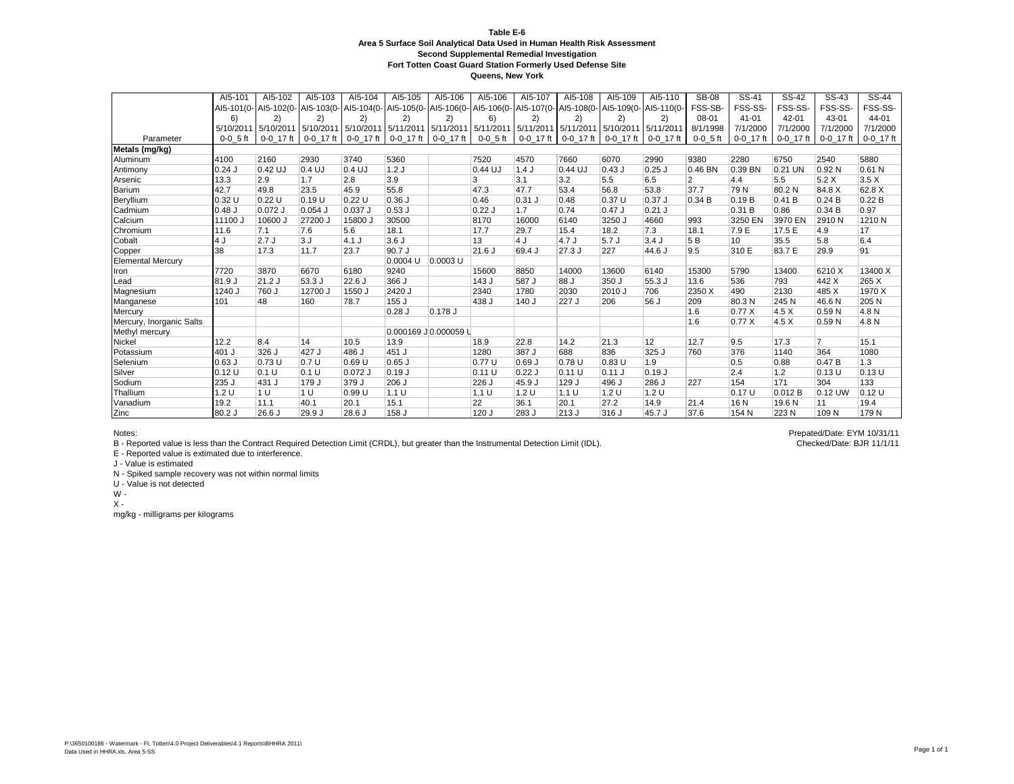**Queens, New York**

|                          | AI5-101    | AI5-102   | AI5-103     | AI5-104                                                                                                                  | AI5-105              | AI5-106    | AI5-106    | AI5-107     | AI5-108   | AI5-109     | AI5-110   | <b>SB-08</b>   | SS-41       | $\overline{\text{SS}}$ -42 | SS-43          | $SS-44$     |
|--------------------------|------------|-----------|-------------|--------------------------------------------------------------------------------------------------------------------------|----------------------|------------|------------|-------------|-----------|-------------|-----------|----------------|-------------|----------------------------|----------------|-------------|
|                          |            |           |             | Al5-101(0- Al5-102(0- Al5-103(0- Al5-104(0- Al5-105(0- Al5-106(0- Al5-106(0- Al5-107(0- Al5-108(0- Al5-109(0- Al5-100(0- |                      |            |            |             |           |             |           | FSS-SB-        | FSS-SS-     | FSS-SS-                    | FSS-SS-        | FSS-SS-     |
|                          | 6)         | 2)        | 2)          | 2)                                                                                                                       | 2)                   | 2)         | 6)         | 2)          | 2)        | 2)          | 2)        | $08 - 01$      | $41 - 01$   | $42 - 01$                  | 43-01          | 44-01       |
|                          | 5/10/2011  | 5/10/2011 |             | 5/10/2011 5/10/2011 5/11/2011 5/11/2011 5/11/2011                                                                        |                      |            |            | 5/11/2011   | 5/11/2011 | 5/10/2011   | 5/11/2011 | 8/1/1998       | 7/1/2000    | 7/1/2000                   | 7/1/2000       | 7/1/2000    |
| Parameter                | $0-0$ 5 ft | 0-0 17 ft | $0-0$ 17 ft | 0-0 17 ft                                                                                                                | 0-0 17 ft 0-0 17 ft  |            | $0-0.5$ ft | $0-0$ 17 ft | 0-0 17 ft | $0-0$ 17 ft | 0-0 17 ft | $0 - 0$ 5 ft   | $0-0$ 17 ft | $0-0$ 17 ft                | 0-0 17 ft      | $0-0$ 17 ft |
| Metals (mg/kg)           |            |           |             |                                                                                                                          |                      |            |            |             |           |             |           |                |             |                            |                |             |
| Aluminum                 | 4100       | 2160      | 2930        | 3740                                                                                                                     | 5360                 |            | 7520       | 4570        | 7660      | 6070        | 2990      | 9380           | 2280        | 6750                       | 2540           | 5880        |
| Antimony                 | $0.24$ J   | 0.42 UJ   | 0.4 UJ      | $0.4$ UJ                                                                                                                 | 1.2J                 |            | 0.44 UJ    | 1.4J        | 0.44 U    | 0.43J       | $0.25$ J  | 0.46 BN        | 0.39 BN     | 0.21 UN                    | 0.92N          | 0.61 N      |
| Arsenic                  | 13.3       | 2.9       | 1.7         | 2.8                                                                                                                      | 3.9                  |            | 3          | 3.1         | 3.2       | 5.5         | 6.5       | $\overline{2}$ | 4.4         | 5.5                        | 5.2X           | 3.5X        |
| Barium                   | 42.7       | 49.8      | 23.5        | 45.9                                                                                                                     | 55.8                 |            | 47.3       | 47.7        | 53.4      | 56.8        | 53.8      | 37.7           | 79N         | 80.2 N                     | 84.8 X         | 62.8 X      |
| Beryllium                | 0.32 U     | 0.22U     | 0.19 U      | 0.22U                                                                                                                    | $0.36$ J             |            | 0.46       | $0.31$ J    | 0.48      | 0.37U       | $0.37$ J  | 0.34B          | 0.19B       | 0.41 B                     | 0.24B          | 0.22B       |
| Cadmium                  | $0.48$ J   | $0.072$ J | $0.054$ J   | $0.037$ J                                                                                                                | $0.53$ J             |            | 0.22J      | 1.7         | 0.74      | 0.47J       | $0.21$ J  |                | 0.31 B      | 0.86                       | 0.34B          | 0.97        |
| Calcium                  | 11100.     | 10600 J   | 27200 J     | 15800 J                                                                                                                  | 30500                |            | 8170       | 16000       | 6140      | 3250 J      | 4660      | 993            | 3250 EN     | 3970 EN                    | 2910N          | 1210N       |
| Chromium                 | 11.6       | 7.1       | 7.6         | 5.6                                                                                                                      | 18.1                 |            | 17.7       | 29.7        | 15.4      | 18.2        | 7.3       | 18.1           | 7.9 E       | 17.5 E                     | 4.9            | 17          |
| Cobalt                   | 4 J        | 2.7J      | 13 J        | 4.1 J                                                                                                                    | 3.6J                 |            | 13         | 4J          | 4.7J      | 5.7J        | 3.4J      | 5 <sub>B</sub> | 10          | 35.5                       | 5.8            | 6.4         |
| Copper                   | 38         | 17.3      | 11.7        | 23.7                                                                                                                     | 90.7J                |            | 21.6 J     | 69.4 J      | $27.3$ J  | 227         | 44.6 J    | 9.5            | 310 E       | 83.7 E                     | 29.9           | 91          |
| <b>Elemental Mercury</b> |            |           |             |                                                                                                                          | 0.0004 U             | $0.0003$ U |            |             |           |             |           |                |             |                            |                |             |
| Iron                     | 7720       | 3870      | 6670        | 6180                                                                                                                     | 9240                 |            | 15600      | 8850        | 14000     | 13600       | 6140      | 15300          | 5790        | 13400                      | 6210 X         | 13400 X     |
| Lead                     | 81.9 J     | $21.2$ J  | 53.3 J      | 22.6 J                                                                                                                   | 366 J                |            | 143 J      | 587 J       | 88 J      | 350 J       | 55.3 J    | 13.6           | 536         | 793                        | 442 X          | 265 X       |
| Magnesium                | 1240 J     | 760 J     | 12700 J     | 1550 J                                                                                                                   | 2420 J               |            | 2340       | 1780        | 2030      | 2010 J      | 706       | 2350 X         | 490         | 2130                       | 485 X          | 1970 X      |
| Manganese                | 101        | 48        | 160         | 78.7                                                                                                                     | 155 J                |            | 438 J      | 140 J       | 227 J     | 206         | 56 J      | 209            | 80.3 N      | 245 N                      | 46.6 N         | 205 N       |
| Mercury                  |            |           |             |                                                                                                                          | $0.28$ J             | 0.178 J    |            |             |           |             |           | 1.6            | 0.77X       | 4.5X                       | 0.59N          | 4.8 N       |
| Mercury, Inorganic Salts |            |           |             |                                                                                                                          |                      |            |            |             |           |             |           | 1.6            | 0.77X       | 4.5X                       | 0.59N          | 4.8 N       |
| Methyl mercury           |            |           |             |                                                                                                                          | 0.000169 J0.000059 L |            |            |             |           |             |           |                |             |                            |                |             |
| Nickel                   | 12.2       | 8.4       | 14          | 10.5                                                                                                                     | 13.9                 |            | 18.9       | 22.8        | 14.2      | 21.3        | 12        | 12.7           | 9.5         | 17.3                       | $\overline{7}$ | 15.1        |
| Potassium                | 401        | 326 J     | 427J        | 486 J                                                                                                                    | 451 J                |            | 1280       | 387 J       | 688       | 836         | 325 J     | 760            | 376         | 1140                       | 364            | 1080        |
| Selenium                 | $0.63$ J   | 0.73 U    | 0.7U        | $ 0.69$ U                                                                                                                | $0.65$ J             |            | 0.77 U     | $0.69$ J    | 0.78U     | 0.83U       | 1.9       |                | 0.5         | 0.88                       | 0.47B          | 1.3         |
| Silver                   | 0.12U      | 0.1 U     | 0.1 U       | $0.072$ .                                                                                                                | 0.19J                |            | 0.11 U     | $0.22$ J    | 0.11 U    | $0.11$ J    | $0.19$ J  |                | 2.4         | 1.2                        | 0.13U          | 0.13U       |
| Sodium                   | 235 J      | 431 J     | 179 J       | 379 J                                                                                                                    | 206 J                |            | 226 J      | 45.9 J      | 129 J     | 496 J       | 286 J     | 227            | 154         | 171                        | 304            | 133         |
| Thallium                 | 1.2 U      | 1 U       | 11 U        | 0.99 U                                                                                                                   | 1.1 U                |            | 1.1 U      | 1.2U        | 1.1 U     | 1.2U        | 1.2U      |                | 0.17U       | 0.012B                     | 0.12 UW        | 0.12U       |
| Vanadium                 | 19.2       | 11.1      | 40.1        | 20.1                                                                                                                     | 15.1                 |            | 22         | 36.1        | 20.1      | 27.2        | 14.9      | 21.4           | 16 N        | 19.6 N                     | 11             | 19.4        |
| Zinc                     | 80.2 J     | 26.6 J    | 29.9 J      | 28.6 J                                                                                                                   | 158 J                |            | 120 J      | 283 J       | 213J      | 316 J       | 45.7 J    | 37.6           | 154 N       | 223 N                      | 109 N          | 179N        |

Notes: Prepated/Date: EYM 10/31/11<br>B - Reported value is less than the Contract Required Detection Limit (CRDL), but greater than the Instrumental Detection Limit (IDL). Checked/Date: BJR 11/1/11

E - Reported value is extimated due to interference.

J - Value is estimated

N - Spiked sample recovery was not within normal limits

U - Value is not detected

 $W -$ 

 $X -$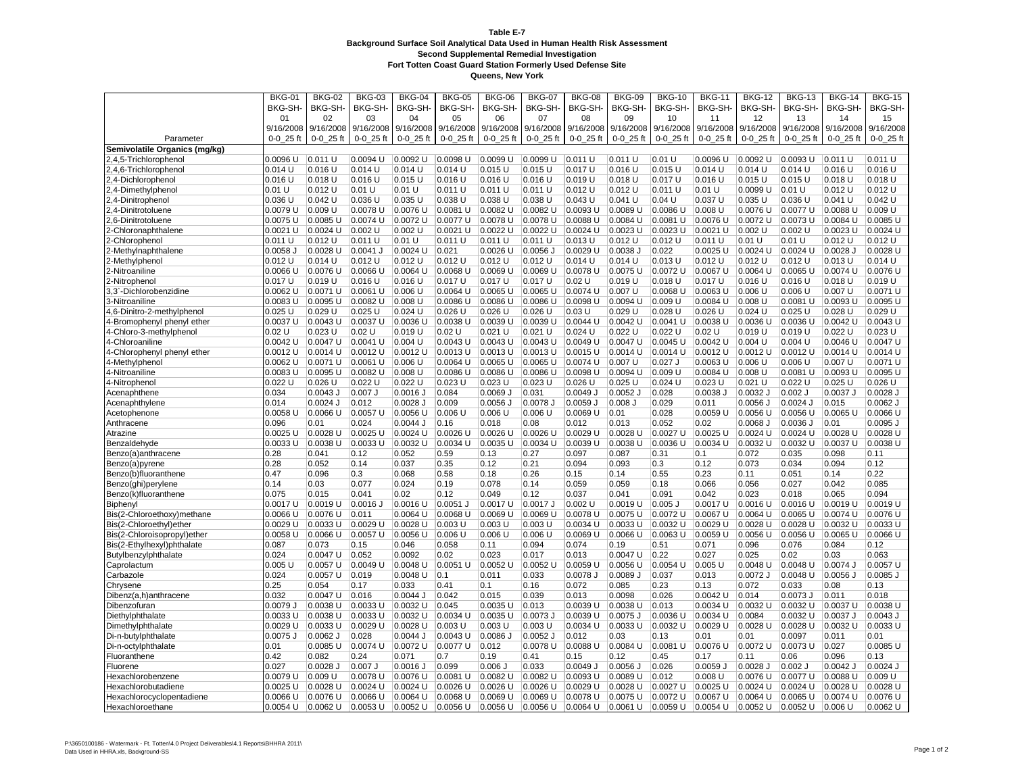|                               | <b>BKG-01</b> | <b>BKG-02</b>       | <b>BKG-03</b>         | <b>BKG-04</b> | <b>BKG-05</b>         | <b>BKG-06</b> | <b>BKG-07</b>       | <b>BKG-08</b>     | <b>BKG-09</b>      | <b>BKG-10</b>         | <b>BKG-11</b>         | <b>BKG-12</b>         | <b>BKG-13</b>           | <b>BKG-14</b>           | <b>BKG-15</b>         |
|-------------------------------|---------------|---------------------|-----------------------|---------------|-----------------------|---------------|---------------------|-------------------|--------------------|-----------------------|-----------------------|-----------------------|-------------------------|-------------------------|-----------------------|
|                               | <b>BKG-SH</b> | BKG-SH-             | BKG-SH-               | BKG-SH-       | <b>BKG-SH-</b>        | BKG-SH-       | BKG-SH-             | BKG-SH-           | BKG-SH-            | BKG-SH-               | BKG-SH-               | BKG-SH-               | <b>BKG-SH-</b>          | <b>BKG-SH</b>           | <b>BKG-SH-</b>        |
|                               | 01            | 02                  | 03                    | 04            | 05                    | 06            | 07                  | 08                | 09                 | 10                    | 11                    | 12                    | 13                      | 14                      | 15                    |
|                               | 9/16/2008     | 9/16/2008           | 9/16/2008             | 9/16/2008     | 9/16/2008             | 9/16/2008     | 9/16/2008           | 9/16/2008         | 9/16/2008          | 9/16/2008             | 9/16/2008             | 9/16/2008             | 9/16/2008               | 9/16/2008               | 9/16/2008             |
| Parameter                     | $0-0$ 25 ft   | 0-0 25 ft           | 0-0 25 ft             | $0 - 0$ 25 ft | $0 - 0$ 25 ft         | 0-0 25 ft     | $0-0$ 25 ft         | 0-0 25 ft         | 0-0 25 ft          | 0-0 25 ft             | 0-0 25 ft             | $0 - 0 - 25$ ft       | $0 - 0 - 25$ ft         | $0 - 0$ 25 ft           | 0-0 25 ft             |
| Semivolatile Organics (mg/kg) |               |                     |                       |               |                       |               |                     |                   |                    |                       |                       |                       |                         |                         |                       |
| 2,4,5-Trichlorophenol         | 0.0096 U      | 0.011 U             | 0.0094 U              | 0.0092 U      | 0.0098 U              | 0.0099 U      | 0.0099 U            | 0.011 U           | 0.011 U            | 0.01 U                | 0.0096 U              | 0.0092 U              | 0.0093 U                | 0.011 U                 | 0.011 U               |
| 2,4,6-Trichlorophenol         | 0.014 U       | $0.016$ U           | $0.014$ U             | $0.014$ U     | $0.014$ U             | 0.015 U       | 0.015 U             | 0.017U            | 0.016 U            | $0.015$ U             | $0.014$ U             | $0.014$ U             | $0.014$ U               | $0.016$ U               | 0.016 U               |
| 2,4-Dichlorophenol            | $0.016$ U     | 0.018 U             | 0.016 U               | $0.015$ U     | $0.016$ U             | $0.016$ U     | $0.016$ U           | 0.019U            | 0.018 U            | 0.017 U               | $0.016$ U             | $0.015$ U             | $0.015$ U               | $0.018$ U               | $0.018$ U             |
| 2,4-Dimethylpheno             | 0.01 U        | 0.012 U             | 0.01 U                | 0.01 U        | $0.011$ U             | 0.011 U       | 0.011 U             | $0.012$ U         | $0.012$ U          | $0.011$ U             | 0.01 U                | 0.0099 U              | 0.01 U                  | $0.012$ U               | $0.012$ U             |
| 2,4-Dinitrophenol             | 0.036 U       | $0.042$ U           | 0.036 U               | 0.035 U       | 0.038 U               | 0.038 U       | 0.038 U             | $0.043$ U         | 0.041 U            | 0.04 U                | $0.037$ U             | $0.035$ U             | 0.036 U                 | 0.041 U                 | $0.042$ U             |
| 2,4-Dinitrotoluene            | 0.0079 U      | $0.009$ U           | 0.0078 U              | 0.0076 U      | 0.0081 U              | 0.0082 U      | 0.0082 U            | 0.0093 U          | 0.0089 U           | 0.0086 U              | $0.008$ U             | 0.0076 U              | 0.0077 U                | 0.0088 U                | 0.009 U               |
| 2,6-Dinitrotoluene            | 0.0075 U      | $0.0085$ U          | 0.0074 U              | 0.0072 U      | 0.0077 U              | 0.0078 U      | 0.0078 U            | 0.0088 U          | 0.0084 U           | 0.0081 U              | 0.0076 U              | 0.0072 U              | 0.0073 U                | 0.0084 U                | 0.0085 U              |
| 2-Chloronaphthalene           | $0.0021$ U    | $0.0024$ U          | 0.002 U               | 0.002 U       | $0.0021$ U            | $0.0022$ U    | 0.0022 U            | 0.0024 U          | $0.0023$ U         | $0.0023$ U            | $0.0021$ U            | $0.002$ U             | 0.002 U                 | $0.0023$ U              | 0.0024 U              |
| 2-Chlorophenol                | $0.011$ U     | 0.012 U             | 0.011 U               | 0.01 U        | 0.011 U               | 0.011 U       | 0.011 U             | $0.013$ U         | $0.012$ U          | $0.012$ U             | 0.011 U               | 0.01 U                | 0.01 U                  | $0.012$ U               | $0.012$ U             |
| 2-Methylnaphthalene           | $0.0058$ J    | 0.0028 U            | $0.0041$ J            | $0.0024$ U    | 0.021                 | 0.0026 U      | 0.0056 J            | 0.0029 U          | 0.0038 J           | 0.022                 | $0.0025$ U            | 0.0024 U              | 0.0024 U                | 0.0028 J                | 0.0028 U              |
|                               | $0.012$ U     | 0.014 U             | 0.012 U               | $0.012$ U     | $0.012$ U             | $0.012$ U     | $0.012$ U           | 0.014 U           | $0.014$ U          | $0.013$ U             | $0.012$ U             | $0.012$ U             | 0.012 U                 | $0.013$ U               | 0.014 U               |
| 2-Methylphenol                | 0.0066 U      | 0.0076 U            | 0.0066 U              | 0.0064 U      | 0.0068 U              | 0.0069 U      | 0.0069 U            | 0.0078 U          | 0.0075 U           | 0.0072 U              | 0.0067 U              | 0.0064 U              | 0.0065 U                | 0.0074 U                | 0.0076 U              |
| 2-Nitroaniline                | 0.017 U       | $0.019$ U           | 0.016 U               |               | 0.017 U               | 0.017 U       | $0.017$ U           | 0.02U             | 0.019 <sub>U</sub> | $0.018$ U             | 0.017 U               | $0.016$ U             | 0.016 U                 | $0.018$ U               | 0.019 U               |
| 2-Nitrophenol                 |               |                     |                       | 0.016 U       |                       |               |                     |                   |                    |                       |                       |                       |                         |                         |                       |
| 3,3'-Dichlorobenzidine        | 0.0062 U      | 0.0071 U            | 0.0061 U              | $0.006$ U     | 0.0064 U              | 0.0065 U      | 0.0065 U            | 0.0074 U          | 0.007 U            | 0.0068 U              | 0.0063 U              | $0.006$ U             | $0.006$ U               | $0.007$ U               | 0.0071 U              |
| 3-Nitroaniline                | 0.0083 U      | 0.0095 U            | 0.0082 U              | $0.008$ U     | 0.0086 U              | 0.0086 U      | 0.0086 U            | 0.0098 U          | 0.0094 U           | 0.009 U               | 0.0084 U              | $0.008$ U             | $0.0081$ U              | $0.0093$ U              | 0.0095 U              |
| 4,6-Dinitro-2-methylphenol    | $0.025$ U     | 0.029 U<br>0.0043 U | $0.025$ U<br>0.0037 U | $0.024$ U     | $0.026$ U<br>0.0038 U | $0.026$ U     | 0.026 U<br>0.0039 U | 0.03U<br>0.0044 U | 0.029U<br>0.0042 U | $0.028$ U<br>0.0041 U | $0.026$ U<br>0.0038 U | $0.024$ U<br>0.0036 U | $0.025$ U<br>$0.0036$ U | $0.028$ U<br>$0.0042$ U | 0.029 U<br>$0.0043$ U |
| 4-Bromophenyl phenyl ether    | 0.0037 U      |                     |                       | 0.0036 U      |                       | 0.0039 U      |                     |                   |                    |                       |                       |                       |                         |                         |                       |
| 4-Chloro-3-methylphenol       | 0.02 U        | $0.023$ U           | 0.02 U                | $0.019$ U     | 0.02 U                | $0.021$ U     | $0.021$ U           | $0.024$ U         | $0.022$ U          | $0.022$ U             | 0.02U                 | 0.019 U               | 0.019 U                 | $0.022$ U               | $0.023$ U             |
| 4-Chloroaniline               | 0.0042 U      | 0.0047 U            | $0.0041$ U            | 0.004 U       | $0.0043$ U            | 0.0043 U      | 0.0043 U            | 0.0049 U          | $0.0047$ U         | 0.0045 U              | $0.0042$ U            | 0.004 U               | 0.004 U                 | 0.0046 U                | 0.0047 U              |
| 4-Chlorophenyl phenyl ether   | 0.0012 U      | 0.0014 U            | $0.0012$ U            | 0.0012 U      | 0.0013 U              | 0.0013 U      | 0.0013 U            | 0.0015 U          | 0.0014 U           | 0.0014 U              | 0.0012 U              | 0.0012 U              | 0.0012 U                | 0.0014 U                | 0.0014 U              |
| 4-Methylphenol                | $0.0062$ U    | 0.0071 U            | 0.0061 U              | 0.006 U       | $0.0064$ U            | $0.0065$ U    | $0.0065$ U          | 0.0074 U          | 0.007 U            | $0.027$ J             | $0.0063$ U            | 0.006 U               | 0.006 U                 | $0.007$ U               | 0.0071 U              |
| 4-Nitroaniline                | 0.0083 U      | 0.0095 U            | 0.0082 U              | 0.008 U       | 0.0086 U              | 0.0086 U      | 0.0086 U            | 0.0098 U          | 0.0094 U           | 0.009 U               | 0.0084 U              | 0.008 U               | 0.0081 U                | 0.0093 U                | 0.0095 U              |
| 4-Nitrophenol                 | $0.022$ U     | 0.026 U             | $0.022$ U             | $0.022$ U     | 0.023U                | $0.023$ U     | $0.023$ U           | $0.026$ U         | $0.025$ U          | $0.024$ U             | $0.023$ U             | $0.021$ U             | $0.022$ U               | 0.025 U                 | $0.026$ U             |
| Acenaphthene                  | 0.034         | $0.0043$ J          | $0.007$ J             | 0.0016 J      | 0.084                 | $0.0069$ J    | 0.031               | 0.0049J           | 0.0052 J           | 0.028                 | 0.0038 J              | 0.0032 J              | $0.002$ J               | $0.0037$ J              | $0.0028$ J            |
| Acenaphthylene                | 0.014         | $0.0024$ J          | 0.012                 | $0.0028$ J    | 0.009                 | $0.0056$ J    | 0.0078 J            | $0.0059$ J        | $0.008$ J          | 0.029                 | 0.011                 | $0.0056$ J            | $0.0024$ J              | 0.015                   | $0.0062$ J            |
| Acetophenone                  | 0.0058 U      | 0.0066 U            | 0.0057 U              | 0.0056 U      | 0.006 U               | $0.006$ U     | $0.006$ U           | 0.0069 U          | 0.01               | 0.028                 | 0.0059 U              | 0.0056 U              | 0.0056 U                | 0.0065 U                | 0.0066 U              |
| Anthracene                    | 0.096         | 0.01                | 0.024                 | $0.0044$ J    | 0.16                  | 0.018         | 0.08                | 0.012             | 0.013              | 0.052                 | 0.02                  | $0.0068$ J            | $0.0036$ J              | 0.01                    | $0.0095$ J            |
| Atrazine                      | 0.0025 U      | 0.0028 U            | 0.0025 U              | 0.0024 U      | $0.0026$ U            | 0.0026 U      | 0.0026 U            | 0.0029 U          | 0.0028 U           | 0.0027 U              | 0.0025 U              | 0.0024 U              | 0.0024 U                | 0.0028 U                | 0.0028 U              |
| Benzaldehyde                  | 0.0033 U      | 0.0038 U            | 0.0033 U              | 0.0032 U      | 0.0034 U              | 0.0035 U      | 0.0034 U            | 0.0039 U          | 0.0038 U           | $0.0036$ U            | 0.0034 U              | 0.0032 U              | 0.0032 U                | $0.0037$ U              | 0.0038 U              |
| Benzo(a)anthracene            | 0.28          | 0.041               | 0.12                  | 0.052         | 0.59                  | 0.13          | 0.27                | 0.097             | 0.087              | 0.31                  | 0.1                   | 0.072                 | 0.035                   | 0.098                   | 0.11                  |
| Benzo(a)pyrene                | 0.28          | 0.052               | 0.14                  | 0.037         | 0.35                  | 0.12          | 0.21                | 0.094             | 0.093              | 0.3                   | 0.12                  | 0.073                 | 0.034                   | 0.094                   | 0.12                  |
| Benzo(b)fluoranthene          | 0.47          | 0.096               | 0.3                   | 0.068         | 0.58                  | 0.18          | 0.26                | 0.15              | 0.14               | 0.55                  | 0.23                  | 0.11                  | 0.051                   | 0.14                    | 0.22                  |
| Benzo(ghi)perylene            | 0.14          | 0.03                | 0.077                 | 0.024         | 0.19                  | 0.078         | 0.14                | 0.059             | 0.059              | 0.18                  | 0.066                 | 0.056                 | 0.027                   | 0.042                   | 0.085                 |
| Benzo(k)fluoranthene          | 0.075         | 0.015               | 0.041                 | 0.02          | 0.12                  | 0.049         | 0.12                | 0.037             | 0.041              | 0.091                 | 0.042                 | 0.023                 | 0.018                   | 0.065                   | 0.094                 |
| Biphenyl                      | 0.0017 U      | 0.0019 U            | $0.0016$ J            | 0.0016 U      | 0.0051 J              | 0.0017 U      | 0.0017 J            | $0.002$ U         | 0.0019 U           | $0.005$ J             | 0.0017 U              | 0.0016 U              | 0.0016 U                | 0.0019 U                | 0.0019 U              |
| Bis(2-Chloroethoxy)methane    | 0.0066 U      | 0.0076 U            | 0.011                 | 0.0064 U      | 0.0068 U              | 0.0069 U      | 0.0069 U            | 0.0078 U          | 0.0075 U           | 0.0072 U              | 0.0067 U              | 0.0064 U              | 0.0065 U                | 0.0074 U                | 0.0076 U              |
| Bis(2-Chloroethyl)ether       | 0.0029 U      | 0.0033 U            | 0.0029 U              | 0.0028 U      | 0.003U                | $0.003$ U     | $0.003$ U           | 0.0034 U          | 0.0033 U           | 0.0032 U              | 0.0029 U              | 0.0028 U              | 0.0028 U                | 0.0032 U                | 0.0033 U              |
| Bis(2-Chloroisopropyl)ether   | 0.0058 U      | 0.0066 U            | 0.0057 U              | 0.0056 U      | 0.006 U               | $0.006$ U     | $0.006$ U           | 0.0069 U          | 0.0066 U           | 0.0063 U              | 0.0059 U              | 0.0056 U              | 0.0056 U                | 0.0065 U                | 0.0066 U              |
| Bis(2-Ethylhexyl)phthalate    | 0.087         | 0.073               | 0.15                  | 0.046         | 0.058                 | 0.11          | 0.094               | 0.074             | 0.19               | 0.51                  | 0.071                 | 0.096                 | 0.076                   | 0.084                   | 0.12                  |
| Butylbenzylphthalate          | 0.024         | 0.0047 U            | 0.052                 | 0.0092        | 0.02                  | 0.023         | 0.017               | 0.013             | 0.0047 U           | 0.22                  | 0.027                 | 0.025                 | 0.02                    | 0.03                    | 0.063                 |
| Caprolactum                   | 0.005 U       | 0.0057 U            | 0.0049 U              | 0.0048 U      | 0.0051 U              | 0.0052 U      | 0.0052 U            | 0.0059 U          | 0.0056 U           | 0.0054 U              | $0.005$ U             | 0.0048 U              | 0.0048 U                | 0.0074 J                | 0.0057 U              |
| Carbazole                     | 0.024         | 0.0057 U            | 0.019                 | 0.0048 U      | 0.1                   | 0.011         | 0.033               | 0.0078 J          | 0.0089 J           | 0.037                 | 0.013                 | 0.0072 J              | 0.0048 U                | 0.0056 J                | 0.0085 J              |
| Chrysene                      | 0.25          | 0.054               | 0.17                  | 0.033         | 0.41                  | 0.1           | 0.16                | 0.072             | 0.085              | 0.23                  | 0.13                  | 0.072                 | 0.033                   | 0.08                    | 0.13                  |
| Dibenz(a,h)anthracene         | 0.032         | 0.0047 U            | 0.016                 | $0.0044$ J    | 0.042                 | 0.015         | 0.039               | 0.013             | 0.0098             | 0.026                 | $0.0042$ U            | 0.014                 | 0.0073 J                | 0.011                   | 0.018                 |
| Dibenzofuran                  | 0.0079 J      | 0.0038 U            | $0.0033$ U            | 0.0032 U      | 0.045                 | 0.0035 U      | 0.013               | 0.0039 U          | 0.0038 U           | 0.013                 | 0.0034 U              | 0.0032 U              | 0.0032 U                | 0.0037 U                | 0.0038 U              |
| Diethylphthalate              | 0.0033 U      | 0.0038 U            | 0.0033 U              | 0.0032 U      | $0.0034$ U            | 0.0035        | $0.0073$ J          | 0.0039 U          | $0.0075$ J         | $0.0036$ U            | 0.0034 U              | 0.0084                | $0.0032$ U              | $0.0037$ J              | $0.0043$ J            |
| Dimethylphthalate             | 0.0029 U      | $0.0033$ U          | 0.0029 U              | 0.0028 U      | $0.003$ U             | $0.003$ U     | 0.003 U             | 0.0034 U          | 0.0033 U           | 0.0032 U              | 0.0029 U              | 0.0028 U              | 0.0028 U                | 0.0032 U                | 0.0033 U              |
| Di-n-butylphthalate           | $0.0075$ J    | $0.0062$ J          | 0.028                 | $0.0044$ J    | $0.0043$ U            | $0.0086$ J    | $0.0052$ J          | 0.012             | 0.03               | 0.13                  | 0.01                  | 0.01                  | 0.0097                  | 0.011                   | 0.01                  |
| Di-n-octylphthalate           | 0.01          | 0.0085 U            | 0.0074 U              | 0.0072 U      | 0.0077 U              | 0.012         | 0.0078 U            | 0.0088 U          | 0.0084 U           | 0.0081 U              | 0.0076 U              | 0.0072 U              | 0.0073 U                | 0.027                   | 0.0085 U              |
| Fluoranthene                  | 0.42          | 0.082               | 0.24                  | 0.071         | 0.7                   | 0.19          | 0.41                | 0.15              | 0.12               | 0.45                  | 0.17                  | 0.11                  | 0.06                    | 0.096                   | 0.13                  |
| Fluorene                      | 0.027         | 0.0028 J            | $0.007$ J             | $0.0016$ J    | 0.099                 | $0.006$ J     | 0.033               | 0.0049J           | $0.0056$ J         | 0.026                 | $0.0059$ J            | $0.0028$ J            | $0.002$ J               | $0.0042$ J              | $0.0024$ J            |
| Hexachlorobenzene             | 0.0079 U      | $ 0.009$ U          | 0.0078 U              | 0.0076 U      | 0.0081 U              | $ 0.0082$ U   | 0.0082 U            | 0.0093 U          | 0.0089 U           | 0.012                 | 0.008 U               | 0.0076 U              | 0.0077 U                | 0.0088 U                | $0.009$ U             |
| Hexachlorobutadiene           | 0.0025 U      | 0.0028 U            | 0.0024 U              | 0.0024 U      | $0.0026$ U            | 0.0026 U      | 0.0026 U            | 0.0029 U          | 0.0028 U           | 0.0027 U              | 0.0025 U              | 0.0024 U              | 0.0024 U                | $0.0028$ U              | $0.0028$ U            |
| Hexachlorocyclopentadiene     | $0.0066$ U    | 0.0076 U            | 0.0066 U              | 0.0064 U      | $0.0068$ U            | 0.0069 U      | 0.0069 U            | 0.0078 U          | 0.0075 U           | 0.0072 U              | 0.0067 U              | 0.0064 U              | 0.0065 U                | 0.0074 U                | 0.0076 U              |
| Hexachloroethane              | $0.0054$ U    | 0.0062 U            | 0.0053 U              | 0.0052 U      | 0.0056 U              | 0.0056 U      | 0.0056 U            | 0.0064 U          | 0.0061 U           | 0.0059 U              | 0.0054 U              | 0.0052 U              | 0.0052 U                | 0.006 U                 | 0.0062 U              |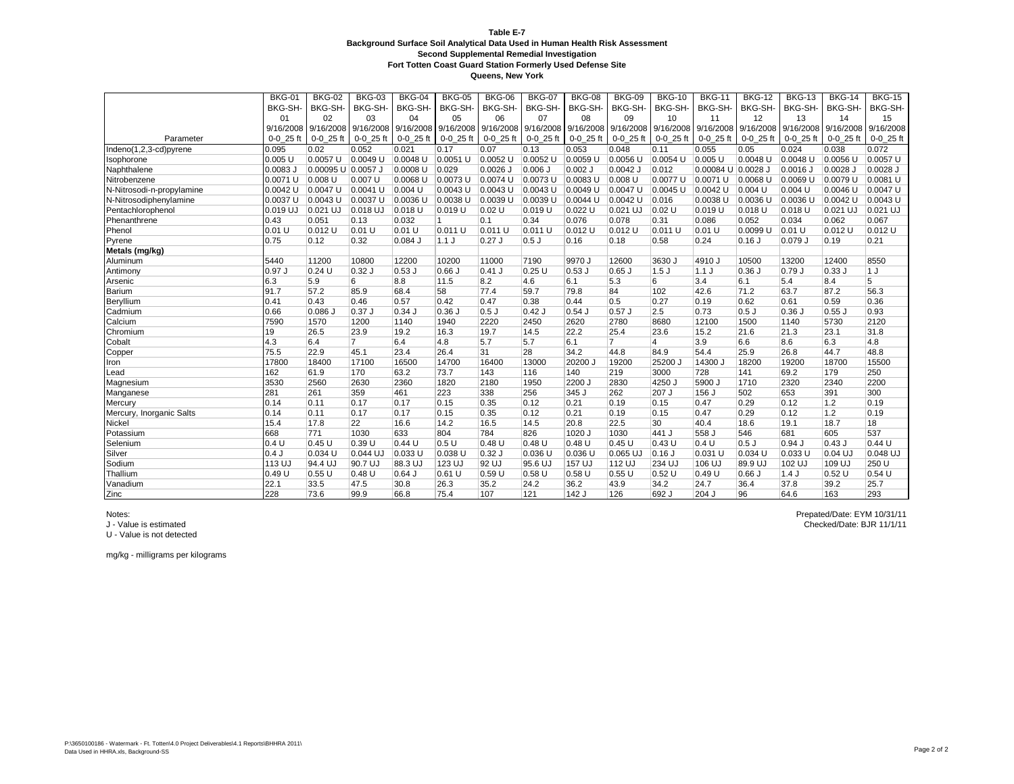**Queens, New York**

|                           | <b>BKG-01</b> | <b>BKG-02</b>                 | <b>BKG-03</b>  | <b>BKG-04</b> | <b>BKG-05</b> | <b>BKG-06</b> | <b>BKG-07</b>                 | <b>BKG-08</b> | <b>BKG-09</b>       | <b>BKG-10</b>  | <b>BKG-11</b>      | <b>BKG-12</b>       | <b>BKG-13</b> | <b>BKG-14</b>       | <b>BKG-15</b>  |
|---------------------------|---------------|-------------------------------|----------------|---------------|---------------|---------------|-------------------------------|---------------|---------------------|----------------|--------------------|---------------------|---------------|---------------------|----------------|
|                           | <b>BKG-SH</b> | BKG-SH-                       | BKG-SH-        | BKG-SH-       | BKG-SH-       | BKG-SH-       | BKG-SH-                       | BKG-SH-       | BKG-SH-             | BKG-SH-        | BKG-SH-            | BKG-SH-             | BKG-SH-       | BKG-SH-             | BKG-SH-        |
|                           | 01            | 02                            | 0 <sub>3</sub> | 04            | 05            | 06            | 07                            | 08            | 09                  | 10             | 11                 | 12                  | 13            | 14                  | 15             |
|                           | 9/16/2008     | 9/16/2008 9/16/2008 9/16/2008 |                |               |               |               | 9/16/2008 9/16/2008 9/16/2008 |               | 9/16/2008 9/16/2008 | 9/16/2008      | 9/16/2008          | 9/16/2008 9/16/2008 |               | 9/16/2008 9/16/2008 |                |
| Parameter                 | $0-0$ 25 ft   | $0-0$ 25 ft                   | $0-0$ 25 ft    | $0-0$ 25 ft   | $0-0$ 25 ft   | $0-0$ 25 ft   | $0-0$ 25 ft                   | $0-0$ 25 ft   | $0 - 0$ 25 ft       | $0-0$ 25 ft    | $0-0$ 25 ft        | $0-0$ 25 ft         | $0-0$ 25 ft   | $0-0$ 25 ft         | $0-0$ 25 ft    |
| Indeno(1,2,3-cd)pyrene    | 0.095         | 0.02                          | 0.052          | 0.021         | 0.17          | 0.07          | 0.13                          | 0.053         | 0.048               | 0.11           | 0.055              | 0.05                | 0.024         | 0.038               | 0.072          |
| Isophorone                | $0.005$ U     | 0.0057 U                      | 0.0049 U       | 0.0048 U      | $0.0051$ U    | 0.0052 U      | 0.0052 U                      | 0.0059 U      | 0.0056 U            | 0.0054 U       | 0.005 U            | 0.0048 U            | 0.0048 U      | 0.0056 U            | 0.0057 U       |
| Naphthalene               | $0.0083$ J    | 0.00095 U 0.0057 J            |                | 0.0008 U      | 0.029         | $0.0026$ J    | $0.006$ J                     | $0.002$ J     | $0.0042$ J          | 0.012          | 0.00084 U 0.0028 J |                     | 0.0016 J      | 0.0028 J            | $0.0028$ J     |
| Nitrobenzene              | 0.0071 U      | 0.008 U                       | 0.007 U        | $0.0068$ U    | 0.0073 U      | 0.0074 U      | 0.0073 U                      | 0.0083 U      | 0.008 U             | 0.0077 U       | 0.0071 U           | 0.0068 U            | 0.0069 U      | 0.0079 U            | 0.0081 U       |
| N-Nitrosodi-n-propylamine | 0.0042 U      | 0.0047 U                      | 0.0041 U       | $0.004$ U     | 0.0043 U      | 0.0043 U      | 0.0043 U                      | 0.0049 U      | 0.0047 U            | 0.0045 U       | 0.0042 U           | 0.004 U             | 0.004 U       | 0.0046 U            | 0.0047 U       |
| N-Nitrosodiphenylamine    | 0.0037 U      | 0.0043 U                      | 0.0037 U       | 0.0036 U      | 0.0038 U      | 0.0039 U      | $0.0039$ U                    | 0.0044 U      | 0.0042 U            | 0.016          | 0.0038 U           | 0.0036 U            | 0.0036 U      | $0.0042$ U          | $0.0043$ U     |
| Pentachlorophenol         | 0.019 UJ      | 0.021 UJ                      | 0.018 UJ       | 0.018 U       | 0.019 U       | 0.02 U        | 0.019U                        | 0.022 U       | 0.021 UJ            | 0.02 U         | 0.019 U            | 0.018 U             | 0.018 U       | 0.021 UJ            | 0.021 UJ       |
| Phenanthrene              | 0.43          | 0.051                         | 0.13           | 0.032         | $\mathbf{1}$  | 0.1           | 0.34                          | 0.076         | 0.078               | 0.31           | 0.086              | 0.052               | 0.034         | 0.062               | 0.067          |
| Phenol                    | $0.01$ U      | 0.012 U                       | 0.01 U         | $0.01$ U      | 0.011 U       | 0.011 U       | 0.011 U                       | 0.012 U       | 0.012 U             | 0.011 U        | 0.01 U             | 0.0099 U            | 0.01 U        | $0.012$ U           | 0.012 U        |
| Pyrene                    | 0.75          | 0.12                          | 0.32           | $0.084$ J     | 1.1J          | $0.27$ J      | 0.5J                          | 0.16          | 0.18                | 0.58           | 0.24               | $0.16$ J            | $0.079$ J     | 0.19                | 0.21           |
| Metals (mg/kg)            |               |                               |                |               |               |               |                               |               |                     |                |                    |                     |               |                     |                |
| Aluminum                  | 5440          | 11200                         | 10800          | 12200         | 10200         | 11000         | 7190                          | 9970J         | 12600               | 3630 J         | 4910J              | 10500               | 13200         | 12400               | 8550           |
| Antimony                  | 0.97 J        | 0.24 U                        | $0.32$ J       | $0.53$ J      | 0.66          | $0.41$ J      | 0.25U                         | $0.53$ J      | $0.65$ J            | 1.5J           | 1.1J               | $0.36$ J            | 0.79J         | 0.33J               | 1 J            |
| Arsenic                   | 6.3           | 5.9                           | 6              | 8.8           | 11.5          | 8.2           | 4.6                           | 6.1           | 5.3                 | 6              | 3.4                | 6.1                 | 5.4           | 8.4                 | $\overline{5}$ |
| Barium                    | 91.7          | 57.2                          | 85.9           | 68.4          | 58            | 77.4          | 59.7                          | 79.8          | 84                  | 102            | 42.6               | 71.2                | 63.7          | 87.2                | 56.3           |
| Beryllium                 | 0.41          | 0.43                          | 0.46           | 0.57          | 0.42          | 0.47          | 0.38                          | 0.44          | 0.5                 | 0.27           | 0.19               | 0.62                | 0.61          | 0.59                | 0.36           |
| Cadmium                   | 0.66          | 0.086 J                       | $0.37$ J       | 0.34          | 0.36J         | $0.5$ J       | $0.42$ J                      | $0.54$ J      | $0.57$ J            | 2.5            | 0.73               | 0.5J                | $0.36$ J      | $0.55$ J            | 0.93           |
| Calcium                   | 7590          | 1570                          | 1200           | 1140          | 1940          | 2220          | 2450                          | 2620          | 2780                | 8680           | 12100              | 1500                | 1140          | 5730                | 2120           |
| Chromium                  | 19            | 26.5                          | 23.9           | 19.2          | 16.3          | 19.7          | 14.5                          | 22.2          | 25.4                | 23.6           | 15.2               | 21.6                | 21.3          | 23.1                | 31.8           |
| Cobalt                    | 4.3           | 6.4                           | $\overline{7}$ | 6.4           | 4.8           | 5.7           | 5.7                           | 6.1           | $\overline{7}$      | $\overline{4}$ | 3.9                | 6.6                 | 8.6           | 6.3                 | 4.8            |
| Copper                    | 75.5          | 22.9                          | 45.1           | 23.4          | 26.4          | 31            | 28                            | 34.2          | 44.8                | 84.9           | 54.4               | 25.9                | 26.8          | 44.7                | 48.8           |
| Iron                      | 17800         | 18400                         | 17100          | 16500         | 14700         | 16400         | 13000                         | 20200 J       | 19200               | 25200 J        | 14300 J            | 18200               | 19200         | 18700               | 15500          |
| Lead                      | 162           | 61.9                          | 170            | 63.2          | 73.7          | 143           | 116                           | 140           | 219                 | 3000           | 728                | 141                 | 69.2          | 179                 | 250            |
| Magnesium                 | 3530          | 2560                          | 2630           | 2360          | 1820          | 2180          | 1950                          | 2200 J        | 2830                | 4250           | 5900 J             | 1710                | 2320          | 2340                | 2200           |
| Manganese                 | 281           | 261                           | 359            | 461           | 223           | 338           | 256                           | 345 J         | 262                 | 207 J          | 156 J              | 502                 | 653           | 391                 | 300            |
| Mercury                   | 0.14          | 0.11                          | 0.17           | 0.17          | 0.15          | 0.35          | 0.12                          | 0.21          | 0.19                | 0.15           | 0.47               | 0.29                | 0.12          | 1.2                 | 0.19           |
| Mercury, Inorganic Salts  | 0.14          | 0.11                          | 0.17           | 0.17          | 0.15          | 0.35          | 0.12                          | 0.21          | 0.19                | 0.15           | 0.47               | 0.29                | 0.12          | 1.2                 | 0.19           |
| Nickel                    | 15.4          | 17.8                          | 22             | 16.6          | 14.2          | 16.5          | 14.5                          | 20.8          | 22.5                | 30             | 40.4               | 18.6                | 19.1          | 18.7                | 18             |
| Potassium                 | 668           | 771                           | 1030           | 633           | 804           | 784           | 826                           | 1020 J        | 1030                | 441 J          | 558 J              | 546                 | 681           | 605                 | 537            |
| Selenium                  | 0.4U          | 0.45U                         | 0.39U          | 0.44 U        | 0.5U          | 0.48 U        | 0.48 U                        | 0.48 U        | 0.45U               | 0.43U          | 0.4 U              | $0.5$ J             | $0.94$ J      | $0.43$ J            | 0.44U          |
| Silver                    | 0.4J          | 0.034 U                       | 0.044 UJ       | 0.033U        | $0.038$ U     | $0.32$ J      | 0.036 U                       | $0.036$ U     | $0.065$ UJ          | $0.16$ J       | 0.031 U            | 0.034 U             | 0.033U        | 0.04 UJ             | 0.048 UJ       |
| Sodium                    | 113 UJ        | 94.4 UJ                       | 90.7 UJ        | 88.3 UJ       | 123 UJ        | 92 UJ         | 95.6 UJ                       | 157 UJ        | 112 UJ              | 234 UJ         | 106 UJ             | 89.9 UJ             | 102 UJ        | 109 UJ              | 250 U          |
| Thallium                  | 0.49U         | 0.55 U                        | $0.48$ U       | $0.64$ J      | 0.61 U        | 0.59U         | 0.58U                         | 0.58 U        | 0.55U               | 0.52U          | 0.49 U             | $0.66$ J            | 1.4J          | 0.52U               | 0.54U          |
| Vanadium                  | 22.1          | 33.5                          | 47.5           | 30.8          | 26.3          | 35.2          | 24.2                          | 36.2          | 43.9                | 34.2           | 24.7               | 36.4                | 37.8          | 39.2                | 25.7           |
| Zinc                      | 228           | 73.6                          | 99.9           | 66.8          | 75.4          | 107           | 121                           | 142 J         | 126                 | 692J           | 204 J              | 96                  | 64.6          | 163                 | 293            |

U - Value is not detected

mg/kg - milligrams per kilograms

Notes:<br>
1992 - Prepated/Date: EYM 10/31/11<br>
1993 - Value is estimated Checked/Date: BJR 11/1/11 Checked/Date: BJR 11/1/11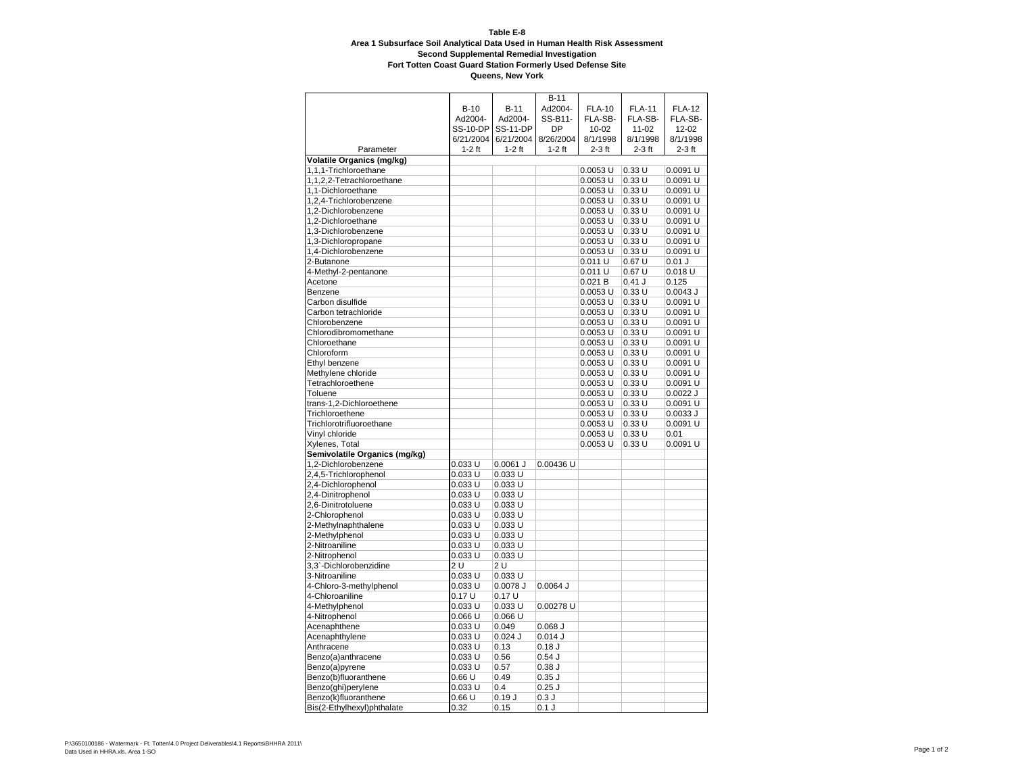|                                  |                 |                 | $B-11$     |               |               |               |
|----------------------------------|-----------------|-----------------|------------|---------------|---------------|---------------|
|                                  | $B-10$          | $B-11$          | Ad2004-    | <b>FLA-10</b> | <b>FLA-11</b> | <b>FLA-12</b> |
|                                  | Ad2004-         | Ad2004-         | SS-B11-    | FLA-SB-       | FLA-SB-       | FLA-SB-       |
|                                  | <b>SS-10-DP</b> | <b>SS-11-DP</b> | <b>DP</b>  | $10 - 02$     | $11 - 02$     | 12-02         |
|                                  | 6/21/2004       | 6/21/2004       | 8/26/2004  | 8/1/1998      | 8/1/1998      | 8/1/1998      |
| Parameter                        | $1-2$ ft        | $1-2$ ft        | $1-2$ ft   | $2-3$ ft      | $2-3$ ft      | $2-3$ ft      |
| <b>Volatile Organics (mg/kg)</b> |                 |                 |            |               |               |               |
| 1,1,1-Trichloroethane            |                 |                 |            | $0.0053$ U    | 0.33U         | 0.0091 U      |
| 1,1,2,2-Tetrachloroethane        |                 |                 |            | $0.0053$ U    | 0.33U         | 0.0091 U      |
| 1,1-Dichloroethane               |                 |                 |            | 0.0053 U      | 0.33U         | 0.0091 U      |
|                                  |                 |                 |            |               | 0.33U         | 0.0091 U      |
| 1,2,4-Trichlorobenzene           |                 |                 |            | 0.0053 U      |               |               |
| 1,2-Dichlorobenzene              |                 |                 |            | 0.0053 U      | 0.33U         | 0.0091 U      |
| 1,2-Dichloroethane               |                 |                 |            | $0.0053$ U    | 0.33U         | 0.0091 U      |
| 1,3-Dichlorobenzene              |                 |                 |            | $0.0053$ U    | 0.33U         | 0.0091 U      |
| 1,3-Dichloropropane              |                 |                 |            | $0.0053$ U    | 0.33U         | 0.0091 U      |
| 1,4-Dichlorobenzene              |                 |                 |            | $0.0053$ U    | 0.33U         | 0.0091 U      |
| 2-Butanone                       |                 |                 |            | 0.011 U       | 0.67U         | $0.01$ J      |
| 4-Methyl-2-pentanone             |                 |                 |            | 0.011 U       | 0.67U         | 0.018 U       |
| Acetone                          |                 |                 |            | 0.021 B       | $0.41$ J      | 0.125         |
| Benzene                          |                 |                 |            | 0.0053 U      | 0.33U         | $0.0043$ J    |
| Carbon disulfide                 |                 |                 |            | $0.0053$ U    | 0.33U         | 0.0091 U      |
| Carbon tetrachloride             |                 |                 |            | $0.0053$ U    | 0.33U         | 0.0091 U      |
| Chlorobenzene                    |                 |                 |            | 0.0053 U      | 0.33U         | 0.0091 U      |
| Chlorodibromomethane             |                 |                 |            | 0.0053 U      | 0.33U         | 0.0091 U      |
|                                  |                 |                 |            |               |               |               |
| Chloroethane                     |                 |                 |            | 0.0053 U      | 0.33U         | 0.0091 U      |
| Chloroform                       |                 |                 |            | 0.0053 U      | 0.33U         | 0.0091 U      |
| Ethyl benzene                    |                 |                 |            | $0.0053$ U    | 0.33U         | 0.0091 U      |
| Methylene chloride               |                 |                 |            | $0.0053$ U    | 0.33U         | 0.0091 U      |
| Tetrachloroethene                |                 |                 |            | $0.0053$ U    | 0.33U         | 0.0091 U      |
| Toluene                          |                 |                 |            | $0.0053$ U    | 0.33U         | $0.0022$ J    |
| trans-1,2-Dichloroethene         |                 |                 |            | $0.0053$ U    | 0.33U         | 0.0091 U      |
| Trichloroethene                  |                 |                 |            | $0.0053$ U    | 0.33U         | 0.0033J       |
| Trichlorotrifluoroethane         |                 |                 |            | 0.0053 U      | 0.33U         | 0.0091 U      |
| Vinyl chloride                   |                 |                 |            | 0.0053 U      | 0.33U         | 0.01          |
| Xylenes, Total                   |                 |                 |            | $0.0053$ U    | 0.33U         | 0.0091 U      |
| Semivolatile Organics (mg/kg)    |                 |                 |            |               |               |               |
| 1,2-Dichlorobenzene              | 0.033 U         | $0.0061$ J      | 0.00436 U  |               |               |               |
| 2,4,5-Trichlorophenol            | 0.033 U         | $0.033$ U       |            |               |               |               |
|                                  |                 |                 |            |               |               |               |
| 2,4-Dichlorophenol               | 0.033 U         | $0.033$ U       |            |               |               |               |
| 2,4-Dinitrophenol                | 0.033 U         | $0.033$ U       |            |               |               |               |
| 2,6-Dinitrotoluene               | 0.033U          | $0.033$ U       |            |               |               |               |
| 2-Chlorophenol                   | 0.033 U         | $0.033$ U       |            |               |               |               |
| 2-Methylnaphthalene              | 0.033 U         | $0.033$ U       |            |               |               |               |
| 2-Methylphenol                   | 0.033 U         | $0.033$ U       |            |               |               |               |
| 2-Nitroaniline                   | 0.033 U         | 0.033 U         |            |               |               |               |
| 2-Nitrophenol                    | 0.033 U         | $0.033$ U       |            |               |               |               |
| 3,3`-Dichlorobenzidine           | 2 U             | 2 U             |            |               |               |               |
| 3-Nitroaniline                   | 0.033U          | $0.033$ U       |            |               |               |               |
| 4-Chloro-3-methylphenol          | 0.033 U         | 0.0078 J        | $0.0064$ J |               |               |               |
| 4-Chloroaniline                  | 0.17U           | 0.17U           |            |               |               |               |
| 4-Methylphenol                   | 0.033 U         | 0.033U          | 0.00278 U  |               |               |               |
|                                  |                 |                 |            |               |               |               |
| 4-Nitrophenol                    | 0.066 U         | 0.066 U         |            |               |               |               |
| Acenaphthene                     | 0.033 U         | 0.049           | $0.068$ J  |               |               |               |
| Acenaphthylene                   | 0.033 U         | $0.024$ J       | 0.014J     |               |               |               |
| Anthracene                       | 0.033U          | 0.13            | 0.18J      |               |               |               |
| Benzo(a)anthracene               | 0.033 U         | 0.56            | 0.54J      |               |               |               |
| Benzo(a)pyrene                   | 0.033 U         | 0.57            | 0.38J      |               |               |               |
| Benzo(b)fluoranthene             | 0.66U           | 0.49            | $0.35$ $J$ |               |               |               |
| Benzo(ghi)perylene               | 0.033 U         | 0.4             | $0.25$ J   |               |               |               |
| Benzo(k)fluoranthene             | 0.66U           | 0.19J           | 0.3J       |               |               |               |
| Bis(2-Ethylhexyl)phthalate       | 0.32            | 0.15            | $0.1$ J    |               |               |               |
|                                  |                 |                 |            |               |               |               |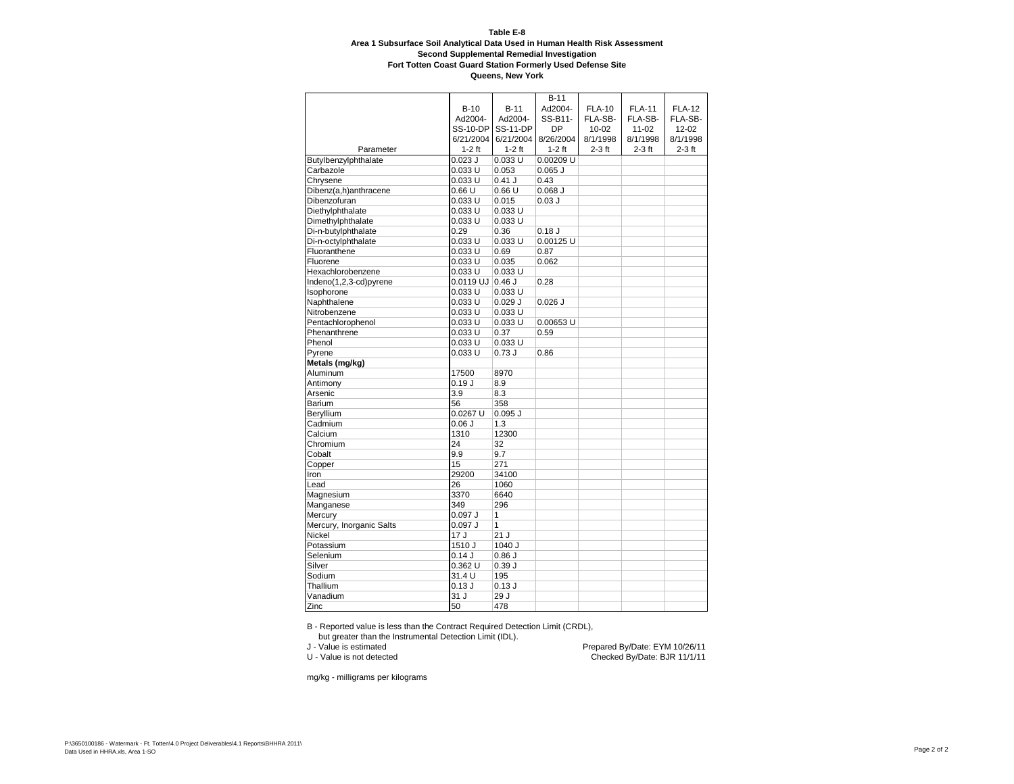**Queens, New York**

|                          |                   |                 | $B-11$      |               |               |               |
|--------------------------|-------------------|-----------------|-------------|---------------|---------------|---------------|
|                          | $B-10$            | $B-11$          | Ad2004-     | <b>FLA-10</b> | <b>FLA-11</b> | <b>FLA-12</b> |
|                          | Ad2004-           | Ad2004-         | SS-B11-     | FLA-SB-       | FLA-SB-       | FLA-SB-       |
|                          | <b>SS-10-DP</b>   | <b>SS-11-DP</b> | <b>DP</b>   | $10 - 02$     | $11 - 02$     | 12-02         |
|                          | 6/21/2004         | 6/21/2004       | 8/26/2004   | 8/1/1998      | 8/1/1998      | 8/1/1998      |
| Parameter                | $1-2$ ft          | $1-2$ ft        | $1-2$ ft    | $2-3$ ft      | $2-3$ ft      | $2-3$ ft      |
| Butylbenzylphthalate     | $0.023$ J         | 0.033 U         | 0.00209 U   |               |               |               |
| Carbazole                | 0.033 U           | 0.053           | $0.065$ $J$ |               |               |               |
| Chrysene                 | 0.033U            | 0.41 J          | 0.43        |               |               |               |
| Dibenz(a,h)anthracene    | 0.66U             | 0.66U           | $0.068$ J   |               |               |               |
| Dibenzofuran             | 0.033 U           | 0.015           | $0.03$ J    |               |               |               |
| Diethylphthalate         | 0.033 U           | $0.033$ U       |             |               |               |               |
| Dimethylphthalate        | 0.033 U           | $0.033$ U       |             |               |               |               |
| Di-n-butylphthalate      | 0.29              | 0.36            | 0.18J       |               |               |               |
| Di-n-octylphthalate      | 0.033 U           | 0.033 U         | 0.00125 U   |               |               |               |
| Fluoranthene             | 0.033 U           | 0.69            | 0.87        |               |               |               |
| Fluorene                 | 0.033 U           | 0.035           | 0.062       |               |               |               |
| Hexachlorobenzene        | 0.033 U           | $0.033$ U       |             |               |               |               |
| Indeno(1,2,3-cd)pyrene   | 0.0119 UJ 0.46 J  |                 | 0.28        |               |               |               |
| Isophorone               | 0.033 U           | $0.033$ U       |             |               |               |               |
| Naphthalene              | 0.033 U           | $0.029$ $J$     | $0.026$ J   |               |               |               |
| Nitrobenzene             | 0.033 U           | $0.033$ U       |             |               |               |               |
| Pentachlorophenol        | 0.033 U           | 0.033 U         | 0.00653 U   |               |               |               |
| Phenanthrene             | 0.033U            | 0.37            | 0.59        |               |               |               |
| Phenol                   | 0.033 U           | 0.033U          |             |               |               |               |
| Pyrene                   | 0.033 U           | 0.73J           | 0.86        |               |               |               |
| Metals (mg/kg)           |                   |                 |             |               |               |               |
| Aluminum                 | 17500             | 8970            |             |               |               |               |
| Antimony                 | 0.19J             | 8.9             |             |               |               |               |
| Arsenic                  | 3.9               | 8.3             |             |               |               |               |
| Barium                   | 56                | 358             |             |               |               |               |
| Beryllium                | $0.0267$ U        | $0.095$ J       |             |               |               |               |
| Cadmium                  | 0.06J             | 1.3             |             |               |               |               |
| Calcium                  | 1310              | 12300           |             |               |               |               |
| Chromium                 | 24                | 32              |             |               |               |               |
| Cobalt                   | 9.9               | 9.7             |             |               |               |               |
| Copper                   | 15                | 271             |             |               |               |               |
| Iron                     | 29200             | 34100           |             |               |               |               |
| Lead                     | 26                | 1060            |             |               |               |               |
| Magnesium                | 3370              | 6640            |             |               |               |               |
| Manganese                | 349               | 296             |             |               |               |               |
| Mercury                  | $0.097$ J         | 1               |             |               |               |               |
| Mercury, Inorganic Salts | 0.097J            | 1               |             |               |               |               |
| Nickel                   | 17 J              | 21J             |             |               |               |               |
| Potassium                | 1510 J            | 1040 J          |             |               |               |               |
| Selenium                 | 0.14J             | 0.86J           |             |               |               |               |
| Silver                   | 0.362 U           | 0.39J           |             |               |               |               |
| Sodium                   | 31.4 U            | 195             |             |               |               |               |
| Thallium                 | 0.13J             | 0.13J           |             |               |               |               |
| Vanadium                 | $\overline{3}1$ J | 29J             |             |               |               |               |
| Zinc                     | 50                | 478             |             |               |               |               |

B - Reported value is less than the Contract Required Detection Limit (CRDL),

but greater than the Instrumental Detection Limit (IDL).<br>
J - Value is estimated

J - Value is estimated **Prepared By/Date: EYM 10/26/11**<br>U - Value is not detected **Prepared By/Date: EXM 10/26/11** Checked By/Date: BJR 11/1/11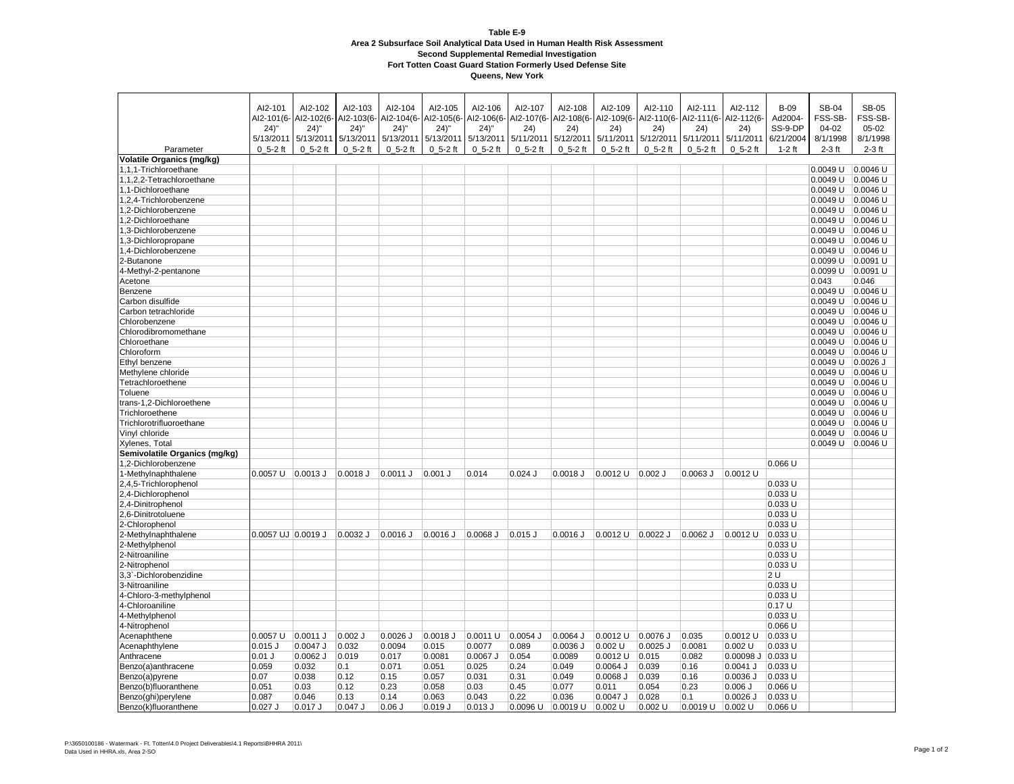|                                  | AI2-101             | AI2-102     | AI2-103             | AI2-104      | AI2-105     | AI2-106               | AI2-107     | AI2-108     | AI2-109                          | AI2-110     | AI2-111     | AI2-112           | <b>B-09</b>         | <b>SB-04</b> | <b>SB-05</b> |
|----------------------------------|---------------------|-------------|---------------------|--------------|-------------|-----------------------|-------------|-------------|----------------------------------|-------------|-------------|-------------------|---------------------|--------------|--------------|
|                                  | AI2-101(6-          | AI2-102(6-  | AI2-103(6-          | AI2-104(6-   |             | AI2-105(6- AI2-106(6- | AI2-107(6-  | Al2-108(6-  | AI2-109(6- AI2-110(6-            |             | AI2-111(6-  | AI2-112(6-        | Ad2004-             | FSS-SB-      | FSS-SB-      |
|                                  | $24)$ "             | $24)$ "     | $24)$ "             | $24)$ "      | $24)$ "     | $24)$ "               | (24)        | (24)        | (24)                             | (24)        | 24)         | (24)              | SS-9-DP             | $04 - 02$    | 05-02        |
|                                  | 5/13/2011           | 5/13/2011   | 5/13/2011           | 5/13/2011    | 5/13/2011   | 5/13/2011             | 5/11/2011   | 5/12/2011   | 5/11/2011                        | 5/12/2011   | 5/11/2011   | 5/11/2011         | 6/21/2004           | 8/1/1998     | 8/1/1998     |
| Parameter                        | $0, 5-2$ ft         | $0, 5-2$ ft | $0, 5-2$ ft         | $0_5 - 2$ ft | $0, 5-2$ ft | $0, 5-2$ ft           | $0, 5-2$ ft | $0, 5-2$ ft | $0, 5-2$ ft                      | $0, 5-2$ ft | $0, 5-2$ ft | $0, 5-2$ ft       | $1-2$ ft            | $2-3$ ft     | $2-3$ ft     |
|                                  |                     |             |                     |              |             |                       |             |             |                                  |             |             |                   |                     |              |              |
| <b>Volatile Organics (mg/kg)</b> |                     |             |                     |              |             |                       |             |             |                                  |             |             |                   |                     |              |              |
| 1,1,1-Trichloroethane            |                     |             |                     |              |             |                       |             |             |                                  |             |             |                   |                     | 0.0049 U     | 0.0046 U     |
| 1,1,2,2-Tetrachloroethane        |                     |             |                     |              |             |                       |             |             |                                  |             |             |                   |                     | 0.0049 U     | $0.0046$ U   |
| 1,1-Dichloroethane               |                     |             |                     |              |             |                       |             |             |                                  |             |             |                   |                     | $0.0049$ U   | $0.0046$ U   |
| 1,2,4-Trichlorobenzene           |                     |             |                     |              |             |                       |             |             |                                  |             |             |                   |                     | 0.0049 U     | 0.0046 U     |
| 1.2-Dichlorobenzene              |                     |             |                     |              |             |                       |             |             |                                  |             |             |                   |                     | 0.0049 U     | $0.0046$ U   |
| 1,2-Dichloroethane               |                     |             |                     |              |             |                       |             |             |                                  |             |             |                   |                     | 0.0049 U     | 0.0046 U     |
| 1.3-Dichlorobenzene              |                     |             |                     |              |             |                       |             |             |                                  |             |             |                   |                     | 0.0049 U     | $0.0046$ U   |
| 1,3-Dichloropropane              |                     |             |                     |              |             |                       |             |             |                                  |             |             |                   |                     | 0.0049 U     | 0.0046 U     |
| 1,4-Dichlorobenzene              |                     |             |                     |              |             |                       |             |             |                                  |             |             |                   |                     | 0.0049 U     | 0.0046 U     |
| 2-Butanone                       |                     |             |                     |              |             |                       |             |             |                                  |             |             |                   |                     | 0.0099 U     | 0.0091 U     |
| 4-Methyl-2-pentanone             |                     |             |                     |              |             |                       |             |             |                                  |             |             |                   |                     | 0.0099 U     | 0.0091 U     |
| Acetone                          |                     |             |                     |              |             |                       |             |             |                                  |             |             |                   |                     | 0.043        | 0.046        |
| Benzene                          |                     |             |                     |              |             |                       |             |             |                                  |             |             |                   |                     | 0.0049 U     | 0.0046 U     |
| Carbon disulfide                 |                     |             |                     |              |             |                       |             |             |                                  |             |             |                   |                     | 0.0049U      | 0.0046 U     |
| Carbon tetrachloride             |                     |             |                     |              |             |                       |             |             |                                  |             |             |                   |                     | 0.0049 U     | $0.0046$ U   |
|                                  |                     |             |                     |              |             |                       |             |             |                                  |             |             |                   |                     |              |              |
| Chlorobenzene                    |                     |             |                     |              |             |                       |             |             |                                  |             |             |                   |                     | 0.0049 U     | $0.0046$ U   |
| Chlorodibromomethane             |                     |             |                     |              |             |                       |             |             |                                  |             |             |                   |                     | 0.0049 U     | 0.0046 U     |
| Chloroethane                     |                     |             |                     |              |             |                       |             |             |                                  |             |             |                   |                     | 0.0049 U     | $0.0046$ U   |
| Chloroform                       |                     |             |                     |              |             |                       |             |             |                                  |             |             |                   |                     | 0.0049 U     | 0.0046 U     |
| Ethyl benzene                    |                     |             |                     |              |             |                       |             |             |                                  |             |             |                   |                     | 0.0049 U     | $0.0026$ J   |
| Methylene chloride               |                     |             |                     |              |             |                       |             |             |                                  |             |             |                   |                     | 0.0049 U     | 0.0046 U     |
| Tetrachloroethene                |                     |             |                     |              |             |                       |             |             |                                  |             |             |                   |                     | 0.0049 U     | $0.0046$ U   |
| Toluene                          |                     |             |                     |              |             |                       |             |             |                                  |             |             |                   |                     | 0.0049 U     | 0.0046 U     |
| trans-1,2-Dichloroethene         |                     |             |                     |              |             |                       |             |             |                                  |             |             |                   |                     | $0.0049$ U   | $0.0046$ U   |
| Trichloroethene                  |                     |             |                     |              |             |                       |             |             |                                  |             |             |                   |                     | $0.0049$ U   | 0.0046 U     |
| Trichlorotrifluoroethane         |                     |             |                     |              |             |                       |             |             |                                  |             |             |                   |                     | 0.0049 U     | 0.0046 U     |
| Vinyl chloride                   |                     |             |                     |              |             |                       |             |             |                                  |             |             |                   |                     | $0.0049$ U   | $0.0046$ U   |
| Xylenes, Total                   |                     |             |                     |              |             |                       |             |             |                                  |             |             |                   |                     | 0.0049 U     | $0.0046$ U   |
| Semivolatile Organics (mg/kg)    |                     |             |                     |              |             |                       |             |             |                                  |             |             |                   |                     |              |              |
| 1,2-Dichlorobenzene              |                     |             |                     |              |             |                       |             |             |                                  |             |             |                   | $0.066$ U           |              |              |
| 1-Methylnaphthalene              | 0.0057 U   0.0013 J |             | 0.0018 J   0.0011 J |              | $0.001$ J   | 0.014                 | $0.024$ J   | $0.0018$ J  | $ 0.0012 \cup  0.002 \text{ J} $ |             | $0.0063$ J  | 0.0012 U          |                     |              |              |
| 2,4,5-Trichlorophenol            |                     |             |                     |              |             |                       |             |             |                                  |             |             |                   | 0.033 U             |              |              |
| 2,4-Dichlorophenol               |                     |             |                     |              |             |                       |             |             |                                  |             |             |                   | 0.033 U             |              |              |
| 2,4-Dinitrophenol                |                     |             |                     |              |             |                       |             |             |                                  |             |             |                   | 0.033U              |              |              |
|                                  |                     |             |                     |              |             |                       |             |             |                                  |             |             |                   |                     |              |              |
| 2,6-Dinitrotoluene               |                     |             |                     |              |             |                       |             |             |                                  |             |             |                   | $0.033$ U<br>0.033U |              |              |
| 2-Chlorophenol                   |                     |             |                     |              |             |                       |             |             |                                  |             |             |                   |                     |              |              |
| 2-Methylnaphthalene              | 0.0057 UJ 0.0019 J  |             | 0.0032 J            | $0.0016$ J   | 0.0016 J    | 0.0068 J              | $0.015$ J   | $0.0016$ J  | 0.0012 U                         | $0.0022$ J  | $0.0062$ J  | $0.0012$ U        | 0.033 U             |              |              |
| 2-Methylphenol                   |                     |             |                     |              |             |                       |             |             |                                  |             |             |                   | 0.033 U             |              |              |
| 2-Nitroaniline                   |                     |             |                     |              |             |                       |             |             |                                  |             |             |                   | 0.033 U             |              |              |
| 2-Nitrophenol                    |                     |             |                     |              |             |                       |             |             |                                  |             |             |                   | 0.033 U             |              |              |
| 3,3`-Dichlorobenzidine           |                     |             |                     |              |             |                       |             |             |                                  |             |             |                   | 2U                  |              |              |
| 3-Nitroaniline                   |                     |             |                     |              |             |                       |             |             |                                  |             |             |                   | $0.033$ U           |              |              |
| 4-Chloro-3-methylphenol          |                     |             |                     |              |             |                       |             |             |                                  |             |             |                   | 0.033 U             |              |              |
| 4-Chloroaniline                  |                     |             |                     |              |             |                       |             |             |                                  |             |             |                   | 0.17 U              |              |              |
| 4-Methylphenol                   |                     |             |                     |              |             |                       |             |             |                                  |             |             |                   | 0.033 U             |              |              |
| 4-Nitrophenol                    |                     |             |                     |              |             |                       |             |             |                                  |             |             |                   | 0.066 U             |              |              |
| Acenaphthene                     | 0.0057 U            | 0.0011 J    | $0.002$ J           | $0.0026$ J   | $0.0018$ J  | $0.0011$ U            | 0.0054 J    | $0.0064$ J  | 0.0012 U                         | 0.0076J     | 0.035       | 0.0012 U          | 0.033 U             |              |              |
| Acenaphthylene                   | $0.015$ J           | $0.0047$ J  | 0.032               | 0.0094       | 0.015       | 0.0077                | 0.089       | $0.0036$ J  | $0.002$ U                        | $0.0025$ J  | 0.0081      | $0.002$ U         | $0.033$ U           |              |              |
| Anthracene                       | $0.01$ J            | $0.0062$ J  | 0.019               | 0.017        | 0.0081      | $0.0067$ J            | 0.054       | 0.0089      | 0.0012 U                         | 0.015       | 0.082       | 0.00098 J 0.033 U |                     |              |              |
| Benzo(a)anthracene               | 0.059               | 0.032       | 0.1                 | 0.071        | 0.051       | 0.025                 | 0.24        | 0.049       | $0.0064$ J                       | 0.039       | 0.16        | $0.0041$ J        | 0.033 U             |              |              |
| Benzo(a)pyrene                   | 0.07                | 0.038       | 0.12                | 0.15         | 0.057       | 0.031                 | 0.31        | 0.049       | 0.0068 J                         | 0.039       | 0.16        | $0.0036$ J        | 0.033 U             |              |              |
| Benzo(b)fluoranthene             | 0.051               | 0.03        | 0.12                | 0.23         | 0.058       | 0.03                  | 0.45        | 0.077       | 0.011                            | 0.054       | 0.23        | $0.006$ J         | 0.066 U             |              |              |
|                                  | 0.087               | 0.046       | 0.13                | 0.14         | 0.063       | 0.043                 | 0.22        | 0.036       | 0.0047 J                         | 0.028       | 0.1         | $0.0026$ J        | 0.033 U             |              |              |
| Benzo(ghi)perylene               |                     |             |                     |              |             |                       |             |             |                                  |             |             |                   |                     |              |              |
| Benzo(k)fluoranthene             | $0.027$ J           | $0.017$ J   | $0.047$ J           | $0.06$ J     | 0.019J      | $0.013$ $J$           | 0.0096 U    | 0.0019 U    | $0.002$ U                        | $0.002$ U   | 0.0019 U    | $0.002$ U         | 0.066 U             |              |              |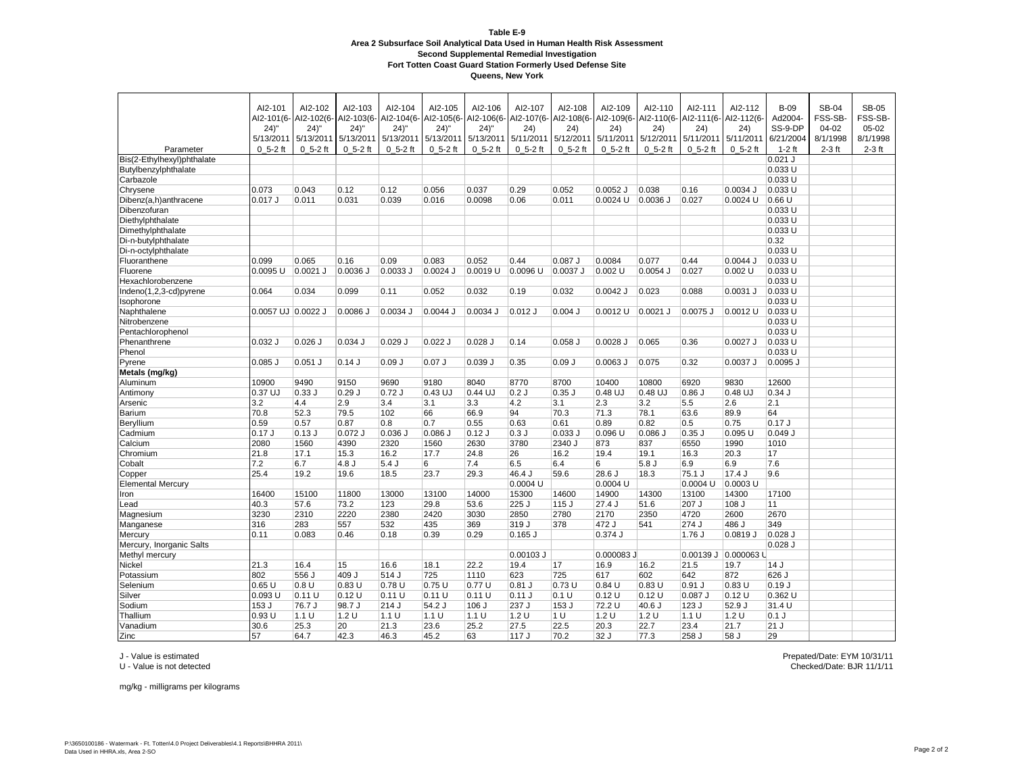**Queens, New York**

|                            | AI2-101            | AI2-102                          | AI2-103     | AI2-104      | AI2-105     | AI2-106     | AI2-107     | AI2-108     | AI2-109                                                | AI2-110     | AI2-111             | AI2-112              | $B-09$    | <b>SB-04</b>  | <b>SB-05</b> |
|----------------------------|--------------------|----------------------------------|-------------|--------------|-------------|-------------|-------------|-------------|--------------------------------------------------------|-------------|---------------------|----------------------|-----------|---------------|--------------|
|                            |                    | Al2-101(6- Al2-102(6- Al2-103(6- |             | AI2-104(6-   | AI2-105(6-  | AI2-106(6-  | AI2-107(6-  |             | Al2-108(6- Al2-109(6- Al2-110(6- Al2-111(6- Al2-112(6- |             |                     |                      | Ad2004-   | <b>FSS-SB</b> | FSS-SB-      |
|                            | 24)''              | 24)''                            | $24)$ "     | $24)$ "      | $24)$ "     | $24)$ "     | 24)         | (24)        | (24)                                                   | (24)        | 24)                 | 24)                  | SS-9-DP   | $04 - 02$     | $05-02$      |
|                            |                    | 5/13/2011 5/13/2011 5/13/2011    |             | 5/13/2011    | 5/13/2011   | 5/13/2011   | 5/11/2011   |             | 5/12/2011 5/11/2011 5/12/2011                          |             | 5/11/2011 5/11/2011 |                      | 6/21/2004 | 8/1/1998      | 8/1/1998     |
| Parameter                  | $0, 5-2$ ft        | $0, 5-2$ ft                      | $0, 5-2$ ft | $0, 5-2$ ft  | $0, 5-2$ ft | $0, 5-2$ ft | $0, 5-2$ ft | $0, 5-2$ ft | $0, 5-2$ ft                                            | $0, 5-2$ ft | $0, 5-2$ ft         | $0, 5-2$ ft          | 1-2 ft    | $2-3$ ft      | $2-3$ ft     |
| Bis(2-Ethylhexyl)phthalate |                    |                                  |             |              |             |             |             |             |                                                        |             |                     |                      | $0.021$ J |               |              |
| Butylbenzylphthalate       |                    |                                  |             |              |             |             |             |             |                                                        |             |                     |                      | 0.033 U   |               |              |
| Carbazole                  |                    |                                  |             |              |             |             |             |             |                                                        |             |                     |                      | 0.033 U   |               |              |
| Chrysene                   | 0.073              | 0.043                            | 0.12        | 0.12         | 0.056       | 0.037       | 0.29        | 0.052       | $0.0052$ J                                             | 0.038       | 0.16                | $0.0034$ J           | 0.033 U   |               |              |
| Dibenz(a,h)anthracene      | 0.017J             | 0.011                            | 0.031       | 0.039        | 0.016       | 0.0098      | 0.06        | 0.011       | $0.0024$ U                                             | $0.0036$ J  | 0.027               | $0.0024$ U           | 0.66U     |               |              |
| Dibenzofuran               |                    |                                  |             |              |             |             |             |             |                                                        |             |                     |                      | 0.033U    |               |              |
| Diethylphthalate           |                    |                                  |             |              |             |             |             |             |                                                        |             |                     |                      | 0.033U    |               |              |
| Dimethylphthalate          |                    |                                  |             |              |             |             |             |             |                                                        |             |                     |                      | 0.033U    |               |              |
| Di-n-butylphthalate        |                    |                                  |             |              |             |             |             |             |                                                        |             |                     |                      | 0.32      |               |              |
| Di-n-octylphthalate        |                    |                                  |             |              |             |             |             |             |                                                        |             |                     |                      | 0.033 U   |               |              |
| Fluoranthene               | 0.099              | 0.065                            | 0.16        | 0.09         | 0.083       | 0.052       | 0.44        | $0.087$ J   | 0.0084                                                 | 0.077       | 0.44                | 0.0044J              | 0.033 U   |               |              |
| Fluorene                   | 0.0095 U           | $0.0021$ J                       | 0.0036 J    | $0.0033$ $J$ | $0.0024$ J  | 0.0019 U    | 0.0096 U    | 0.0037 J    | $0.002$ U                                              | $0.0054$ J  | 0.027               | $0.002$ U            | 0.033 U   |               |              |
| Hexachlorobenzene          |                    |                                  |             |              |             |             |             |             |                                                        |             |                     |                      | 0.033 U   |               |              |
| Indeno(1,2,3-cd)pyrene     | 0.064              | 0.034                            | 0.099       | 0.11         | 0.052       | 0.032       | 0.19        | 0.032       | $0.0042$ J                                             | 0.023       | 0.088               | $0.0031$ J           | $0.033$ U |               |              |
| Isophorone                 |                    |                                  |             |              |             |             |             |             |                                                        |             |                     |                      | 0.033 U   |               |              |
| Naphthalene                | 0.0057 UJ 0.0022 J |                                  | $0.0086$ J  | $0.0034$ J   | 0.0044J     | $0.0034$ J  | $0.012$ J   | $0.004$ J   | $0.0012$ U                                             | $0.0021$ J  | $0.0075$ J          | $0.0012$ U           | 0.033U    |               |              |
| Nitrobenzene               |                    |                                  |             |              |             |             |             |             |                                                        |             |                     |                      | 0.033 U   |               |              |
| Pentachlorophenol          |                    |                                  |             |              |             |             |             |             |                                                        |             |                     |                      | 0.033 U   |               |              |
| Phenanthrene               | $0.032$ J          | $0.026$ J                        | $0.034$ J   | $0.029$ J    | $0.022$ J   | $0.028$ J   | 0.14        | $0.058$ J   | $0.0028$ J                                             | 0.065       | 0.36                | $0.0027$ J           | 0.033 U   |               |              |
| Phenol                     |                    |                                  |             |              |             |             |             |             |                                                        |             |                     |                      | 0.033U    |               |              |
| Pyrene                     | $0.085$ J          | $0.051$ J                        | 0.14J       | 0.09J        | $0.07$ J    | 0.039J      | 0.35        | 0.09J       | $0.0063$ J                                             | 0.075       | 0.32                | 0.0037 J             | 0.0095 J  |               |              |
| Metals (mg/kg)             |                    |                                  |             |              |             |             |             |             |                                                        |             |                     |                      |           |               |              |
| Aluminum                   | 10900              | 9490                             | 9150        | 9690         | 9180        | 8040        | 8770        | 8700        | 10400                                                  | 10800       | 6920                | 9830                 | 12600     |               |              |
| Antimony                   | 0.37 UJ            | 0.33J                            | 0.29J       | 0.72J        | 0.43 UJ     | $0.44$ UJ   | 0.2J        | $0.35$ $J$  | 0.48 UJ                                                | 0.48 UJ     | $0.86$ J            | 0.48 UJ              | $0.34$ J  |               |              |
| Arsenic                    | 3.2                | 4.4                              | 2.9         | 3.4          | 3.1         | 3.3         | 4.2         | 3.1         | 2.3                                                    | 3.2         | 5.5                 | 2.6                  | 2.1       |               |              |
| Barium                     | 70.8               | 52.3                             | 79.5        | 102          | 66          | 66.9        | 94          | 70.3        | 71.3                                                   | 78.1        | 63.6                | 89.9                 | 64        |               |              |
| Beryllium                  | 0.59               | 0.57                             | 0.87        | 0.8          | 0.7         | 0.55        | 0.63        | 0.61        | 0.89                                                   | 0.82        | 0.5                 | 0.75                 | $0.17$ J  |               |              |
| Cadmium                    | 0.17J              | $0.13$ J                         | $0.072$ J   | $0.036$ $J$  | $0.086$ J   | 0.12J       | $0.3$ J     | 0.033J      | 0.096U                                                 | $0.086$ J   | $0.35$ J            | 0.095U               | $0.049$ J |               |              |
| Calcium                    | 2080               | 1560                             | 4390        | 2320         | 1560        | 2630        | 3780        | 2340 J      | 873                                                    | 837         | 6550                | 1990                 | 1010      |               |              |
| Chromium                   | 21.8               | 17.1                             | 15.3        | 16.2         | 17.7        | 24.8        | 26          | 16.2        | 19.4                                                   | 19.1        | 16.3                | 20.3                 | 17        |               |              |
| Cobalt                     | 7.2                | 6.7                              | 4.8J        | 5.4J         | 6           | 7.4         | 6.5         | 6.4         | 6                                                      | 5.8J        | 6.9                 | 6.9                  | 7.6       |               |              |
| Copper                     | 25.4               | 19.2                             | 19.6        | 18.5         | 23.7        | 29.3        | 46.4 J      | 59.6        | 28.6 J                                                 | 18.3        | 75.1 J              | $17.4$ J             | 9.6       |               |              |
| <b>Elemental Mercury</b>   |                    |                                  |             |              |             |             | 0.0004 U    |             | 0.0004 U                                               |             | 0.0004 U            | 0.0003 U             |           |               |              |
| Iron                       | 16400              | 15100                            | 11800       | 13000        | 13100       | 14000       | 15300       | 14600       | 14900                                                  | 14300       | 13100               | 14300                | 17100     |               |              |
| Lead                       | 40.3               | 57.6                             | 73.2        | 123          | 29.8        | 53.6        | 225 J       | 115 J       | 27.4 J                                                 | 51.6        | 207 J               | 108 J                | 11        |               |              |
| Magnesium                  | 3230               | 2310                             | 2220        | 2380         | 2420        | 3030        | 2850        | 2780        | 2170                                                   | 2350        | 4720                | 2600                 | 2670      |               |              |
| Manganese                  | 316                | 283                              | 557         | 532          | 435         | 369         | 319 J       | 378         | 472 J                                                  | 541         | 274J                | 486 J                | 349       |               |              |
| Mercury                    | 0.11               | 0.083                            | 0.46        | 0.18         | 0.39        | 0.29        | $0.165$ J   |             | $0.374$ J                                              |             | $1.76$ J            | 0.0819J              | $0.028$ J |               |              |
| Mercury, Inorganic Salts   |                    |                                  |             |              |             |             |             |             |                                                        |             |                     |                      | $0.028$ J |               |              |
| Methyl mercury             |                    |                                  |             |              |             |             | 0.00103 J   |             | 0.000083 J                                             |             |                     | 0.00139 J 0.000063 U |           |               |              |
| Nickel                     | 21.3               | 16.4                             | 15          | 16.6         | 18.1        | 22.2        | 19.4        | 17          | 16.9                                                   | 16.2        | 21.5                | 19.7                 | 14J       |               |              |
| Potassium                  | 802                | 556 J                            | 409 J       | 514 J        | 725         | 1110        | 623         | 725         | 617                                                    | 602         | 642                 | 872                  | 626 J     |               |              |
| Selenium                   | 0.65U              | 0.8 U                            | 0.83U       | 0.78U        | 0.75U       | 0.77U       | $0.81$ J    | 0.73U       | 0.84 U                                                 | 0.83 U      | $0.91$ J            | 0.83U                | 0.19J     |               |              |
| Silver                     | 0.093 U            | 0.11 U                           | 0.12U       | 0.11 U       | 0.11 U      | 0.11U       | $0.11$ J    | 0.1 U       | 0.12U                                                  | 0.12U       | $0.087$ J           | 0.12U                | 0.362 U   |               |              |
| Sodium                     | 153 J              | 76.7 J                           | 98.7 J      | 214 J        | 54.2 J      | 106 J       | 237 J       | 153 J       | 72.2 U                                                 | 40.6 J      | 123 J               | 52.9 J               | 31.4 U    |               |              |
| Thallium                   | 0.93U              | 1.1 U                            | 1.2U        | 1.1 U        | 1.1 U       | 1.1 U       | 1.2U        | 1 U         | 1.2U                                                   | 1.2 U       | 1.1 U               | 1.2 U                | $0.1$ J   |               |              |
| Vanadium                   | 30.6               | 25.3                             | 20          | 21.3         | 23.6        | 25.2        | 27.5        | 22.5        | 20.3                                                   | 22.7        | 23.4                | 21.7                 | 21 J      |               |              |
| Zinc                       | 57                 | 64.7                             | 42.3        | 46.3         | 45.2        | 63          | 117 J       | 70.2        | 32 J                                                   | 77.3        | 258 J               | 58 J                 | 29        |               |              |

J - Value is estimated Prepated/Date: EYM 10/31/11 Checked/Date: BJR 11/1/11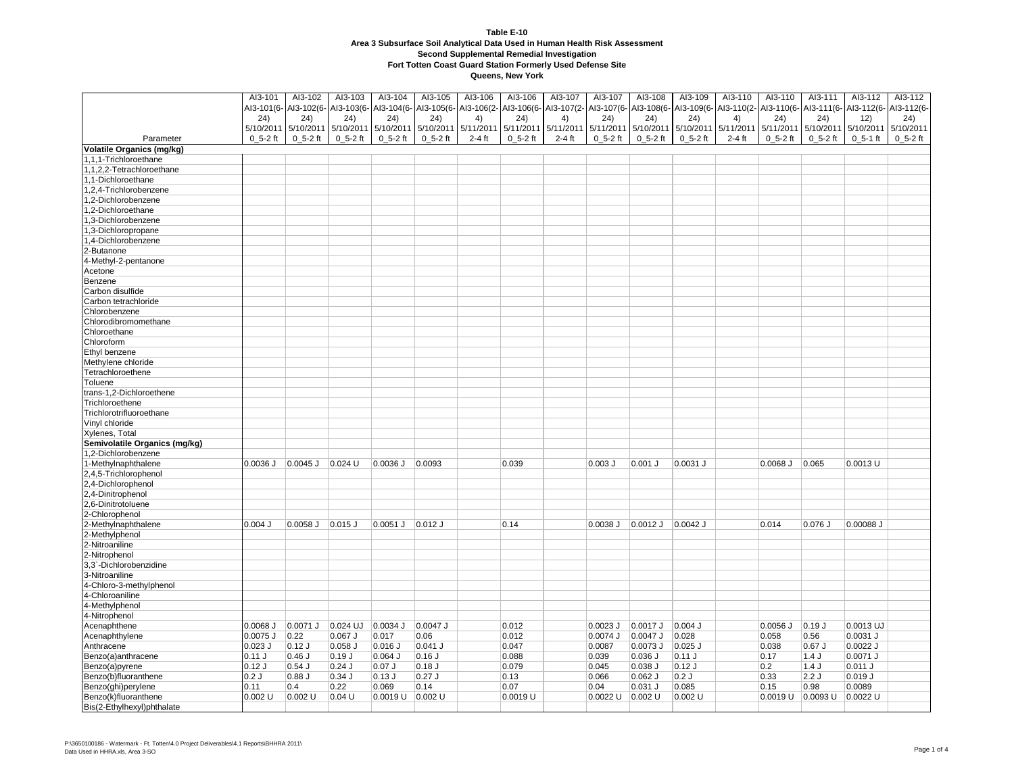|                                          | AI3-101      | AI3-102                          | AI3-103         | AI3-104      | AI3-105               | AI3-106   | AI3-106               | AI3-107   | AI3-107               | AI3-108             | AI3-109               | AI3-110             | AI3-110            | AI3-111                                                | AI3-112      | Al3-112      |
|------------------------------------------|--------------|----------------------------------|-----------------|--------------|-----------------------|-----------|-----------------------|-----------|-----------------------|---------------------|-----------------------|---------------------|--------------------|--------------------------------------------------------|--------------|--------------|
|                                          |              | Al3-101(6- Al3-102(6- Al3-103(6- |                 |              | Al3-104(6- Al3-105(6- |           | AI3-106(2- AI3-106(6- |           | AI3-107(2- AI3-107(6- |                     | Al3-108(6- Al3-109(6- |                     |                    | Al3-110(2- Al3-110(6- Al3-111(6- Al3-112(6- Al3-112(6- |              |              |
|                                          | 24)          | 24)                              | 24)             | (24)         | (24)                  | 4)        | 24)                   | 4)        | 24)                   | (24)                | (24)                  | 4)                  | 24)                | 24)                                                    | 12)          | 24)          |
|                                          |              | 5/10/2011 5/10/2011              | 5/10/2011       | 5/10/2011    | 5/10/2011             | 5/11/2011 | 5/11/2011             | 5/11/2011 | 5/11/2011             | 5/10/2011 5/10/2011 |                       | 5/11/2011 5/11/2011 |                    | 5/10/2011                                              | 5/10/2011    | 5/10/2011    |
| Parameter                                | $0_5 - 2$ ft | $0_5 - 2$ ft                     | $0_5 - 2$ ft    | $0_5 - 2$ ft | $0_5 - 2$ ft          | $2-4$ ft  | $0_5 - 2$ ft          | $2-4$ ft  | $0_5 - 2$ ft          | $0_5 - 2$ ft        | $0_5 - 2$ ft          | $2-4$ ft            | $0_5 - 2$ ft       | $0_5 - 2$ ft                                           | $0_5 - 1$ ft | $0_5 - 2$ ft |
| <b>Volatile Organics (mg/kg)</b>         |              |                                  |                 |              |                       |           |                       |           |                       |                     |                       |                     |                    |                                                        |              |              |
| 1,1,1-Trichloroethane                    |              |                                  |                 |              |                       |           |                       |           |                       |                     |                       |                     |                    |                                                        |              |              |
| 1,1,2,2-Tetrachloroethane                |              |                                  |                 |              |                       |           |                       |           |                       |                     |                       |                     |                    |                                                        |              |              |
| 1.1-Dichloroethane                       |              |                                  |                 |              |                       |           |                       |           |                       |                     |                       |                     |                    |                                                        |              |              |
| ,2,4-Trichlorobenzene                    |              |                                  |                 |              |                       |           |                       |           |                       |                     |                       |                     |                    |                                                        |              |              |
| 1,2-Dichlorobenzene                      |              |                                  |                 |              |                       |           |                       |           |                       |                     |                       |                     |                    |                                                        |              |              |
| 1,2-Dichloroethane                       |              |                                  |                 |              |                       |           |                       |           |                       |                     |                       |                     |                    |                                                        |              |              |
| 3-Dichlorobenzene                        |              |                                  |                 |              |                       |           |                       |           |                       |                     |                       |                     |                    |                                                        |              |              |
| ,3-Dichloropropane                       |              |                                  |                 |              |                       |           |                       |           |                       |                     |                       |                     |                    |                                                        |              |              |
| 1,4-Dichlorobenzene                      |              |                                  |                 |              |                       |           |                       |           |                       |                     |                       |                     |                    |                                                        |              |              |
| 2-Butanone                               |              |                                  |                 |              |                       |           |                       |           |                       |                     |                       |                     |                    |                                                        |              |              |
|                                          |              |                                  |                 |              |                       |           |                       |           |                       |                     |                       |                     |                    |                                                        |              |              |
| 4-Methyl-2-pentanone                     |              |                                  |                 |              |                       |           |                       |           |                       |                     |                       |                     |                    |                                                        |              |              |
| Acetone                                  |              |                                  |                 |              |                       |           |                       |           |                       |                     |                       |                     |                    |                                                        |              |              |
| Benzene                                  |              |                                  |                 |              |                       |           |                       |           |                       |                     |                       |                     |                    |                                                        |              |              |
| Carbon disulfide                         |              |                                  |                 |              |                       |           |                       |           |                       |                     |                       |                     |                    |                                                        |              |              |
| Carbon tetrachloride                     |              |                                  |                 |              |                       |           |                       |           |                       |                     |                       |                     |                    |                                                        |              |              |
| Chlorobenzene<br>Chlorodibromomethane    |              |                                  |                 |              |                       |           |                       |           |                       |                     |                       |                     |                    |                                                        |              |              |
|                                          |              |                                  |                 |              |                       |           |                       |           |                       |                     |                       |                     |                    |                                                        |              |              |
| Chloroethane                             |              |                                  |                 |              |                       |           |                       |           |                       |                     |                       |                     |                    |                                                        |              |              |
| Chloroform                               |              |                                  |                 |              |                       |           |                       |           |                       |                     |                       |                     |                    |                                                        |              |              |
| Ethyl benzene                            |              |                                  |                 |              |                       |           |                       |           |                       |                     |                       |                     |                    |                                                        |              |              |
| Methylene chloride                       |              |                                  |                 |              |                       |           |                       |           |                       |                     |                       |                     |                    |                                                        |              |              |
| Tetrachloroethene                        |              |                                  |                 |              |                       |           |                       |           |                       |                     |                       |                     |                    |                                                        |              |              |
| Toluene                                  |              |                                  |                 |              |                       |           |                       |           |                       |                     |                       |                     |                    |                                                        |              |              |
| trans-1,2-Dichloroethene                 |              |                                  |                 |              |                       |           |                       |           |                       |                     |                       |                     |                    |                                                        |              |              |
| Trichloroethene                          |              |                                  |                 |              |                       |           |                       |           |                       |                     |                       |                     |                    |                                                        |              |              |
| Trichlorotrifluoroethane                 |              |                                  |                 |              |                       |           |                       |           |                       |                     |                       |                     |                    |                                                        |              |              |
| Vinyl chloride                           |              |                                  |                 |              |                       |           |                       |           |                       |                     |                       |                     |                    |                                                        |              |              |
| Xylenes, Total                           |              |                                  |                 |              |                       |           |                       |           |                       |                     |                       |                     |                    |                                                        |              |              |
| Semivolatile Organics (mg/kg)            |              |                                  |                 |              |                       |           |                       |           |                       |                     |                       |                     |                    |                                                        |              |              |
| 1,2-Dichlorobenzene                      |              |                                  |                 |              |                       |           |                       |           |                       |                     |                       |                     |                    |                                                        |              |              |
| I-Methylnaphthalene                      | $0.0036$ J   | $0.0045$ J                       | $\vert$ 0.024 U | $0.0036$ J   | 0.0093                |           | 0.039                 |           | $0.003$ $J$           | $0.001$ J           | 0.0031 J              |                     | $0.0068$ J $0.065$ |                                                        | $0.0013$ U   |              |
| 2,4,5-Trichlorophenol                    |              |                                  |                 |              |                       |           |                       |           |                       |                     |                       |                     |                    |                                                        |              |              |
| 2,4-Dichlorophenol                       |              |                                  |                 |              |                       |           |                       |           |                       |                     |                       |                     |                    |                                                        |              |              |
| 2,4-Dinitrophenol                        |              |                                  |                 |              |                       |           |                       |           |                       |                     |                       |                     |                    |                                                        |              |              |
| 2,6-Dinitrotoluene                       |              |                                  |                 |              |                       |           |                       |           |                       |                     |                       |                     |                    |                                                        |              |              |
| 2-Chlorophenol                           |              |                                  |                 |              |                       |           |                       |           |                       |                     |                       |                     |                    |                                                        |              |              |
| 2-Methylnaphthalene                      | $0.004$ J    | 0.0058 J                         | $0.015$ J       | $0.0051$ J   | $0.012$ J             |           | 0.14                  |           | $0.0038$ $J$          | $0.0012$ J          | 0.0042 J              |                     | 0.014              | $0.076$ $J$                                            | 0.00088 J    |              |
| 2-Methylphenol                           |              |                                  |                 |              |                       |           |                       |           |                       |                     |                       |                     |                    |                                                        |              |              |
| 2-Nitroaniline                           |              |                                  |                 |              |                       |           |                       |           |                       |                     |                       |                     |                    |                                                        |              |              |
| 2-Nitrophenol                            |              |                                  |                 |              |                       |           |                       |           |                       |                     |                       |                     |                    |                                                        |              |              |
| 3,3`-Dichlorobenzidine<br>3-Nitroaniline |              |                                  |                 |              |                       |           |                       |           |                       |                     |                       |                     |                    |                                                        |              |              |
|                                          |              |                                  |                 |              |                       |           |                       |           |                       |                     |                       |                     |                    |                                                        |              |              |
| 4-Chloro-3-methylphenol                  |              |                                  |                 |              |                       |           |                       |           |                       |                     |                       |                     |                    |                                                        |              |              |
| 4-Chloroaniline                          |              |                                  |                 |              |                       |           |                       |           |                       |                     |                       |                     |                    |                                                        |              |              |
| 4-Methylphenol                           |              |                                  |                 |              |                       |           |                       |           |                       |                     |                       |                     |                    |                                                        |              |              |
| 4-Nitrophenol                            |              |                                  |                 |              | $0.0047$ J            |           |                       |           |                       |                     |                       |                     |                    |                                                        | $0.0013$ UJ  |              |
| Acenaphthene                             | $0.0068$ J   | 0.0071 J                         | 0.024 UJ        | $0.0034$ J   |                       |           | 0.012                 |           | $0.0023$ J            | $0.0017$ J          | $0.004$ J             |                     | $0.0056$ J         | $0.19$ J                                               |              |              |
| Acenaphthylene                           | 0.0075 J     | 0.22                             | $0.067$ J       | 0.017        | 0.06                  |           | 0.012                 |           | $0.0074$ J            | $0.0047$ J          | 0.028                 |                     | 0.058              | 0.56                                                   | $0.0031$ J   |              |
| Anthracene                               | $0.023$ J    | $0.12$ J                         | $0.058$ $J$     | $0.016$ J    | $0.041$ J             |           | 0.047                 |           | 0.0087                | 0.0073 J            | $0.025$ J             |                     | 0.038              | $0.67$ J                                               | $0.0022$ J   |              |
| Benzo(a)anthracene                       | 0.11J        | 0.46J                            | 0.19J           | $0.064$ J    | $0.16$ J              |           | 0.088                 |           | 0.039                 | $0.036$ $J$         | $0.11$ J              |                     | 0.17               | 1.4J                                                   | 0.0071 J     |              |
| Benzo(a)pyrene                           | 0.12J        | $0.54$ J                         | $0.24$ J        | $0.07$ J     | $0.18$ J              |           | 0.079                 |           | 0.045                 | $0.038$ $J$         | $0.12$ J              |                     | 0.2                | 1.4J                                                   | 0.011 J      |              |
| Benzo(b)fluoranthene                     | 0.2J         | 0.88J                            | 0.34J           | 0.13J        | $0.27$ J              |           | 0.13                  |           | 0.066                 | $0.062$ J           | 0.2J                  |                     | 0.33               | 2.2J                                                   | 0.019J       |              |
| Benzo(ghi)perylene                       | 0.11         | 0.4                              | 0.22            | 0.069        | 0.14                  |           | 0.07                  |           | 0.04                  | $0.031$ J           | 0.085                 |                     | 0.15               | 0.98                                                   | 0.0089       |              |
| Benzo(k)fluoranthene                     | $0.002$ U    | 0.002 U                          | $0.04$ U        | 0.0019 U     | $0.002$ U             |           | $0.0019$ U            |           | 0.0022 U 0.002 U      |                     | $0.002$ U             |                     |                    | $0.0019$ U $0.0093$ U $0.0022$ U                       |              |              |
| Bis(2-Ethylhexyl)phthalate               |              |                                  |                 |              |                       |           |                       |           |                       |                     |                       |                     |                    |                                                        |              |              |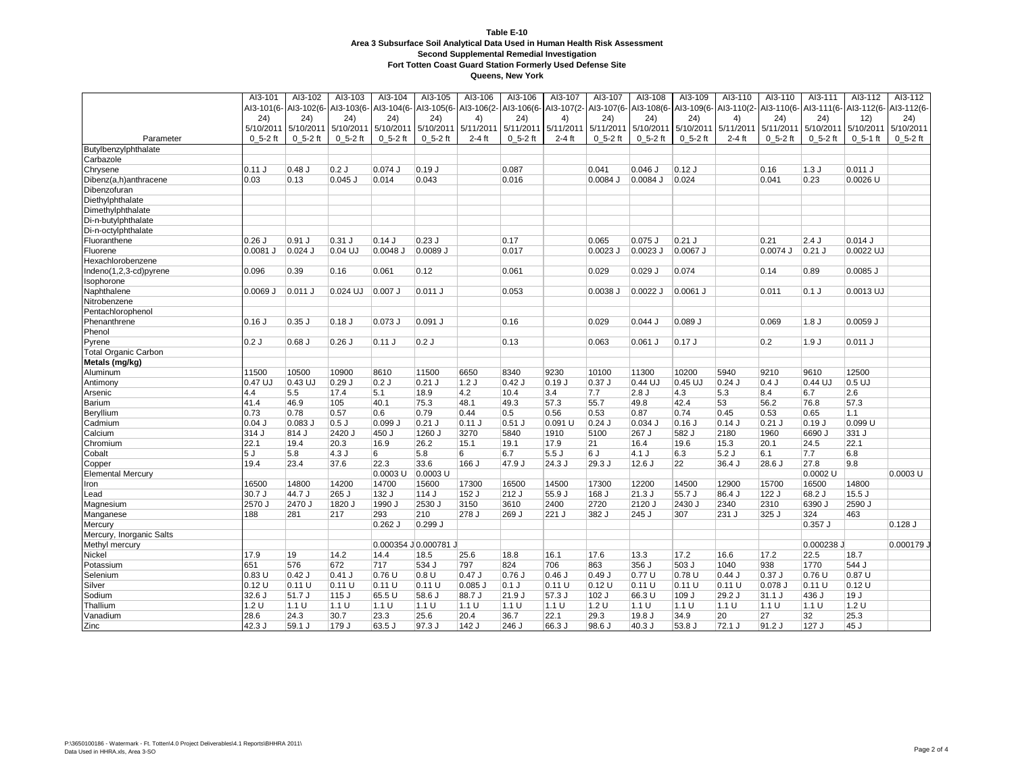| Al3-108(6- Al3-109(6- Al3-110(2- Al3-110(6- Al3-111(6- Al3-112(6- Al3-112(6-<br>Al3-101(6- Al3-102(6- Al3-103(6- Al3-104(6-<br>AI3-105(6- AI3-106(2- AI3-106(6- AI3-107(2- AI3-107(6-<br>24)<br>24)<br>24)<br>(24)<br>(24)<br>(24)<br>4)<br>24)<br>4)<br>(24)<br>(24)<br>24)<br>4)<br>24)<br>24)<br>12)<br>5/10/2011 5/10/2011<br>5/10/2011<br>5/10/2011<br>5/10/2011<br>5/11/2011<br>5/11/2011<br>5/11/2011 5/11/2011<br>5/10/2011<br>5/10/2011<br>5/11/2011 5/11/2011<br>5/10/2011<br>5/10/2011<br>5/10/2011<br>$0, 5-2$ ft<br>$0_5 - 2$ ft<br>$0_5 - 2$ ft<br>$0_5 - 2$ ft<br>$0, 5-2$ ft<br>$0, 5-2$ ft<br>Parameter<br>$0, 5-2$ ft<br>$0, 5-2$ ft<br>$0, 5-2$ ft<br>$2-4$ ft<br>$0, 5-2$ ft<br>$2-4$ ft<br>$0, 5-2$ ft<br>$2-4$ ft<br>$0, 5-2$ ft<br>$0, 5-1$ ft<br>Butylbenzylphthalate<br>Carbazole<br>0.11 J<br>$0.48$ J<br>0.2J<br>$0.074$ J<br>$0.19$ J<br>0.041<br>$0.046$ J<br>$0.12$ J<br>1.3J<br>0.011 J<br>Chrysene<br>0.087<br>0.16<br>Dibenz(a,h)anthracene<br>0.03<br>0.13<br>$0.045$ J<br>0.014<br>0.043<br>0.016<br>0.0084 J<br>$0.0084$ J<br>0.024<br>0.041<br>0.23<br>$0.0026$ U<br>Dibenzofuran<br>Diethylphthalate<br>Dimethylphthalate<br>Di-n-butylphthalate<br>Di-n-octylphthalate<br>$0.23$ J<br>$0.21$ J<br>$0.26$ J<br>$0.91$ J<br>$0.31$ J<br>$0.14$ J<br>0.17<br>0.065<br>$0.075$ J<br>0.21<br>2.4J<br>$0.014$ J<br>Fluoranthene<br>$0.04$ UJ<br>$0.0081$ J<br>$0.024$ J<br>0.0048 J<br>0.0089 J<br>0.017<br>$0.0023$ J<br>$0.0023$ J<br>0.0067 J<br>0.0074 J<br>$0.21$ J<br>0.0022 UJ<br>Fluorene<br>Hexachlorobenzene<br>Indeno(1,2,3-cd)pyrene<br>0.096<br>0.39<br>0.16<br>0.061<br>0.12<br>0.061<br>0.029<br>$0.029$ J<br>0.074<br>0.14<br>0.89<br>$0.0085$ J<br>Isophorone<br>0.007 J<br>$0.011$ J<br>0.053<br>0.0022 J<br>Naphthalene<br>$0.0069$ J<br>$0.011$ J<br>0.024 UJ<br>0.0038 J<br>0.0061 J<br>0.011<br>$0.1$ J<br>0.0013 UJ<br>Nitrobenzene<br>Pentachlorophenol<br>Phenanthrene<br>0.16J<br>$0.35$ J<br>0.18J<br>$0.073$ J<br>$0.091$ J<br>0.16<br>0.029<br>0.044J<br>$0.089$ J<br>0.069<br>1.8 <sub>J</sub><br>0.0059 J<br>Phenol<br>0.2J<br>$0.68$ J<br>0.26J<br>$0.11$ J<br>0.2J<br>0.13<br>0.063<br>$0.061$ J<br>$0.17$ J<br>0.2<br>1.9J<br>Pyrene<br>0.011 J<br><b>Total Organic Carbon</b><br>Metals (mg/kg)<br>11500<br>10500<br>10900<br>11500<br>8340<br>9230<br>10100<br>11300<br>10200<br>5940<br>9210<br>9610<br>12500<br>Aluminum<br>8610<br>6650<br>$0.47$ UJ<br>0.43 UJ<br>0.29J<br>$0.21$ J<br>$0.42$ J<br>$0.37$ J<br>$0.45$ UJ<br>0.4J<br>$0.44$ UJ<br>$0.5$ UJ<br>0.2J<br>1.2J<br>$0.19$ J<br>0.44 UJ<br>$0.24$ J<br>Antimony<br>4.4<br>5.5<br>17.4<br>5.1<br>18.9<br>4.2<br>10.4<br>3.4<br>2.8J<br>4.3<br>5.3<br>8.4<br>6.7<br>2.6<br>7.7<br>Arsenic<br>41.4<br>46.9<br>40.1<br>57.3<br>55.7<br>42.4<br>56.2<br>57.3<br>Barium<br>105<br>75.3<br>48.1<br>49.3<br>49.8<br>53<br>76.8<br>0.73<br>0.78<br>0.57<br>0.79<br>0.44<br>0.5<br>0.74<br>1.1<br>0.6<br>0.56<br>0.53<br>0.87<br>0.45<br>0.53<br>0.65<br>Beryllium<br>0.083 J<br>$0.04$ J<br>0.5J<br>0.099<br>$0.21$ J<br>$0.11$ J<br>$0.51$ J<br>0.091 U<br>$0.24$ J<br>$0.034$ J<br>0.16<br>0.14J<br>$0.21$ J<br>0.19J<br>0.099 U<br>Cadmium<br>314 J<br>2420 J<br>3270<br>1960<br>6690 J<br>331 J<br>Calcium<br>814 J<br>450 J<br>1260 J<br>5840<br>1910<br>5100<br>267 J<br>582 J<br>2180<br>22.1<br>22.1<br>Chromium<br>19.4<br>20.3<br>16.9<br>26.2<br>15.1<br>19.1<br>17.9<br>21<br>16.4<br>19.6<br>15.3<br>20.1<br>24.5<br>Cobalt<br>4.3J<br>6<br>5.8<br>6<br>6.7<br>5.5J<br>4.1J<br>6.3<br>5.2J<br>6.1<br>7.7<br>6.8<br>5 J<br>5.8<br>6 J<br>19.4<br>23.4<br>22.3<br>33.6<br>$166$ J<br>47.9 J<br>$24.3$ J<br>$29.3$ J<br>22<br>$36.4$ J<br>$28.6$ J<br>27.8<br>9.8<br>Copper<br>37.6<br>12.6J<br>$0.0003$ U<br>$0.0003$ U<br>0.0002 U<br>0.0003 U<br><b>Elemental Mercury</b> |      | AI3-101 | AI3-102 | AI3-103 | AI3-104 | AI3-105 | AI3-106 | AI3-106 | AI3-107 | AI3-107 | AI3-108 | AI3-109 | AI3-110 | AI3-110 | AI3-111 | Al3-112 | Al3-112 |
|-----------------------------------------------------------------------------------------------------------------------------------------------------------------------------------------------------------------------------------------------------------------------------------------------------------------------------------------------------------------------------------------------------------------------------------------------------------------------------------------------------------------------------------------------------------------------------------------------------------------------------------------------------------------------------------------------------------------------------------------------------------------------------------------------------------------------------------------------------------------------------------------------------------------------------------------------------------------------------------------------------------------------------------------------------------------------------------------------------------------------------------------------------------------------------------------------------------------------------------------------------------------------------------------------------------------------------------------------------------------------------------------------------------------------------------------------------------------------------------------------------------------------------------------------------------------------------------------------------------------------------------------------------------------------------------------------------------------------------------------------------------------------------------------------------------------------------------------------------------------------------------------------------------------------------------------------------------------------------------------------------------------------------------------------------------------------------------------------------------------------------------------------------------------------------------------------------------------------------------------------------------------------------------------------------------------------------------------------------------------------------------------------------------------------------------------------------------------------------------------------------------------------------------------------------------------------------------------------------------------------------------------------------------------------------------------------------------------------------------------------------------------------------------------------------------------------------------------------------------------------------------------------------------------------------------------------------------------------------------------------------------------------------------------------------------------------------------------------------------------------------------------------------------------------------------------------------------------------------------------------------------------------------------------------------------------------------------------------------------------------------------------------------------------------------------------------------------------------------------------------------------------------------------------------------------------------------------------------------------------------------------------------------------------------------------------------------------------------------------------------------------------------------------------------------------------|------|---------|---------|---------|---------|---------|---------|---------|---------|---------|---------|---------|---------|---------|---------|---------|---------|
|                                                                                                                                                                                                                                                                                                                                                                                                                                                                                                                                                                                                                                                                                                                                                                                                                                                                                                                                                                                                                                                                                                                                                                                                                                                                                                                                                                                                                                                                                                                                                                                                                                                                                                                                                                                                                                                                                                                                                                                                                                                                                                                                                                                                                                                                                                                                                                                                                                                                                                                                                                                                                                                                                                                                                                                                                                                                                                                                                                                                                                                                                                                                                                                                                                                                                                                                                                                                                                                                                                                                                                                                                                                                                                                                                                                                                 |      |         |         |         |         |         |         |         |         |         |         |         |         |         |         |         |         |
|                                                                                                                                                                                                                                                                                                                                                                                                                                                                                                                                                                                                                                                                                                                                                                                                                                                                                                                                                                                                                                                                                                                                                                                                                                                                                                                                                                                                                                                                                                                                                                                                                                                                                                                                                                                                                                                                                                                                                                                                                                                                                                                                                                                                                                                                                                                                                                                                                                                                                                                                                                                                                                                                                                                                                                                                                                                                                                                                                                                                                                                                                                                                                                                                                                                                                                                                                                                                                                                                                                                                                                                                                                                                                                                                                                                                                 |      |         |         |         |         |         |         |         |         |         |         |         |         |         |         |         |         |
|                                                                                                                                                                                                                                                                                                                                                                                                                                                                                                                                                                                                                                                                                                                                                                                                                                                                                                                                                                                                                                                                                                                                                                                                                                                                                                                                                                                                                                                                                                                                                                                                                                                                                                                                                                                                                                                                                                                                                                                                                                                                                                                                                                                                                                                                                                                                                                                                                                                                                                                                                                                                                                                                                                                                                                                                                                                                                                                                                                                                                                                                                                                                                                                                                                                                                                                                                                                                                                                                                                                                                                                                                                                                                                                                                                                                                 |      |         |         |         |         |         |         |         |         |         |         |         |         |         |         |         |         |
|                                                                                                                                                                                                                                                                                                                                                                                                                                                                                                                                                                                                                                                                                                                                                                                                                                                                                                                                                                                                                                                                                                                                                                                                                                                                                                                                                                                                                                                                                                                                                                                                                                                                                                                                                                                                                                                                                                                                                                                                                                                                                                                                                                                                                                                                                                                                                                                                                                                                                                                                                                                                                                                                                                                                                                                                                                                                                                                                                                                                                                                                                                                                                                                                                                                                                                                                                                                                                                                                                                                                                                                                                                                                                                                                                                                                                 |      |         |         |         |         |         |         |         |         |         |         |         |         |         |         |         |         |
|                                                                                                                                                                                                                                                                                                                                                                                                                                                                                                                                                                                                                                                                                                                                                                                                                                                                                                                                                                                                                                                                                                                                                                                                                                                                                                                                                                                                                                                                                                                                                                                                                                                                                                                                                                                                                                                                                                                                                                                                                                                                                                                                                                                                                                                                                                                                                                                                                                                                                                                                                                                                                                                                                                                                                                                                                                                                                                                                                                                                                                                                                                                                                                                                                                                                                                                                                                                                                                                                                                                                                                                                                                                                                                                                                                                                                 |      |         |         |         |         |         |         |         |         |         |         |         |         |         |         |         |         |
|                                                                                                                                                                                                                                                                                                                                                                                                                                                                                                                                                                                                                                                                                                                                                                                                                                                                                                                                                                                                                                                                                                                                                                                                                                                                                                                                                                                                                                                                                                                                                                                                                                                                                                                                                                                                                                                                                                                                                                                                                                                                                                                                                                                                                                                                                                                                                                                                                                                                                                                                                                                                                                                                                                                                                                                                                                                                                                                                                                                                                                                                                                                                                                                                                                                                                                                                                                                                                                                                                                                                                                                                                                                                                                                                                                                                                 |      |         |         |         |         |         |         |         |         |         |         |         |         |         |         |         |         |
|                                                                                                                                                                                                                                                                                                                                                                                                                                                                                                                                                                                                                                                                                                                                                                                                                                                                                                                                                                                                                                                                                                                                                                                                                                                                                                                                                                                                                                                                                                                                                                                                                                                                                                                                                                                                                                                                                                                                                                                                                                                                                                                                                                                                                                                                                                                                                                                                                                                                                                                                                                                                                                                                                                                                                                                                                                                                                                                                                                                                                                                                                                                                                                                                                                                                                                                                                                                                                                                                                                                                                                                                                                                                                                                                                                                                                 |      |         |         |         |         |         |         |         |         |         |         |         |         |         |         |         |         |
|                                                                                                                                                                                                                                                                                                                                                                                                                                                                                                                                                                                                                                                                                                                                                                                                                                                                                                                                                                                                                                                                                                                                                                                                                                                                                                                                                                                                                                                                                                                                                                                                                                                                                                                                                                                                                                                                                                                                                                                                                                                                                                                                                                                                                                                                                                                                                                                                                                                                                                                                                                                                                                                                                                                                                                                                                                                                                                                                                                                                                                                                                                                                                                                                                                                                                                                                                                                                                                                                                                                                                                                                                                                                                                                                                                                                                 |      |         |         |         |         |         |         |         |         |         |         |         |         |         |         |         |         |
|                                                                                                                                                                                                                                                                                                                                                                                                                                                                                                                                                                                                                                                                                                                                                                                                                                                                                                                                                                                                                                                                                                                                                                                                                                                                                                                                                                                                                                                                                                                                                                                                                                                                                                                                                                                                                                                                                                                                                                                                                                                                                                                                                                                                                                                                                                                                                                                                                                                                                                                                                                                                                                                                                                                                                                                                                                                                                                                                                                                                                                                                                                                                                                                                                                                                                                                                                                                                                                                                                                                                                                                                                                                                                                                                                                                                                 |      |         |         |         |         |         |         |         |         |         |         |         |         |         |         |         |         |
|                                                                                                                                                                                                                                                                                                                                                                                                                                                                                                                                                                                                                                                                                                                                                                                                                                                                                                                                                                                                                                                                                                                                                                                                                                                                                                                                                                                                                                                                                                                                                                                                                                                                                                                                                                                                                                                                                                                                                                                                                                                                                                                                                                                                                                                                                                                                                                                                                                                                                                                                                                                                                                                                                                                                                                                                                                                                                                                                                                                                                                                                                                                                                                                                                                                                                                                                                                                                                                                                                                                                                                                                                                                                                                                                                                                                                 |      |         |         |         |         |         |         |         |         |         |         |         |         |         |         |         |         |
|                                                                                                                                                                                                                                                                                                                                                                                                                                                                                                                                                                                                                                                                                                                                                                                                                                                                                                                                                                                                                                                                                                                                                                                                                                                                                                                                                                                                                                                                                                                                                                                                                                                                                                                                                                                                                                                                                                                                                                                                                                                                                                                                                                                                                                                                                                                                                                                                                                                                                                                                                                                                                                                                                                                                                                                                                                                                                                                                                                                                                                                                                                                                                                                                                                                                                                                                                                                                                                                                                                                                                                                                                                                                                                                                                                                                                 |      |         |         |         |         |         |         |         |         |         |         |         |         |         |         |         |         |
|                                                                                                                                                                                                                                                                                                                                                                                                                                                                                                                                                                                                                                                                                                                                                                                                                                                                                                                                                                                                                                                                                                                                                                                                                                                                                                                                                                                                                                                                                                                                                                                                                                                                                                                                                                                                                                                                                                                                                                                                                                                                                                                                                                                                                                                                                                                                                                                                                                                                                                                                                                                                                                                                                                                                                                                                                                                                                                                                                                                                                                                                                                                                                                                                                                                                                                                                                                                                                                                                                                                                                                                                                                                                                                                                                                                                                 |      |         |         |         |         |         |         |         |         |         |         |         |         |         |         |         |         |
|                                                                                                                                                                                                                                                                                                                                                                                                                                                                                                                                                                                                                                                                                                                                                                                                                                                                                                                                                                                                                                                                                                                                                                                                                                                                                                                                                                                                                                                                                                                                                                                                                                                                                                                                                                                                                                                                                                                                                                                                                                                                                                                                                                                                                                                                                                                                                                                                                                                                                                                                                                                                                                                                                                                                                                                                                                                                                                                                                                                                                                                                                                                                                                                                                                                                                                                                                                                                                                                                                                                                                                                                                                                                                                                                                                                                                 |      |         |         |         |         |         |         |         |         |         |         |         |         |         |         |         |         |
|                                                                                                                                                                                                                                                                                                                                                                                                                                                                                                                                                                                                                                                                                                                                                                                                                                                                                                                                                                                                                                                                                                                                                                                                                                                                                                                                                                                                                                                                                                                                                                                                                                                                                                                                                                                                                                                                                                                                                                                                                                                                                                                                                                                                                                                                                                                                                                                                                                                                                                                                                                                                                                                                                                                                                                                                                                                                                                                                                                                                                                                                                                                                                                                                                                                                                                                                                                                                                                                                                                                                                                                                                                                                                                                                                                                                                 |      |         |         |         |         |         |         |         |         |         |         |         |         |         |         |         |         |
|                                                                                                                                                                                                                                                                                                                                                                                                                                                                                                                                                                                                                                                                                                                                                                                                                                                                                                                                                                                                                                                                                                                                                                                                                                                                                                                                                                                                                                                                                                                                                                                                                                                                                                                                                                                                                                                                                                                                                                                                                                                                                                                                                                                                                                                                                                                                                                                                                                                                                                                                                                                                                                                                                                                                                                                                                                                                                                                                                                                                                                                                                                                                                                                                                                                                                                                                                                                                                                                                                                                                                                                                                                                                                                                                                                                                                 |      |         |         |         |         |         |         |         |         |         |         |         |         |         |         |         |         |
|                                                                                                                                                                                                                                                                                                                                                                                                                                                                                                                                                                                                                                                                                                                                                                                                                                                                                                                                                                                                                                                                                                                                                                                                                                                                                                                                                                                                                                                                                                                                                                                                                                                                                                                                                                                                                                                                                                                                                                                                                                                                                                                                                                                                                                                                                                                                                                                                                                                                                                                                                                                                                                                                                                                                                                                                                                                                                                                                                                                                                                                                                                                                                                                                                                                                                                                                                                                                                                                                                                                                                                                                                                                                                                                                                                                                                 |      |         |         |         |         |         |         |         |         |         |         |         |         |         |         |         |         |
|                                                                                                                                                                                                                                                                                                                                                                                                                                                                                                                                                                                                                                                                                                                                                                                                                                                                                                                                                                                                                                                                                                                                                                                                                                                                                                                                                                                                                                                                                                                                                                                                                                                                                                                                                                                                                                                                                                                                                                                                                                                                                                                                                                                                                                                                                                                                                                                                                                                                                                                                                                                                                                                                                                                                                                                                                                                                                                                                                                                                                                                                                                                                                                                                                                                                                                                                                                                                                                                                                                                                                                                                                                                                                                                                                                                                                 |      |         |         |         |         |         |         |         |         |         |         |         |         |         |         |         |         |
|                                                                                                                                                                                                                                                                                                                                                                                                                                                                                                                                                                                                                                                                                                                                                                                                                                                                                                                                                                                                                                                                                                                                                                                                                                                                                                                                                                                                                                                                                                                                                                                                                                                                                                                                                                                                                                                                                                                                                                                                                                                                                                                                                                                                                                                                                                                                                                                                                                                                                                                                                                                                                                                                                                                                                                                                                                                                                                                                                                                                                                                                                                                                                                                                                                                                                                                                                                                                                                                                                                                                                                                                                                                                                                                                                                                                                 |      |         |         |         |         |         |         |         |         |         |         |         |         |         |         |         |         |
|                                                                                                                                                                                                                                                                                                                                                                                                                                                                                                                                                                                                                                                                                                                                                                                                                                                                                                                                                                                                                                                                                                                                                                                                                                                                                                                                                                                                                                                                                                                                                                                                                                                                                                                                                                                                                                                                                                                                                                                                                                                                                                                                                                                                                                                                                                                                                                                                                                                                                                                                                                                                                                                                                                                                                                                                                                                                                                                                                                                                                                                                                                                                                                                                                                                                                                                                                                                                                                                                                                                                                                                                                                                                                                                                                                                                                 |      |         |         |         |         |         |         |         |         |         |         |         |         |         |         |         |         |
|                                                                                                                                                                                                                                                                                                                                                                                                                                                                                                                                                                                                                                                                                                                                                                                                                                                                                                                                                                                                                                                                                                                                                                                                                                                                                                                                                                                                                                                                                                                                                                                                                                                                                                                                                                                                                                                                                                                                                                                                                                                                                                                                                                                                                                                                                                                                                                                                                                                                                                                                                                                                                                                                                                                                                                                                                                                                                                                                                                                                                                                                                                                                                                                                                                                                                                                                                                                                                                                                                                                                                                                                                                                                                                                                                                                                                 |      |         |         |         |         |         |         |         |         |         |         |         |         |         |         |         |         |
|                                                                                                                                                                                                                                                                                                                                                                                                                                                                                                                                                                                                                                                                                                                                                                                                                                                                                                                                                                                                                                                                                                                                                                                                                                                                                                                                                                                                                                                                                                                                                                                                                                                                                                                                                                                                                                                                                                                                                                                                                                                                                                                                                                                                                                                                                                                                                                                                                                                                                                                                                                                                                                                                                                                                                                                                                                                                                                                                                                                                                                                                                                                                                                                                                                                                                                                                                                                                                                                                                                                                                                                                                                                                                                                                                                                                                 |      |         |         |         |         |         |         |         |         |         |         |         |         |         |         |         |         |
|                                                                                                                                                                                                                                                                                                                                                                                                                                                                                                                                                                                                                                                                                                                                                                                                                                                                                                                                                                                                                                                                                                                                                                                                                                                                                                                                                                                                                                                                                                                                                                                                                                                                                                                                                                                                                                                                                                                                                                                                                                                                                                                                                                                                                                                                                                                                                                                                                                                                                                                                                                                                                                                                                                                                                                                                                                                                                                                                                                                                                                                                                                                                                                                                                                                                                                                                                                                                                                                                                                                                                                                                                                                                                                                                                                                                                 |      |         |         |         |         |         |         |         |         |         |         |         |         |         |         |         |         |
|                                                                                                                                                                                                                                                                                                                                                                                                                                                                                                                                                                                                                                                                                                                                                                                                                                                                                                                                                                                                                                                                                                                                                                                                                                                                                                                                                                                                                                                                                                                                                                                                                                                                                                                                                                                                                                                                                                                                                                                                                                                                                                                                                                                                                                                                                                                                                                                                                                                                                                                                                                                                                                                                                                                                                                                                                                                                                                                                                                                                                                                                                                                                                                                                                                                                                                                                                                                                                                                                                                                                                                                                                                                                                                                                                                                                                 |      |         |         |         |         |         |         |         |         |         |         |         |         |         |         |         |         |
|                                                                                                                                                                                                                                                                                                                                                                                                                                                                                                                                                                                                                                                                                                                                                                                                                                                                                                                                                                                                                                                                                                                                                                                                                                                                                                                                                                                                                                                                                                                                                                                                                                                                                                                                                                                                                                                                                                                                                                                                                                                                                                                                                                                                                                                                                                                                                                                                                                                                                                                                                                                                                                                                                                                                                                                                                                                                                                                                                                                                                                                                                                                                                                                                                                                                                                                                                                                                                                                                                                                                                                                                                                                                                                                                                                                                                 |      |         |         |         |         |         |         |         |         |         |         |         |         |         |         |         |         |
|                                                                                                                                                                                                                                                                                                                                                                                                                                                                                                                                                                                                                                                                                                                                                                                                                                                                                                                                                                                                                                                                                                                                                                                                                                                                                                                                                                                                                                                                                                                                                                                                                                                                                                                                                                                                                                                                                                                                                                                                                                                                                                                                                                                                                                                                                                                                                                                                                                                                                                                                                                                                                                                                                                                                                                                                                                                                                                                                                                                                                                                                                                                                                                                                                                                                                                                                                                                                                                                                                                                                                                                                                                                                                                                                                                                                                 |      |         |         |         |         |         |         |         |         |         |         |         |         |         |         |         |         |
|                                                                                                                                                                                                                                                                                                                                                                                                                                                                                                                                                                                                                                                                                                                                                                                                                                                                                                                                                                                                                                                                                                                                                                                                                                                                                                                                                                                                                                                                                                                                                                                                                                                                                                                                                                                                                                                                                                                                                                                                                                                                                                                                                                                                                                                                                                                                                                                                                                                                                                                                                                                                                                                                                                                                                                                                                                                                                                                                                                                                                                                                                                                                                                                                                                                                                                                                                                                                                                                                                                                                                                                                                                                                                                                                                                                                                 |      |         |         |         |         |         |         |         |         |         |         |         |         |         |         |         |         |
|                                                                                                                                                                                                                                                                                                                                                                                                                                                                                                                                                                                                                                                                                                                                                                                                                                                                                                                                                                                                                                                                                                                                                                                                                                                                                                                                                                                                                                                                                                                                                                                                                                                                                                                                                                                                                                                                                                                                                                                                                                                                                                                                                                                                                                                                                                                                                                                                                                                                                                                                                                                                                                                                                                                                                                                                                                                                                                                                                                                                                                                                                                                                                                                                                                                                                                                                                                                                                                                                                                                                                                                                                                                                                                                                                                                                                 |      |         |         |         |         |         |         |         |         |         |         |         |         |         |         |         |         |
|                                                                                                                                                                                                                                                                                                                                                                                                                                                                                                                                                                                                                                                                                                                                                                                                                                                                                                                                                                                                                                                                                                                                                                                                                                                                                                                                                                                                                                                                                                                                                                                                                                                                                                                                                                                                                                                                                                                                                                                                                                                                                                                                                                                                                                                                                                                                                                                                                                                                                                                                                                                                                                                                                                                                                                                                                                                                                                                                                                                                                                                                                                                                                                                                                                                                                                                                                                                                                                                                                                                                                                                                                                                                                                                                                                                                                 |      |         |         |         |         |         |         |         |         |         |         |         |         |         |         |         |         |
|                                                                                                                                                                                                                                                                                                                                                                                                                                                                                                                                                                                                                                                                                                                                                                                                                                                                                                                                                                                                                                                                                                                                                                                                                                                                                                                                                                                                                                                                                                                                                                                                                                                                                                                                                                                                                                                                                                                                                                                                                                                                                                                                                                                                                                                                                                                                                                                                                                                                                                                                                                                                                                                                                                                                                                                                                                                                                                                                                                                                                                                                                                                                                                                                                                                                                                                                                                                                                                                                                                                                                                                                                                                                                                                                                                                                                 |      |         |         |         |         |         |         |         |         |         |         |         |         |         |         |         |         |
|                                                                                                                                                                                                                                                                                                                                                                                                                                                                                                                                                                                                                                                                                                                                                                                                                                                                                                                                                                                                                                                                                                                                                                                                                                                                                                                                                                                                                                                                                                                                                                                                                                                                                                                                                                                                                                                                                                                                                                                                                                                                                                                                                                                                                                                                                                                                                                                                                                                                                                                                                                                                                                                                                                                                                                                                                                                                                                                                                                                                                                                                                                                                                                                                                                                                                                                                                                                                                                                                                                                                                                                                                                                                                                                                                                                                                 |      |         |         |         |         |         |         |         |         |         |         |         |         |         |         |         |         |
|                                                                                                                                                                                                                                                                                                                                                                                                                                                                                                                                                                                                                                                                                                                                                                                                                                                                                                                                                                                                                                                                                                                                                                                                                                                                                                                                                                                                                                                                                                                                                                                                                                                                                                                                                                                                                                                                                                                                                                                                                                                                                                                                                                                                                                                                                                                                                                                                                                                                                                                                                                                                                                                                                                                                                                                                                                                                                                                                                                                                                                                                                                                                                                                                                                                                                                                                                                                                                                                                                                                                                                                                                                                                                                                                                                                                                 |      |         |         |         |         |         |         |         |         |         |         |         |         |         |         |         |         |
|                                                                                                                                                                                                                                                                                                                                                                                                                                                                                                                                                                                                                                                                                                                                                                                                                                                                                                                                                                                                                                                                                                                                                                                                                                                                                                                                                                                                                                                                                                                                                                                                                                                                                                                                                                                                                                                                                                                                                                                                                                                                                                                                                                                                                                                                                                                                                                                                                                                                                                                                                                                                                                                                                                                                                                                                                                                                                                                                                                                                                                                                                                                                                                                                                                                                                                                                                                                                                                                                                                                                                                                                                                                                                                                                                                                                                 |      |         |         |         |         |         |         |         |         |         |         |         |         |         |         |         |         |
|                                                                                                                                                                                                                                                                                                                                                                                                                                                                                                                                                                                                                                                                                                                                                                                                                                                                                                                                                                                                                                                                                                                                                                                                                                                                                                                                                                                                                                                                                                                                                                                                                                                                                                                                                                                                                                                                                                                                                                                                                                                                                                                                                                                                                                                                                                                                                                                                                                                                                                                                                                                                                                                                                                                                                                                                                                                                                                                                                                                                                                                                                                                                                                                                                                                                                                                                                                                                                                                                                                                                                                                                                                                                                                                                                                                                                 |      |         |         |         |         |         |         |         |         |         |         |         |         |         |         |         |         |
|                                                                                                                                                                                                                                                                                                                                                                                                                                                                                                                                                                                                                                                                                                                                                                                                                                                                                                                                                                                                                                                                                                                                                                                                                                                                                                                                                                                                                                                                                                                                                                                                                                                                                                                                                                                                                                                                                                                                                                                                                                                                                                                                                                                                                                                                                                                                                                                                                                                                                                                                                                                                                                                                                                                                                                                                                                                                                                                                                                                                                                                                                                                                                                                                                                                                                                                                                                                                                                                                                                                                                                                                                                                                                                                                                                                                                 |      |         |         |         |         |         |         |         |         |         |         |         |         |         |         |         |         |
|                                                                                                                                                                                                                                                                                                                                                                                                                                                                                                                                                                                                                                                                                                                                                                                                                                                                                                                                                                                                                                                                                                                                                                                                                                                                                                                                                                                                                                                                                                                                                                                                                                                                                                                                                                                                                                                                                                                                                                                                                                                                                                                                                                                                                                                                                                                                                                                                                                                                                                                                                                                                                                                                                                                                                                                                                                                                                                                                                                                                                                                                                                                                                                                                                                                                                                                                                                                                                                                                                                                                                                                                                                                                                                                                                                                                                 |      |         |         |         |         |         |         |         |         |         |         |         |         |         |         |         |         |
|                                                                                                                                                                                                                                                                                                                                                                                                                                                                                                                                                                                                                                                                                                                                                                                                                                                                                                                                                                                                                                                                                                                                                                                                                                                                                                                                                                                                                                                                                                                                                                                                                                                                                                                                                                                                                                                                                                                                                                                                                                                                                                                                                                                                                                                                                                                                                                                                                                                                                                                                                                                                                                                                                                                                                                                                                                                                                                                                                                                                                                                                                                                                                                                                                                                                                                                                                                                                                                                                                                                                                                                                                                                                                                                                                                                                                 |      |         |         |         |         |         |         |         |         |         |         |         |         |         |         |         |         |
|                                                                                                                                                                                                                                                                                                                                                                                                                                                                                                                                                                                                                                                                                                                                                                                                                                                                                                                                                                                                                                                                                                                                                                                                                                                                                                                                                                                                                                                                                                                                                                                                                                                                                                                                                                                                                                                                                                                                                                                                                                                                                                                                                                                                                                                                                                                                                                                                                                                                                                                                                                                                                                                                                                                                                                                                                                                                                                                                                                                                                                                                                                                                                                                                                                                                                                                                                                                                                                                                                                                                                                                                                                                                                                                                                                                                                 |      |         |         |         |         |         |         |         |         |         |         |         |         |         |         |         |         |
|                                                                                                                                                                                                                                                                                                                                                                                                                                                                                                                                                                                                                                                                                                                                                                                                                                                                                                                                                                                                                                                                                                                                                                                                                                                                                                                                                                                                                                                                                                                                                                                                                                                                                                                                                                                                                                                                                                                                                                                                                                                                                                                                                                                                                                                                                                                                                                                                                                                                                                                                                                                                                                                                                                                                                                                                                                                                                                                                                                                                                                                                                                                                                                                                                                                                                                                                                                                                                                                                                                                                                                                                                                                                                                                                                                                                                 |      |         |         |         |         |         |         |         |         |         |         |         |         |         |         |         |         |
|                                                                                                                                                                                                                                                                                                                                                                                                                                                                                                                                                                                                                                                                                                                                                                                                                                                                                                                                                                                                                                                                                                                                                                                                                                                                                                                                                                                                                                                                                                                                                                                                                                                                                                                                                                                                                                                                                                                                                                                                                                                                                                                                                                                                                                                                                                                                                                                                                                                                                                                                                                                                                                                                                                                                                                                                                                                                                                                                                                                                                                                                                                                                                                                                                                                                                                                                                                                                                                                                                                                                                                                                                                                                                                                                                                                                                 |      |         |         |         |         |         |         |         |         |         |         |         |         |         |         |         |         |
|                                                                                                                                                                                                                                                                                                                                                                                                                                                                                                                                                                                                                                                                                                                                                                                                                                                                                                                                                                                                                                                                                                                                                                                                                                                                                                                                                                                                                                                                                                                                                                                                                                                                                                                                                                                                                                                                                                                                                                                                                                                                                                                                                                                                                                                                                                                                                                                                                                                                                                                                                                                                                                                                                                                                                                                                                                                                                                                                                                                                                                                                                                                                                                                                                                                                                                                                                                                                                                                                                                                                                                                                                                                                                                                                                                                                                 | Iron | 16500   | 14800   | 14200   | 14700   | 15600   | 17300   | 16500   | 14500   | 17300   | 12200   | 14500   | 12900   | 15700   | 16500   | 14800   |         |
| 30.7J<br>44.7 J<br>265 J<br>132 J<br>114 J<br>152 J<br>212 J<br>55.9 J<br>168 J<br>21.3J<br>55.7 J<br>86.4 J<br>122J<br>68.2 J<br>15.5 J<br>Lead                                                                                                                                                                                                                                                                                                                                                                                                                                                                                                                                                                                                                                                                                                                                                                                                                                                                                                                                                                                                                                                                                                                                                                                                                                                                                                                                                                                                                                                                                                                                                                                                                                                                                                                                                                                                                                                                                                                                                                                                                                                                                                                                                                                                                                                                                                                                                                                                                                                                                                                                                                                                                                                                                                                                                                                                                                                                                                                                                                                                                                                                                                                                                                                                                                                                                                                                                                                                                                                                                                                                                                                                                                                                |      |         |         |         |         |         |         |         |         |         |         |         |         |         |         |         |         |
| 2530 J<br>Magnesium<br>2570 J<br>2470 J<br>1820 J<br>1990 J<br>3150<br>3610<br>2400<br>2720<br>2120 J<br>2430 J<br>2340<br>2310<br>6390 J<br>2590 J                                                                                                                                                                                                                                                                                                                                                                                                                                                                                                                                                                                                                                                                                                                                                                                                                                                                                                                                                                                                                                                                                                                                                                                                                                                                                                                                                                                                                                                                                                                                                                                                                                                                                                                                                                                                                                                                                                                                                                                                                                                                                                                                                                                                                                                                                                                                                                                                                                                                                                                                                                                                                                                                                                                                                                                                                                                                                                                                                                                                                                                                                                                                                                                                                                                                                                                                                                                                                                                                                                                                                                                                                                                             |      |         |         |         |         |         |         |         |         |         |         |         |         |         |         |         |         |
| 188<br>281<br>210<br>278 J<br>269 J<br>221 J<br>382 J<br>324<br>463<br>Manganese<br>217<br>293<br>245 J<br>307<br>231 J<br>325 J                                                                                                                                                                                                                                                                                                                                                                                                                                                                                                                                                                                                                                                                                                                                                                                                                                                                                                                                                                                                                                                                                                                                                                                                                                                                                                                                                                                                                                                                                                                                                                                                                                                                                                                                                                                                                                                                                                                                                                                                                                                                                                                                                                                                                                                                                                                                                                                                                                                                                                                                                                                                                                                                                                                                                                                                                                                                                                                                                                                                                                                                                                                                                                                                                                                                                                                                                                                                                                                                                                                                                                                                                                                                                |      |         |         |         |         |         |         |         |         |         |         |         |         |         |         |         |         |
| $0.262$ J<br>0.299J<br>0.357J<br>$0.128$ J<br>Mercury                                                                                                                                                                                                                                                                                                                                                                                                                                                                                                                                                                                                                                                                                                                                                                                                                                                                                                                                                                                                                                                                                                                                                                                                                                                                                                                                                                                                                                                                                                                                                                                                                                                                                                                                                                                                                                                                                                                                                                                                                                                                                                                                                                                                                                                                                                                                                                                                                                                                                                                                                                                                                                                                                                                                                                                                                                                                                                                                                                                                                                                                                                                                                                                                                                                                                                                                                                                                                                                                                                                                                                                                                                                                                                                                                           |      |         |         |         |         |         |         |         |         |         |         |         |         |         |         |         |         |
| Mercury, Inorganic Salts                                                                                                                                                                                                                                                                                                                                                                                                                                                                                                                                                                                                                                                                                                                                                                                                                                                                                                                                                                                                                                                                                                                                                                                                                                                                                                                                                                                                                                                                                                                                                                                                                                                                                                                                                                                                                                                                                                                                                                                                                                                                                                                                                                                                                                                                                                                                                                                                                                                                                                                                                                                                                                                                                                                                                                                                                                                                                                                                                                                                                                                                                                                                                                                                                                                                                                                                                                                                                                                                                                                                                                                                                                                                                                                                                                                        |      |         |         |         |         |         |         |         |         |         |         |         |         |         |         |         |         |
| $0.000238$ J<br>Methyl mercury<br>0.000354 J0.000781 J<br>0.000179.                                                                                                                                                                                                                                                                                                                                                                                                                                                                                                                                                                                                                                                                                                                                                                                                                                                                                                                                                                                                                                                                                                                                                                                                                                                                                                                                                                                                                                                                                                                                                                                                                                                                                                                                                                                                                                                                                                                                                                                                                                                                                                                                                                                                                                                                                                                                                                                                                                                                                                                                                                                                                                                                                                                                                                                                                                                                                                                                                                                                                                                                                                                                                                                                                                                                                                                                                                                                                                                                                                                                                                                                                                                                                                                                             |      |         |         |         |         |         |         |         |         |         |         |         |         |         |         |         |         |
| 17.9<br>Nickel<br>19<br>14.2<br>14.4<br>18.5<br>25.6<br>18.8<br>16.1<br>17.6<br>13.3<br>17.2<br>16.6<br>17.2<br>22.5<br>18.7                                                                                                                                                                                                                                                                                                                                                                                                                                                                                                                                                                                                                                                                                                                                                                                                                                                                                                                                                                                                                                                                                                                                                                                                                                                                                                                                                                                                                                                                                                                                                                                                                                                                                                                                                                                                                                                                                                                                                                                                                                                                                                                                                                                                                                                                                                                                                                                                                                                                                                                                                                                                                                                                                                                                                                                                                                                                                                                                                                                                                                                                                                                                                                                                                                                                                                                                                                                                                                                                                                                                                                                                                                                                                    |      |         |         |         |         |         |         |         |         |         |         |         |         |         |         |         |         |
| 544 J<br>651<br>576<br>672<br>717<br>534 J<br>797<br>824<br>706<br>863<br>356 J<br>503 J<br>1040<br>938<br>1770<br>Potassium                                                                                                                                                                                                                                                                                                                                                                                                                                                                                                                                                                                                                                                                                                                                                                                                                                                                                                                                                                                                                                                                                                                                                                                                                                                                                                                                                                                                                                                                                                                                                                                                                                                                                                                                                                                                                                                                                                                                                                                                                                                                                                                                                                                                                                                                                                                                                                                                                                                                                                                                                                                                                                                                                                                                                                                                                                                                                                                                                                                                                                                                                                                                                                                                                                                                                                                                                                                                                                                                                                                                                                                                                                                                                    |      |         |         |         |         |         |         |         |         |         |         |         |         |         |         |         |         |
| Selenium<br>0.83U<br>$0.42$ J<br>0.41J<br>0.76U<br>0.8 U<br>$0.47$ J<br>$0.76$ J<br>$0.46$ J<br>0.49J<br>0.77 U<br>0.78 U<br>0.44J<br>0.37J<br>0.76 U<br>0.87 U                                                                                                                                                                                                                                                                                                                                                                                                                                                                                                                                                                                                                                                                                                                                                                                                                                                                                                                                                                                                                                                                                                                                                                                                                                                                                                                                                                                                                                                                                                                                                                                                                                                                                                                                                                                                                                                                                                                                                                                                                                                                                                                                                                                                                                                                                                                                                                                                                                                                                                                                                                                                                                                                                                                                                                                                                                                                                                                                                                                                                                                                                                                                                                                                                                                                                                                                                                                                                                                                                                                                                                                                                                                 |      |         |         |         |         |         |         |         |         |         |         |         |         |         |         |         |         |
| 0.085 J<br>0.12U<br>Silver<br>0.12U<br>0.11 U<br>0.11U<br>0.11 U<br>0.11 U<br>$0.1$ J<br>0.11 U<br>0.12 U<br>0.11 U<br>0.11 U<br>0.11U<br>$0.078$ J<br>0.11 U                                                                                                                                                                                                                                                                                                                                                                                                                                                                                                                                                                                                                                                                                                                                                                                                                                                                                                                                                                                                                                                                                                                                                                                                                                                                                                                                                                                                                                                                                                                                                                                                                                                                                                                                                                                                                                                                                                                                                                                                                                                                                                                                                                                                                                                                                                                                                                                                                                                                                                                                                                                                                                                                                                                                                                                                                                                                                                                                                                                                                                                                                                                                                                                                                                                                                                                                                                                                                                                                                                                                                                                                                                                   |      |         |         |         |         |         |         |         |         |         |         |         |         |         |         |         |         |
| 19 J<br>Sodium<br>32.6 J<br>51.7 J<br>115 J<br>65.5 U<br>58.6 J<br>88.7 J<br>21.9 J<br>102 J<br>66.3 U<br>109 J<br>29.2 J<br>31.1J<br>436 J<br>57.3 J                                                                                                                                                                                                                                                                                                                                                                                                                                                                                                                                                                                                                                                                                                                                                                                                                                                                                                                                                                                                                                                                                                                                                                                                                                                                                                                                                                                                                                                                                                                                                                                                                                                                                                                                                                                                                                                                                                                                                                                                                                                                                                                                                                                                                                                                                                                                                                                                                                                                                                                                                                                                                                                                                                                                                                                                                                                                                                                                                                                                                                                                                                                                                                                                                                                                                                                                                                                                                                                                                                                                                                                                                                                           |      |         |         |         |         |         |         |         |         |         |         |         |         |         |         |         |         |
| 1.2U<br>1.1 U<br>1.1 U<br>1.1 U<br>1.1 U<br>1.1 U<br>1.1 U<br>1.2 U<br>1.1 U<br>1.1 U<br>1.1 U<br>1.1 U<br>1.1 U<br>1.2U<br>Thallium<br>1.1 U                                                                                                                                                                                                                                                                                                                                                                                                                                                                                                                                                                                                                                                                                                                                                                                                                                                                                                                                                                                                                                                                                                                                                                                                                                                                                                                                                                                                                                                                                                                                                                                                                                                                                                                                                                                                                                                                                                                                                                                                                                                                                                                                                                                                                                                                                                                                                                                                                                                                                                                                                                                                                                                                                                                                                                                                                                                                                                                                                                                                                                                                                                                                                                                                                                                                                                                                                                                                                                                                                                                                                                                                                                                                   |      |         |         |         |         |         |         |         |         |         |         |         |         |         |         |         |         |
| 25.3<br>28.6<br>24.3<br>30.7<br>23.3<br>25.6<br>20.4<br>36.7<br>22.1<br>29.3<br>19.8 J<br>34.9<br>20<br>27<br>32<br>Vanadium                                                                                                                                                                                                                                                                                                                                                                                                                                                                                                                                                                                                                                                                                                                                                                                                                                                                                                                                                                                                                                                                                                                                                                                                                                                                                                                                                                                                                                                                                                                                                                                                                                                                                                                                                                                                                                                                                                                                                                                                                                                                                                                                                                                                                                                                                                                                                                                                                                                                                                                                                                                                                                                                                                                                                                                                                                                                                                                                                                                                                                                                                                                                                                                                                                                                                                                                                                                                                                                                                                                                                                                                                                                                                    |      |         |         |         |         |         |         |         |         |         |         |         |         |         |         |         |         |
| 91.2J<br>45 J<br>42.3 J<br>59.1 J<br>179 J<br>63.5 J<br>97.3 J<br>142 J<br>246 J<br>66.3 J<br>98.6 J<br>40.3 J<br>53.8 J<br>72.1 J<br>127 J<br>Zinc                                                                                                                                                                                                                                                                                                                                                                                                                                                                                                                                                                                                                                                                                                                                                                                                                                                                                                                                                                                                                                                                                                                                                                                                                                                                                                                                                                                                                                                                                                                                                                                                                                                                                                                                                                                                                                                                                                                                                                                                                                                                                                                                                                                                                                                                                                                                                                                                                                                                                                                                                                                                                                                                                                                                                                                                                                                                                                                                                                                                                                                                                                                                                                                                                                                                                                                                                                                                                                                                                                                                                                                                                                                             |      |         |         |         |         |         |         |         |         |         |         |         |         |         |         |         |         |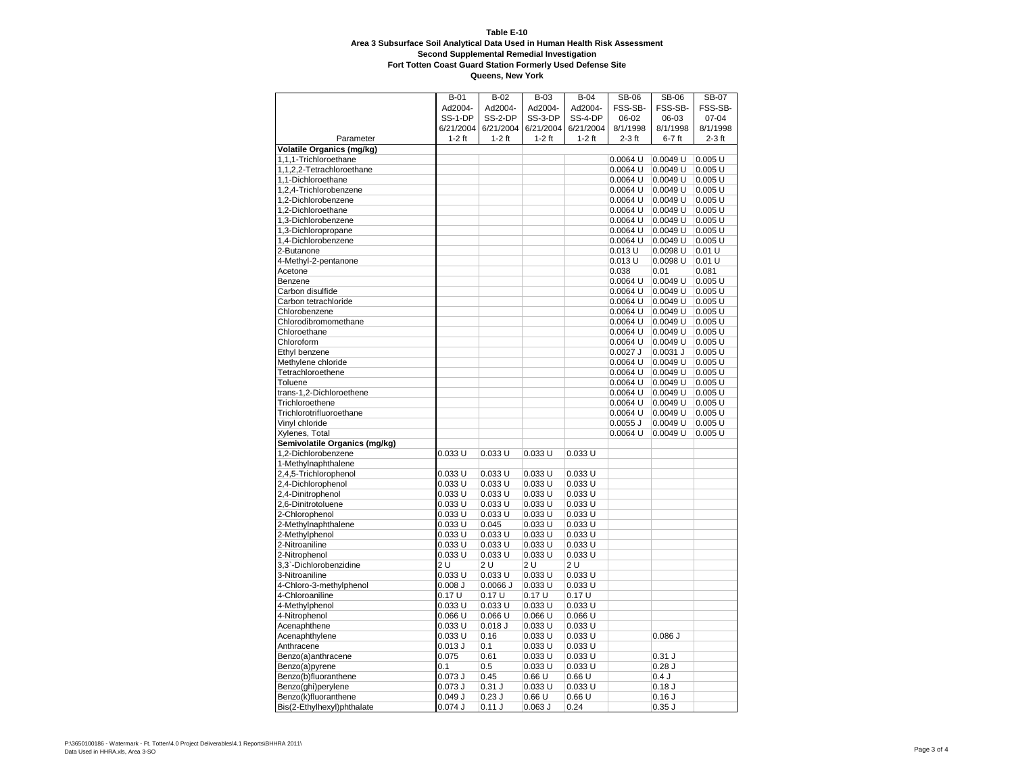## **Table E-10 Area 3 Subsurface Soil Analytical Data Used in Human Health Risk Assessment Second Supplemental Remedial Investigation**

**Fort Totten Coast Guard Station Formerly Used Defense Site**

| FSS-SB-<br>Ad2004-<br>Ad2004-<br>Ad2004-<br>Ad2004-<br>FSS-SB-<br>FSS-SB-<br>SS-1-DP<br>SS-2-DP<br>SS-3-DP<br>SS-4-DP<br>06-02<br>06-03<br>$07 - 04$<br>6/21/2004<br>6/21/2004<br>6/21/2004<br>6/21/2004<br>8/1/1998<br>8/1/1998<br>8/1/1998<br>$1-2$ ft<br>$2-3$ ft<br>$6-7$ ft<br>$2-3$ ft<br>Parameter<br>$1-2$ ft<br>$1-2$ ft<br>$1-2$ ft<br><b>Volatile Organics (mg/kg)</b><br>0.0064 U<br>0.0049 U<br>$0.005$ U<br>1,1,1-Trichloroethane<br>0.0049 U<br>0.005 U<br>1,1,2,2-Tetrachloroethane<br>$0.0064$ U<br>1,1-Dichloroethane<br>0.0064 U<br>0.0049 U<br>0.005 U<br>1,2,4-Trichlorobenzene<br>0.0064 U<br>0.0049 U<br>0.005 U<br>1,2-Dichlorobenzene<br>0.0064 U<br>0.0049 U<br>$0.005$ U<br>0.0064 U<br>0.0049 U<br>0.005 U<br>1,2-Dichloroethane<br>1,3-Dichlorobenzene<br>0.0064 U<br>0.0049 U<br>$0.005$ U<br>0.0064 U<br>$0.005$ U<br>1,3-Dichloropropane<br>0.0049 U<br>0.0064 U<br>0.0049 U<br>$0.005$ U<br>1,4-Dichlorobenzene<br>2-Butanone<br>$0.013$ U<br>0.0098 U<br>0.01 U<br>$0.013$ U<br>0.0098 U<br>0.01 U<br>4-Methyl-2-pentanone<br>0.038<br>0.01<br>0.081<br>Acetone<br>0.0049 U<br>$0.005$ U<br>Benzene<br>0.0064 U<br>Carbon disulfide<br>0.0064 U<br>0.0049 U<br>$0.005$ U<br>$0.005$ U<br>Carbon tetrachloride<br>0.0064 U<br>0.0049 U<br>0.0064 U<br>0.0049 U<br>$0.005$ U<br>Chlorobenzene<br>Chlorodibromomethane<br>0.0064 U<br>0.0049 U<br>0.005 U<br>Chloroethane<br>$0.0064$ U<br>0.0049 U<br>0.005 U<br>0.0064 U<br>Chloroform<br>0.0049 U<br>0.005 U<br>$0.0027$ J<br>$0.0031$ J<br>0.005U<br>Ethyl benzene<br>Methylene chloride<br>$0.0064$ U<br>0.0049 U<br>0.005 U<br>Tetrachloroethene<br>0.0064 U<br>0.0049 U<br>0.005U<br>0.005 U<br>Toluene<br>$0.0064$ U<br>0.0049 U<br>trans-1,2-Dichloroethene<br>0.0064 U<br>0.0049 U<br>0.005U<br>0.0064 U<br>0.005 U<br>Trichloroethene<br>0.0049 U<br>$0.005$ U<br>Trichlorotrifluoroethane<br>0.0064 U<br>0.0049 U<br>0.005 U<br>Vinyl chloride<br>$0.0055$ J<br>0.0049 U<br>Xylenes, Total<br>0.0064 U<br>0.0049 U<br>0.005 U<br>Semivolatile Organics (mg/kg)<br>0.033U<br>0.033U<br>1,2-Dichlorobenzene<br>0.033 U<br>0.033 U<br>1-Methylnaphthalene<br>2,4,5-Trichlorophenol<br>0.033 U<br>0.033 U<br>0.033 U<br>0.033 U<br>2,4-Dichlorophenol<br>0.033 U<br>0.033 U<br>0.033 U<br>0.033 U<br>0.033 U<br>0.033 U<br>0.033 U<br>0.033 U<br>2,4-Dinitrophenol<br>2,6-Dinitrotoluene<br>0.033 U<br>0.033 U<br>0.033 U<br>0.033 U<br>2-Chlorophenol<br>0.033 U<br>0.033 U<br>0.033 U<br>0.033U<br>0.033U<br>0.045<br>0.033 U<br>0.033U<br>2-Methylnaphthalene<br>$0.033$ U<br>2-Methylphenol<br>0.033 U<br>0.033 U<br>0.033 U<br>0.033U<br>0.033 U<br>0.033 U<br>0.033 U<br>2-Nitroaniline<br>2-Nitrophenol<br>0.033 U<br>0.033 U<br>0.033 U<br>0.033 U<br>3,3`-Dichlorobenzidine<br>2 U<br>2 U<br>2 U<br>2 U<br>0.033 U<br>0.033 U<br>0.033 U<br>3-Nitroaniline<br>0.033 U<br>4-Chloro-3-methylphenol<br>$0.008$ J<br>$0.0066$ J<br>0.033 U<br>0.033 U<br>0.17U<br>0.17U<br>0.17U<br>0.17U<br>4-Chloroaniline<br>4-Methylphenol<br>0.033 U<br>0.033 U<br>0.033 U<br>0.033 U<br>$0.066$ U<br>$0.066$ U<br>$0.066$ U<br>4-Nitrophenol<br>0.066 U<br>Acenaphthene<br>0.033 U<br>$0.018$ J<br>0.033 U<br>0.033 U<br>0.086J<br>Acenaphthylene<br>0.033 U<br>0.16<br>0.033 U<br>0.033U<br>$0.013$ J<br>0.1<br>0.033 U<br>0.033 U<br>Anthracene<br>Benzo(a)anthracene<br>0.075<br>0.61<br>0.033 U<br>0.033U<br>$0.31$ J<br>0.1<br>0.033 U<br>0.033 U<br>$0.28$ J<br>Benzo(a)pyrene<br>0.5<br>0.66U<br>0.66U<br>Benzo(b)fluoranthene<br>$0.073$ J<br>0.45<br>0.4J<br>$0.073$ J<br>$0.31$ J<br>0.033 U<br>0.18J<br>Benzo(ghi)perylene<br>0.033 U<br>Benzo(k)fluoranthene<br>0.049J<br>0.23J<br>0.66U<br>0.66U<br>0.16J |                            | <b>B-01</b> | $B-02$ | $B-03$    | $B-04$ | <b>SB-06</b> | <b>SB-06</b> | <b>SB-07</b> |
|----------------------------------------------------------------------------------------------------------------------------------------------------------------------------------------------------------------------------------------------------------------------------------------------------------------------------------------------------------------------------------------------------------------------------------------------------------------------------------------------------------------------------------------------------------------------------------------------------------------------------------------------------------------------------------------------------------------------------------------------------------------------------------------------------------------------------------------------------------------------------------------------------------------------------------------------------------------------------------------------------------------------------------------------------------------------------------------------------------------------------------------------------------------------------------------------------------------------------------------------------------------------------------------------------------------------------------------------------------------------------------------------------------------------------------------------------------------------------------------------------------------------------------------------------------------------------------------------------------------------------------------------------------------------------------------------------------------------------------------------------------------------------------------------------------------------------------------------------------------------------------------------------------------------------------------------------------------------------------------------------------------------------------------------------------------------------------------------------------------------------------------------------------------------------------------------------------------------------------------------------------------------------------------------------------------------------------------------------------------------------------------------------------------------------------------------------------------------------------------------------------------------------------------------------------------------------------------------------------------------------------------------------------------------------------------------------------------------------------------------------------------------------------------------------------------------------------------------------------------------------------------------------------------------------------------------------------------------------------------------------------------------------------------------------------------------------------------------------------------------------------------------------------------------------------------------------------------------------------------------------------------------------------------------------------------------------------------------------------------------------------------------------------------------------------------------------------------------------------------------------------------------------------------------------------------------------------------------------------------------------------------------------------------------------------------------------------|----------------------------|-------------|--------|-----------|--------|--------------|--------------|--------------|
|                                                                                                                                                                                                                                                                                                                                                                                                                                                                                                                                                                                                                                                                                                                                                                                                                                                                                                                                                                                                                                                                                                                                                                                                                                                                                                                                                                                                                                                                                                                                                                                                                                                                                                                                                                                                                                                                                                                                                                                                                                                                                                                                                                                                                                                                                                                                                                                                                                                                                                                                                                                                                                                                                                                                                                                                                                                                                                                                                                                                                                                                                                                                                                                                                                                                                                                                                                                                                                                                                                                                                                                                                                                                                                          |                            |             |        |           |        |              |              |              |
|                                                                                                                                                                                                                                                                                                                                                                                                                                                                                                                                                                                                                                                                                                                                                                                                                                                                                                                                                                                                                                                                                                                                                                                                                                                                                                                                                                                                                                                                                                                                                                                                                                                                                                                                                                                                                                                                                                                                                                                                                                                                                                                                                                                                                                                                                                                                                                                                                                                                                                                                                                                                                                                                                                                                                                                                                                                                                                                                                                                                                                                                                                                                                                                                                                                                                                                                                                                                                                                                                                                                                                                                                                                                                                          |                            |             |        |           |        |              |              |              |
|                                                                                                                                                                                                                                                                                                                                                                                                                                                                                                                                                                                                                                                                                                                                                                                                                                                                                                                                                                                                                                                                                                                                                                                                                                                                                                                                                                                                                                                                                                                                                                                                                                                                                                                                                                                                                                                                                                                                                                                                                                                                                                                                                                                                                                                                                                                                                                                                                                                                                                                                                                                                                                                                                                                                                                                                                                                                                                                                                                                                                                                                                                                                                                                                                                                                                                                                                                                                                                                                                                                                                                                                                                                                                                          |                            |             |        |           |        |              |              |              |
|                                                                                                                                                                                                                                                                                                                                                                                                                                                                                                                                                                                                                                                                                                                                                                                                                                                                                                                                                                                                                                                                                                                                                                                                                                                                                                                                                                                                                                                                                                                                                                                                                                                                                                                                                                                                                                                                                                                                                                                                                                                                                                                                                                                                                                                                                                                                                                                                                                                                                                                                                                                                                                                                                                                                                                                                                                                                                                                                                                                                                                                                                                                                                                                                                                                                                                                                                                                                                                                                                                                                                                                                                                                                                                          |                            |             |        |           |        |              |              |              |
|                                                                                                                                                                                                                                                                                                                                                                                                                                                                                                                                                                                                                                                                                                                                                                                                                                                                                                                                                                                                                                                                                                                                                                                                                                                                                                                                                                                                                                                                                                                                                                                                                                                                                                                                                                                                                                                                                                                                                                                                                                                                                                                                                                                                                                                                                                                                                                                                                                                                                                                                                                                                                                                                                                                                                                                                                                                                                                                                                                                                                                                                                                                                                                                                                                                                                                                                                                                                                                                                                                                                                                                                                                                                                                          |                            |             |        |           |        |              |              |              |
|                                                                                                                                                                                                                                                                                                                                                                                                                                                                                                                                                                                                                                                                                                                                                                                                                                                                                                                                                                                                                                                                                                                                                                                                                                                                                                                                                                                                                                                                                                                                                                                                                                                                                                                                                                                                                                                                                                                                                                                                                                                                                                                                                                                                                                                                                                                                                                                                                                                                                                                                                                                                                                                                                                                                                                                                                                                                                                                                                                                                                                                                                                                                                                                                                                                                                                                                                                                                                                                                                                                                                                                                                                                                                                          |                            |             |        |           |        |              |              |              |
|                                                                                                                                                                                                                                                                                                                                                                                                                                                                                                                                                                                                                                                                                                                                                                                                                                                                                                                                                                                                                                                                                                                                                                                                                                                                                                                                                                                                                                                                                                                                                                                                                                                                                                                                                                                                                                                                                                                                                                                                                                                                                                                                                                                                                                                                                                                                                                                                                                                                                                                                                                                                                                                                                                                                                                                                                                                                                                                                                                                                                                                                                                                                                                                                                                                                                                                                                                                                                                                                                                                                                                                                                                                                                                          |                            |             |        |           |        |              |              |              |
|                                                                                                                                                                                                                                                                                                                                                                                                                                                                                                                                                                                                                                                                                                                                                                                                                                                                                                                                                                                                                                                                                                                                                                                                                                                                                                                                                                                                                                                                                                                                                                                                                                                                                                                                                                                                                                                                                                                                                                                                                                                                                                                                                                                                                                                                                                                                                                                                                                                                                                                                                                                                                                                                                                                                                                                                                                                                                                                                                                                                                                                                                                                                                                                                                                                                                                                                                                                                                                                                                                                                                                                                                                                                                                          |                            |             |        |           |        |              |              |              |
|                                                                                                                                                                                                                                                                                                                                                                                                                                                                                                                                                                                                                                                                                                                                                                                                                                                                                                                                                                                                                                                                                                                                                                                                                                                                                                                                                                                                                                                                                                                                                                                                                                                                                                                                                                                                                                                                                                                                                                                                                                                                                                                                                                                                                                                                                                                                                                                                                                                                                                                                                                                                                                                                                                                                                                                                                                                                                                                                                                                                                                                                                                                                                                                                                                                                                                                                                                                                                                                                                                                                                                                                                                                                                                          |                            |             |        |           |        |              |              |              |
|                                                                                                                                                                                                                                                                                                                                                                                                                                                                                                                                                                                                                                                                                                                                                                                                                                                                                                                                                                                                                                                                                                                                                                                                                                                                                                                                                                                                                                                                                                                                                                                                                                                                                                                                                                                                                                                                                                                                                                                                                                                                                                                                                                                                                                                                                                                                                                                                                                                                                                                                                                                                                                                                                                                                                                                                                                                                                                                                                                                                                                                                                                                                                                                                                                                                                                                                                                                                                                                                                                                                                                                                                                                                                                          |                            |             |        |           |        |              |              |              |
|                                                                                                                                                                                                                                                                                                                                                                                                                                                                                                                                                                                                                                                                                                                                                                                                                                                                                                                                                                                                                                                                                                                                                                                                                                                                                                                                                                                                                                                                                                                                                                                                                                                                                                                                                                                                                                                                                                                                                                                                                                                                                                                                                                                                                                                                                                                                                                                                                                                                                                                                                                                                                                                                                                                                                                                                                                                                                                                                                                                                                                                                                                                                                                                                                                                                                                                                                                                                                                                                                                                                                                                                                                                                                                          |                            |             |        |           |        |              |              |              |
|                                                                                                                                                                                                                                                                                                                                                                                                                                                                                                                                                                                                                                                                                                                                                                                                                                                                                                                                                                                                                                                                                                                                                                                                                                                                                                                                                                                                                                                                                                                                                                                                                                                                                                                                                                                                                                                                                                                                                                                                                                                                                                                                                                                                                                                                                                                                                                                                                                                                                                                                                                                                                                                                                                                                                                                                                                                                                                                                                                                                                                                                                                                                                                                                                                                                                                                                                                                                                                                                                                                                                                                                                                                                                                          |                            |             |        |           |        |              |              |              |
|                                                                                                                                                                                                                                                                                                                                                                                                                                                                                                                                                                                                                                                                                                                                                                                                                                                                                                                                                                                                                                                                                                                                                                                                                                                                                                                                                                                                                                                                                                                                                                                                                                                                                                                                                                                                                                                                                                                                                                                                                                                                                                                                                                                                                                                                                                                                                                                                                                                                                                                                                                                                                                                                                                                                                                                                                                                                                                                                                                                                                                                                                                                                                                                                                                                                                                                                                                                                                                                                                                                                                                                                                                                                                                          |                            |             |        |           |        |              |              |              |
|                                                                                                                                                                                                                                                                                                                                                                                                                                                                                                                                                                                                                                                                                                                                                                                                                                                                                                                                                                                                                                                                                                                                                                                                                                                                                                                                                                                                                                                                                                                                                                                                                                                                                                                                                                                                                                                                                                                                                                                                                                                                                                                                                                                                                                                                                                                                                                                                                                                                                                                                                                                                                                                                                                                                                                                                                                                                                                                                                                                                                                                                                                                                                                                                                                                                                                                                                                                                                                                                                                                                                                                                                                                                                                          |                            |             |        |           |        |              |              |              |
|                                                                                                                                                                                                                                                                                                                                                                                                                                                                                                                                                                                                                                                                                                                                                                                                                                                                                                                                                                                                                                                                                                                                                                                                                                                                                                                                                                                                                                                                                                                                                                                                                                                                                                                                                                                                                                                                                                                                                                                                                                                                                                                                                                                                                                                                                                                                                                                                                                                                                                                                                                                                                                                                                                                                                                                                                                                                                                                                                                                                                                                                                                                                                                                                                                                                                                                                                                                                                                                                                                                                                                                                                                                                                                          |                            |             |        |           |        |              |              |              |
|                                                                                                                                                                                                                                                                                                                                                                                                                                                                                                                                                                                                                                                                                                                                                                                                                                                                                                                                                                                                                                                                                                                                                                                                                                                                                                                                                                                                                                                                                                                                                                                                                                                                                                                                                                                                                                                                                                                                                                                                                                                                                                                                                                                                                                                                                                                                                                                                                                                                                                                                                                                                                                                                                                                                                                                                                                                                                                                                                                                                                                                                                                                                                                                                                                                                                                                                                                                                                                                                                                                                                                                                                                                                                                          |                            |             |        |           |        |              |              |              |
|                                                                                                                                                                                                                                                                                                                                                                                                                                                                                                                                                                                                                                                                                                                                                                                                                                                                                                                                                                                                                                                                                                                                                                                                                                                                                                                                                                                                                                                                                                                                                                                                                                                                                                                                                                                                                                                                                                                                                                                                                                                                                                                                                                                                                                                                                                                                                                                                                                                                                                                                                                                                                                                                                                                                                                                                                                                                                                                                                                                                                                                                                                                                                                                                                                                                                                                                                                                                                                                                                                                                                                                                                                                                                                          |                            |             |        |           |        |              |              |              |
|                                                                                                                                                                                                                                                                                                                                                                                                                                                                                                                                                                                                                                                                                                                                                                                                                                                                                                                                                                                                                                                                                                                                                                                                                                                                                                                                                                                                                                                                                                                                                                                                                                                                                                                                                                                                                                                                                                                                                                                                                                                                                                                                                                                                                                                                                                                                                                                                                                                                                                                                                                                                                                                                                                                                                                                                                                                                                                                                                                                                                                                                                                                                                                                                                                                                                                                                                                                                                                                                                                                                                                                                                                                                                                          |                            |             |        |           |        |              |              |              |
|                                                                                                                                                                                                                                                                                                                                                                                                                                                                                                                                                                                                                                                                                                                                                                                                                                                                                                                                                                                                                                                                                                                                                                                                                                                                                                                                                                                                                                                                                                                                                                                                                                                                                                                                                                                                                                                                                                                                                                                                                                                                                                                                                                                                                                                                                                                                                                                                                                                                                                                                                                                                                                                                                                                                                                                                                                                                                                                                                                                                                                                                                                                                                                                                                                                                                                                                                                                                                                                                                                                                                                                                                                                                                                          |                            |             |        |           |        |              |              |              |
|                                                                                                                                                                                                                                                                                                                                                                                                                                                                                                                                                                                                                                                                                                                                                                                                                                                                                                                                                                                                                                                                                                                                                                                                                                                                                                                                                                                                                                                                                                                                                                                                                                                                                                                                                                                                                                                                                                                                                                                                                                                                                                                                                                                                                                                                                                                                                                                                                                                                                                                                                                                                                                                                                                                                                                                                                                                                                                                                                                                                                                                                                                                                                                                                                                                                                                                                                                                                                                                                                                                                                                                                                                                                                                          |                            |             |        |           |        |              |              |              |
|                                                                                                                                                                                                                                                                                                                                                                                                                                                                                                                                                                                                                                                                                                                                                                                                                                                                                                                                                                                                                                                                                                                                                                                                                                                                                                                                                                                                                                                                                                                                                                                                                                                                                                                                                                                                                                                                                                                                                                                                                                                                                                                                                                                                                                                                                                                                                                                                                                                                                                                                                                                                                                                                                                                                                                                                                                                                                                                                                                                                                                                                                                                                                                                                                                                                                                                                                                                                                                                                                                                                                                                                                                                                                                          |                            |             |        |           |        |              |              |              |
|                                                                                                                                                                                                                                                                                                                                                                                                                                                                                                                                                                                                                                                                                                                                                                                                                                                                                                                                                                                                                                                                                                                                                                                                                                                                                                                                                                                                                                                                                                                                                                                                                                                                                                                                                                                                                                                                                                                                                                                                                                                                                                                                                                                                                                                                                                                                                                                                                                                                                                                                                                                                                                                                                                                                                                                                                                                                                                                                                                                                                                                                                                                                                                                                                                                                                                                                                                                                                                                                                                                                                                                                                                                                                                          |                            |             |        |           |        |              |              |              |
|                                                                                                                                                                                                                                                                                                                                                                                                                                                                                                                                                                                                                                                                                                                                                                                                                                                                                                                                                                                                                                                                                                                                                                                                                                                                                                                                                                                                                                                                                                                                                                                                                                                                                                                                                                                                                                                                                                                                                                                                                                                                                                                                                                                                                                                                                                                                                                                                                                                                                                                                                                                                                                                                                                                                                                                                                                                                                                                                                                                                                                                                                                                                                                                                                                                                                                                                                                                                                                                                                                                                                                                                                                                                                                          |                            |             |        |           |        |              |              |              |
|                                                                                                                                                                                                                                                                                                                                                                                                                                                                                                                                                                                                                                                                                                                                                                                                                                                                                                                                                                                                                                                                                                                                                                                                                                                                                                                                                                                                                                                                                                                                                                                                                                                                                                                                                                                                                                                                                                                                                                                                                                                                                                                                                                                                                                                                                                                                                                                                                                                                                                                                                                                                                                                                                                                                                                                                                                                                                                                                                                                                                                                                                                                                                                                                                                                                                                                                                                                                                                                                                                                                                                                                                                                                                                          |                            |             |        |           |        |              |              |              |
|                                                                                                                                                                                                                                                                                                                                                                                                                                                                                                                                                                                                                                                                                                                                                                                                                                                                                                                                                                                                                                                                                                                                                                                                                                                                                                                                                                                                                                                                                                                                                                                                                                                                                                                                                                                                                                                                                                                                                                                                                                                                                                                                                                                                                                                                                                                                                                                                                                                                                                                                                                                                                                                                                                                                                                                                                                                                                                                                                                                                                                                                                                                                                                                                                                                                                                                                                                                                                                                                                                                                                                                                                                                                                                          |                            |             |        |           |        |              |              |              |
|                                                                                                                                                                                                                                                                                                                                                                                                                                                                                                                                                                                                                                                                                                                                                                                                                                                                                                                                                                                                                                                                                                                                                                                                                                                                                                                                                                                                                                                                                                                                                                                                                                                                                                                                                                                                                                                                                                                                                                                                                                                                                                                                                                                                                                                                                                                                                                                                                                                                                                                                                                                                                                                                                                                                                                                                                                                                                                                                                                                                                                                                                                                                                                                                                                                                                                                                                                                                                                                                                                                                                                                                                                                                                                          |                            |             |        |           |        |              |              |              |
|                                                                                                                                                                                                                                                                                                                                                                                                                                                                                                                                                                                                                                                                                                                                                                                                                                                                                                                                                                                                                                                                                                                                                                                                                                                                                                                                                                                                                                                                                                                                                                                                                                                                                                                                                                                                                                                                                                                                                                                                                                                                                                                                                                                                                                                                                                                                                                                                                                                                                                                                                                                                                                                                                                                                                                                                                                                                                                                                                                                                                                                                                                                                                                                                                                                                                                                                                                                                                                                                                                                                                                                                                                                                                                          |                            |             |        |           |        |              |              |              |
|                                                                                                                                                                                                                                                                                                                                                                                                                                                                                                                                                                                                                                                                                                                                                                                                                                                                                                                                                                                                                                                                                                                                                                                                                                                                                                                                                                                                                                                                                                                                                                                                                                                                                                                                                                                                                                                                                                                                                                                                                                                                                                                                                                                                                                                                                                                                                                                                                                                                                                                                                                                                                                                                                                                                                                                                                                                                                                                                                                                                                                                                                                                                                                                                                                                                                                                                                                                                                                                                                                                                                                                                                                                                                                          |                            |             |        |           |        |              |              |              |
|                                                                                                                                                                                                                                                                                                                                                                                                                                                                                                                                                                                                                                                                                                                                                                                                                                                                                                                                                                                                                                                                                                                                                                                                                                                                                                                                                                                                                                                                                                                                                                                                                                                                                                                                                                                                                                                                                                                                                                                                                                                                                                                                                                                                                                                                                                                                                                                                                                                                                                                                                                                                                                                                                                                                                                                                                                                                                                                                                                                                                                                                                                                                                                                                                                                                                                                                                                                                                                                                                                                                                                                                                                                                                                          |                            |             |        |           |        |              |              |              |
|                                                                                                                                                                                                                                                                                                                                                                                                                                                                                                                                                                                                                                                                                                                                                                                                                                                                                                                                                                                                                                                                                                                                                                                                                                                                                                                                                                                                                                                                                                                                                                                                                                                                                                                                                                                                                                                                                                                                                                                                                                                                                                                                                                                                                                                                                                                                                                                                                                                                                                                                                                                                                                                                                                                                                                                                                                                                                                                                                                                                                                                                                                                                                                                                                                                                                                                                                                                                                                                                                                                                                                                                                                                                                                          |                            |             |        |           |        |              |              |              |
|                                                                                                                                                                                                                                                                                                                                                                                                                                                                                                                                                                                                                                                                                                                                                                                                                                                                                                                                                                                                                                                                                                                                                                                                                                                                                                                                                                                                                                                                                                                                                                                                                                                                                                                                                                                                                                                                                                                                                                                                                                                                                                                                                                                                                                                                                                                                                                                                                                                                                                                                                                                                                                                                                                                                                                                                                                                                                                                                                                                                                                                                                                                                                                                                                                                                                                                                                                                                                                                                                                                                                                                                                                                                                                          |                            |             |        |           |        |              |              |              |
|                                                                                                                                                                                                                                                                                                                                                                                                                                                                                                                                                                                                                                                                                                                                                                                                                                                                                                                                                                                                                                                                                                                                                                                                                                                                                                                                                                                                                                                                                                                                                                                                                                                                                                                                                                                                                                                                                                                                                                                                                                                                                                                                                                                                                                                                                                                                                                                                                                                                                                                                                                                                                                                                                                                                                                                                                                                                                                                                                                                                                                                                                                                                                                                                                                                                                                                                                                                                                                                                                                                                                                                                                                                                                                          |                            |             |        |           |        |              |              |              |
|                                                                                                                                                                                                                                                                                                                                                                                                                                                                                                                                                                                                                                                                                                                                                                                                                                                                                                                                                                                                                                                                                                                                                                                                                                                                                                                                                                                                                                                                                                                                                                                                                                                                                                                                                                                                                                                                                                                                                                                                                                                                                                                                                                                                                                                                                                                                                                                                                                                                                                                                                                                                                                                                                                                                                                                                                                                                                                                                                                                                                                                                                                                                                                                                                                                                                                                                                                                                                                                                                                                                                                                                                                                                                                          |                            |             |        |           |        |              |              |              |
|                                                                                                                                                                                                                                                                                                                                                                                                                                                                                                                                                                                                                                                                                                                                                                                                                                                                                                                                                                                                                                                                                                                                                                                                                                                                                                                                                                                                                                                                                                                                                                                                                                                                                                                                                                                                                                                                                                                                                                                                                                                                                                                                                                                                                                                                                                                                                                                                                                                                                                                                                                                                                                                                                                                                                                                                                                                                                                                                                                                                                                                                                                                                                                                                                                                                                                                                                                                                                                                                                                                                                                                                                                                                                                          |                            |             |        |           |        |              |              |              |
|                                                                                                                                                                                                                                                                                                                                                                                                                                                                                                                                                                                                                                                                                                                                                                                                                                                                                                                                                                                                                                                                                                                                                                                                                                                                                                                                                                                                                                                                                                                                                                                                                                                                                                                                                                                                                                                                                                                                                                                                                                                                                                                                                                                                                                                                                                                                                                                                                                                                                                                                                                                                                                                                                                                                                                                                                                                                                                                                                                                                                                                                                                                                                                                                                                                                                                                                                                                                                                                                                                                                                                                                                                                                                                          |                            |             |        |           |        |              |              |              |
|                                                                                                                                                                                                                                                                                                                                                                                                                                                                                                                                                                                                                                                                                                                                                                                                                                                                                                                                                                                                                                                                                                                                                                                                                                                                                                                                                                                                                                                                                                                                                                                                                                                                                                                                                                                                                                                                                                                                                                                                                                                                                                                                                                                                                                                                                                                                                                                                                                                                                                                                                                                                                                                                                                                                                                                                                                                                                                                                                                                                                                                                                                                                                                                                                                                                                                                                                                                                                                                                                                                                                                                                                                                                                                          |                            |             |        |           |        |              |              |              |
|                                                                                                                                                                                                                                                                                                                                                                                                                                                                                                                                                                                                                                                                                                                                                                                                                                                                                                                                                                                                                                                                                                                                                                                                                                                                                                                                                                                                                                                                                                                                                                                                                                                                                                                                                                                                                                                                                                                                                                                                                                                                                                                                                                                                                                                                                                                                                                                                                                                                                                                                                                                                                                                                                                                                                                                                                                                                                                                                                                                                                                                                                                                                                                                                                                                                                                                                                                                                                                                                                                                                                                                                                                                                                                          |                            |             |        |           |        |              |              |              |
|                                                                                                                                                                                                                                                                                                                                                                                                                                                                                                                                                                                                                                                                                                                                                                                                                                                                                                                                                                                                                                                                                                                                                                                                                                                                                                                                                                                                                                                                                                                                                                                                                                                                                                                                                                                                                                                                                                                                                                                                                                                                                                                                                                                                                                                                                                                                                                                                                                                                                                                                                                                                                                                                                                                                                                                                                                                                                                                                                                                                                                                                                                                                                                                                                                                                                                                                                                                                                                                                                                                                                                                                                                                                                                          |                            |             |        |           |        |              |              |              |
|                                                                                                                                                                                                                                                                                                                                                                                                                                                                                                                                                                                                                                                                                                                                                                                                                                                                                                                                                                                                                                                                                                                                                                                                                                                                                                                                                                                                                                                                                                                                                                                                                                                                                                                                                                                                                                                                                                                                                                                                                                                                                                                                                                                                                                                                                                                                                                                                                                                                                                                                                                                                                                                                                                                                                                                                                                                                                                                                                                                                                                                                                                                                                                                                                                                                                                                                                                                                                                                                                                                                                                                                                                                                                                          |                            |             |        |           |        |              |              |              |
|                                                                                                                                                                                                                                                                                                                                                                                                                                                                                                                                                                                                                                                                                                                                                                                                                                                                                                                                                                                                                                                                                                                                                                                                                                                                                                                                                                                                                                                                                                                                                                                                                                                                                                                                                                                                                                                                                                                                                                                                                                                                                                                                                                                                                                                                                                                                                                                                                                                                                                                                                                                                                                                                                                                                                                                                                                                                                                                                                                                                                                                                                                                                                                                                                                                                                                                                                                                                                                                                                                                                                                                                                                                                                                          |                            |             |        |           |        |              |              |              |
|                                                                                                                                                                                                                                                                                                                                                                                                                                                                                                                                                                                                                                                                                                                                                                                                                                                                                                                                                                                                                                                                                                                                                                                                                                                                                                                                                                                                                                                                                                                                                                                                                                                                                                                                                                                                                                                                                                                                                                                                                                                                                                                                                                                                                                                                                                                                                                                                                                                                                                                                                                                                                                                                                                                                                                                                                                                                                                                                                                                                                                                                                                                                                                                                                                                                                                                                                                                                                                                                                                                                                                                                                                                                                                          |                            |             |        |           |        |              |              |              |
|                                                                                                                                                                                                                                                                                                                                                                                                                                                                                                                                                                                                                                                                                                                                                                                                                                                                                                                                                                                                                                                                                                                                                                                                                                                                                                                                                                                                                                                                                                                                                                                                                                                                                                                                                                                                                                                                                                                                                                                                                                                                                                                                                                                                                                                                                                                                                                                                                                                                                                                                                                                                                                                                                                                                                                                                                                                                                                                                                                                                                                                                                                                                                                                                                                                                                                                                                                                                                                                                                                                                                                                                                                                                                                          |                            |             |        |           |        |              |              |              |
|                                                                                                                                                                                                                                                                                                                                                                                                                                                                                                                                                                                                                                                                                                                                                                                                                                                                                                                                                                                                                                                                                                                                                                                                                                                                                                                                                                                                                                                                                                                                                                                                                                                                                                                                                                                                                                                                                                                                                                                                                                                                                                                                                                                                                                                                                                                                                                                                                                                                                                                                                                                                                                                                                                                                                                                                                                                                                                                                                                                                                                                                                                                                                                                                                                                                                                                                                                                                                                                                                                                                                                                                                                                                                                          |                            |             |        |           |        |              |              |              |
|                                                                                                                                                                                                                                                                                                                                                                                                                                                                                                                                                                                                                                                                                                                                                                                                                                                                                                                                                                                                                                                                                                                                                                                                                                                                                                                                                                                                                                                                                                                                                                                                                                                                                                                                                                                                                                                                                                                                                                                                                                                                                                                                                                                                                                                                                                                                                                                                                                                                                                                                                                                                                                                                                                                                                                                                                                                                                                                                                                                                                                                                                                                                                                                                                                                                                                                                                                                                                                                                                                                                                                                                                                                                                                          |                            |             |        |           |        |              |              |              |
|                                                                                                                                                                                                                                                                                                                                                                                                                                                                                                                                                                                                                                                                                                                                                                                                                                                                                                                                                                                                                                                                                                                                                                                                                                                                                                                                                                                                                                                                                                                                                                                                                                                                                                                                                                                                                                                                                                                                                                                                                                                                                                                                                                                                                                                                                                                                                                                                                                                                                                                                                                                                                                                                                                                                                                                                                                                                                                                                                                                                                                                                                                                                                                                                                                                                                                                                                                                                                                                                                                                                                                                                                                                                                                          |                            |             |        |           |        |              |              |              |
|                                                                                                                                                                                                                                                                                                                                                                                                                                                                                                                                                                                                                                                                                                                                                                                                                                                                                                                                                                                                                                                                                                                                                                                                                                                                                                                                                                                                                                                                                                                                                                                                                                                                                                                                                                                                                                                                                                                                                                                                                                                                                                                                                                                                                                                                                                                                                                                                                                                                                                                                                                                                                                                                                                                                                                                                                                                                                                                                                                                                                                                                                                                                                                                                                                                                                                                                                                                                                                                                                                                                                                                                                                                                                                          |                            |             |        |           |        |              |              |              |
|                                                                                                                                                                                                                                                                                                                                                                                                                                                                                                                                                                                                                                                                                                                                                                                                                                                                                                                                                                                                                                                                                                                                                                                                                                                                                                                                                                                                                                                                                                                                                                                                                                                                                                                                                                                                                                                                                                                                                                                                                                                                                                                                                                                                                                                                                                                                                                                                                                                                                                                                                                                                                                                                                                                                                                                                                                                                                                                                                                                                                                                                                                                                                                                                                                                                                                                                                                                                                                                                                                                                                                                                                                                                                                          |                            |             |        |           |        |              |              |              |
|                                                                                                                                                                                                                                                                                                                                                                                                                                                                                                                                                                                                                                                                                                                                                                                                                                                                                                                                                                                                                                                                                                                                                                                                                                                                                                                                                                                                                                                                                                                                                                                                                                                                                                                                                                                                                                                                                                                                                                                                                                                                                                                                                                                                                                                                                                                                                                                                                                                                                                                                                                                                                                                                                                                                                                                                                                                                                                                                                                                                                                                                                                                                                                                                                                                                                                                                                                                                                                                                                                                                                                                                                                                                                                          |                            |             |        |           |        |              |              |              |
|                                                                                                                                                                                                                                                                                                                                                                                                                                                                                                                                                                                                                                                                                                                                                                                                                                                                                                                                                                                                                                                                                                                                                                                                                                                                                                                                                                                                                                                                                                                                                                                                                                                                                                                                                                                                                                                                                                                                                                                                                                                                                                                                                                                                                                                                                                                                                                                                                                                                                                                                                                                                                                                                                                                                                                                                                                                                                                                                                                                                                                                                                                                                                                                                                                                                                                                                                                                                                                                                                                                                                                                                                                                                                                          |                            |             |        |           |        |              |              |              |
|                                                                                                                                                                                                                                                                                                                                                                                                                                                                                                                                                                                                                                                                                                                                                                                                                                                                                                                                                                                                                                                                                                                                                                                                                                                                                                                                                                                                                                                                                                                                                                                                                                                                                                                                                                                                                                                                                                                                                                                                                                                                                                                                                                                                                                                                                                                                                                                                                                                                                                                                                                                                                                                                                                                                                                                                                                                                                                                                                                                                                                                                                                                                                                                                                                                                                                                                                                                                                                                                                                                                                                                                                                                                                                          |                            |             |        |           |        |              |              |              |
|                                                                                                                                                                                                                                                                                                                                                                                                                                                                                                                                                                                                                                                                                                                                                                                                                                                                                                                                                                                                                                                                                                                                                                                                                                                                                                                                                                                                                                                                                                                                                                                                                                                                                                                                                                                                                                                                                                                                                                                                                                                                                                                                                                                                                                                                                                                                                                                                                                                                                                                                                                                                                                                                                                                                                                                                                                                                                                                                                                                                                                                                                                                                                                                                                                                                                                                                                                                                                                                                                                                                                                                                                                                                                                          |                            |             |        |           |        |              |              |              |
|                                                                                                                                                                                                                                                                                                                                                                                                                                                                                                                                                                                                                                                                                                                                                                                                                                                                                                                                                                                                                                                                                                                                                                                                                                                                                                                                                                                                                                                                                                                                                                                                                                                                                                                                                                                                                                                                                                                                                                                                                                                                                                                                                                                                                                                                                                                                                                                                                                                                                                                                                                                                                                                                                                                                                                                                                                                                                                                                                                                                                                                                                                                                                                                                                                                                                                                                                                                                                                                                                                                                                                                                                                                                                                          |                            |             |        |           |        |              |              |              |
|                                                                                                                                                                                                                                                                                                                                                                                                                                                                                                                                                                                                                                                                                                                                                                                                                                                                                                                                                                                                                                                                                                                                                                                                                                                                                                                                                                                                                                                                                                                                                                                                                                                                                                                                                                                                                                                                                                                                                                                                                                                                                                                                                                                                                                                                                                                                                                                                                                                                                                                                                                                                                                                                                                                                                                                                                                                                                                                                                                                                                                                                                                                                                                                                                                                                                                                                                                                                                                                                                                                                                                                                                                                                                                          |                            |             |        |           |        |              |              |              |
|                                                                                                                                                                                                                                                                                                                                                                                                                                                                                                                                                                                                                                                                                                                                                                                                                                                                                                                                                                                                                                                                                                                                                                                                                                                                                                                                                                                                                                                                                                                                                                                                                                                                                                                                                                                                                                                                                                                                                                                                                                                                                                                                                                                                                                                                                                                                                                                                                                                                                                                                                                                                                                                                                                                                                                                                                                                                                                                                                                                                                                                                                                                                                                                                                                                                                                                                                                                                                                                                                                                                                                                                                                                                                                          |                            |             |        |           |        |              |              |              |
|                                                                                                                                                                                                                                                                                                                                                                                                                                                                                                                                                                                                                                                                                                                                                                                                                                                                                                                                                                                                                                                                                                                                                                                                                                                                                                                                                                                                                                                                                                                                                                                                                                                                                                                                                                                                                                                                                                                                                                                                                                                                                                                                                                                                                                                                                                                                                                                                                                                                                                                                                                                                                                                                                                                                                                                                                                                                                                                                                                                                                                                                                                                                                                                                                                                                                                                                                                                                                                                                                                                                                                                                                                                                                                          |                            |             |        |           |        |              |              |              |
|                                                                                                                                                                                                                                                                                                                                                                                                                                                                                                                                                                                                                                                                                                                                                                                                                                                                                                                                                                                                                                                                                                                                                                                                                                                                                                                                                                                                                                                                                                                                                                                                                                                                                                                                                                                                                                                                                                                                                                                                                                                                                                                                                                                                                                                                                                                                                                                                                                                                                                                                                                                                                                                                                                                                                                                                                                                                                                                                                                                                                                                                                                                                                                                                                                                                                                                                                                                                                                                                                                                                                                                                                                                                                                          |                            |             |        |           |        |              |              |              |
|                                                                                                                                                                                                                                                                                                                                                                                                                                                                                                                                                                                                                                                                                                                                                                                                                                                                                                                                                                                                                                                                                                                                                                                                                                                                                                                                                                                                                                                                                                                                                                                                                                                                                                                                                                                                                                                                                                                                                                                                                                                                                                                                                                                                                                                                                                                                                                                                                                                                                                                                                                                                                                                                                                                                                                                                                                                                                                                                                                                                                                                                                                                                                                                                                                                                                                                                                                                                                                                                                                                                                                                                                                                                                                          |                            |             |        |           |        |              |              |              |
|                                                                                                                                                                                                                                                                                                                                                                                                                                                                                                                                                                                                                                                                                                                                                                                                                                                                                                                                                                                                                                                                                                                                                                                                                                                                                                                                                                                                                                                                                                                                                                                                                                                                                                                                                                                                                                                                                                                                                                                                                                                                                                                                                                                                                                                                                                                                                                                                                                                                                                                                                                                                                                                                                                                                                                                                                                                                                                                                                                                                                                                                                                                                                                                                                                                                                                                                                                                                                                                                                                                                                                                                                                                                                                          |                            |             |        |           |        |              |              |              |
|                                                                                                                                                                                                                                                                                                                                                                                                                                                                                                                                                                                                                                                                                                                                                                                                                                                                                                                                                                                                                                                                                                                                                                                                                                                                                                                                                                                                                                                                                                                                                                                                                                                                                                                                                                                                                                                                                                                                                                                                                                                                                                                                                                                                                                                                                                                                                                                                                                                                                                                                                                                                                                                                                                                                                                                                                                                                                                                                                                                                                                                                                                                                                                                                                                                                                                                                                                                                                                                                                                                                                                                                                                                                                                          |                            |             |        |           |        |              |              |              |
|                                                                                                                                                                                                                                                                                                                                                                                                                                                                                                                                                                                                                                                                                                                                                                                                                                                                                                                                                                                                                                                                                                                                                                                                                                                                                                                                                                                                                                                                                                                                                                                                                                                                                                                                                                                                                                                                                                                                                                                                                                                                                                                                                                                                                                                                                                                                                                                                                                                                                                                                                                                                                                                                                                                                                                                                                                                                                                                                                                                                                                                                                                                                                                                                                                                                                                                                                                                                                                                                                                                                                                                                                                                                                                          |                            |             |        |           |        |              |              |              |
|                                                                                                                                                                                                                                                                                                                                                                                                                                                                                                                                                                                                                                                                                                                                                                                                                                                                                                                                                                                                                                                                                                                                                                                                                                                                                                                                                                                                                                                                                                                                                                                                                                                                                                                                                                                                                                                                                                                                                                                                                                                                                                                                                                                                                                                                                                                                                                                                                                                                                                                                                                                                                                                                                                                                                                                                                                                                                                                                                                                                                                                                                                                                                                                                                                                                                                                                                                                                                                                                                                                                                                                                                                                                                                          | Bis(2-Ethylhexyl)phthalate | 0.074J      | 0.11 J | $0.063$ J | 0.24   |              | 0.35J        |              |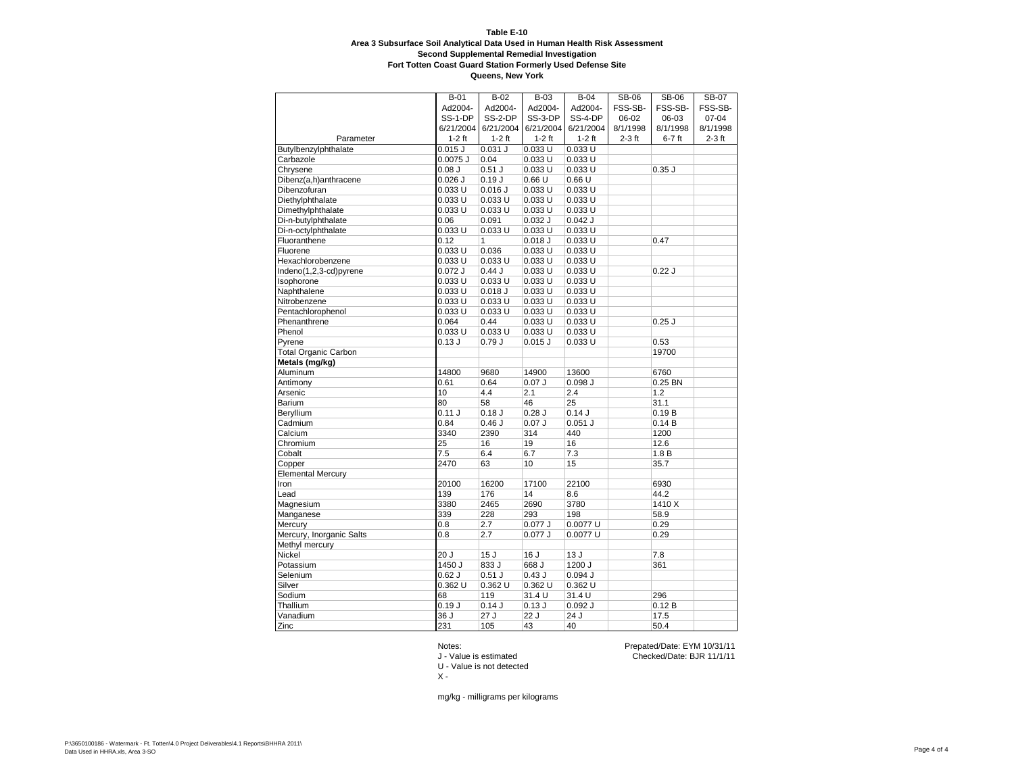**Queens, New York**

|                             | B-01      | $B-02$      | $B-03$      | $B-04$    | <b>SB-06</b> | <b>SB-06</b> | <b>SB-07</b> |
|-----------------------------|-----------|-------------|-------------|-----------|--------------|--------------|--------------|
|                             | Ad2004-   | Ad2004-     | Ad2004-     | Ad2004-   | FSS-SB-      | FSS-SB-      | FSS-SB-      |
|                             | SS-1-DP   | SS-2-DP     | SS-3-DP     | SS-4-DP   | 06-02        | 06-03        | $07 - 04$    |
|                             | 6/21/2004 | 6/21/2004   | 6/21/2004   | 6/21/2004 | 8/1/1998     | 8/1/1998     | 8/1/1998     |
| Parameter                   | $1-2$ ft  | $1-2$ ft    | $1-2$ ft    | $1-2$ ft  | $2-3$ ft     | $6-7$ ft     | $2-3$ ft     |
| Butylbenzylphthalate        | $0.015$ J | 0.031 J     | 0.033U      | 0.033U    |              |              |              |
| Carbazole                   | 0.0075 J  | 0.04        | $0.033$ U   | 0.033 U   |              |              |              |
| Chrysene                    | 0.08J     | $0.51$ J    | 0.033U      | 0.033U    |              | 0.35J        |              |
| Dibenz(a,h)anthracene       | $0.026$ J | 0.19J       | 0.66U       | 0.66U     |              |              |              |
| Dibenzofuran                | 0.033 U   | $0.016$ J   | 0.033 U     | 0.033 U   |              |              |              |
| Diethylphthalate            | 0.033 U   | 0.033 U     | 0.033 U     | 0.033 U   |              |              |              |
| Dimethylphthalate           | 0.033 U   | $0.033$ U   | 0.033 U     | 0.033 U   |              |              |              |
| Di-n-butylphthalate         | 0.06      | 0.091       | $0.032$ J   | $0.042$ J |              |              |              |
| Di-n-octylphthalate         | 0.033U    | 0.033U      | 0.033U      | 0.033U    |              |              |              |
| Fluoranthene                | 0.12      | 1           | $0.018$ $J$ | 0.033U    |              | 0.47         |              |
| Fluorene                    | 0.033 U   | 0.036       | 0.033U      | 0.033U    |              |              |              |
| Hexachlorobenzene           | 0.033 U   | 0.033U      | 0.033 U     | 0.033 U   |              |              |              |
| Indeno(1,2,3-cd)pyrene      | $0.072$ J | 0.44J       | 0.033 U     | 0.033 U   |              | 0.22J        |              |
| Isophorone                  | 0.033 U   | 0.033 U     | $0.033$ U   | 0.033 U   |              |              |              |
| Naphthalene                 | 0.033 U   | $0.018$ $J$ | $0.033$ U   | 0.033 U   |              |              |              |
| Nitrobenzene                | 0.033 U   | 0.033U      | 0.033U      | 0.033U    |              |              |              |
| Pentachlorophenol           | 0.033U    | 0.033U      | 0.033U      | 0.033U    |              |              |              |
| Phenanthrene                | 0.064     | 0.44        | $0.033$ U   | 0.033 U   |              | $0.25$ J     |              |
| Phenol                      | 0.033 U   | 0.033U      | $0.033$ U   | 0.033U    |              |              |              |
| Pyrene                      | 0.13J     | 0.79J       | $0.015$ J   | 0.033 U   |              | 0.53         |              |
| <b>Total Organic Carbon</b> |           |             |             |           |              | 19700        |              |
| Metals (mg/kg)              |           |             |             |           |              |              |              |
| Aluminum                    | 14800     | 9680        | 14900       | 13600     |              | 6760         |              |
| Antimony                    | 0.61      | 0.64        | 0.07J       | 0.098J    |              | 0.25 BN      |              |
| Arsenic                     | 10        | 4.4         | 2.1         | 2.4       |              | 1.2          |              |
| <b>Barium</b>               | 80        | 58          | 46          | 25        |              | 31.1         |              |
| Beryllium                   | 0.11 J    | 0.18J       | $0.28$ J    | 0.14J     |              | 0.19B        |              |
| Cadmium                     | 0.84      | 0.46J       | 0.07J       | $0.051$ J |              | 0.14B        |              |
| Calcium                     | 3340      | 2390        | 314         | 440       |              | 1200         |              |
| Chromium                    | 25        | 16          | 19          | 16        |              | 12.6         |              |
| Cobalt                      | 7.5       | 6.4         | 6.7         | 7.3       |              | 1.8B         |              |
| Copper                      | 2470      | 63          | 10          | 15        |              | 35.7         |              |
| <b>Elemental Mercury</b>    |           |             |             |           |              |              |              |
| Iron                        | 20100     | 16200       | 17100       | 22100     |              | 6930         |              |
| Lead                        | 139       | 176         | 14          | 8.6       |              | 44.2         |              |
| Magnesium                   | 3380      | 2465        | 2690        | 3780      |              | 1410 X       |              |
| Manganese                   | 339       | 228         | 293         | 198       |              | 58.9         |              |
| Mercury                     | 0.8       | 2.7         | $0.077$ $J$ | 0.0077 U  |              | 0.29         |              |
| Mercury, Inorganic Salts    | 0.8       | 2.7         | 0.077J      | 0.0077 U  |              | 0.29         |              |
| Methyl mercury              |           |             |             |           |              |              |              |
| Nickel                      | 20J       | 15J         | 16 J        | 13J       |              | 7.8          |              |
| Potassium                   | 1450 J    | 833 J       | 668 J       | 1200 J    |              | 361          |              |
| Selenium                    | $0.62$ J  | $0.51$ J    | 0.43J       | 0.094J    |              |              |              |
| Silver                      | 0.362 U   | 0.362 U     | 0.362 U     | 0.362 U   |              |              |              |
| Sodium                      | 68        | 119         | 31.4 U      | 31.4 U    |              | 296          |              |
| Thallium                    | 0.19J     | 0.14J       | 0.13J       | 0.092J    |              | 0.12B        |              |
| Vanadium                    | 36J       | 27J         | 22J         | 24J       |              | 17.5         |              |
| Zinc                        | 231       | 105         | 43          | 40        |              | 50.4         |              |

U - Value is not detected

 $X -$ 

Notes: Prepated/Date: EYM 10/31/11 J - Value is estimated Checked/Date: BJR 11/1/11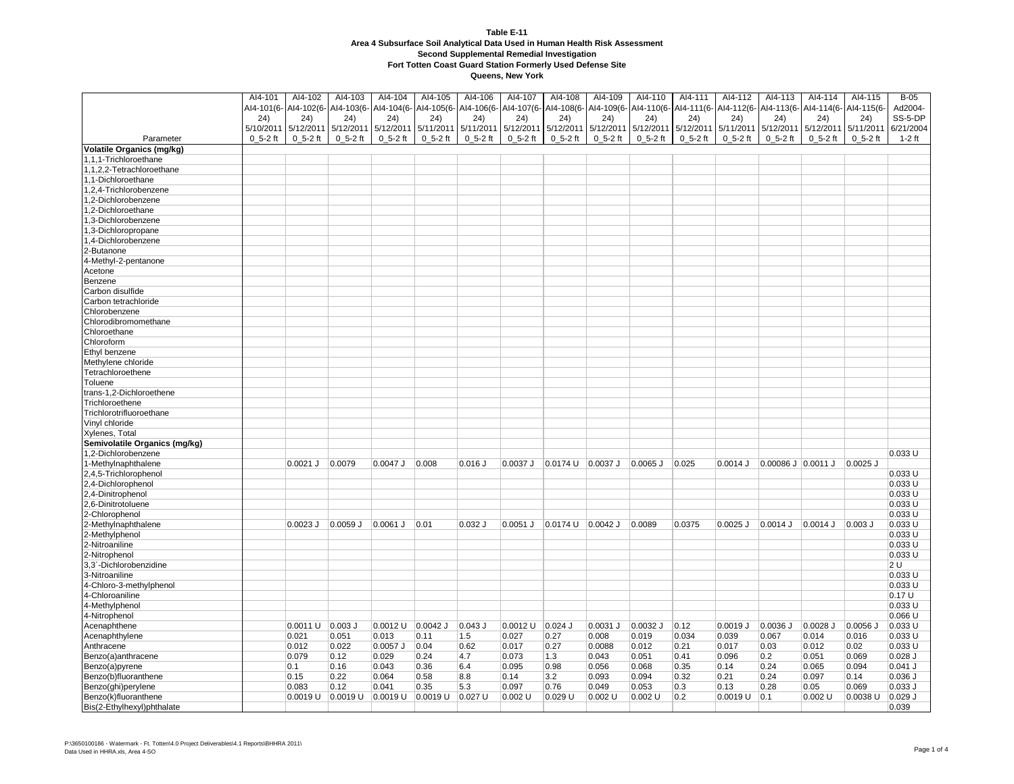|                                                 | AI4-101      | AI4-102      | Al4-103      | Al4-104                                                | Al4-105              | Al4-106      | AI4-107      | AI4-108                     | Al4-109      | AI4-110      | AI4-111                                                | AI4-112        | AI4-113            | AI4-114      | AI4-115      | $B-05$    |
|-------------------------------------------------|--------------|--------------|--------------|--------------------------------------------------------|----------------------|--------------|--------------|-----------------------------|--------------|--------------|--------------------------------------------------------|----------------|--------------------|--------------|--------------|-----------|
|                                                 | AI4-101(6-   |              |              | Al4-102(6- Al4-103(6- Al4-104(6- Al4-105(6- Al4-106(6- |                      |              | AI4-107(6-   | AI4-108(6-                  | AI4-109(6-   |              | Al4-110(6- Al4-111(6- Al4-112(6- Al4-113(6- Al4-114(6- |                |                    |              | AI4-115(6-   | Ad2004-   |
|                                                 | 24)          | 24)          | 24)          | 24)                                                    | 24)                  | (24)         | 24)          | 24)                         | 24)          | 24)          | 24)                                                    | 24)            | 24)                | 24)          | (24)         | SS-5-DP   |
|                                                 | 5/10/2011    | 5/12/2011    | 5/12/2011    | 5/12/2011                                              | 5/11/2011            | 5/11/2011    | 5/12/2011    | 5/12/2011                   | 5/12/2011    |              | 5/12/2011 5/12/2011                                    | 5/11/2011      | 5/12/2011          | 5/12/2011    | 5/11/2011    | 6/21/2004 |
| Parameter                                       | $0_5 - 2$ ft | $0_5 - 2$ ft | $0_5 - 2$ ft | $0_5 - 2$ ft                                           | $0_5 - 2$ ft         | $0_5 - 2$ ft | $0_5 - 2$ ft | $0_5 - 2$ ft                | $0_5 - 2$ ft | $0_5 - 2$ ft | $0_5 - 2$ ft                                           | $0_5 - 2$ ft   | $0_5 - 2$ ft       | $0_5 - 2$ ft | $0_5 - 2$ ft | $1-2$ ft  |
| <b>Volatile Organics (mg/kg)</b>                |              |              |              |                                                        |                      |              |              |                             |              |              |                                                        |                |                    |              |              |           |
| 1,1,1-Trichloroethane                           |              |              |              |                                                        |                      |              |              |                             |              |              |                                                        |                |                    |              |              |           |
| 1,1,2,2-Tetrachloroethane                       |              |              |              |                                                        |                      |              |              |                             |              |              |                                                        |                |                    |              |              |           |
| 1,1-Dichloroethane                              |              |              |              |                                                        |                      |              |              |                             |              |              |                                                        |                |                    |              |              |           |
| 1,2,4-Trichlorobenzene                          |              |              |              |                                                        |                      |              |              |                             |              |              |                                                        |                |                    |              |              |           |
| 1,2-Dichlorobenzene                             |              |              |              |                                                        |                      |              |              |                             |              |              |                                                        |                |                    |              |              |           |
| 1,2-Dichloroethane                              |              |              |              |                                                        |                      |              |              |                             |              |              |                                                        |                |                    |              |              |           |
| 1,3-Dichlorobenzene                             |              |              |              |                                                        |                      |              |              |                             |              |              |                                                        |                |                    |              |              |           |
| 1,3-Dichloropropane                             |              |              |              |                                                        |                      |              |              |                             |              |              |                                                        |                |                    |              |              |           |
| 1,4-Dichlorobenzene                             |              |              |              |                                                        |                      |              |              |                             |              |              |                                                        |                |                    |              |              |           |
| 2-Butanone                                      |              |              |              |                                                        |                      |              |              |                             |              |              |                                                        |                |                    |              |              |           |
| 4-Methyl-2-pentanone                            |              |              |              |                                                        |                      |              |              |                             |              |              |                                                        |                |                    |              |              |           |
| Acetone                                         |              |              |              |                                                        |                      |              |              |                             |              |              |                                                        |                |                    |              |              |           |
| Benzene                                         |              |              |              |                                                        |                      |              |              |                             |              |              |                                                        |                |                    |              |              |           |
| Carbon disulfide                                |              |              |              |                                                        |                      |              |              |                             |              |              |                                                        |                |                    |              |              |           |
| Carbon tetrachloride                            |              |              |              |                                                        |                      |              |              |                             |              |              |                                                        |                |                    |              |              |           |
| Chlorobenzene                                   |              |              |              |                                                        |                      |              |              |                             |              |              |                                                        |                |                    |              |              |           |
| Chlorodibromomethane                            |              |              |              |                                                        |                      |              |              |                             |              |              |                                                        |                |                    |              |              |           |
| Chloroethane                                    |              |              |              |                                                        |                      |              |              |                             |              |              |                                                        |                |                    |              |              |           |
| Chloroform                                      |              |              |              |                                                        |                      |              |              |                             |              |              |                                                        |                |                    |              |              |           |
|                                                 |              |              |              |                                                        |                      |              |              |                             |              |              |                                                        |                |                    |              |              |           |
| Ethyl benzene                                   |              |              |              |                                                        |                      |              |              |                             |              |              |                                                        |                |                    |              |              |           |
| Methylene chloride<br>Tetrachloroethene         |              |              |              |                                                        |                      |              |              |                             |              |              |                                                        |                |                    |              |              |           |
| Toluene                                         |              |              |              |                                                        |                      |              |              |                             |              |              |                                                        |                |                    |              |              |           |
| trans-1,2-Dichloroethene                        |              |              |              |                                                        |                      |              |              |                             |              |              |                                                        |                |                    |              |              |           |
| Trichloroethene                                 |              |              |              |                                                        |                      |              |              |                             |              |              |                                                        |                |                    |              |              |           |
| Trichlorotrifluoroethane                        |              |              |              |                                                        |                      |              |              |                             |              |              |                                                        |                |                    |              |              |           |
|                                                 |              |              |              |                                                        |                      |              |              |                             |              |              |                                                        |                |                    |              |              |           |
| Vinyl chloride                                  |              |              |              |                                                        |                      |              |              |                             |              |              |                                                        |                |                    |              |              |           |
| Xylenes, Total<br>Semivolatile Organics (mg/kg) |              |              |              |                                                        |                      |              |              |                             |              |              |                                                        |                |                    |              |              |           |
|                                                 |              |              |              |                                                        |                      |              |              |                             |              |              |                                                        |                |                    |              |              | 0.033 U   |
| 1,2-Dichlorobenzene<br>1-Methylnaphthalene      |              | 0.0021 J     | 0.0079       | $0.0047$ J                                             | 0.008                | $0.016$ $J$  | $0.0037$ J   | $ 0.0174 \cup  0.0037 \cup$ |              | $0.0065$ J   | 0.025                                                  | $0.0014$ J     | 0.00086 J 0.0011 J |              | $0.0025$ J   |           |
| 2,4,5-Trichlorophenol                           |              |              |              |                                                        |                      |              |              |                             |              |              |                                                        |                |                    |              |              | 0.033 U   |
| 2,4-Dichlorophenol                              |              |              |              |                                                        |                      |              |              |                             |              |              |                                                        |                |                    |              |              | 0.033U    |
| 2,4-Dinitrophenol                               |              |              |              |                                                        |                      |              |              |                             |              |              |                                                        |                |                    |              |              | 0.033 U   |
| 2,6-Dinitrotoluene                              |              |              |              |                                                        |                      |              |              |                             |              |              |                                                        |                |                    |              |              | 0.033 U   |
| 2-Chlorophenol                                  |              |              |              |                                                        |                      |              |              |                             |              |              |                                                        |                |                    |              |              | 0.033 U   |
|                                                 |              | $0.0023$ J   | $0.0059$ J   | 0.0061 J                                               | 0.01                 | $0.032$ J    | $0.0051$ J   | 0.0174 U                    | $0.0042$ J   | 0.0089       | 0.0375                                                 | $0.0025$ J     | $0.0014$ J         | $0.0014$ J   | $0.003$ $J$  | 0.033 U   |
| 2-Methylnaphthalene<br>2-Methylphenol           |              |              |              |                                                        |                      |              |              |                             |              |              |                                                        |                |                    |              |              | 0.033 U   |
| 2-Nitroaniline                                  |              |              |              |                                                        |                      |              |              |                             |              |              |                                                        |                |                    |              |              | 0.033 U   |
| 2-Nitrophenol                                   |              |              |              |                                                        |                      |              |              |                             |              |              |                                                        |                |                    |              |              | 0.033 U   |
| 3,3`-Dichlorobenzidine                          |              |              |              |                                                        |                      |              |              |                             |              |              |                                                        |                |                    |              |              | 2 U       |
| 3-Nitroaniline                                  |              |              |              |                                                        |                      |              |              |                             |              |              |                                                        |                |                    |              |              | 0.033 U   |
| 4-Chloro-3-methylphenol                         |              |              |              |                                                        |                      |              |              |                             |              |              |                                                        |                |                    |              |              | 0.033 U   |
| 4-Chloroaniline                                 |              |              |              |                                                        |                      |              |              |                             |              |              |                                                        |                |                    |              |              | 0.17U     |
| 4-Methylphenol                                  |              |              |              |                                                        |                      |              |              |                             |              |              |                                                        |                |                    |              |              | 0.033U    |
| 4-Nitrophenol                                   |              |              |              |                                                        |                      |              |              |                             |              |              |                                                        |                |                    |              |              | 0.066 U   |
| Acenaphthene                                    |              | 0.0011 U     | $0.003$ J    | $0.0012$ U                                             | $0.0042$ J           | $0.043$ J    | $0.0012$ U   | $0.024$ J                   | $0.0031$ J   | 0.0032 J     | 0.12                                                   | 0.0019J        | $0.0036$ J         | $0.0028$ J   | $0.0056$ J   | $0.033$ U |
| Acenaphthylene                                  |              | 0.021        | 0.051        | 0.013                                                  | 0.11                 | 1.5          | 0.027        | 0.27                        | 0.008        | 0.019        | 0.034                                                  | 0.039          | 0.067              | 0.014        | 0.016        | 0.033 U   |
| Anthracene                                      |              | 0.012        | 0.022        | $0.0057$ J                                             | 0.04                 | 0.62         | 0.017        | 0.27                        | 0.0088       | 0.012        | 0.21                                                   | 0.017          | 0.03               | 0.012        | 0.02         | 0.033 U   |
| Benzo(a)anthracene                              |              | 0.079        | 0.12         | 0.029                                                  | 0.24                 | 4.7          | 0.073        | 1.3                         | 0.043        | 0.051        | 0.41                                                   | 0.096          | 0.2                | 0.051        | 0.069        | $0.028$ J |
| Benzo(a)pyrene                                  |              | 0.1          | 0.16         | 0.043                                                  | 0.36                 | 6.4          | 0.095        | 0.98                        | 0.056        | 0.068        | 0.35                                                   | 0.14           | 0.24               | 0.065        | 0.094        | $0.041$ J |
| Benzo(b)fluoranthene                            |              | 0.15         | 0.22         | 0.064                                                  | 0.58                 | 8.8          | 0.14         | 3.2                         | 0.093        | 0.094        | 0.32                                                   | 0.21           | 0.24               | 0.097        | 0.14         | 0.036 J   |
| Benzo(ghi)perylene                              |              | 0.083        | 0.12         | 0.041                                                  | 0.35                 | 5.3          | 0.097        | 0.76                        | 0.049        | 0.053        | 0.3                                                    | 0.13           | 0.28               | 0.05         | 0.069        | $0.033$ J |
| Benzo(k)fluoranthene                            |              | $0.0019$ U   | 0.0019 U     | 0.0019 U                                               | $0.0019$ U $0.027$ U |              | 0.002 U      | $ 0.029$ U                  | $0.002$ U    | $0.002$ U    | 0.2                                                    | 0.0019 U   0.1 |                    | $0.002$ U    | 0.0038 U     | $0.029$ J |
| Bis(2-Ethylhexyl)phthalate                      |              |              |              |                                                        |                      |              |              |                             |              |              |                                                        |                |                    |              |              | 0.039     |
|                                                 |              |              |              |                                                        |                      |              |              |                             |              |              |                                                        |                |                    |              |              |           |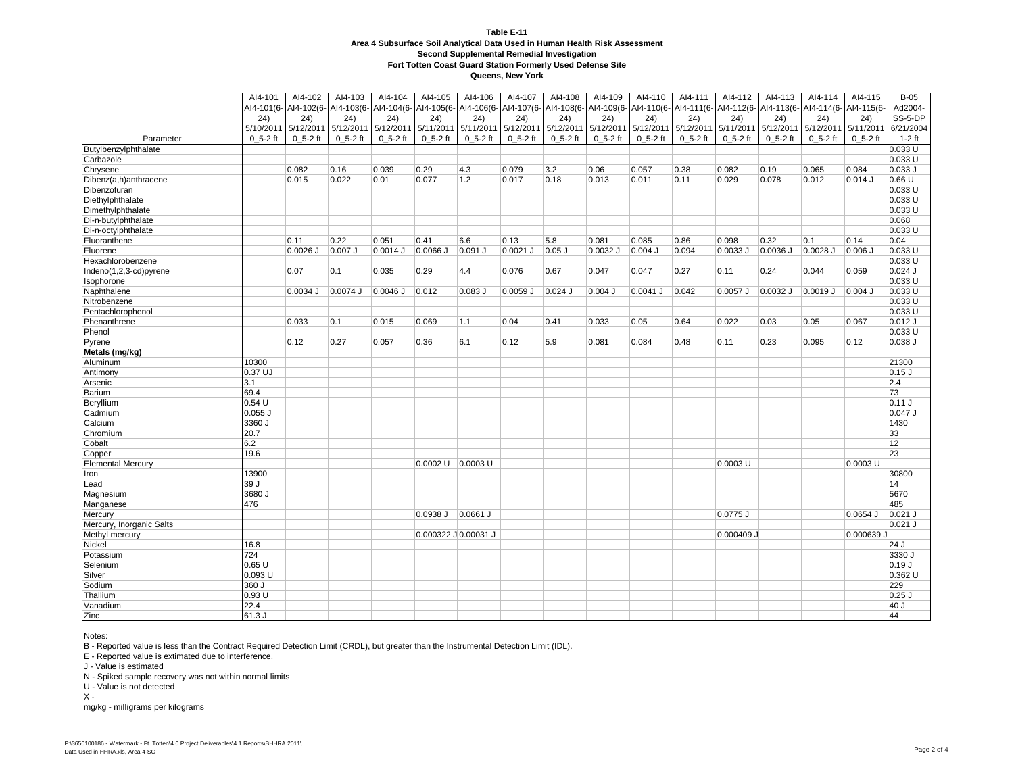**Queens, New York**

|                          | AI4-101     | AI4-102               | AI4-103     | AI4-104                          | AI4-105               | AI4-106     | Al4-107               | AI4-108     | Al4-109     | AI4-110     | Al4-111                                                                                 | AI4-112     | AI4-113     | AI4-114     | AI4-115     | $B-05$    |
|--------------------------|-------------|-----------------------|-------------|----------------------------------|-----------------------|-------------|-----------------------|-------------|-------------|-------------|-----------------------------------------------------------------------------------------|-------------|-------------|-------------|-------------|-----------|
|                          |             | AI4-101(6- AI4-102(6- |             | Al4-103(6- Al4-104(6- Al4-105(6- |                       |             | AI4-106(6- AI4-107(6- |             |             |             | Al4-108(6- Al4-109(6- Al4-110(6- Al4-111(6- Al4-112(6- Al4-113(6- Al4-114(6- Al4-115(6- |             |             |             |             | Ad2004-   |
|                          | (24)        | 24)                   | (24)        | (24)                             | (24)                  | (24)        | 24)                   | 24)         | 24)         | (24)        | 24)                                                                                     | 24)         | (24)        | 24)         | 24)         | SS-5-DP   |
|                          |             | 5/10/2011 5/12/2011   | 5/12/2011   | 5/12/2011                        | 5/11/2011             | 5/11/2011   | 5/12/2011             | 5/12/2011   | 5/12/2011   | 5/12/2011   | 5/12/2011                                                                               | 5/11/2011   | 5/12/2011   | 5/12/2011   | 5/11/201    | 6/21/2004 |
| Parameter                | $0, 5-2$ ft | $0_5 - 2$ ft          | $0, 5-2$ ft | $0, 5-2$ ft                      | $0, 5-2$ ft           | $0, 5-2$ ft | $0, 5-2$ ft           | $0, 5-2$ ft | $0, 5-2$ ft | $0, 5-2$ ft | $0_5 - 2$ ft                                                                            | $0, 5-2$ ft | $0, 5-2$ ft | $0, 5-2$ ft | $0, 5-2$ ft | $1-2$ ft  |
| Butylbenzylphthalate     |             |                       |             |                                  |                       |             |                       |             |             |             |                                                                                         |             |             |             |             | 0.033U    |
| Carbazole                |             |                       |             |                                  |                       |             |                       |             |             |             |                                                                                         |             |             |             |             | 0.033U    |
| Chrysene                 |             | 0.082                 | 0.16        | 0.039                            | 0.29                  | 4.3         | 0.079                 | 3.2         | 0.06        | 0.057       | 0.38                                                                                    | 0.082       | 0.19        | 0.065       | 0.084       | $0.033$ J |
| Dibenz(a,h)anthracene    |             | 0.015                 | 0.022       | 0.01                             | 0.077                 | 1.2         | 0.017                 | 0.18        | 0.013       | 0.011       | 0.11                                                                                    | 0.029       | 0.078       | 0.012       | $0.014$ J   | 0.66U     |
| Dibenzofuran             |             |                       |             |                                  |                       |             |                       |             |             |             |                                                                                         |             |             |             |             | 0.033U    |
| Diethylphthalate         |             |                       |             |                                  |                       |             |                       |             |             |             |                                                                                         |             |             |             |             | 0.033 U   |
| Dimethylphthalate        |             |                       |             |                                  |                       |             |                       |             |             |             |                                                                                         |             |             |             |             | 0.033 U   |
| Di-n-butylphthalate      |             |                       |             |                                  |                       |             |                       |             |             |             |                                                                                         |             |             |             |             | 0.068     |
| Di-n-octylphthalate      |             |                       |             |                                  |                       |             |                       |             |             |             |                                                                                         |             |             |             |             | 0.033U    |
| Fluoranthene             |             | 0.11                  | 0.22        | 0.051                            | 0.41                  | 6.6         | 0.13                  | 5.8         | 0.081       | 0.085       | 0.86                                                                                    | 0.098       | 0.32        | 0.1         | 0.14        | 0.04      |
| Fluorene                 |             | $0.0026$ J            | $0.007$ J   | $0.0014$ J                       | $0.0066$ J            | $0.091$ J   | 0.0021 J              | $0.05$ J    | $0.0032$ J  | $0.004$ J   | 0.094                                                                                   | 0.0033J     | $0.0036$ J  | $0.0028$ J  | $0.006$ J   | 0.033U    |
| Hexachlorobenzene        |             |                       |             |                                  |                       |             |                       |             |             |             |                                                                                         |             |             |             |             | 0.033U    |
|                          |             |                       |             |                                  |                       |             |                       |             |             |             |                                                                                         |             |             |             |             |           |
| Indeno(1,2,3-cd)pyrene   |             | 0.07                  | 0.1         | 0.035                            | 0.29                  | 4.4         | 0.076                 | 0.67        | 0.047       | 0.047       | 0.27                                                                                    | 0.11        | 0.24        | 0.044       | 0.059       | $0.024$ J |
| Isophorone               |             |                       |             |                                  |                       |             |                       |             |             |             |                                                                                         |             |             |             |             | 0.033 U   |
| Naphthalene              |             | 0.0034 J              | 0.0074 J    | $0.0046$ J                       | 0.012                 | 0.083 J     | $0.0059$ J            | $0.024$ J   | $0.004$ J   | $0.0041$ J  | 0.042                                                                                   | $0.0057$ J  | 0.0032 J    | 0.0019 J    | $0.004$ J   | 0.033 U   |
| Nitrobenzene             |             |                       |             |                                  |                       |             |                       |             |             |             |                                                                                         |             |             |             |             | 0.033U    |
| Pentachlorophenol        |             |                       |             |                                  |                       |             |                       |             |             |             |                                                                                         |             |             |             |             | 0.033 U   |
| Phenanthrene             |             | 0.033                 | 0.1         | 0.015                            | 0.069                 | 1.1         | 0.04                  | 0.41        | 0.033       | 0.05        | 0.64                                                                                    | 0.022       | 0.03        | 0.05        | 0.067       | $0.012$ J |
| Phenol                   |             |                       |             |                                  |                       |             |                       |             |             |             |                                                                                         |             |             |             |             | 0.033U    |
| Pyrene                   |             | 0.12                  | 0.27        | 0.057                            | 0.36                  | 6.1         | 0.12                  | 5.9         | 0.081       | 0.084       | 0.48                                                                                    | 0.11        | 0.23        | 0.095       | 0.12        | 0.038J    |
| Metals (mg/kg)           |             |                       |             |                                  |                       |             |                       |             |             |             |                                                                                         |             |             |             |             |           |
| Aluminum                 | 10300       |                       |             |                                  |                       |             |                       |             |             |             |                                                                                         |             |             |             |             | 21300     |
| Antimony                 | 0.37 UJ     |                       |             |                                  |                       |             |                       |             |             |             |                                                                                         |             |             |             |             | $0.15$ J  |
| Arsenic                  | 3.1         |                       |             |                                  |                       |             |                       |             |             |             |                                                                                         |             |             |             |             | 2.4       |
| Barium                   | 69.4        |                       |             |                                  |                       |             |                       |             |             |             |                                                                                         |             |             |             |             | 73        |
| Beryllium                | 0.54U       |                       |             |                                  |                       |             |                       |             |             |             |                                                                                         |             |             |             |             | 0.11J     |
| Cadmium                  | $0.055$ J   |                       |             |                                  |                       |             |                       |             |             |             |                                                                                         |             |             |             |             | $0.047$ J |
| Calcium                  | 3360 J      |                       |             |                                  |                       |             |                       |             |             |             |                                                                                         |             |             |             |             | 1430      |
| Chromium                 | 20.7        |                       |             |                                  |                       |             |                       |             |             |             |                                                                                         |             |             |             |             | 33        |
| Cobalt                   | 6.2         |                       |             |                                  |                       |             |                       |             |             |             |                                                                                         |             |             |             |             | 12        |
| Copper                   | 19.6        |                       |             |                                  |                       |             |                       |             |             |             |                                                                                         |             |             |             |             | 23        |
| <b>Elemental Mercury</b> |             |                       |             |                                  | $0.0002$ U $0.0003$ U |             |                       |             |             |             |                                                                                         | $0.0003$ U  |             |             | $0.0003$ U  |           |
| Iron                     | 13900       |                       |             |                                  |                       |             |                       |             |             |             |                                                                                         |             |             |             |             | 30800     |
| Lead                     | 39J         |                       |             |                                  |                       |             |                       |             |             |             |                                                                                         |             |             |             |             | 14        |
| Magnesium                | 3680 J      |                       |             |                                  |                       |             |                       |             |             |             |                                                                                         |             |             |             |             | 5670      |
| Manganese                | 476         |                       |             |                                  |                       |             |                       |             |             |             |                                                                                         |             |             |             |             | 485       |
| Mercury                  |             |                       |             |                                  | $0.0938$ J $0.0661$ J |             |                       |             |             |             |                                                                                         | $0.0775$ J  |             |             | $0.0654$ J  | $0.021$ J |
| Mercury, Inorganic Salts |             |                       |             |                                  |                       |             |                       |             |             |             |                                                                                         |             |             |             |             | $0.021$ J |
| Methyl mercury           |             |                       |             |                                  | 0.000322 J 0.00031 J  |             |                       |             |             |             |                                                                                         | 0.000409 J  |             |             | 0.000639 J  |           |
| Nickel                   | 16.8        |                       |             |                                  |                       |             |                       |             |             |             |                                                                                         |             |             |             |             | 24J       |
| Potassium                | 724         |                       |             |                                  |                       |             |                       |             |             |             |                                                                                         |             |             |             |             | 3330 J    |
| Selenium                 | 0.65U       |                       |             |                                  |                       |             |                       |             |             |             |                                                                                         |             |             |             |             | 0.19J     |
| Silver                   | 0.093 U     |                       |             |                                  |                       |             |                       |             |             |             |                                                                                         |             |             |             |             | 0.362 U   |
| Sodium                   | 360 J       |                       |             |                                  |                       |             |                       |             |             |             |                                                                                         |             |             |             |             | 229       |
| Thallium                 | 0.93U       |                       |             |                                  |                       |             |                       |             |             |             |                                                                                         |             |             |             |             | $0.25$ J  |
| Vanadium                 | 22.4        |                       |             |                                  |                       |             |                       |             |             |             |                                                                                         |             |             |             |             | 40J       |
| Zinc                     | 61.3J       |                       |             |                                  |                       |             |                       |             |             |             |                                                                                         |             |             |             |             | 44        |

Notes:

B - Reported value is less than the Contract Required Detection Limit (CRDL), but greater than the Instrumental Detection Limit (IDL).

E - Reported value is extimated due to interference.

J - Value is estimated

N - Spiked sample recovery was not within normal limits

U - Value is not detected

 $X -$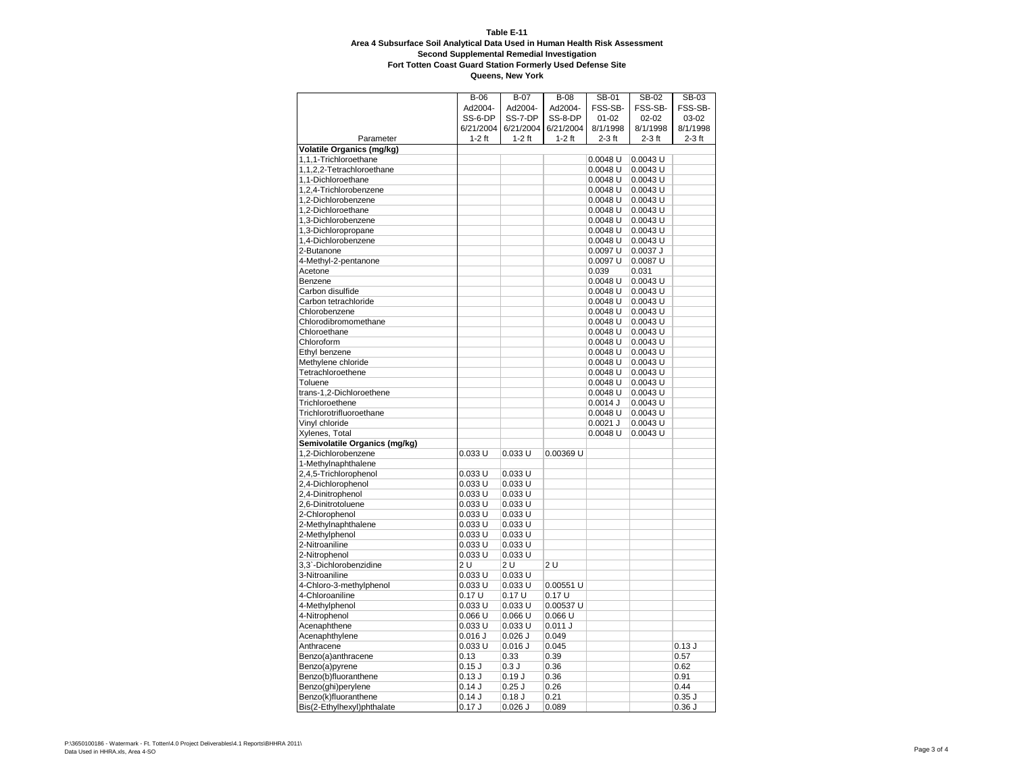## **Table E-11 Area 4 Subsurface Soil Analytical Data Used in Human Health Risk Assessment Second Supplemental Remedial Investigation**

**Fort Totten Coast Guard Station Formerly Used Defense Site**

| FSS-SB-<br>Ad2004-<br>Ad2004-<br>Ad2004-<br>FSS-SB-<br>FSS-SB-<br>SS-6-DP<br>SS-7-DP<br>SS-8-DP<br>$01 - 02$<br>$02 - 02$<br>03-02<br>6/21/2004<br>6/21/2004<br>8/1/1998<br>8/1/1998<br>6/21/2004<br>8/1/1998<br>$1-2$ ft<br>$1-2$ ft<br>$1-2$ ft<br>$2-3$ ft<br>$2-3$ ft<br>$2-3$ ft<br>Parameter<br>Volatile Organics (mg/kg)<br>$0.0048$ U<br>1,1,1-Trichloroethane<br>0.0043 U<br>1,1,2,2-Tetrachloroethane<br>$0.0048$ U<br>0.0043 U<br>1,1-Dichloroethane<br>$0.0048$ U<br>0.0043 U<br>1,2,4-Trichlorobenzene<br>0.0048 U<br>$0.0043$ U<br>0.0043 U<br>1,2-Dichlorobenzene<br>$0.0048$ U<br>1,2-Dichloroethane<br>$0.0048$ U<br>$0.0043$ U<br>$0.0048$ U<br>$0.0043$ U<br>1,3-Dichlorobenzene<br>1,3-Dichloropropane<br>$0.0048$ U<br>$0.0043$ U<br>1,4-Dichlorobenzene<br>$0.0048$ U<br>0.0043 U<br>2-Butanone<br>0.0097 U<br>0.0037 J<br>0.0097 U<br>0.0087 U<br>4-Methyl-2-pentanone<br>Acetone<br>0.039<br>0.031<br>Benzene<br>0.0048 U<br>$0.0043$ U<br>Carbon disulfide<br>$0.0048$ U<br>$0.0043$ U<br>Carbon tetrachloride<br>$0.0048$ U<br>$0.0043$ U<br>Chlorobenzene<br>$0.0048$ U<br>0.0043 U<br>Chlorodibromomethane<br>$0.0048$ U<br>$0.0043$ U<br>Chloroethane<br>$0.0048$ U<br>$0.0043$ U<br>Chloroform<br>$0.0048$ U<br>$0.0043$ U<br>Ethyl benzene<br>$0.0048$ U<br>$0.0043$ U<br>Methylene chloride<br>$0.0048$ U<br>$0.0043$ U<br>Tetrachloroethene<br>$0.0048$ U<br>$0.0043$ U<br>Toluene<br>$0.0048$ U<br>$0.0043$ U<br>trans-1,2-Dichloroethene<br>$0.0048$ U<br>0.0043 U<br>Trichloroethene<br>$0.0014$ J<br>$0.0043$ U<br>Trichlorotrifluoroethane<br>0.0048 U<br>$0.0043$ U<br>Vinyl chloride<br>$0.0021$ J<br>0.0043 U<br>Xylenes, Total<br>$0.0048$ U<br>0.0043 U<br>Semivolatile Organics (mg/kg)<br>1,2-Dichlorobenzene<br>$0.033$ U<br>0.033 U<br>0.00369 U<br>1-Methylnaphthalene<br>2,4,5-Trichlorophenol<br>$0.033$ U<br>0.033 U<br>$0.033$ U<br>0.033 U<br>2,4-Dichlorophenol<br>$0.033$ U<br>2,4-Dinitrophenol<br>$0.033$ U<br>2,6-Dinitrotoluene<br>0.033 U<br>0.033 U<br>2-Chlorophenol<br>$0.033$ U<br>$0.033$ U<br>2-Methylnaphthalene<br>$0.033$ U<br>0.033 U<br>2-Methylphenol<br>0.033 U<br>0.033 U<br>$0.033$ U<br>$0.033$ U<br>2-Nitroaniline<br>2-Nitrophenol<br>$0.033$ U<br>0.033 U<br>3,3`-Dichlorobenzidine<br>2U<br>2 U<br>2 U<br>0.033 U<br>3-Nitroaniline<br>0.033 U<br>4-Chloro-3-methylphenol<br>$0.033$ U<br>0.033 U<br>0.00551 U<br>0.17U<br>0.17U<br>0.17U<br>4-Chloroaniline<br>4-Methylphenol<br>$0.033$ U<br>$0.033$ U<br>0.00537 U<br>$0.066$ U<br>0.066 U<br>4-Nitrophenol<br>$0.066$ U<br>Acenaphthene<br>0.033 U<br>0.033 U<br>0.011J<br>Acenaphthylene<br>$0.016$ $J$<br>$0.026$ J<br>0.049<br>Anthracene<br>$0.033$ U<br>$0.016$ $J$<br>0.045<br>0.13J<br>0.39<br>0.57<br>Benzo(a)anthracene<br>0.13<br>0.33<br>$0.15$ $J$<br>0.3J<br>0.36<br>0.62<br>Benzo(a)pyrene<br>0.36<br>Benzo(b)fluoranthene<br>0.13J<br>0.19J<br>0.91<br>0.26<br>Benzo(ghi)perylene<br>0.14J<br>$0.25$ J<br>0.44<br>Benzo(k)fluoranthene<br>0.21<br>$0.35$ $J$<br>0.14J<br>0.18J | $B-06$ | $B-07$ | <b>B-08</b> | SB-01 | SB-02 | SB-03 |
|-----------------------------------------------------------------------------------------------------------------------------------------------------------------------------------------------------------------------------------------------------------------------------------------------------------------------------------------------------------------------------------------------------------------------------------------------------------------------------------------------------------------------------------------------------------------------------------------------------------------------------------------------------------------------------------------------------------------------------------------------------------------------------------------------------------------------------------------------------------------------------------------------------------------------------------------------------------------------------------------------------------------------------------------------------------------------------------------------------------------------------------------------------------------------------------------------------------------------------------------------------------------------------------------------------------------------------------------------------------------------------------------------------------------------------------------------------------------------------------------------------------------------------------------------------------------------------------------------------------------------------------------------------------------------------------------------------------------------------------------------------------------------------------------------------------------------------------------------------------------------------------------------------------------------------------------------------------------------------------------------------------------------------------------------------------------------------------------------------------------------------------------------------------------------------------------------------------------------------------------------------------------------------------------------------------------------------------------------------------------------------------------------------------------------------------------------------------------------------------------------------------------------------------------------------------------------------------------------------------------------------------------------------------------------------------------------------------------------------------------------------------------------------------------------------------------------------------------------------------------------------------------------------------------------------------------------------------------------------------------------------------------------------------|--------|--------|-------------|-------|-------|-------|
|                                                                                                                                                                                                                                                                                                                                                                                                                                                                                                                                                                                                                                                                                                                                                                                                                                                                                                                                                                                                                                                                                                                                                                                                                                                                                                                                                                                                                                                                                                                                                                                                                                                                                                                                                                                                                                                                                                                                                                                                                                                                                                                                                                                                                                                                                                                                                                                                                                                                                                                                                                                                                                                                                                                                                                                                                                                                                                                                                                                                                                   |        |        |             |       |       |       |
|                                                                                                                                                                                                                                                                                                                                                                                                                                                                                                                                                                                                                                                                                                                                                                                                                                                                                                                                                                                                                                                                                                                                                                                                                                                                                                                                                                                                                                                                                                                                                                                                                                                                                                                                                                                                                                                                                                                                                                                                                                                                                                                                                                                                                                                                                                                                                                                                                                                                                                                                                                                                                                                                                                                                                                                                                                                                                                                                                                                                                                   |        |        |             |       |       |       |
|                                                                                                                                                                                                                                                                                                                                                                                                                                                                                                                                                                                                                                                                                                                                                                                                                                                                                                                                                                                                                                                                                                                                                                                                                                                                                                                                                                                                                                                                                                                                                                                                                                                                                                                                                                                                                                                                                                                                                                                                                                                                                                                                                                                                                                                                                                                                                                                                                                                                                                                                                                                                                                                                                                                                                                                                                                                                                                                                                                                                                                   |        |        |             |       |       |       |
|                                                                                                                                                                                                                                                                                                                                                                                                                                                                                                                                                                                                                                                                                                                                                                                                                                                                                                                                                                                                                                                                                                                                                                                                                                                                                                                                                                                                                                                                                                                                                                                                                                                                                                                                                                                                                                                                                                                                                                                                                                                                                                                                                                                                                                                                                                                                                                                                                                                                                                                                                                                                                                                                                                                                                                                                                                                                                                                                                                                                                                   |        |        |             |       |       |       |
|                                                                                                                                                                                                                                                                                                                                                                                                                                                                                                                                                                                                                                                                                                                                                                                                                                                                                                                                                                                                                                                                                                                                                                                                                                                                                                                                                                                                                                                                                                                                                                                                                                                                                                                                                                                                                                                                                                                                                                                                                                                                                                                                                                                                                                                                                                                                                                                                                                                                                                                                                                                                                                                                                                                                                                                                                                                                                                                                                                                                                                   |        |        |             |       |       |       |
|                                                                                                                                                                                                                                                                                                                                                                                                                                                                                                                                                                                                                                                                                                                                                                                                                                                                                                                                                                                                                                                                                                                                                                                                                                                                                                                                                                                                                                                                                                                                                                                                                                                                                                                                                                                                                                                                                                                                                                                                                                                                                                                                                                                                                                                                                                                                                                                                                                                                                                                                                                                                                                                                                                                                                                                                                                                                                                                                                                                                                                   |        |        |             |       |       |       |
|                                                                                                                                                                                                                                                                                                                                                                                                                                                                                                                                                                                                                                                                                                                                                                                                                                                                                                                                                                                                                                                                                                                                                                                                                                                                                                                                                                                                                                                                                                                                                                                                                                                                                                                                                                                                                                                                                                                                                                                                                                                                                                                                                                                                                                                                                                                                                                                                                                                                                                                                                                                                                                                                                                                                                                                                                                                                                                                                                                                                                                   |        |        |             |       |       |       |
|                                                                                                                                                                                                                                                                                                                                                                                                                                                                                                                                                                                                                                                                                                                                                                                                                                                                                                                                                                                                                                                                                                                                                                                                                                                                                                                                                                                                                                                                                                                                                                                                                                                                                                                                                                                                                                                                                                                                                                                                                                                                                                                                                                                                                                                                                                                                                                                                                                                                                                                                                                                                                                                                                                                                                                                                                                                                                                                                                                                                                                   |        |        |             |       |       |       |
|                                                                                                                                                                                                                                                                                                                                                                                                                                                                                                                                                                                                                                                                                                                                                                                                                                                                                                                                                                                                                                                                                                                                                                                                                                                                                                                                                                                                                                                                                                                                                                                                                                                                                                                                                                                                                                                                                                                                                                                                                                                                                                                                                                                                                                                                                                                                                                                                                                                                                                                                                                                                                                                                                                                                                                                                                                                                                                                                                                                                                                   |        |        |             |       |       |       |
|                                                                                                                                                                                                                                                                                                                                                                                                                                                                                                                                                                                                                                                                                                                                                                                                                                                                                                                                                                                                                                                                                                                                                                                                                                                                                                                                                                                                                                                                                                                                                                                                                                                                                                                                                                                                                                                                                                                                                                                                                                                                                                                                                                                                                                                                                                                                                                                                                                                                                                                                                                                                                                                                                                                                                                                                                                                                                                                                                                                                                                   |        |        |             |       |       |       |
|                                                                                                                                                                                                                                                                                                                                                                                                                                                                                                                                                                                                                                                                                                                                                                                                                                                                                                                                                                                                                                                                                                                                                                                                                                                                                                                                                                                                                                                                                                                                                                                                                                                                                                                                                                                                                                                                                                                                                                                                                                                                                                                                                                                                                                                                                                                                                                                                                                                                                                                                                                                                                                                                                                                                                                                                                                                                                                                                                                                                                                   |        |        |             |       |       |       |
|                                                                                                                                                                                                                                                                                                                                                                                                                                                                                                                                                                                                                                                                                                                                                                                                                                                                                                                                                                                                                                                                                                                                                                                                                                                                                                                                                                                                                                                                                                                                                                                                                                                                                                                                                                                                                                                                                                                                                                                                                                                                                                                                                                                                                                                                                                                                                                                                                                                                                                                                                                                                                                                                                                                                                                                                                                                                                                                                                                                                                                   |        |        |             |       |       |       |
|                                                                                                                                                                                                                                                                                                                                                                                                                                                                                                                                                                                                                                                                                                                                                                                                                                                                                                                                                                                                                                                                                                                                                                                                                                                                                                                                                                                                                                                                                                                                                                                                                                                                                                                                                                                                                                                                                                                                                                                                                                                                                                                                                                                                                                                                                                                                                                                                                                                                                                                                                                                                                                                                                                                                                                                                                                                                                                                                                                                                                                   |        |        |             |       |       |       |
|                                                                                                                                                                                                                                                                                                                                                                                                                                                                                                                                                                                                                                                                                                                                                                                                                                                                                                                                                                                                                                                                                                                                                                                                                                                                                                                                                                                                                                                                                                                                                                                                                                                                                                                                                                                                                                                                                                                                                                                                                                                                                                                                                                                                                                                                                                                                                                                                                                                                                                                                                                                                                                                                                                                                                                                                                                                                                                                                                                                                                                   |        |        |             |       |       |       |
|                                                                                                                                                                                                                                                                                                                                                                                                                                                                                                                                                                                                                                                                                                                                                                                                                                                                                                                                                                                                                                                                                                                                                                                                                                                                                                                                                                                                                                                                                                                                                                                                                                                                                                                                                                                                                                                                                                                                                                                                                                                                                                                                                                                                                                                                                                                                                                                                                                                                                                                                                                                                                                                                                                                                                                                                                                                                                                                                                                                                                                   |        |        |             |       |       |       |
|                                                                                                                                                                                                                                                                                                                                                                                                                                                                                                                                                                                                                                                                                                                                                                                                                                                                                                                                                                                                                                                                                                                                                                                                                                                                                                                                                                                                                                                                                                                                                                                                                                                                                                                                                                                                                                                                                                                                                                                                                                                                                                                                                                                                                                                                                                                                                                                                                                                                                                                                                                                                                                                                                                                                                                                                                                                                                                                                                                                                                                   |        |        |             |       |       |       |
|                                                                                                                                                                                                                                                                                                                                                                                                                                                                                                                                                                                                                                                                                                                                                                                                                                                                                                                                                                                                                                                                                                                                                                                                                                                                                                                                                                                                                                                                                                                                                                                                                                                                                                                                                                                                                                                                                                                                                                                                                                                                                                                                                                                                                                                                                                                                                                                                                                                                                                                                                                                                                                                                                                                                                                                                                                                                                                                                                                                                                                   |        |        |             |       |       |       |
|                                                                                                                                                                                                                                                                                                                                                                                                                                                                                                                                                                                                                                                                                                                                                                                                                                                                                                                                                                                                                                                                                                                                                                                                                                                                                                                                                                                                                                                                                                                                                                                                                                                                                                                                                                                                                                                                                                                                                                                                                                                                                                                                                                                                                                                                                                                                                                                                                                                                                                                                                                                                                                                                                                                                                                                                                                                                                                                                                                                                                                   |        |        |             |       |       |       |
|                                                                                                                                                                                                                                                                                                                                                                                                                                                                                                                                                                                                                                                                                                                                                                                                                                                                                                                                                                                                                                                                                                                                                                                                                                                                                                                                                                                                                                                                                                                                                                                                                                                                                                                                                                                                                                                                                                                                                                                                                                                                                                                                                                                                                                                                                                                                                                                                                                                                                                                                                                                                                                                                                                                                                                                                                                                                                                                                                                                                                                   |        |        |             |       |       |       |
|                                                                                                                                                                                                                                                                                                                                                                                                                                                                                                                                                                                                                                                                                                                                                                                                                                                                                                                                                                                                                                                                                                                                                                                                                                                                                                                                                                                                                                                                                                                                                                                                                                                                                                                                                                                                                                                                                                                                                                                                                                                                                                                                                                                                                                                                                                                                                                                                                                                                                                                                                                                                                                                                                                                                                                                                                                                                                                                                                                                                                                   |        |        |             |       |       |       |
|                                                                                                                                                                                                                                                                                                                                                                                                                                                                                                                                                                                                                                                                                                                                                                                                                                                                                                                                                                                                                                                                                                                                                                                                                                                                                                                                                                                                                                                                                                                                                                                                                                                                                                                                                                                                                                                                                                                                                                                                                                                                                                                                                                                                                                                                                                                                                                                                                                                                                                                                                                                                                                                                                                                                                                                                                                                                                                                                                                                                                                   |        |        |             |       |       |       |
|                                                                                                                                                                                                                                                                                                                                                                                                                                                                                                                                                                                                                                                                                                                                                                                                                                                                                                                                                                                                                                                                                                                                                                                                                                                                                                                                                                                                                                                                                                                                                                                                                                                                                                                                                                                                                                                                                                                                                                                                                                                                                                                                                                                                                                                                                                                                                                                                                                                                                                                                                                                                                                                                                                                                                                                                                                                                                                                                                                                                                                   |        |        |             |       |       |       |
|                                                                                                                                                                                                                                                                                                                                                                                                                                                                                                                                                                                                                                                                                                                                                                                                                                                                                                                                                                                                                                                                                                                                                                                                                                                                                                                                                                                                                                                                                                                                                                                                                                                                                                                                                                                                                                                                                                                                                                                                                                                                                                                                                                                                                                                                                                                                                                                                                                                                                                                                                                                                                                                                                                                                                                                                                                                                                                                                                                                                                                   |        |        |             |       |       |       |
|                                                                                                                                                                                                                                                                                                                                                                                                                                                                                                                                                                                                                                                                                                                                                                                                                                                                                                                                                                                                                                                                                                                                                                                                                                                                                                                                                                                                                                                                                                                                                                                                                                                                                                                                                                                                                                                                                                                                                                                                                                                                                                                                                                                                                                                                                                                                                                                                                                                                                                                                                                                                                                                                                                                                                                                                                                                                                                                                                                                                                                   |        |        |             |       |       |       |
|                                                                                                                                                                                                                                                                                                                                                                                                                                                                                                                                                                                                                                                                                                                                                                                                                                                                                                                                                                                                                                                                                                                                                                                                                                                                                                                                                                                                                                                                                                                                                                                                                                                                                                                                                                                                                                                                                                                                                                                                                                                                                                                                                                                                                                                                                                                                                                                                                                                                                                                                                                                                                                                                                                                                                                                                                                                                                                                                                                                                                                   |        |        |             |       |       |       |
|                                                                                                                                                                                                                                                                                                                                                                                                                                                                                                                                                                                                                                                                                                                                                                                                                                                                                                                                                                                                                                                                                                                                                                                                                                                                                                                                                                                                                                                                                                                                                                                                                                                                                                                                                                                                                                                                                                                                                                                                                                                                                                                                                                                                                                                                                                                                                                                                                                                                                                                                                                                                                                                                                                                                                                                                                                                                                                                                                                                                                                   |        |        |             |       |       |       |
|                                                                                                                                                                                                                                                                                                                                                                                                                                                                                                                                                                                                                                                                                                                                                                                                                                                                                                                                                                                                                                                                                                                                                                                                                                                                                                                                                                                                                                                                                                                                                                                                                                                                                                                                                                                                                                                                                                                                                                                                                                                                                                                                                                                                                                                                                                                                                                                                                                                                                                                                                                                                                                                                                                                                                                                                                                                                                                                                                                                                                                   |        |        |             |       |       |       |
|                                                                                                                                                                                                                                                                                                                                                                                                                                                                                                                                                                                                                                                                                                                                                                                                                                                                                                                                                                                                                                                                                                                                                                                                                                                                                                                                                                                                                                                                                                                                                                                                                                                                                                                                                                                                                                                                                                                                                                                                                                                                                                                                                                                                                                                                                                                                                                                                                                                                                                                                                                                                                                                                                                                                                                                                                                                                                                                                                                                                                                   |        |        |             |       |       |       |
|                                                                                                                                                                                                                                                                                                                                                                                                                                                                                                                                                                                                                                                                                                                                                                                                                                                                                                                                                                                                                                                                                                                                                                                                                                                                                                                                                                                                                                                                                                                                                                                                                                                                                                                                                                                                                                                                                                                                                                                                                                                                                                                                                                                                                                                                                                                                                                                                                                                                                                                                                                                                                                                                                                                                                                                                                                                                                                                                                                                                                                   |        |        |             |       |       |       |
|                                                                                                                                                                                                                                                                                                                                                                                                                                                                                                                                                                                                                                                                                                                                                                                                                                                                                                                                                                                                                                                                                                                                                                                                                                                                                                                                                                                                                                                                                                                                                                                                                                                                                                                                                                                                                                                                                                                                                                                                                                                                                                                                                                                                                                                                                                                                                                                                                                                                                                                                                                                                                                                                                                                                                                                                                                                                                                                                                                                                                                   |        |        |             |       |       |       |
|                                                                                                                                                                                                                                                                                                                                                                                                                                                                                                                                                                                                                                                                                                                                                                                                                                                                                                                                                                                                                                                                                                                                                                                                                                                                                                                                                                                                                                                                                                                                                                                                                                                                                                                                                                                                                                                                                                                                                                                                                                                                                                                                                                                                                                                                                                                                                                                                                                                                                                                                                                                                                                                                                                                                                                                                                                                                                                                                                                                                                                   |        |        |             |       |       |       |
|                                                                                                                                                                                                                                                                                                                                                                                                                                                                                                                                                                                                                                                                                                                                                                                                                                                                                                                                                                                                                                                                                                                                                                                                                                                                                                                                                                                                                                                                                                                                                                                                                                                                                                                                                                                                                                                                                                                                                                                                                                                                                                                                                                                                                                                                                                                                                                                                                                                                                                                                                                                                                                                                                                                                                                                                                                                                                                                                                                                                                                   |        |        |             |       |       |       |
|                                                                                                                                                                                                                                                                                                                                                                                                                                                                                                                                                                                                                                                                                                                                                                                                                                                                                                                                                                                                                                                                                                                                                                                                                                                                                                                                                                                                                                                                                                                                                                                                                                                                                                                                                                                                                                                                                                                                                                                                                                                                                                                                                                                                                                                                                                                                                                                                                                                                                                                                                                                                                                                                                                                                                                                                                                                                                                                                                                                                                                   |        |        |             |       |       |       |
|                                                                                                                                                                                                                                                                                                                                                                                                                                                                                                                                                                                                                                                                                                                                                                                                                                                                                                                                                                                                                                                                                                                                                                                                                                                                                                                                                                                                                                                                                                                                                                                                                                                                                                                                                                                                                                                                                                                                                                                                                                                                                                                                                                                                                                                                                                                                                                                                                                                                                                                                                                                                                                                                                                                                                                                                                                                                                                                                                                                                                                   |        |        |             |       |       |       |
|                                                                                                                                                                                                                                                                                                                                                                                                                                                                                                                                                                                                                                                                                                                                                                                                                                                                                                                                                                                                                                                                                                                                                                                                                                                                                                                                                                                                                                                                                                                                                                                                                                                                                                                                                                                                                                                                                                                                                                                                                                                                                                                                                                                                                                                                                                                                                                                                                                                                                                                                                                                                                                                                                                                                                                                                                                                                                                                                                                                                                                   |        |        |             |       |       |       |
|                                                                                                                                                                                                                                                                                                                                                                                                                                                                                                                                                                                                                                                                                                                                                                                                                                                                                                                                                                                                                                                                                                                                                                                                                                                                                                                                                                                                                                                                                                                                                                                                                                                                                                                                                                                                                                                                                                                                                                                                                                                                                                                                                                                                                                                                                                                                                                                                                                                                                                                                                                                                                                                                                                                                                                                                                                                                                                                                                                                                                                   |        |        |             |       |       |       |
|                                                                                                                                                                                                                                                                                                                                                                                                                                                                                                                                                                                                                                                                                                                                                                                                                                                                                                                                                                                                                                                                                                                                                                                                                                                                                                                                                                                                                                                                                                                                                                                                                                                                                                                                                                                                                                                                                                                                                                                                                                                                                                                                                                                                                                                                                                                                                                                                                                                                                                                                                                                                                                                                                                                                                                                                                                                                                                                                                                                                                                   |        |        |             |       |       |       |
|                                                                                                                                                                                                                                                                                                                                                                                                                                                                                                                                                                                                                                                                                                                                                                                                                                                                                                                                                                                                                                                                                                                                                                                                                                                                                                                                                                                                                                                                                                                                                                                                                                                                                                                                                                                                                                                                                                                                                                                                                                                                                                                                                                                                                                                                                                                                                                                                                                                                                                                                                                                                                                                                                                                                                                                                                                                                                                                                                                                                                                   |        |        |             |       |       |       |
|                                                                                                                                                                                                                                                                                                                                                                                                                                                                                                                                                                                                                                                                                                                                                                                                                                                                                                                                                                                                                                                                                                                                                                                                                                                                                                                                                                                                                                                                                                                                                                                                                                                                                                                                                                                                                                                                                                                                                                                                                                                                                                                                                                                                                                                                                                                                                                                                                                                                                                                                                                                                                                                                                                                                                                                                                                                                                                                                                                                                                                   |        |        |             |       |       |       |
|                                                                                                                                                                                                                                                                                                                                                                                                                                                                                                                                                                                                                                                                                                                                                                                                                                                                                                                                                                                                                                                                                                                                                                                                                                                                                                                                                                                                                                                                                                                                                                                                                                                                                                                                                                                                                                                                                                                                                                                                                                                                                                                                                                                                                                                                                                                                                                                                                                                                                                                                                                                                                                                                                                                                                                                                                                                                                                                                                                                                                                   |        |        |             |       |       |       |
|                                                                                                                                                                                                                                                                                                                                                                                                                                                                                                                                                                                                                                                                                                                                                                                                                                                                                                                                                                                                                                                                                                                                                                                                                                                                                                                                                                                                                                                                                                                                                                                                                                                                                                                                                                                                                                                                                                                                                                                                                                                                                                                                                                                                                                                                                                                                                                                                                                                                                                                                                                                                                                                                                                                                                                                                                                                                                                                                                                                                                                   |        |        |             |       |       |       |
|                                                                                                                                                                                                                                                                                                                                                                                                                                                                                                                                                                                                                                                                                                                                                                                                                                                                                                                                                                                                                                                                                                                                                                                                                                                                                                                                                                                                                                                                                                                                                                                                                                                                                                                                                                                                                                                                                                                                                                                                                                                                                                                                                                                                                                                                                                                                                                                                                                                                                                                                                                                                                                                                                                                                                                                                                                                                                                                                                                                                                                   |        |        |             |       |       |       |
|                                                                                                                                                                                                                                                                                                                                                                                                                                                                                                                                                                                                                                                                                                                                                                                                                                                                                                                                                                                                                                                                                                                                                                                                                                                                                                                                                                                                                                                                                                                                                                                                                                                                                                                                                                                                                                                                                                                                                                                                                                                                                                                                                                                                                                                                                                                                                                                                                                                                                                                                                                                                                                                                                                                                                                                                                                                                                                                                                                                                                                   |        |        |             |       |       |       |
|                                                                                                                                                                                                                                                                                                                                                                                                                                                                                                                                                                                                                                                                                                                                                                                                                                                                                                                                                                                                                                                                                                                                                                                                                                                                                                                                                                                                                                                                                                                                                                                                                                                                                                                                                                                                                                                                                                                                                                                                                                                                                                                                                                                                                                                                                                                                                                                                                                                                                                                                                                                                                                                                                                                                                                                                                                                                                                                                                                                                                                   |        |        |             |       |       |       |
|                                                                                                                                                                                                                                                                                                                                                                                                                                                                                                                                                                                                                                                                                                                                                                                                                                                                                                                                                                                                                                                                                                                                                                                                                                                                                                                                                                                                                                                                                                                                                                                                                                                                                                                                                                                                                                                                                                                                                                                                                                                                                                                                                                                                                                                                                                                                                                                                                                                                                                                                                                                                                                                                                                                                                                                                                                                                                                                                                                                                                                   |        |        |             |       |       |       |
|                                                                                                                                                                                                                                                                                                                                                                                                                                                                                                                                                                                                                                                                                                                                                                                                                                                                                                                                                                                                                                                                                                                                                                                                                                                                                                                                                                                                                                                                                                                                                                                                                                                                                                                                                                                                                                                                                                                                                                                                                                                                                                                                                                                                                                                                                                                                                                                                                                                                                                                                                                                                                                                                                                                                                                                                                                                                                                                                                                                                                                   |        |        |             |       |       |       |
|                                                                                                                                                                                                                                                                                                                                                                                                                                                                                                                                                                                                                                                                                                                                                                                                                                                                                                                                                                                                                                                                                                                                                                                                                                                                                                                                                                                                                                                                                                                                                                                                                                                                                                                                                                                                                                                                                                                                                                                                                                                                                                                                                                                                                                                                                                                                                                                                                                                                                                                                                                                                                                                                                                                                                                                                                                                                                                                                                                                                                                   |        |        |             |       |       |       |
|                                                                                                                                                                                                                                                                                                                                                                                                                                                                                                                                                                                                                                                                                                                                                                                                                                                                                                                                                                                                                                                                                                                                                                                                                                                                                                                                                                                                                                                                                                                                                                                                                                                                                                                                                                                                                                                                                                                                                                                                                                                                                                                                                                                                                                                                                                                                                                                                                                                                                                                                                                                                                                                                                                                                                                                                                                                                                                                                                                                                                                   |        |        |             |       |       |       |
|                                                                                                                                                                                                                                                                                                                                                                                                                                                                                                                                                                                                                                                                                                                                                                                                                                                                                                                                                                                                                                                                                                                                                                                                                                                                                                                                                                                                                                                                                                                                                                                                                                                                                                                                                                                                                                                                                                                                                                                                                                                                                                                                                                                                                                                                                                                                                                                                                                                                                                                                                                                                                                                                                                                                                                                                                                                                                                                                                                                                                                   |        |        |             |       |       |       |
|                                                                                                                                                                                                                                                                                                                                                                                                                                                                                                                                                                                                                                                                                                                                                                                                                                                                                                                                                                                                                                                                                                                                                                                                                                                                                                                                                                                                                                                                                                                                                                                                                                                                                                                                                                                                                                                                                                                                                                                                                                                                                                                                                                                                                                                                                                                                                                                                                                                                                                                                                                                                                                                                                                                                                                                                                                                                                                                                                                                                                                   |        |        |             |       |       |       |
|                                                                                                                                                                                                                                                                                                                                                                                                                                                                                                                                                                                                                                                                                                                                                                                                                                                                                                                                                                                                                                                                                                                                                                                                                                                                                                                                                                                                                                                                                                                                                                                                                                                                                                                                                                                                                                                                                                                                                                                                                                                                                                                                                                                                                                                                                                                                                                                                                                                                                                                                                                                                                                                                                                                                                                                                                                                                                                                                                                                                                                   |        |        |             |       |       |       |
|                                                                                                                                                                                                                                                                                                                                                                                                                                                                                                                                                                                                                                                                                                                                                                                                                                                                                                                                                                                                                                                                                                                                                                                                                                                                                                                                                                                                                                                                                                                                                                                                                                                                                                                                                                                                                                                                                                                                                                                                                                                                                                                                                                                                                                                                                                                                                                                                                                                                                                                                                                                                                                                                                                                                                                                                                                                                                                                                                                                                                                   |        |        |             |       |       |       |
|                                                                                                                                                                                                                                                                                                                                                                                                                                                                                                                                                                                                                                                                                                                                                                                                                                                                                                                                                                                                                                                                                                                                                                                                                                                                                                                                                                                                                                                                                                                                                                                                                                                                                                                                                                                                                                                                                                                                                                                                                                                                                                                                                                                                                                                                                                                                                                                                                                                                                                                                                                                                                                                                                                                                                                                                                                                                                                                                                                                                                                   |        |        |             |       |       |       |
|                                                                                                                                                                                                                                                                                                                                                                                                                                                                                                                                                                                                                                                                                                                                                                                                                                                                                                                                                                                                                                                                                                                                                                                                                                                                                                                                                                                                                                                                                                                                                                                                                                                                                                                                                                                                                                                                                                                                                                                                                                                                                                                                                                                                                                                                                                                                                                                                                                                                                                                                                                                                                                                                                                                                                                                                                                                                                                                                                                                                                                   |        |        |             |       |       |       |
|                                                                                                                                                                                                                                                                                                                                                                                                                                                                                                                                                                                                                                                                                                                                                                                                                                                                                                                                                                                                                                                                                                                                                                                                                                                                                                                                                                                                                                                                                                                                                                                                                                                                                                                                                                                                                                                                                                                                                                                                                                                                                                                                                                                                                                                                                                                                                                                                                                                                                                                                                                                                                                                                                                                                                                                                                                                                                                                                                                                                                                   |        |        |             |       |       |       |
|                                                                                                                                                                                                                                                                                                                                                                                                                                                                                                                                                                                                                                                                                                                                                                                                                                                                                                                                                                                                                                                                                                                                                                                                                                                                                                                                                                                                                                                                                                                                                                                                                                                                                                                                                                                                                                                                                                                                                                                                                                                                                                                                                                                                                                                                                                                                                                                                                                                                                                                                                                                                                                                                                                                                                                                                                                                                                                                                                                                                                                   |        |        |             |       |       |       |
|                                                                                                                                                                                                                                                                                                                                                                                                                                                                                                                                                                                                                                                                                                                                                                                                                                                                                                                                                                                                                                                                                                                                                                                                                                                                                                                                                                                                                                                                                                                                                                                                                                                                                                                                                                                                                                                                                                                                                                                                                                                                                                                                                                                                                                                                                                                                                                                                                                                                                                                                                                                                                                                                                                                                                                                                                                                                                                                                                                                                                                   |        |        |             |       |       |       |
|                                                                                                                                                                                                                                                                                                                                                                                                                                                                                                                                                                                                                                                                                                                                                                                                                                                                                                                                                                                                                                                                                                                                                                                                                                                                                                                                                                                                                                                                                                                                                                                                                                                                                                                                                                                                                                                                                                                                                                                                                                                                                                                                                                                                                                                                                                                                                                                                                                                                                                                                                                                                                                                                                                                                                                                                                                                                                                                                                                                                                                   |        |        |             |       |       |       |
|                                                                                                                                                                                                                                                                                                                                                                                                                                                                                                                                                                                                                                                                                                                                                                                                                                                                                                                                                                                                                                                                                                                                                                                                                                                                                                                                                                                                                                                                                                                                                                                                                                                                                                                                                                                                                                                                                                                                                                                                                                                                                                                                                                                                                                                                                                                                                                                                                                                                                                                                                                                                                                                                                                                                                                                                                                                                                                                                                                                                                                   |        |        |             |       |       |       |
| Bis(2-Ethylhexyl)phthalate<br>0.17J<br>$0.026$ J<br>0.089<br>0.36J                                                                                                                                                                                                                                                                                                                                                                                                                                                                                                                                                                                                                                                                                                                                                                                                                                                                                                                                                                                                                                                                                                                                                                                                                                                                                                                                                                                                                                                                                                                                                                                                                                                                                                                                                                                                                                                                                                                                                                                                                                                                                                                                                                                                                                                                                                                                                                                                                                                                                                                                                                                                                                                                                                                                                                                                                                                                                                                                                                |        |        |             |       |       |       |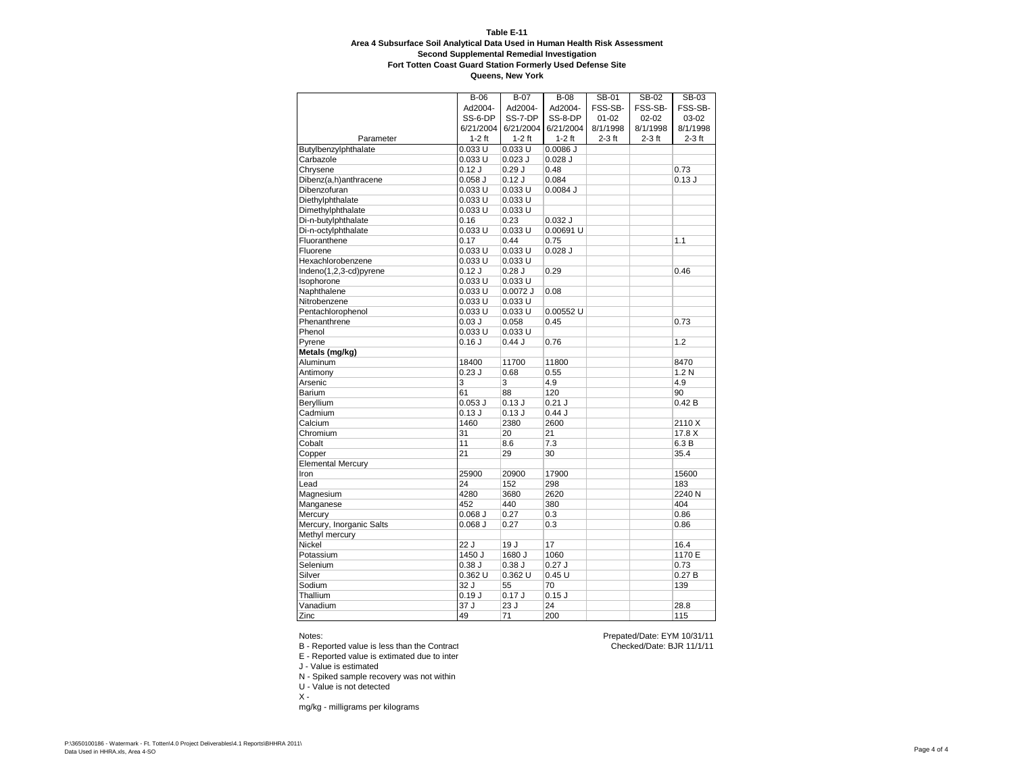**Queens, New York**

|                          | $B-06$                  | $B-07$      | <b>B-08</b> | SB-01     | SB-02     | SB-03            |
|--------------------------|-------------------------|-------------|-------------|-----------|-----------|------------------|
|                          | Ad2004-                 | Ad2004-     | Ad2004-     | FSS-SB-   | FSS-SB-   | FSS-SB-          |
|                          | SS-6-DP                 | SS-7-DP     | SS-8-DP     | $01 - 02$ | $02 - 02$ | 03-02            |
|                          | 6/21/2004               | 6/21/2004   | 6/21/2004   | 8/1/1998  | 8/1/1998  | 8/1/1998         |
| Parameter                | $1-2$ ft                | $1-2$ ft    | $1-2$ ft    | $2-3$ ft  | $2-3$ ft  | $2-3$ ft         |
| Butylbenzylphthalate     | 0.033 U                 | 0.033 U     | $0.0086$ J  |           |           |                  |
| Carbazole                | 0.033 U                 | $0.023$ $J$ | $0.028$ J   |           |           |                  |
| Chrysene                 | 0.12 J                  | 0.29J       | 0.48        |           |           | 0.73             |
| Dibenz(a,h)anthracene    | $0.058$ J               | 0.12J       | 0.084       |           |           | 0.13 J           |
| Dibenzofuran             | 0.033 U                 | 0.033U      | $0.0084$ J  |           |           |                  |
| Diethylphthalate         | 0.033 U                 | 0.033 U     |             |           |           |                  |
| Dimethylphthalate        | 0.033 U                 | 0.033 U     |             |           |           |                  |
| Di-n-butylphthalate      | 0.16                    | 0.23        | $0.032$ J   |           |           |                  |
| Di-n-octylphthalate      | 0.033 U                 | 0.033U      | 0.00691 U   |           |           |                  |
| Fluoranthene             | 0.17                    | 0.44        | 0.75        |           |           | 1.1              |
| Fluorene                 | 0.033 U                 | $0.033$ U   | $0.028$ J   |           |           |                  |
| Hexachlorobenzene        | 0.033 U                 | 0.033 U     |             |           |           |                  |
| Indeno(1,2,3-cd)pyrene   | 0.12J                   | 0.28J       | 0.29        |           |           | 0.46             |
| Isophorone               | 0.033 U                 | 0.033 U     |             |           |           |                  |
| Naphthalene              | 0.033 U                 | 0.0072 J    | 0.08        |           |           |                  |
| Nitrobenzene             | 0.033 U                 | $0.033$ U   |             |           |           |                  |
| Pentachlorophenol        | 0.033 U                 | 0.033U      | 0.00552 U   |           |           |                  |
| Phenanthrene             | 0.03J                   | 0.058       | 0.45        |           |           | 0.73             |
| Phenol                   | 0.033 U                 | 0.033U      |             |           |           |                  |
| Pyrene                   | 0.16J                   | 0.44J       | 0.76        |           |           | 1.2              |
| Metals (mg/kg)           |                         |             |             |           |           |                  |
| Aluminum                 | 18400                   | 11700       | 11800       |           |           | 8470             |
| Antimony                 | 0.23J                   | 0.68        | 0.55        |           |           | 1.2 <sub>N</sub> |
| Arsenic                  | $\overline{\mathbf{3}}$ | 3           | 4.9         |           |           | 4.9              |
| Barium                   | 61                      | 88          | 120         |           |           | 90               |
| Beryllium                | $0.053$ $J$             | 0.13J       | 0.21 J      |           |           | 0.42B            |
| Cadmium                  | 0.13J                   | 0.13J       | 0.44J       |           |           |                  |
| Calcium                  | 1460                    | 2380        | 2600        |           |           | 2110 X           |
| Chromium                 | 31                      | 20          | 21          |           |           | 17.8 X           |
| Cobalt                   | 11                      | 8.6         | 7.3         |           |           | 6.3 B            |
| Copper                   | $\overline{21}$         | 29          | 30          |           |           | 35.4             |
| <b>Elemental Mercury</b> |                         |             |             |           |           |                  |
| Iron                     | 25900                   | 20900       | 17900       |           |           | 15600            |
| Lead                     | 24                      | 152         | 298         |           |           | 183              |
| Magnesium                | 4280                    | 3680        | 2620        |           |           | 2240 N           |
| Manganese                | 452                     | 440         | 380         |           |           | 404              |
| Mercury                  | $0.068$ J               | 0.27        | 0.3         |           |           | 0.86             |
| Mercury, Inorganic Salts | $0.068$ J               | 0.27        | 0.3         |           |           | 0.86             |
| Methyl mercury           |                         |             |             |           |           |                  |
| Nickel                   | 22J                     | 19 J        | 17          |           |           | 16.4             |
| Potassium                | $1450$ J                | 1680 J      | 1060        |           |           | 1170 E           |
| Selenium                 | 0.38J                   | 0.38J       | 0.27J       |           |           | 0.73             |
| Silver                   | 0.362 U                 | $0.362$ U   | 0.45U       |           |           | 0.27B            |
| Sodium                   | 32 J                    | 55          | 70          |           |           | 139              |
| Thallium                 | 0.19J                   | 0.17J       | $0.15$ J    |           |           |                  |
| Vanadium                 | 37J                     | 23 J        | 24          |           |           | 28.8             |
| Zinc                     | 49                      | 71          | 200         |           |           | 115              |

#### Notes:

B - Reported value is less than the Contract

E - Reported value is extimated due to inter

J - Value is estimated

- N Spiked sample recovery was not within
- U Value is not detected
- $X -$

mg/kg - milligrams per kilograms

Prepated/Date: EYM 10/31/11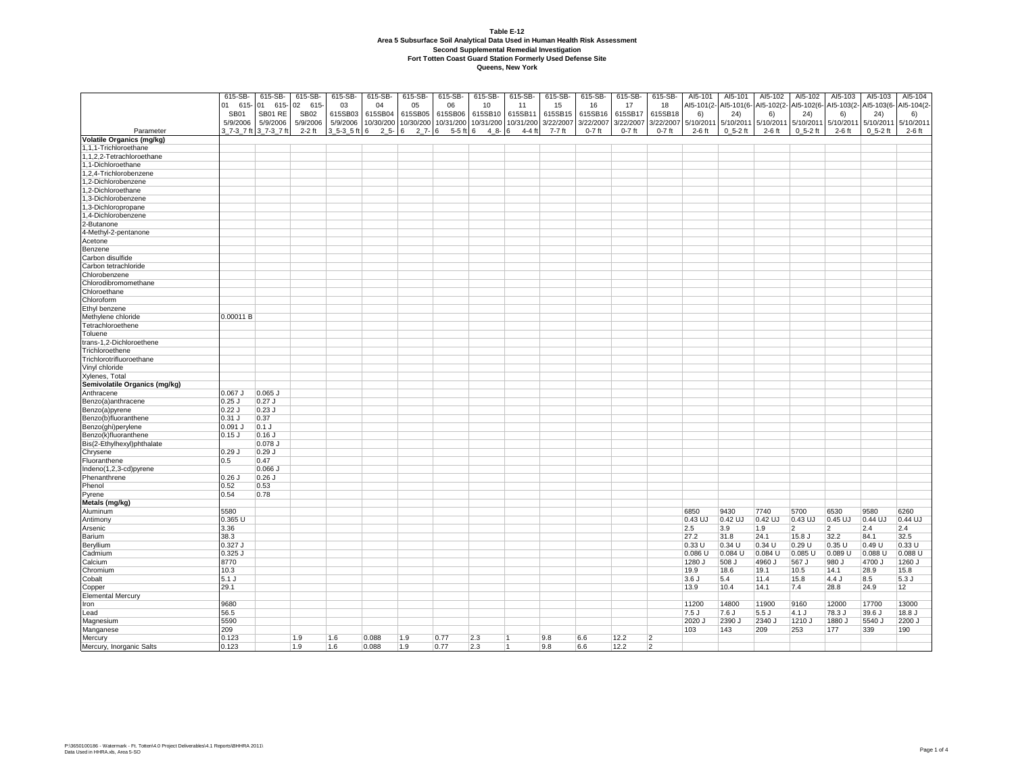|                                        | 615-SB-     | 615-SB-    | 615-SB-     | 615-SB-      | 615-SB-  | 615-SB-             | 615-SB-      | 615-SB-             |                | 615-SB-   | 615-SB-   | 615-SB-   | 615-SB-        | AI5-101    | AI5-101       | AI5-102    | AI5-102        | AI5-103        | AI5-103     | AI5-104    |
|----------------------------------------|-------------|------------|-------------|--------------|----------|---------------------|--------------|---------------------|----------------|-----------|-----------|-----------|----------------|------------|---------------|------------|----------------|----------------|-------------|------------|
|                                        |             |            |             |              |          |                     |              |                     | 615-SB-        |           |           |           |                |            |               |            |                |                |             |            |
|                                        | 01<br>615   | 01<br>615- | 02 615-     | 03           | 04       | 05                  | 06           | 10                  | 11             | 15        | 16        | 17        | 18             | AI5-101(2- | AI5-101(6-    | AI5-102(2- | AI5-102(6-     | AI5-103(2-     | AI5-103(6-  | AI5-104(2- |
|                                        | <b>SB01</b> | SB01 RE    | <b>SB02</b> | 615SB03      | 615SB04  | 615SB05             | 615SB06      | 615SB10             | 615SB11        | 615SB15   | 615SB16   | 615SB17   | 615SB18        | 6)         | 24)           | 6)         | 24)            | 6)             | 24)         | 6)         |
|                                        | 5/9/2006    | 5/9/2006   | 5/9/2006    | 5/9/2006     |          | 10/30/200 10/30/200 |              | 10/31/200 10/31/200 | 10/31/200      | 3/22/2007 | 3/22/2007 | 3/22/2007 | 3/22/2007      | 5/10/2011  | 5/10/2011     | 5/10/2011  | 5/10/2011      | 5/10/2011      | 5/10/2011   | 5/10/2011  |
| Parameter                              | 3 7-3 7 ft  | 3 7-3 7 ft | $2-2$ ft    | 3 5-3 5 ft 6 | $25 - 6$ | $27 - 6$            | $5-5$ ft $6$ | $48 - 6$            | $4-4$ ft       | 7-7 ft    | $0-7$ ft  | $0-7$ ft  | $0-7$ ft       | $2-6$ ft   | $0\,5-2\,$ ft | $2-6$ ft   | $0, 5-2$ ft    | $2-6$ ft       | $0, 5-2$ ft | $2-6$ ft   |
| Volatile Organics (mg/kg)              |             |            |             |              |          |                     |              |                     |                |           |           |           |                |            |               |            |                |                |             |            |
| 1,1,1-Trichloroethane                  |             |            |             |              |          |                     |              |                     |                |           |           |           |                |            |               |            |                |                |             |            |
| 1.1.2.2-Tetrachloroethane              |             |            |             |              |          |                     |              |                     |                |           |           |           |                |            |               |            |                |                |             |            |
| 1,1-Dichloroethane                     |             |            |             |              |          |                     |              |                     |                |           |           |           |                |            |               |            |                |                |             |            |
| 1,2,4-Trichlorobenzene                 |             |            |             |              |          |                     |              |                     |                |           |           |           |                |            |               |            |                |                |             |            |
| 1,2-Dichlorobenzene                    |             |            |             |              |          |                     |              |                     |                |           |           |           |                |            |               |            |                |                |             |            |
| 1,2-Dichloroethane                     |             |            |             |              |          |                     |              |                     |                |           |           |           |                |            |               |            |                |                |             |            |
| 1,3-Dichlorobenzene                    |             |            |             |              |          |                     |              |                     |                |           |           |           |                |            |               |            |                |                |             |            |
| 1,3-Dichloropropane                    |             |            |             |              |          |                     |              |                     |                |           |           |           |                |            |               |            |                |                |             |            |
| 1,4-Dichlorobenzene                    |             |            |             |              |          |                     |              |                     |                |           |           |           |                |            |               |            |                |                |             |            |
| 2-Butanone                             |             |            |             |              |          |                     |              |                     |                |           |           |           |                |            |               |            |                |                |             |            |
| 4-Methyl-2-pentanone                   |             |            |             |              |          |                     |              |                     |                |           |           |           |                |            |               |            |                |                |             |            |
| Acetone                                |             |            |             |              |          |                     |              |                     |                |           |           |           |                |            |               |            |                |                |             |            |
| Benzene                                |             |            |             |              |          |                     |              |                     |                |           |           |           |                |            |               |            |                |                |             |            |
| Carbon disulfide                       |             |            |             |              |          |                     |              |                     |                |           |           |           |                |            |               |            |                |                |             |            |
| Carbon tetrachloride                   |             |            |             |              |          |                     |              |                     |                |           |           |           |                |            |               |            |                |                |             |            |
| Chlorobenzene                          |             |            |             |              |          |                     |              |                     |                |           |           |           |                |            |               |            |                |                |             |            |
| Chlorodibromomethane                   |             |            |             |              |          |                     |              |                     |                |           |           |           |                |            |               |            |                |                |             |            |
| Chloroethane                           |             |            |             |              |          |                     |              |                     |                |           |           |           |                |            |               |            |                |                |             |            |
| Chloroform                             |             |            |             |              |          |                     |              |                     |                |           |           |           |                |            |               |            |                |                |             |            |
| Ethyl benzene                          |             |            |             |              |          |                     |              |                     |                |           |           |           |                |            |               |            |                |                |             |            |
| Methylene chloride                     | 0.00011B    |            |             |              |          |                     |              |                     |                |           |           |           |                |            |               |            |                |                |             |            |
| Tetrachloroethene                      |             |            |             |              |          |                     |              |                     |                |           |           |           |                |            |               |            |                |                |             |            |
| Toluene                                |             |            |             |              |          |                     |              |                     |                |           |           |           |                |            |               |            |                |                |             |            |
| rans-1,2-Dichloroethene                |             |            |             |              |          |                     |              |                     |                |           |           |           |                |            |               |            |                |                |             |            |
| Trichloroethene                        |             |            |             |              |          |                     |              |                     |                |           |           |           |                |            |               |            |                |                |             |            |
| Trichlorotrifluoroethane               |             |            |             |              |          |                     |              |                     |                |           |           |           |                |            |               |            |                |                |             |            |
| Vinyl chloride                         |             |            |             |              |          |                     |              |                     |                |           |           |           |                |            |               |            |                |                |             |            |
| Xylenes, Total                         |             |            |             |              |          |                     |              |                     |                |           |           |           |                |            |               |            |                |                |             |            |
| Semivolatile Organics (mg/kg)          |             |            |             |              |          |                     |              |                     |                |           |           |           |                |            |               |            |                |                |             |            |
| Anthracene                             | .067 J      | $0.065$ J  |             |              |          |                     |              |                     |                |           |           |           |                |            |               |            |                |                |             |            |
| Benzo(a)anthracene                     | .25 J       | $0.27$ J   |             |              |          |                     |              |                     |                |           |           |           |                |            |               |            |                |                |             |            |
| Benzo(a)pyrene                         | .22 J       | $0.23$ J   |             |              |          |                     |              |                     |                |           |           |           |                |            |               |            |                |                |             |            |
| Benzo(b)fluoranthene                   | .31 J       | 0.37       |             |              |          |                     |              |                     |                |           |           |           |                |            |               |            |                |                |             |            |
| Benzo(ghi)perylene                     | .091 J      | $0.1$ J    |             |              |          |                     |              |                     |                |           |           |           |                |            |               |            |                |                |             |            |
| Benzo(k)fluoranthene                   | .15 J       | $0.16$ J   |             |              |          |                     |              |                     |                |           |           |           |                |            |               |            |                |                |             |            |
|                                        |             | 0.078 J    |             |              |          |                     |              |                     |                |           |           |           |                |            |               |            |                |                |             |            |
| Bis(2-Ethylhexyl)phthalate<br>Chrysene | ).29 J      | $0.29$ J   |             |              |          |                     |              |                     |                |           |           |           |                |            |               |            |                |                |             |            |
| Fluoranthene                           | $.5\,$      | 0.47       |             |              |          |                     |              |                     |                |           |           |           |                |            |               |            |                |                |             |            |
| Indeno(1,2,3-cd)pyrene                 |             | $0.066$ J  |             |              |          |                     |              |                     |                |           |           |           |                |            |               |            |                |                |             |            |
| Phenanthrene                           | .26 J       | $0.26$ J   |             |              |          |                     |              |                     |                |           |           |           |                |            |               |            |                |                |             |            |
|                                        |             |            |             |              |          |                     |              |                     |                |           |           |           |                |            |               |            |                |                |             |            |
| Phenol                                 | .52         | 0.53       |             |              |          |                     |              |                     |                |           |           |           |                |            |               |            |                |                |             |            |
| Pyrene                                 | .54         | 0.78       |             |              |          |                     |              |                     |                |           |           |           |                |            |               |            |                |                |             |            |
| Metals (mg/kg)                         |             |            |             |              |          |                     |              |                     |                |           |           |           |                |            |               |            |                |                |             |            |
| Aluminum                               | 5580        |            |             |              |          |                     |              |                     |                |           |           |           |                | 6850       | 9430          | 7740       | 5700           | 6530           | 9580        | 6260       |
| Antimony                               | $0.365$ U   |            |             |              |          |                     |              |                     |                |           |           |           |                | 0.43 UJ    | 0.42 UJ       | 0.42 UJ    | 0.43 UJ        | $0.45$ UJ      | 0.44 UJ     | 0.44 UJ    |
| Arsenic                                | 3.36        |            |             |              |          |                     |              |                     |                |           |           |           |                | 2.5        | 3.9           | 1.9        | $\overline{2}$ | $\overline{2}$ | 2.4         | 2.4        |
| Barium                                 | 38.3        |            |             |              |          |                     |              |                     |                |           |           |           |                | 27.2       | 31.8          | 24.1       | 15.8 J         | 32.2           | 84.1        | 32.5       |
| Beryllium                              | .327 J      |            |             |              |          |                     |              |                     |                |           |           |           |                | 0.33 U     | 0.34U         | 0.34U      | 0.29U          | 0.35 U         | 0.49 U      | 0.33U      |
| Cadmium                                | 0.325 J     |            |             |              |          |                     |              |                     |                |           |           |           |                | 0.086 U    | 0.084 U       | 0.084 U    | 0.085 U        | 0.089 U        | 0.088 U     | 0.088 U    |
| Calcium                                | 3770        |            |             |              |          |                     |              |                     |                |           |           |           |                | 1280 J     | 508 J         | 4960 J     | 567 J          | 980 J          | 4700 J      | 1260 J     |
| Chromium                               | 10.3        |            |             |              |          |                     |              |                     |                |           |           |           |                | 19.9       | 18.6          | 19.1       | 10.5           | 14.1           | 28.9        | 15.8       |
| Cobalt                                 | 5.1 J       |            |             |              |          |                     |              |                     |                |           |           |           |                | 3.6J       | 5.4           | 11.4       | 15.8           | 4.4J           | 8.5         | 5.3J       |
| Copper                                 | 29.1        |            |             |              |          |                     |              |                     |                |           |           |           |                | 13.9       | 10.4          | 14.1       | 7.4            | 28.8           | 24.9        | 12         |
| <b>Elemental Mercury</b>               |             |            |             |              |          |                     |              |                     |                |           |           |           |                |            |               |            |                |                |             |            |
| Iron                                   | 9680        |            |             |              |          |                     |              |                     |                |           |           |           |                | 11200      | 14800         | 11900      | 9160           | 12000          | 17700       | 13000      |
| Lead                                   | 56.5        |            |             |              |          |                     |              |                     |                |           |           |           |                | 7.5 J      | 7.6 J         | 5.5J       | 4.1J           | 78.3 J         | 39.6 J      | 18.8 J     |
| Magnesium                              | 5590        |            |             |              |          |                     |              |                     |                |           |           |           |                | 2020 J     | 2390 J        | 2340J      | 1210 J         | 1880 J         | 5540 J      | 2200 J     |
| Manganese                              | 209         |            |             |              |          |                     |              |                     |                |           |           |           |                | 103        | 143           | 209        | 253            | 177            | 339         | 190        |
| Mercury                                | 0.123       |            | 1.9         | 1.6          | 0.088    | 1.9                 | 0.77         | 2.3                 | $\overline{1}$ | 9.8       | 6.6       | 12.2      | $\overline{2}$ |            |               |            |                |                |             |            |
| Mercury, Inorganic Salts               | 0.123       |            | 1.9         | 1.6          | 0.088    | 1.9                 | 0.77         | 2.3                 | 11             | 9.8       | 6.6       | 12.2      | $\overline{2}$ |            |               |            |                |                |             |            |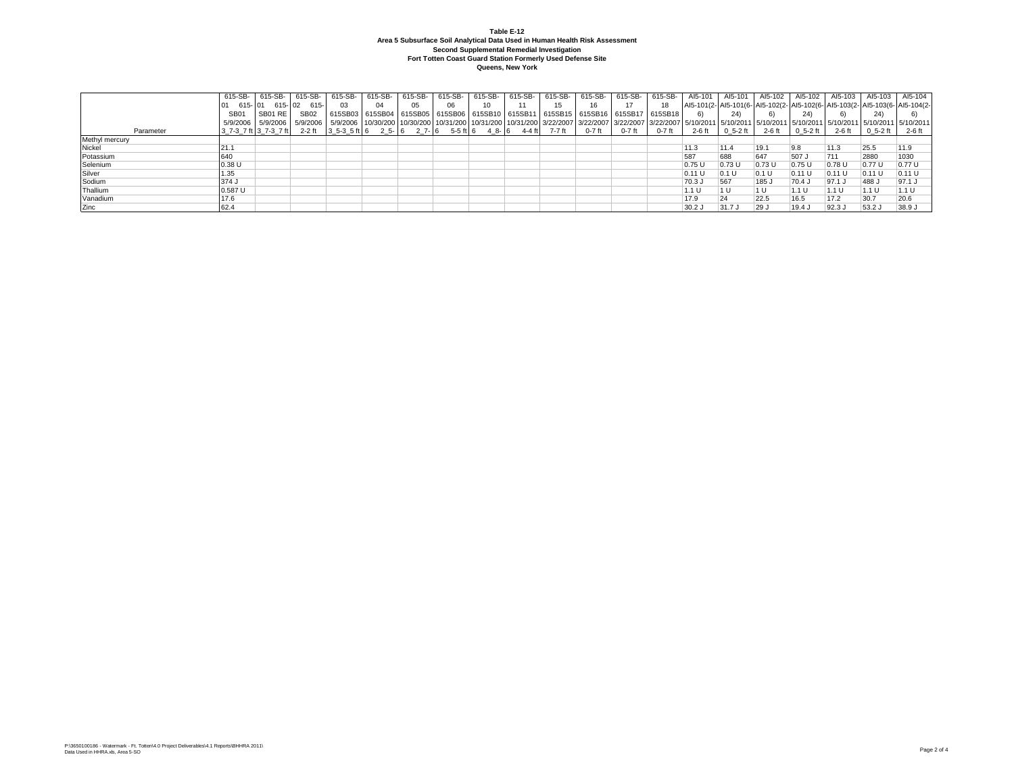|                | 615-SB-          | 615-SB- | 615-SB-                                                                                                                                                                                                                         | 615-SB- | 615-SB- | 615-SB-        | 615-SB- | 615-SB- | 615-SB- | 615-SB- | 615-SB-                                                                                           | 615-SB-  | 615-SB-  | AI5-101  | AI5-101           | AI5-102 | AI5-102                           | Al5-103 Al5-103 |        | AI5-104                                                                      |
|----------------|------------------|---------|---------------------------------------------------------------------------------------------------------------------------------------------------------------------------------------------------------------------------------|---------|---------|----------------|---------|---------|---------|---------|---------------------------------------------------------------------------------------------------|----------|----------|----------|-------------------|---------|-----------------------------------|-----------------|--------|------------------------------------------------------------------------------|
|                | 615-101          |         | 615-02 615-                                                                                                                                                                                                                     | 03      | 04      | 0 <sub>5</sub> | 06      |         |         |         | 16                                                                                                |          | 18       |          |                   |         |                                   |                 |        | Al5-101(2- Al5-101(6- Al5-102(2- Al5-102(6- Al5-103(2- Al5-103(6- Al5-104(2- |
|                | SB <sub>01</sub> | SB01 RE | SB <sub>02</sub>                                                                                                                                                                                                                |         |         |                |         |         |         |         | 615SB03   615SB04   615SB05   615SB06   615SB10   615SB11   615SB15   615SB16   615SB17   615SB18 |          |          | 6)       | 24)               |         | 24)                               |                 | 24)    |                                                                              |
|                |                  |         | 5/9/2006 5/9/2006 5/9/2006 5/9/2006 5/9/2006 10/30/200 10/30/200 10/31/200 10/31/200 10/31/200 10/31/200 13/22/2007 3/22/2007 3/22/2007 5/10/2011 5/10/2011 5/10/2011 5/10/2011 5/10/2011 5/10/2011 5/10/2011 5/10/2011 5/10/20 |         |         |                |         |         |         |         |                                                                                                   |          |          |          |                   |         |                                   |                 |        |                                                                              |
| Parameter      |                  |         | 3 7-3 7 ft  3 7-3 7 ft   2-2 ft  3 5-3 5 ft  6 2 5-  6 2 7-  6 5-5 ft  6 4 8-  6 4-4 ft   7-7 ft                                                                                                                                |         |         |                |         |         |         |         | $0-7$ ft                                                                                          | $0-7$ ft | $0-7$ ft |          | 2-6 ft 0 5-2 ft l |         | 2-6 ft 0 5-2 ft 2-6 ft 0 5-2 ft 1 |                 |        | 2-6 ft                                                                       |
| Methyl mercury |                  |         |                                                                                                                                                                                                                                 |         |         |                |         |         |         |         |                                                                                                   |          |          |          |                   |         |                                   |                 |        |                                                                              |
| Nickel         | 21.1             |         |                                                                                                                                                                                                                                 |         |         |                |         |         |         |         |                                                                                                   |          |          | 11.3     | 11.4              | 19.1    | 9.8                               | 11.3            | 25.5   | 11.9                                                                         |
| Potassium      | 640              |         |                                                                                                                                                                                                                                 |         |         |                |         |         |         |         |                                                                                                   |          |          | 587      | 688               | 647     | 507 J                             | 711             | 2880   | 1030                                                                         |
| Selenium       | 0.38U            |         |                                                                                                                                                                                                                                 |         |         |                |         |         |         |         |                                                                                                   |          |          | 0.75 U   | 0.73U             | 0.73U   | 0.75U                             | 0.78U           | 0.77 U | 0.77 U                                                                       |
| Silver         | .35              |         |                                                                                                                                                                                                                                 |         |         |                |         |         |         |         |                                                                                                   |          |          | 0.11 U   | 0.1U              | 0.1 U   | 0.11 U                            | 0.11U           | 0.11 U | 0.11 U                                                                       |
| Sodium         | 374J             |         |                                                                                                                                                                                                                                 |         |         |                |         |         |         |         |                                                                                                   |          |          | 70.3 J   | 567               | 185 J   | 70.4                              | $97.1$ .        | 488 J  | 97.1 J                                                                       |
| Thallium       | $0.587$ U        |         |                                                                                                                                                                                                                                 |         |         |                |         |         |         |         |                                                                                                   |          |          | 1.1 U    |                   | 1 U     | $1.1 \mathrm{U}$                  | 1.1 U           | 1.1 U  | 1.1 U                                                                        |
| Vanadium       | 17.6             |         |                                                                                                                                                                                                                                 |         |         |                |         |         |         |         |                                                                                                   |          |          | 17.9     | 24                | 22.5    | 16.5                              | 17.2            | 30.7   | 20.6                                                                         |
| Zinc           | 62.4             |         |                                                                                                                                                                                                                                 |         |         |                |         |         |         |         |                                                                                                   |          |          | $30.2$ J | 31.7J             | 29 J    | $19.4$ J                          | 92.3            | 53.2 J | 38.9 J                                                                       |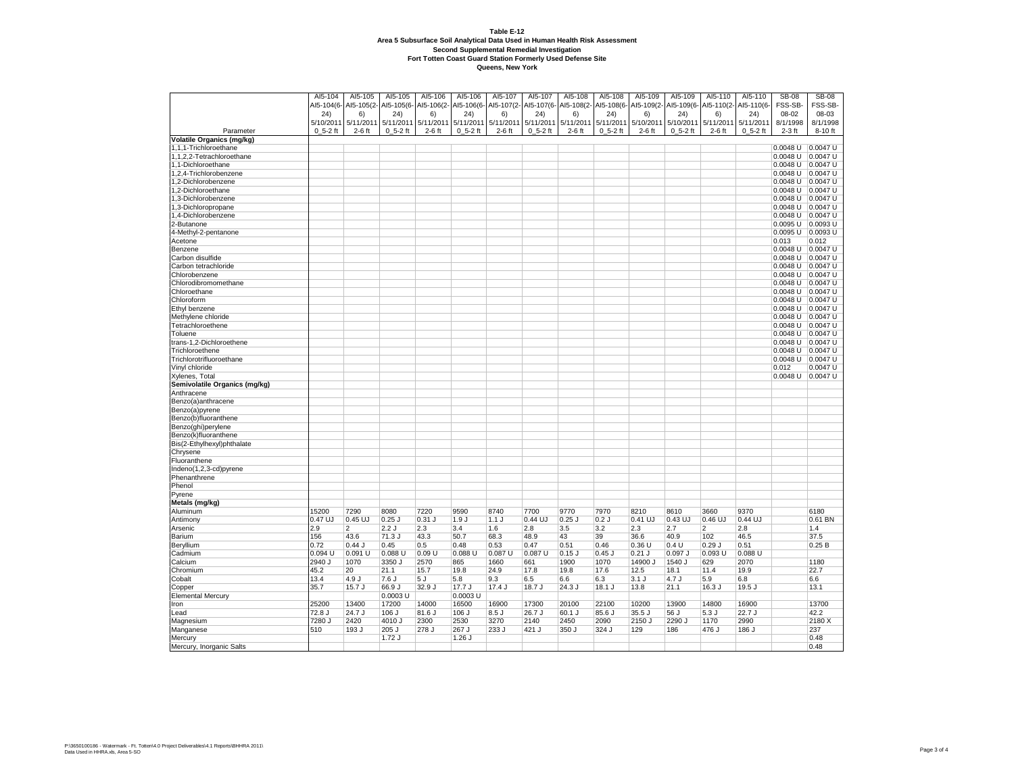| AI5-104(6-<br>Al5-105(2- Al5-105(6-<br>AI5-106(2-<br>AI5-106(6-<br>AI5-107(2-<br>AI5-107(6-<br>Al5-108(2- Al5-108(6-<br>Al5-109(2- Al5-109(6-<br>Al5-110(2-Al5-110(6-<br>FSS-SB-<br>FSS-SB-<br>08-03<br>24)<br>6)<br>24)<br>6)<br>24)<br>6)<br>(24)<br>6)<br>24)<br>6)<br>24)<br>6)<br>24)<br>08-02<br>5/10/2011 5/11/2011<br>5/11/2011<br>5/11/2011<br>5/11/2011 5/11/2011<br>5/11/2011<br>5/11/2011 5/11/2011<br>5/10/2011<br>5/10/2011<br>5/11/2011<br>5/11/2011<br>8/1/1998<br>8/1/1998<br>Parameter<br>$0, 5-2$ ft<br>$2-6$ ft<br>$0_5 - 2$ ft<br>$2-6$ ft<br>$0_5 - 2$ ft<br>$2-6$ ft<br>$0_5 - 2$ ft<br>$2-6$ ft<br>$0, 5-2$ ft<br>$2-6$ ft<br>$0, 5-2$ ft<br>$2-6$ ft<br>$0_5 - 2$ ft<br>$2-3$ ft<br>8-10 ft<br><b>Volatile Organics (mg/kg)</b><br>$0.0047$ U<br>1,1,1-Trichloroethane<br>$0.0048$ U<br>0.0048 U 0.0047 U<br>1,1,2,2-Tetrachloroethane<br>.1-Dichloroethane<br>$0.0048$ U $ 0.0047$ U<br>0.0048 U 0.0047 U<br>,2,4-Trichlorobenzene<br>1,2-Dichlorobenzene<br>0.0048 U 0.0047 U<br>0.0048 U 0.0047 U<br>,2-Dichloroethane<br>,3-Dichlorobenzene<br>0.0048 U $ 0.0047$ U<br>,3-Dichloropropane<br>0.0048 U $ 0.0047$ U<br>0.0048 U 0.0047 U<br>1,4-Dichlorobenzene<br>0.0095 U 0.0093 U<br>2-Butanone<br>0.0095 U 0.0093 U<br>4-Methyl-2-pentanone<br>0.013<br>0.012<br>Acetone<br>Benzene<br>0.0048 U $ 0.0047$ U<br>Carbon disulfide<br>0.0048 U 0.0047 U<br>Carbon tetrachloride<br>$0.0048$ U $\vert$ 0.0047 U<br>Chlorobenzene<br>0.0048 U $ 0.0047$ U<br>0.0048 U $ 0.0047$ U<br>Chlorodibromomethane<br>$0.0048$ U<br>Chloroethane<br>$0.0047$ U<br>Chloroform<br>0.0048 U $ 0.0047$ U<br>Ethyl benzene<br>$0.0048$ U $0.0047$ U<br>Methylene chloride<br>0.0048 U $ 0.0047$ U<br>Tetrachloroethene<br>0.0048 U 0.0047 U<br>0.0048 U $ 0.0047$ U<br>Toluene<br>trans-1,2-Dichloroethene<br>0.0048 U $ 0.0047$ U<br>0.0048 U 0.0047 U<br>Trichloroethene<br>Trichlorotrifluoroethane<br>$0.0048$ U<br>0.0047 U<br>Vinyl chloride<br>0.012<br>$0.0047$ U<br>Xylenes, Total<br>0.0048 U 0.0047 U<br>Semivolatile Organics (mg/kg)<br>Anthracene<br>Benzo(a)anthracene<br>Benzo(a)pyrene<br>Benzo(b)fluoranthene<br>Benzo(ghi)perylene<br>Benzo(k)fluoranthene<br>Bis(2-Ethylhexyl)phthalate<br>Chrysene<br>Fluoranthene<br>Indeno(1,2,3-cd)pyrene<br>Metals (mg/kg)<br>15200<br>7290<br>8080<br>7220<br>9590<br>8740<br>7700<br>9770<br>7970<br>8210<br>8610<br>3660<br>9370<br>6180<br>0.47 UJ<br>0.45 UJ<br>$0.25$ J<br>$0.31$ $J$<br>1.9J<br>1.1J<br>0.44 UJ<br>$0.25$ J<br>0.2J<br>$0.41$ UJ<br>0.43 UJ<br>0.46 UJ<br>0.44 UJ<br>0.61 BN<br>2.2J<br>2.9<br>2<br>2.3<br>3.4<br>1.6<br>2.8<br>3.5<br>3.2<br>2.3<br>2.7<br>2<br>2.8<br>1.4<br>40.9<br>102<br>156<br>43.6<br>71.3 J<br>43.3<br>50.7<br>68.3<br>48.9<br>43<br>39<br>36.6<br>46.5<br>37.5<br>0.5<br>0.44J<br>0.45<br>0.48<br>0.53<br>0.47<br>0.51<br>0.46<br>0.36U<br>0.4U<br>0.29J<br>0.51<br>0.25B<br>0.72<br>$0.091$ U<br>0.088 U<br>0.09U<br>0.088 U<br>0.087 U<br>0.087 U<br>$0.15$ J<br>$0.45$ J<br>$0.21$ J<br>0.097 J<br>0.093 U<br>0.088 U<br>0.094 U<br>1070<br>14900 J<br>2070<br>2940 J<br>3350 J<br>2570<br>865<br>1660<br>661<br>1900<br>1070<br>1540 J<br>629<br>1180<br>45.2<br>20<br>21.1<br>15.7<br>19.8<br>24.9<br>17.8<br>19.8<br>17.6<br>12.5<br>18.1<br>11.4<br>19.9<br>22.7<br>4.9 J<br>7.6J<br>5J<br>5.8<br>9.3<br>6.5<br>6.6<br>6.3<br>3.1J<br>4.7J<br>6.8<br>6.6<br>13.4<br>5.9<br>35.7<br>15.7J<br>66.9 J<br>32.9 J<br>17.7J<br>$17.4$ J<br>18.7 J<br>24.3 J<br>18.1J<br>13.8<br>21.1<br>16.3J<br>19.5 J<br>13.1<br>0.0003 U<br>0.0003 U<br>25200<br>13400<br>16900<br>17300<br>20100<br>22100<br>10200<br>13900<br>14800<br>16900<br>13700<br>17200<br>14000<br>16500<br>42.2<br>24.7J<br>106J<br>8.5J<br>26.7J<br>$60.1$ J<br>35.5J<br>56 J<br>5.3J<br>22.7J<br>72.8 J<br>106 J<br>81.6 J<br>85.6 J<br>2420<br>4010J<br>2300<br>2530<br>3270<br>2140<br>2450<br>2090<br>2150 J<br>2290 J<br>1170<br>2990<br>2180 X<br>7280 J<br>193 J<br>205 J<br>278 J<br>233 J<br>421 J<br>350 J<br>324 J<br>129<br>476 J<br>186 J<br>237<br>510<br>267 J<br>186<br>1.72J<br>$1.26$ J<br>0.48<br>0.48 |                          | AI5-104 | AI5-105 | AI5-105 | AI5-106 | AI5-106 | AI5-107 | AI5-107 | AI5-108 | AI5-108 | AI5-109 | AI5-109 | Al5-110 | Al5-110 | <b>SB-08</b> | <b>SB-08</b> |
|----------------------------------------------------------------------------------------------------------------------------------------------------------------------------------------------------------------------------------------------------------------------------------------------------------------------------------------------------------------------------------------------------------------------------------------------------------------------------------------------------------------------------------------------------------------------------------------------------------------------------------------------------------------------------------------------------------------------------------------------------------------------------------------------------------------------------------------------------------------------------------------------------------------------------------------------------------------------------------------------------------------------------------------------------------------------------------------------------------------------------------------------------------------------------------------------------------------------------------------------------------------------------------------------------------------------------------------------------------------------------------------------------------------------------------------------------------------------------------------------------------------------------------------------------------------------------------------------------------------------------------------------------------------------------------------------------------------------------------------------------------------------------------------------------------------------------------------------------------------------------------------------------------------------------------------------------------------------------------------------------------------------------------------------------------------------------------------------------------------------------------------------------------------------------------------------------------------------------------------------------------------------------------------------------------------------------------------------------------------------------------------------------------------------------------------------------------------------------------------------------------------------------------------------------------------------------------------------------------------------------------------------------------------------------------------------------------------------------------------------------------------------------------------------------------------------------------------------------------------------------------------------------------------------------------------------------------------------------------------------------------------------------------------------------------------------------------------------------------------------------------------------------------------------------------------------------------------------------------------------------------------------------------------------------------------------------------------------------------------------------------------------------------------------------------------------------------------------------------------------------------------------------------------------------------------------------------------------------------------------------------------------------------------------------------------------------------------------------------------------------------------------------------------------------------------------------------------------------------------------------------------------------------------------------------------------------------------------------------------------------------------------------------------------------------------------------------------------------------------|--------------------------|---------|---------|---------|---------|---------|---------|---------|---------|---------|---------|---------|---------|---------|--------------|--------------|
|                                                                                                                                                                                                                                                                                                                                                                                                                                                                                                                                                                                                                                                                                                                                                                                                                                                                                                                                                                                                                                                                                                                                                                                                                                                                                                                                                                                                                                                                                                                                                                                                                                                                                                                                                                                                                                                                                                                                                                                                                                                                                                                                                                                                                                                                                                                                                                                                                                                                                                                                                                                                                                                                                                                                                                                                                                                                                                                                                                                                                                                                                                                                                                                                                                                                                                                                                                                                                                                                                                                                                                                                                                                                                                                                                                                                                                                                                                                                                                                                                                                                                                                |                          |         |         |         |         |         |         |         |         |         |         |         |         |         |              |              |
|                                                                                                                                                                                                                                                                                                                                                                                                                                                                                                                                                                                                                                                                                                                                                                                                                                                                                                                                                                                                                                                                                                                                                                                                                                                                                                                                                                                                                                                                                                                                                                                                                                                                                                                                                                                                                                                                                                                                                                                                                                                                                                                                                                                                                                                                                                                                                                                                                                                                                                                                                                                                                                                                                                                                                                                                                                                                                                                                                                                                                                                                                                                                                                                                                                                                                                                                                                                                                                                                                                                                                                                                                                                                                                                                                                                                                                                                                                                                                                                                                                                                                                                |                          |         |         |         |         |         |         |         |         |         |         |         |         |         |              |              |
|                                                                                                                                                                                                                                                                                                                                                                                                                                                                                                                                                                                                                                                                                                                                                                                                                                                                                                                                                                                                                                                                                                                                                                                                                                                                                                                                                                                                                                                                                                                                                                                                                                                                                                                                                                                                                                                                                                                                                                                                                                                                                                                                                                                                                                                                                                                                                                                                                                                                                                                                                                                                                                                                                                                                                                                                                                                                                                                                                                                                                                                                                                                                                                                                                                                                                                                                                                                                                                                                                                                                                                                                                                                                                                                                                                                                                                                                                                                                                                                                                                                                                                                |                          |         |         |         |         |         |         |         |         |         |         |         |         |         |              |              |
|                                                                                                                                                                                                                                                                                                                                                                                                                                                                                                                                                                                                                                                                                                                                                                                                                                                                                                                                                                                                                                                                                                                                                                                                                                                                                                                                                                                                                                                                                                                                                                                                                                                                                                                                                                                                                                                                                                                                                                                                                                                                                                                                                                                                                                                                                                                                                                                                                                                                                                                                                                                                                                                                                                                                                                                                                                                                                                                                                                                                                                                                                                                                                                                                                                                                                                                                                                                                                                                                                                                                                                                                                                                                                                                                                                                                                                                                                                                                                                                                                                                                                                                |                          |         |         |         |         |         |         |         |         |         |         |         |         |         |              |              |
|                                                                                                                                                                                                                                                                                                                                                                                                                                                                                                                                                                                                                                                                                                                                                                                                                                                                                                                                                                                                                                                                                                                                                                                                                                                                                                                                                                                                                                                                                                                                                                                                                                                                                                                                                                                                                                                                                                                                                                                                                                                                                                                                                                                                                                                                                                                                                                                                                                                                                                                                                                                                                                                                                                                                                                                                                                                                                                                                                                                                                                                                                                                                                                                                                                                                                                                                                                                                                                                                                                                                                                                                                                                                                                                                                                                                                                                                                                                                                                                                                                                                                                                |                          |         |         |         |         |         |         |         |         |         |         |         |         |         |              |              |
|                                                                                                                                                                                                                                                                                                                                                                                                                                                                                                                                                                                                                                                                                                                                                                                                                                                                                                                                                                                                                                                                                                                                                                                                                                                                                                                                                                                                                                                                                                                                                                                                                                                                                                                                                                                                                                                                                                                                                                                                                                                                                                                                                                                                                                                                                                                                                                                                                                                                                                                                                                                                                                                                                                                                                                                                                                                                                                                                                                                                                                                                                                                                                                                                                                                                                                                                                                                                                                                                                                                                                                                                                                                                                                                                                                                                                                                                                                                                                                                                                                                                                                                |                          |         |         |         |         |         |         |         |         |         |         |         |         |         |              |              |
|                                                                                                                                                                                                                                                                                                                                                                                                                                                                                                                                                                                                                                                                                                                                                                                                                                                                                                                                                                                                                                                                                                                                                                                                                                                                                                                                                                                                                                                                                                                                                                                                                                                                                                                                                                                                                                                                                                                                                                                                                                                                                                                                                                                                                                                                                                                                                                                                                                                                                                                                                                                                                                                                                                                                                                                                                                                                                                                                                                                                                                                                                                                                                                                                                                                                                                                                                                                                                                                                                                                                                                                                                                                                                                                                                                                                                                                                                                                                                                                                                                                                                                                |                          |         |         |         |         |         |         |         |         |         |         |         |         |         |              |              |
|                                                                                                                                                                                                                                                                                                                                                                                                                                                                                                                                                                                                                                                                                                                                                                                                                                                                                                                                                                                                                                                                                                                                                                                                                                                                                                                                                                                                                                                                                                                                                                                                                                                                                                                                                                                                                                                                                                                                                                                                                                                                                                                                                                                                                                                                                                                                                                                                                                                                                                                                                                                                                                                                                                                                                                                                                                                                                                                                                                                                                                                                                                                                                                                                                                                                                                                                                                                                                                                                                                                                                                                                                                                                                                                                                                                                                                                                                                                                                                                                                                                                                                                |                          |         |         |         |         |         |         |         |         |         |         |         |         |         |              |              |
|                                                                                                                                                                                                                                                                                                                                                                                                                                                                                                                                                                                                                                                                                                                                                                                                                                                                                                                                                                                                                                                                                                                                                                                                                                                                                                                                                                                                                                                                                                                                                                                                                                                                                                                                                                                                                                                                                                                                                                                                                                                                                                                                                                                                                                                                                                                                                                                                                                                                                                                                                                                                                                                                                                                                                                                                                                                                                                                                                                                                                                                                                                                                                                                                                                                                                                                                                                                                                                                                                                                                                                                                                                                                                                                                                                                                                                                                                                                                                                                                                                                                                                                |                          |         |         |         |         |         |         |         |         |         |         |         |         |         |              |              |
|                                                                                                                                                                                                                                                                                                                                                                                                                                                                                                                                                                                                                                                                                                                                                                                                                                                                                                                                                                                                                                                                                                                                                                                                                                                                                                                                                                                                                                                                                                                                                                                                                                                                                                                                                                                                                                                                                                                                                                                                                                                                                                                                                                                                                                                                                                                                                                                                                                                                                                                                                                                                                                                                                                                                                                                                                                                                                                                                                                                                                                                                                                                                                                                                                                                                                                                                                                                                                                                                                                                                                                                                                                                                                                                                                                                                                                                                                                                                                                                                                                                                                                                |                          |         |         |         |         |         |         |         |         |         |         |         |         |         |              |              |
|                                                                                                                                                                                                                                                                                                                                                                                                                                                                                                                                                                                                                                                                                                                                                                                                                                                                                                                                                                                                                                                                                                                                                                                                                                                                                                                                                                                                                                                                                                                                                                                                                                                                                                                                                                                                                                                                                                                                                                                                                                                                                                                                                                                                                                                                                                                                                                                                                                                                                                                                                                                                                                                                                                                                                                                                                                                                                                                                                                                                                                                                                                                                                                                                                                                                                                                                                                                                                                                                                                                                                                                                                                                                                                                                                                                                                                                                                                                                                                                                                                                                                                                |                          |         |         |         |         |         |         |         |         |         |         |         |         |         |              |              |
|                                                                                                                                                                                                                                                                                                                                                                                                                                                                                                                                                                                                                                                                                                                                                                                                                                                                                                                                                                                                                                                                                                                                                                                                                                                                                                                                                                                                                                                                                                                                                                                                                                                                                                                                                                                                                                                                                                                                                                                                                                                                                                                                                                                                                                                                                                                                                                                                                                                                                                                                                                                                                                                                                                                                                                                                                                                                                                                                                                                                                                                                                                                                                                                                                                                                                                                                                                                                                                                                                                                                                                                                                                                                                                                                                                                                                                                                                                                                                                                                                                                                                                                |                          |         |         |         |         |         |         |         |         |         |         |         |         |         |              |              |
|                                                                                                                                                                                                                                                                                                                                                                                                                                                                                                                                                                                                                                                                                                                                                                                                                                                                                                                                                                                                                                                                                                                                                                                                                                                                                                                                                                                                                                                                                                                                                                                                                                                                                                                                                                                                                                                                                                                                                                                                                                                                                                                                                                                                                                                                                                                                                                                                                                                                                                                                                                                                                                                                                                                                                                                                                                                                                                                                                                                                                                                                                                                                                                                                                                                                                                                                                                                                                                                                                                                                                                                                                                                                                                                                                                                                                                                                                                                                                                                                                                                                                                                |                          |         |         |         |         |         |         |         |         |         |         |         |         |         |              |              |
|                                                                                                                                                                                                                                                                                                                                                                                                                                                                                                                                                                                                                                                                                                                                                                                                                                                                                                                                                                                                                                                                                                                                                                                                                                                                                                                                                                                                                                                                                                                                                                                                                                                                                                                                                                                                                                                                                                                                                                                                                                                                                                                                                                                                                                                                                                                                                                                                                                                                                                                                                                                                                                                                                                                                                                                                                                                                                                                                                                                                                                                                                                                                                                                                                                                                                                                                                                                                                                                                                                                                                                                                                                                                                                                                                                                                                                                                                                                                                                                                                                                                                                                |                          |         |         |         |         |         |         |         |         |         |         |         |         |         |              |              |
|                                                                                                                                                                                                                                                                                                                                                                                                                                                                                                                                                                                                                                                                                                                                                                                                                                                                                                                                                                                                                                                                                                                                                                                                                                                                                                                                                                                                                                                                                                                                                                                                                                                                                                                                                                                                                                                                                                                                                                                                                                                                                                                                                                                                                                                                                                                                                                                                                                                                                                                                                                                                                                                                                                                                                                                                                                                                                                                                                                                                                                                                                                                                                                                                                                                                                                                                                                                                                                                                                                                                                                                                                                                                                                                                                                                                                                                                                                                                                                                                                                                                                                                |                          |         |         |         |         |         |         |         |         |         |         |         |         |         |              |              |
|                                                                                                                                                                                                                                                                                                                                                                                                                                                                                                                                                                                                                                                                                                                                                                                                                                                                                                                                                                                                                                                                                                                                                                                                                                                                                                                                                                                                                                                                                                                                                                                                                                                                                                                                                                                                                                                                                                                                                                                                                                                                                                                                                                                                                                                                                                                                                                                                                                                                                                                                                                                                                                                                                                                                                                                                                                                                                                                                                                                                                                                                                                                                                                                                                                                                                                                                                                                                                                                                                                                                                                                                                                                                                                                                                                                                                                                                                                                                                                                                                                                                                                                |                          |         |         |         |         |         |         |         |         |         |         |         |         |         |              |              |
|                                                                                                                                                                                                                                                                                                                                                                                                                                                                                                                                                                                                                                                                                                                                                                                                                                                                                                                                                                                                                                                                                                                                                                                                                                                                                                                                                                                                                                                                                                                                                                                                                                                                                                                                                                                                                                                                                                                                                                                                                                                                                                                                                                                                                                                                                                                                                                                                                                                                                                                                                                                                                                                                                                                                                                                                                                                                                                                                                                                                                                                                                                                                                                                                                                                                                                                                                                                                                                                                                                                                                                                                                                                                                                                                                                                                                                                                                                                                                                                                                                                                                                                |                          |         |         |         |         |         |         |         |         |         |         |         |         |         |              |              |
|                                                                                                                                                                                                                                                                                                                                                                                                                                                                                                                                                                                                                                                                                                                                                                                                                                                                                                                                                                                                                                                                                                                                                                                                                                                                                                                                                                                                                                                                                                                                                                                                                                                                                                                                                                                                                                                                                                                                                                                                                                                                                                                                                                                                                                                                                                                                                                                                                                                                                                                                                                                                                                                                                                                                                                                                                                                                                                                                                                                                                                                                                                                                                                                                                                                                                                                                                                                                                                                                                                                                                                                                                                                                                                                                                                                                                                                                                                                                                                                                                                                                                                                |                          |         |         |         |         |         |         |         |         |         |         |         |         |         |              |              |
|                                                                                                                                                                                                                                                                                                                                                                                                                                                                                                                                                                                                                                                                                                                                                                                                                                                                                                                                                                                                                                                                                                                                                                                                                                                                                                                                                                                                                                                                                                                                                                                                                                                                                                                                                                                                                                                                                                                                                                                                                                                                                                                                                                                                                                                                                                                                                                                                                                                                                                                                                                                                                                                                                                                                                                                                                                                                                                                                                                                                                                                                                                                                                                                                                                                                                                                                                                                                                                                                                                                                                                                                                                                                                                                                                                                                                                                                                                                                                                                                                                                                                                                |                          |         |         |         |         |         |         |         |         |         |         |         |         |         |              |              |
|                                                                                                                                                                                                                                                                                                                                                                                                                                                                                                                                                                                                                                                                                                                                                                                                                                                                                                                                                                                                                                                                                                                                                                                                                                                                                                                                                                                                                                                                                                                                                                                                                                                                                                                                                                                                                                                                                                                                                                                                                                                                                                                                                                                                                                                                                                                                                                                                                                                                                                                                                                                                                                                                                                                                                                                                                                                                                                                                                                                                                                                                                                                                                                                                                                                                                                                                                                                                                                                                                                                                                                                                                                                                                                                                                                                                                                                                                                                                                                                                                                                                                                                |                          |         |         |         |         |         |         |         |         |         |         |         |         |         |              |              |
|                                                                                                                                                                                                                                                                                                                                                                                                                                                                                                                                                                                                                                                                                                                                                                                                                                                                                                                                                                                                                                                                                                                                                                                                                                                                                                                                                                                                                                                                                                                                                                                                                                                                                                                                                                                                                                                                                                                                                                                                                                                                                                                                                                                                                                                                                                                                                                                                                                                                                                                                                                                                                                                                                                                                                                                                                                                                                                                                                                                                                                                                                                                                                                                                                                                                                                                                                                                                                                                                                                                                                                                                                                                                                                                                                                                                                                                                                                                                                                                                                                                                                                                |                          |         |         |         |         |         |         |         |         |         |         |         |         |         |              |              |
|                                                                                                                                                                                                                                                                                                                                                                                                                                                                                                                                                                                                                                                                                                                                                                                                                                                                                                                                                                                                                                                                                                                                                                                                                                                                                                                                                                                                                                                                                                                                                                                                                                                                                                                                                                                                                                                                                                                                                                                                                                                                                                                                                                                                                                                                                                                                                                                                                                                                                                                                                                                                                                                                                                                                                                                                                                                                                                                                                                                                                                                                                                                                                                                                                                                                                                                                                                                                                                                                                                                                                                                                                                                                                                                                                                                                                                                                                                                                                                                                                                                                                                                |                          |         |         |         |         |         |         |         |         |         |         |         |         |         |              |              |
|                                                                                                                                                                                                                                                                                                                                                                                                                                                                                                                                                                                                                                                                                                                                                                                                                                                                                                                                                                                                                                                                                                                                                                                                                                                                                                                                                                                                                                                                                                                                                                                                                                                                                                                                                                                                                                                                                                                                                                                                                                                                                                                                                                                                                                                                                                                                                                                                                                                                                                                                                                                                                                                                                                                                                                                                                                                                                                                                                                                                                                                                                                                                                                                                                                                                                                                                                                                                                                                                                                                                                                                                                                                                                                                                                                                                                                                                                                                                                                                                                                                                                                                |                          |         |         |         |         |         |         |         |         |         |         |         |         |         |              |              |
|                                                                                                                                                                                                                                                                                                                                                                                                                                                                                                                                                                                                                                                                                                                                                                                                                                                                                                                                                                                                                                                                                                                                                                                                                                                                                                                                                                                                                                                                                                                                                                                                                                                                                                                                                                                                                                                                                                                                                                                                                                                                                                                                                                                                                                                                                                                                                                                                                                                                                                                                                                                                                                                                                                                                                                                                                                                                                                                                                                                                                                                                                                                                                                                                                                                                                                                                                                                                                                                                                                                                                                                                                                                                                                                                                                                                                                                                                                                                                                                                                                                                                                                |                          |         |         |         |         |         |         |         |         |         |         |         |         |         |              |              |
|                                                                                                                                                                                                                                                                                                                                                                                                                                                                                                                                                                                                                                                                                                                                                                                                                                                                                                                                                                                                                                                                                                                                                                                                                                                                                                                                                                                                                                                                                                                                                                                                                                                                                                                                                                                                                                                                                                                                                                                                                                                                                                                                                                                                                                                                                                                                                                                                                                                                                                                                                                                                                                                                                                                                                                                                                                                                                                                                                                                                                                                                                                                                                                                                                                                                                                                                                                                                                                                                                                                                                                                                                                                                                                                                                                                                                                                                                                                                                                                                                                                                                                                |                          |         |         |         |         |         |         |         |         |         |         |         |         |         |              |              |
|                                                                                                                                                                                                                                                                                                                                                                                                                                                                                                                                                                                                                                                                                                                                                                                                                                                                                                                                                                                                                                                                                                                                                                                                                                                                                                                                                                                                                                                                                                                                                                                                                                                                                                                                                                                                                                                                                                                                                                                                                                                                                                                                                                                                                                                                                                                                                                                                                                                                                                                                                                                                                                                                                                                                                                                                                                                                                                                                                                                                                                                                                                                                                                                                                                                                                                                                                                                                                                                                                                                                                                                                                                                                                                                                                                                                                                                                                                                                                                                                                                                                                                                |                          |         |         |         |         |         |         |         |         |         |         |         |         |         |              |              |
|                                                                                                                                                                                                                                                                                                                                                                                                                                                                                                                                                                                                                                                                                                                                                                                                                                                                                                                                                                                                                                                                                                                                                                                                                                                                                                                                                                                                                                                                                                                                                                                                                                                                                                                                                                                                                                                                                                                                                                                                                                                                                                                                                                                                                                                                                                                                                                                                                                                                                                                                                                                                                                                                                                                                                                                                                                                                                                                                                                                                                                                                                                                                                                                                                                                                                                                                                                                                                                                                                                                                                                                                                                                                                                                                                                                                                                                                                                                                                                                                                                                                                                                |                          |         |         |         |         |         |         |         |         |         |         |         |         |         |              |              |
|                                                                                                                                                                                                                                                                                                                                                                                                                                                                                                                                                                                                                                                                                                                                                                                                                                                                                                                                                                                                                                                                                                                                                                                                                                                                                                                                                                                                                                                                                                                                                                                                                                                                                                                                                                                                                                                                                                                                                                                                                                                                                                                                                                                                                                                                                                                                                                                                                                                                                                                                                                                                                                                                                                                                                                                                                                                                                                                                                                                                                                                                                                                                                                                                                                                                                                                                                                                                                                                                                                                                                                                                                                                                                                                                                                                                                                                                                                                                                                                                                                                                                                                |                          |         |         |         |         |         |         |         |         |         |         |         |         |         |              |              |
|                                                                                                                                                                                                                                                                                                                                                                                                                                                                                                                                                                                                                                                                                                                                                                                                                                                                                                                                                                                                                                                                                                                                                                                                                                                                                                                                                                                                                                                                                                                                                                                                                                                                                                                                                                                                                                                                                                                                                                                                                                                                                                                                                                                                                                                                                                                                                                                                                                                                                                                                                                                                                                                                                                                                                                                                                                                                                                                                                                                                                                                                                                                                                                                                                                                                                                                                                                                                                                                                                                                                                                                                                                                                                                                                                                                                                                                                                                                                                                                                                                                                                                                |                          |         |         |         |         |         |         |         |         |         |         |         |         |         |              |              |
|                                                                                                                                                                                                                                                                                                                                                                                                                                                                                                                                                                                                                                                                                                                                                                                                                                                                                                                                                                                                                                                                                                                                                                                                                                                                                                                                                                                                                                                                                                                                                                                                                                                                                                                                                                                                                                                                                                                                                                                                                                                                                                                                                                                                                                                                                                                                                                                                                                                                                                                                                                                                                                                                                                                                                                                                                                                                                                                                                                                                                                                                                                                                                                                                                                                                                                                                                                                                                                                                                                                                                                                                                                                                                                                                                                                                                                                                                                                                                                                                                                                                                                                |                          |         |         |         |         |         |         |         |         |         |         |         |         |         |              |              |
|                                                                                                                                                                                                                                                                                                                                                                                                                                                                                                                                                                                                                                                                                                                                                                                                                                                                                                                                                                                                                                                                                                                                                                                                                                                                                                                                                                                                                                                                                                                                                                                                                                                                                                                                                                                                                                                                                                                                                                                                                                                                                                                                                                                                                                                                                                                                                                                                                                                                                                                                                                                                                                                                                                                                                                                                                                                                                                                                                                                                                                                                                                                                                                                                                                                                                                                                                                                                                                                                                                                                                                                                                                                                                                                                                                                                                                                                                                                                                                                                                                                                                                                |                          |         |         |         |         |         |         |         |         |         |         |         |         |         |              |              |
|                                                                                                                                                                                                                                                                                                                                                                                                                                                                                                                                                                                                                                                                                                                                                                                                                                                                                                                                                                                                                                                                                                                                                                                                                                                                                                                                                                                                                                                                                                                                                                                                                                                                                                                                                                                                                                                                                                                                                                                                                                                                                                                                                                                                                                                                                                                                                                                                                                                                                                                                                                                                                                                                                                                                                                                                                                                                                                                                                                                                                                                                                                                                                                                                                                                                                                                                                                                                                                                                                                                                                                                                                                                                                                                                                                                                                                                                                                                                                                                                                                                                                                                |                          |         |         |         |         |         |         |         |         |         |         |         |         |         |              |              |
|                                                                                                                                                                                                                                                                                                                                                                                                                                                                                                                                                                                                                                                                                                                                                                                                                                                                                                                                                                                                                                                                                                                                                                                                                                                                                                                                                                                                                                                                                                                                                                                                                                                                                                                                                                                                                                                                                                                                                                                                                                                                                                                                                                                                                                                                                                                                                                                                                                                                                                                                                                                                                                                                                                                                                                                                                                                                                                                                                                                                                                                                                                                                                                                                                                                                                                                                                                                                                                                                                                                                                                                                                                                                                                                                                                                                                                                                                                                                                                                                                                                                                                                |                          |         |         |         |         |         |         |         |         |         |         |         |         |         |              |              |
|                                                                                                                                                                                                                                                                                                                                                                                                                                                                                                                                                                                                                                                                                                                                                                                                                                                                                                                                                                                                                                                                                                                                                                                                                                                                                                                                                                                                                                                                                                                                                                                                                                                                                                                                                                                                                                                                                                                                                                                                                                                                                                                                                                                                                                                                                                                                                                                                                                                                                                                                                                                                                                                                                                                                                                                                                                                                                                                                                                                                                                                                                                                                                                                                                                                                                                                                                                                                                                                                                                                                                                                                                                                                                                                                                                                                                                                                                                                                                                                                                                                                                                                |                          |         |         |         |         |         |         |         |         |         |         |         |         |         |              |              |
|                                                                                                                                                                                                                                                                                                                                                                                                                                                                                                                                                                                                                                                                                                                                                                                                                                                                                                                                                                                                                                                                                                                                                                                                                                                                                                                                                                                                                                                                                                                                                                                                                                                                                                                                                                                                                                                                                                                                                                                                                                                                                                                                                                                                                                                                                                                                                                                                                                                                                                                                                                                                                                                                                                                                                                                                                                                                                                                                                                                                                                                                                                                                                                                                                                                                                                                                                                                                                                                                                                                                                                                                                                                                                                                                                                                                                                                                                                                                                                                                                                                                                                                |                          |         |         |         |         |         |         |         |         |         |         |         |         |         |              |              |
|                                                                                                                                                                                                                                                                                                                                                                                                                                                                                                                                                                                                                                                                                                                                                                                                                                                                                                                                                                                                                                                                                                                                                                                                                                                                                                                                                                                                                                                                                                                                                                                                                                                                                                                                                                                                                                                                                                                                                                                                                                                                                                                                                                                                                                                                                                                                                                                                                                                                                                                                                                                                                                                                                                                                                                                                                                                                                                                                                                                                                                                                                                                                                                                                                                                                                                                                                                                                                                                                                                                                                                                                                                                                                                                                                                                                                                                                                                                                                                                                                                                                                                                |                          |         |         |         |         |         |         |         |         |         |         |         |         |         |              |              |
|                                                                                                                                                                                                                                                                                                                                                                                                                                                                                                                                                                                                                                                                                                                                                                                                                                                                                                                                                                                                                                                                                                                                                                                                                                                                                                                                                                                                                                                                                                                                                                                                                                                                                                                                                                                                                                                                                                                                                                                                                                                                                                                                                                                                                                                                                                                                                                                                                                                                                                                                                                                                                                                                                                                                                                                                                                                                                                                                                                                                                                                                                                                                                                                                                                                                                                                                                                                                                                                                                                                                                                                                                                                                                                                                                                                                                                                                                                                                                                                                                                                                                                                |                          |         |         |         |         |         |         |         |         |         |         |         |         |         |              |              |
|                                                                                                                                                                                                                                                                                                                                                                                                                                                                                                                                                                                                                                                                                                                                                                                                                                                                                                                                                                                                                                                                                                                                                                                                                                                                                                                                                                                                                                                                                                                                                                                                                                                                                                                                                                                                                                                                                                                                                                                                                                                                                                                                                                                                                                                                                                                                                                                                                                                                                                                                                                                                                                                                                                                                                                                                                                                                                                                                                                                                                                                                                                                                                                                                                                                                                                                                                                                                                                                                                                                                                                                                                                                                                                                                                                                                                                                                                                                                                                                                                                                                                                                |                          |         |         |         |         |         |         |         |         |         |         |         |         |         |              |              |
|                                                                                                                                                                                                                                                                                                                                                                                                                                                                                                                                                                                                                                                                                                                                                                                                                                                                                                                                                                                                                                                                                                                                                                                                                                                                                                                                                                                                                                                                                                                                                                                                                                                                                                                                                                                                                                                                                                                                                                                                                                                                                                                                                                                                                                                                                                                                                                                                                                                                                                                                                                                                                                                                                                                                                                                                                                                                                                                                                                                                                                                                                                                                                                                                                                                                                                                                                                                                                                                                                                                                                                                                                                                                                                                                                                                                                                                                                                                                                                                                                                                                                                                |                          |         |         |         |         |         |         |         |         |         |         |         |         |         |              |              |
|                                                                                                                                                                                                                                                                                                                                                                                                                                                                                                                                                                                                                                                                                                                                                                                                                                                                                                                                                                                                                                                                                                                                                                                                                                                                                                                                                                                                                                                                                                                                                                                                                                                                                                                                                                                                                                                                                                                                                                                                                                                                                                                                                                                                                                                                                                                                                                                                                                                                                                                                                                                                                                                                                                                                                                                                                                                                                                                                                                                                                                                                                                                                                                                                                                                                                                                                                                                                                                                                                                                                                                                                                                                                                                                                                                                                                                                                                                                                                                                                                                                                                                                |                          |         |         |         |         |         |         |         |         |         |         |         |         |         |              |              |
|                                                                                                                                                                                                                                                                                                                                                                                                                                                                                                                                                                                                                                                                                                                                                                                                                                                                                                                                                                                                                                                                                                                                                                                                                                                                                                                                                                                                                                                                                                                                                                                                                                                                                                                                                                                                                                                                                                                                                                                                                                                                                                                                                                                                                                                                                                                                                                                                                                                                                                                                                                                                                                                                                                                                                                                                                                                                                                                                                                                                                                                                                                                                                                                                                                                                                                                                                                                                                                                                                                                                                                                                                                                                                                                                                                                                                                                                                                                                                                                                                                                                                                                |                          |         |         |         |         |         |         |         |         |         |         |         |         |         |              |              |
|                                                                                                                                                                                                                                                                                                                                                                                                                                                                                                                                                                                                                                                                                                                                                                                                                                                                                                                                                                                                                                                                                                                                                                                                                                                                                                                                                                                                                                                                                                                                                                                                                                                                                                                                                                                                                                                                                                                                                                                                                                                                                                                                                                                                                                                                                                                                                                                                                                                                                                                                                                                                                                                                                                                                                                                                                                                                                                                                                                                                                                                                                                                                                                                                                                                                                                                                                                                                                                                                                                                                                                                                                                                                                                                                                                                                                                                                                                                                                                                                                                                                                                                |                          |         |         |         |         |         |         |         |         |         |         |         |         |         |              |              |
|                                                                                                                                                                                                                                                                                                                                                                                                                                                                                                                                                                                                                                                                                                                                                                                                                                                                                                                                                                                                                                                                                                                                                                                                                                                                                                                                                                                                                                                                                                                                                                                                                                                                                                                                                                                                                                                                                                                                                                                                                                                                                                                                                                                                                                                                                                                                                                                                                                                                                                                                                                                                                                                                                                                                                                                                                                                                                                                                                                                                                                                                                                                                                                                                                                                                                                                                                                                                                                                                                                                                                                                                                                                                                                                                                                                                                                                                                                                                                                                                                                                                                                                |                          |         |         |         |         |         |         |         |         |         |         |         |         |         |              |              |
|                                                                                                                                                                                                                                                                                                                                                                                                                                                                                                                                                                                                                                                                                                                                                                                                                                                                                                                                                                                                                                                                                                                                                                                                                                                                                                                                                                                                                                                                                                                                                                                                                                                                                                                                                                                                                                                                                                                                                                                                                                                                                                                                                                                                                                                                                                                                                                                                                                                                                                                                                                                                                                                                                                                                                                                                                                                                                                                                                                                                                                                                                                                                                                                                                                                                                                                                                                                                                                                                                                                                                                                                                                                                                                                                                                                                                                                                                                                                                                                                                                                                                                                |                          |         |         |         |         |         |         |         |         |         |         |         |         |         |              |              |
|                                                                                                                                                                                                                                                                                                                                                                                                                                                                                                                                                                                                                                                                                                                                                                                                                                                                                                                                                                                                                                                                                                                                                                                                                                                                                                                                                                                                                                                                                                                                                                                                                                                                                                                                                                                                                                                                                                                                                                                                                                                                                                                                                                                                                                                                                                                                                                                                                                                                                                                                                                                                                                                                                                                                                                                                                                                                                                                                                                                                                                                                                                                                                                                                                                                                                                                                                                                                                                                                                                                                                                                                                                                                                                                                                                                                                                                                                                                                                                                                                                                                                                                | Phenanthrene             |         |         |         |         |         |         |         |         |         |         |         |         |         |              |              |
|                                                                                                                                                                                                                                                                                                                                                                                                                                                                                                                                                                                                                                                                                                                                                                                                                                                                                                                                                                                                                                                                                                                                                                                                                                                                                                                                                                                                                                                                                                                                                                                                                                                                                                                                                                                                                                                                                                                                                                                                                                                                                                                                                                                                                                                                                                                                                                                                                                                                                                                                                                                                                                                                                                                                                                                                                                                                                                                                                                                                                                                                                                                                                                                                                                                                                                                                                                                                                                                                                                                                                                                                                                                                                                                                                                                                                                                                                                                                                                                                                                                                                                                | Phenol                   |         |         |         |         |         |         |         |         |         |         |         |         |         |              |              |
|                                                                                                                                                                                                                                                                                                                                                                                                                                                                                                                                                                                                                                                                                                                                                                                                                                                                                                                                                                                                                                                                                                                                                                                                                                                                                                                                                                                                                                                                                                                                                                                                                                                                                                                                                                                                                                                                                                                                                                                                                                                                                                                                                                                                                                                                                                                                                                                                                                                                                                                                                                                                                                                                                                                                                                                                                                                                                                                                                                                                                                                                                                                                                                                                                                                                                                                                                                                                                                                                                                                                                                                                                                                                                                                                                                                                                                                                                                                                                                                                                                                                                                                | Pyrene                   |         |         |         |         |         |         |         |         |         |         |         |         |         |              |              |
|                                                                                                                                                                                                                                                                                                                                                                                                                                                                                                                                                                                                                                                                                                                                                                                                                                                                                                                                                                                                                                                                                                                                                                                                                                                                                                                                                                                                                                                                                                                                                                                                                                                                                                                                                                                                                                                                                                                                                                                                                                                                                                                                                                                                                                                                                                                                                                                                                                                                                                                                                                                                                                                                                                                                                                                                                                                                                                                                                                                                                                                                                                                                                                                                                                                                                                                                                                                                                                                                                                                                                                                                                                                                                                                                                                                                                                                                                                                                                                                                                                                                                                                |                          |         |         |         |         |         |         |         |         |         |         |         |         |         |              |              |
|                                                                                                                                                                                                                                                                                                                                                                                                                                                                                                                                                                                                                                                                                                                                                                                                                                                                                                                                                                                                                                                                                                                                                                                                                                                                                                                                                                                                                                                                                                                                                                                                                                                                                                                                                                                                                                                                                                                                                                                                                                                                                                                                                                                                                                                                                                                                                                                                                                                                                                                                                                                                                                                                                                                                                                                                                                                                                                                                                                                                                                                                                                                                                                                                                                                                                                                                                                                                                                                                                                                                                                                                                                                                                                                                                                                                                                                                                                                                                                                                                                                                                                                | Aluminum                 |         |         |         |         |         |         |         |         |         |         |         |         |         |              |              |
|                                                                                                                                                                                                                                                                                                                                                                                                                                                                                                                                                                                                                                                                                                                                                                                                                                                                                                                                                                                                                                                                                                                                                                                                                                                                                                                                                                                                                                                                                                                                                                                                                                                                                                                                                                                                                                                                                                                                                                                                                                                                                                                                                                                                                                                                                                                                                                                                                                                                                                                                                                                                                                                                                                                                                                                                                                                                                                                                                                                                                                                                                                                                                                                                                                                                                                                                                                                                                                                                                                                                                                                                                                                                                                                                                                                                                                                                                                                                                                                                                                                                                                                | Antimony                 |         |         |         |         |         |         |         |         |         |         |         |         |         |              |              |
|                                                                                                                                                                                                                                                                                                                                                                                                                                                                                                                                                                                                                                                                                                                                                                                                                                                                                                                                                                                                                                                                                                                                                                                                                                                                                                                                                                                                                                                                                                                                                                                                                                                                                                                                                                                                                                                                                                                                                                                                                                                                                                                                                                                                                                                                                                                                                                                                                                                                                                                                                                                                                                                                                                                                                                                                                                                                                                                                                                                                                                                                                                                                                                                                                                                                                                                                                                                                                                                                                                                                                                                                                                                                                                                                                                                                                                                                                                                                                                                                                                                                                                                | Arsenic                  |         |         |         |         |         |         |         |         |         |         |         |         |         |              |              |
|                                                                                                                                                                                                                                                                                                                                                                                                                                                                                                                                                                                                                                                                                                                                                                                                                                                                                                                                                                                                                                                                                                                                                                                                                                                                                                                                                                                                                                                                                                                                                                                                                                                                                                                                                                                                                                                                                                                                                                                                                                                                                                                                                                                                                                                                                                                                                                                                                                                                                                                                                                                                                                                                                                                                                                                                                                                                                                                                                                                                                                                                                                                                                                                                                                                                                                                                                                                                                                                                                                                                                                                                                                                                                                                                                                                                                                                                                                                                                                                                                                                                                                                | Barium                   |         |         |         |         |         |         |         |         |         |         |         |         |         |              |              |
|                                                                                                                                                                                                                                                                                                                                                                                                                                                                                                                                                                                                                                                                                                                                                                                                                                                                                                                                                                                                                                                                                                                                                                                                                                                                                                                                                                                                                                                                                                                                                                                                                                                                                                                                                                                                                                                                                                                                                                                                                                                                                                                                                                                                                                                                                                                                                                                                                                                                                                                                                                                                                                                                                                                                                                                                                                                                                                                                                                                                                                                                                                                                                                                                                                                                                                                                                                                                                                                                                                                                                                                                                                                                                                                                                                                                                                                                                                                                                                                                                                                                                                                | Beryllium                |         |         |         |         |         |         |         |         |         |         |         |         |         |              |              |
|                                                                                                                                                                                                                                                                                                                                                                                                                                                                                                                                                                                                                                                                                                                                                                                                                                                                                                                                                                                                                                                                                                                                                                                                                                                                                                                                                                                                                                                                                                                                                                                                                                                                                                                                                                                                                                                                                                                                                                                                                                                                                                                                                                                                                                                                                                                                                                                                                                                                                                                                                                                                                                                                                                                                                                                                                                                                                                                                                                                                                                                                                                                                                                                                                                                                                                                                                                                                                                                                                                                                                                                                                                                                                                                                                                                                                                                                                                                                                                                                                                                                                                                | Cadmium                  |         |         |         |         |         |         |         |         |         |         |         |         |         |              |              |
|                                                                                                                                                                                                                                                                                                                                                                                                                                                                                                                                                                                                                                                                                                                                                                                                                                                                                                                                                                                                                                                                                                                                                                                                                                                                                                                                                                                                                                                                                                                                                                                                                                                                                                                                                                                                                                                                                                                                                                                                                                                                                                                                                                                                                                                                                                                                                                                                                                                                                                                                                                                                                                                                                                                                                                                                                                                                                                                                                                                                                                                                                                                                                                                                                                                                                                                                                                                                                                                                                                                                                                                                                                                                                                                                                                                                                                                                                                                                                                                                                                                                                                                | Calcium                  |         |         |         |         |         |         |         |         |         |         |         |         |         |              |              |
|                                                                                                                                                                                                                                                                                                                                                                                                                                                                                                                                                                                                                                                                                                                                                                                                                                                                                                                                                                                                                                                                                                                                                                                                                                                                                                                                                                                                                                                                                                                                                                                                                                                                                                                                                                                                                                                                                                                                                                                                                                                                                                                                                                                                                                                                                                                                                                                                                                                                                                                                                                                                                                                                                                                                                                                                                                                                                                                                                                                                                                                                                                                                                                                                                                                                                                                                                                                                                                                                                                                                                                                                                                                                                                                                                                                                                                                                                                                                                                                                                                                                                                                | Chromium                 |         |         |         |         |         |         |         |         |         |         |         |         |         |              |              |
|                                                                                                                                                                                                                                                                                                                                                                                                                                                                                                                                                                                                                                                                                                                                                                                                                                                                                                                                                                                                                                                                                                                                                                                                                                                                                                                                                                                                                                                                                                                                                                                                                                                                                                                                                                                                                                                                                                                                                                                                                                                                                                                                                                                                                                                                                                                                                                                                                                                                                                                                                                                                                                                                                                                                                                                                                                                                                                                                                                                                                                                                                                                                                                                                                                                                                                                                                                                                                                                                                                                                                                                                                                                                                                                                                                                                                                                                                                                                                                                                                                                                                                                | Cobalt                   |         |         |         |         |         |         |         |         |         |         |         |         |         |              |              |
|                                                                                                                                                                                                                                                                                                                                                                                                                                                                                                                                                                                                                                                                                                                                                                                                                                                                                                                                                                                                                                                                                                                                                                                                                                                                                                                                                                                                                                                                                                                                                                                                                                                                                                                                                                                                                                                                                                                                                                                                                                                                                                                                                                                                                                                                                                                                                                                                                                                                                                                                                                                                                                                                                                                                                                                                                                                                                                                                                                                                                                                                                                                                                                                                                                                                                                                                                                                                                                                                                                                                                                                                                                                                                                                                                                                                                                                                                                                                                                                                                                                                                                                | Copper                   |         |         |         |         |         |         |         |         |         |         |         |         |         |              |              |
|                                                                                                                                                                                                                                                                                                                                                                                                                                                                                                                                                                                                                                                                                                                                                                                                                                                                                                                                                                                                                                                                                                                                                                                                                                                                                                                                                                                                                                                                                                                                                                                                                                                                                                                                                                                                                                                                                                                                                                                                                                                                                                                                                                                                                                                                                                                                                                                                                                                                                                                                                                                                                                                                                                                                                                                                                                                                                                                                                                                                                                                                                                                                                                                                                                                                                                                                                                                                                                                                                                                                                                                                                                                                                                                                                                                                                                                                                                                                                                                                                                                                                                                | <b>Elemental Mercury</b> |         |         |         |         |         |         |         |         |         |         |         |         |         |              |              |
|                                                                                                                                                                                                                                                                                                                                                                                                                                                                                                                                                                                                                                                                                                                                                                                                                                                                                                                                                                                                                                                                                                                                                                                                                                                                                                                                                                                                                                                                                                                                                                                                                                                                                                                                                                                                                                                                                                                                                                                                                                                                                                                                                                                                                                                                                                                                                                                                                                                                                                                                                                                                                                                                                                                                                                                                                                                                                                                                                                                                                                                                                                                                                                                                                                                                                                                                                                                                                                                                                                                                                                                                                                                                                                                                                                                                                                                                                                                                                                                                                                                                                                                | Iron                     |         |         |         |         |         |         |         |         |         |         |         |         |         |              |              |
|                                                                                                                                                                                                                                                                                                                                                                                                                                                                                                                                                                                                                                                                                                                                                                                                                                                                                                                                                                                                                                                                                                                                                                                                                                                                                                                                                                                                                                                                                                                                                                                                                                                                                                                                                                                                                                                                                                                                                                                                                                                                                                                                                                                                                                                                                                                                                                                                                                                                                                                                                                                                                                                                                                                                                                                                                                                                                                                                                                                                                                                                                                                                                                                                                                                                                                                                                                                                                                                                                                                                                                                                                                                                                                                                                                                                                                                                                                                                                                                                                                                                                                                | Lead                     |         |         |         |         |         |         |         |         |         |         |         |         |         |              |              |
|                                                                                                                                                                                                                                                                                                                                                                                                                                                                                                                                                                                                                                                                                                                                                                                                                                                                                                                                                                                                                                                                                                                                                                                                                                                                                                                                                                                                                                                                                                                                                                                                                                                                                                                                                                                                                                                                                                                                                                                                                                                                                                                                                                                                                                                                                                                                                                                                                                                                                                                                                                                                                                                                                                                                                                                                                                                                                                                                                                                                                                                                                                                                                                                                                                                                                                                                                                                                                                                                                                                                                                                                                                                                                                                                                                                                                                                                                                                                                                                                                                                                                                                | Magnesium                |         |         |         |         |         |         |         |         |         |         |         |         |         |              |              |
|                                                                                                                                                                                                                                                                                                                                                                                                                                                                                                                                                                                                                                                                                                                                                                                                                                                                                                                                                                                                                                                                                                                                                                                                                                                                                                                                                                                                                                                                                                                                                                                                                                                                                                                                                                                                                                                                                                                                                                                                                                                                                                                                                                                                                                                                                                                                                                                                                                                                                                                                                                                                                                                                                                                                                                                                                                                                                                                                                                                                                                                                                                                                                                                                                                                                                                                                                                                                                                                                                                                                                                                                                                                                                                                                                                                                                                                                                                                                                                                                                                                                                                                | Manganese                |         |         |         |         |         |         |         |         |         |         |         |         |         |              |              |
|                                                                                                                                                                                                                                                                                                                                                                                                                                                                                                                                                                                                                                                                                                                                                                                                                                                                                                                                                                                                                                                                                                                                                                                                                                                                                                                                                                                                                                                                                                                                                                                                                                                                                                                                                                                                                                                                                                                                                                                                                                                                                                                                                                                                                                                                                                                                                                                                                                                                                                                                                                                                                                                                                                                                                                                                                                                                                                                                                                                                                                                                                                                                                                                                                                                                                                                                                                                                                                                                                                                                                                                                                                                                                                                                                                                                                                                                                                                                                                                                                                                                                                                | Mercury                  |         |         |         |         |         |         |         |         |         |         |         |         |         |              |              |
|                                                                                                                                                                                                                                                                                                                                                                                                                                                                                                                                                                                                                                                                                                                                                                                                                                                                                                                                                                                                                                                                                                                                                                                                                                                                                                                                                                                                                                                                                                                                                                                                                                                                                                                                                                                                                                                                                                                                                                                                                                                                                                                                                                                                                                                                                                                                                                                                                                                                                                                                                                                                                                                                                                                                                                                                                                                                                                                                                                                                                                                                                                                                                                                                                                                                                                                                                                                                                                                                                                                                                                                                                                                                                                                                                                                                                                                                                                                                                                                                                                                                                                                | Mercury, Inorganic Salts |         |         |         |         |         |         |         |         |         |         |         |         |         |              |              |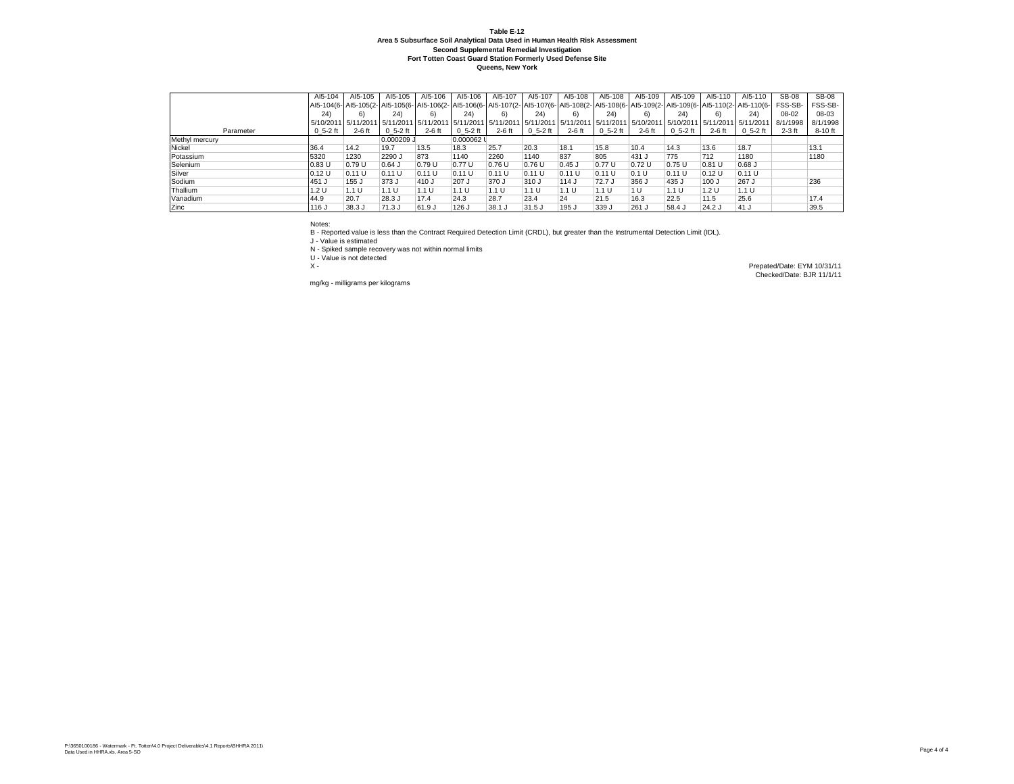|                | AI5-104            | AI5-105  | AI5-105     | AI5-106                      | AI5-106       | AI5-107  | AI5-107     | AI5-108  | AI5-108                                | AI5-109  | AI5-109       | AI5-110   | AI5-110     | <b>SB-08</b> | <b>SB-08</b> |
|----------------|--------------------|----------|-------------|------------------------------|---------------|----------|-------------|----------|----------------------------------------|----------|---------------|-----------|-------------|--------------|--------------|
|                |                    |          |             |                              |               |          |             |          |                                        |          |               |           |             | FSS-SB-      | FSS-SB-      |
|                | 24)                | 6)       | 24)         | 6)                           | 24)           | 6)       | 24)         | 6)       | 24)                                    | 6)       | 24)           | 6)        | 24)         | 08-02        | 08-03        |
|                | 5/10/2011 5/11/201 |          | 5/11/2011   | 5/11/2011 5/11/2011 5/11/201 |               |          |             |          | 5/11/2011 5/11/2011 5/11/2011 5/10/201 |          | 5/10/2011     | 5/11/2011 | 5/11/201    | 8/1/1998     | 8/1/1998     |
| Parameter      | $0, 5-2$ ft        | $2-6$ ft | $0, 5-2$ ft | $2-6$ ft                     | $0\,5-2\,$ ft | $2-6$ ft | $0, 5-2$ ft | $2-6$ ft | $0\,5-2\,$ ft                          | $2-6$ ft | $0\,5-2\,$ ft | $2-6$ ft  | $0, 5-2$ ft | $2-3$ ft     | 8-10 ft      |
| Methyl mercury |                    |          | 0.000209    |                              | 0.000062 L    |          |             |          |                                        |          |               |           |             |              |              |
| Nickel         | 36.4               | 14.2     | 19.7        | 13.5                         | 18.3          | 25.7     | 20.3        | 18.1     | 15.8                                   | 10.4     | 14.3          | 13.6      | 18.7        |              | 13.1         |
| Potassium      | 5320               | 1230     | 2290 J      | 873                          | 1140          | 2260     | 1140        | 837      | 805                                    | 431 J    | 775           | 712       | 1180        |              | 1180         |
| Selenium       | 0.83U              | 0.79U    | $0.64$ J    | 0.79 U                       | 0.77U         | 0.76U    | 0.76 U      | $0.45$ J | 0.77 U                                 | 0.72U    | 0.75 U        | 0.81 U    | $0.68$ J    |              |              |
| Silver         | 0.12U              | 0.11 U   | 0.11 U      | 0.11 U                       | 0.11U         | 0.11 U   | 0.11 U      | 0.11 U   | 0.11 U                                 | 0.1 U    | 0.11 U        | 0.12 U    | 0.11 U      |              |              |
| Sodium         | 451 J              | 155 J    | 373 J       | 410 J                        | 207 J         | 370 J    | 310 J       | 114 J    | 72.7 J                                 | 356 J    | 435 J         | 100 J     | 267 J       |              | 236          |
| Thallium       | 1.2 U              | 1.1 U    | 1.1 U       | 1.1 U                        | 1.1 U         | 1.1 U    | 1.1 U       | 1.1 U    | 1.1 U                                  | 1 U      | 1.1 U         | 1.2U      | 1.1 U       |              |              |
| Vanadium       | 44.9               | 20.7     | 28.3 J      | 17.4                         | 24.3          | 28.7     | 23.4        | 24       | 21.5                                   | 16.3     | 22.5          | 11.5      | 25.6        |              | 17.4         |
| Zinc           | 116 J              | 38.3 J   | $71.3$ J    | 61.9 J                       | 126 J         | 38.1 J   | $31.5$ J    | 195 J    | 339 J                                  | 261 J    | 58.4 J        | $24.2$ J  | 41 J        |              | 39.5         |

Notes:

B - Reported value is less than the Contract Required Detection Limit (CRDL), but greater than the Instrumental Detection Limit (IDL).

J - Value is estimated

N - Spiked sample recovery was not within normal limits

U - Value is not detected

mg/kg - milligrams per kilograms

X - Prepated/Date: EYM 10/31/11 Checked/Date: BJR 11/1/11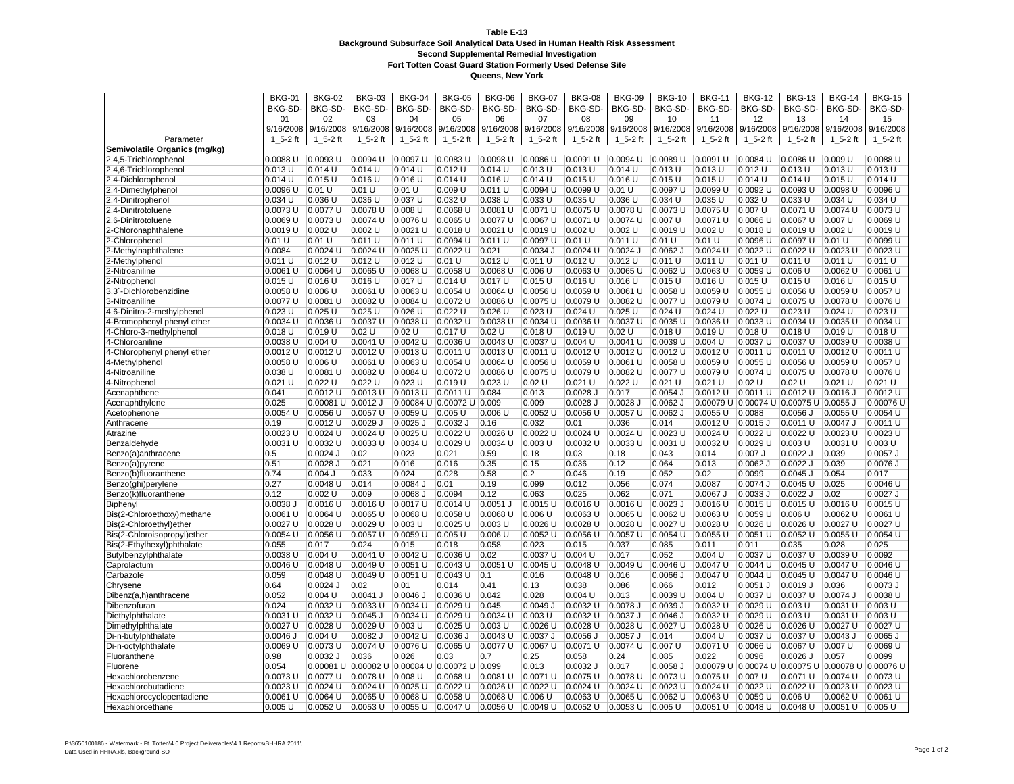|                               | <b>BKG-01</b> | <b>BKG-02</b>          | <b>BKG-03</b> | <b>BKG-04</b>                                 | <b>BKG-05</b>             | <b>BKG-06</b>         | <b>BKG-07</b> | <b>BKG-08</b> | <b>BKG-09</b> | <b>BKG-10</b> | <b>BKG-11</b> | <b>BKG-12</b>                          | <b>BKG-13</b> | <b>BKG-14</b>                                     | <b>BKG-15</b> |
|-------------------------------|---------------|------------------------|---------------|-----------------------------------------------|---------------------------|-----------------------|---------------|---------------|---------------|---------------|---------------|----------------------------------------|---------------|---------------------------------------------------|---------------|
|                               | BKG-SD-       | BKG-SD-                | BKG-SD        | BKG-SD-                                       | BKG-SD-                   | BKG-SD-               | BKG-SD-       | BKG-SD-       | BKG-SD        | BKG-SD-       | BKG-SD-       | BKG-SD                                 | BKG-SD-       | BKG-SD                                            | <b>BKG-SD</b> |
|                               | 01            | 02                     | 03            | 04                                            | 05                        | 06                    | 07            | 08            | 09            | 10            | 11            | 12                                     | 13            | 14                                                | 15            |
|                               | 9/16/2008     | 9/16/2008              | 9/16/2008     | 9/16/2008                                     | 9/16/2008                 | 9/16/2008             | 9/16/2008     | 9/16/2008     | 9/16/2008     | 9/16/2008     | 9/16/2008     | 9/16/2008                              | 9/16/2008     | 9/16/2008                                         | 9/16/2008     |
| Parameter                     | 1 5-2 ft      | $15 - 2$ ft            | $15 - 2$ ft   | $1_5 - 2$ ft                                  | 1 5-2 ft                  | $15-2$ ft             | 1 5-2 ft      | 1 5-2 ft      | $15 - 2$ ft   | 1 5-2 ft      | 1 5-2 ft      | 1 5-2 ft                               | $15 - 2$ ft   | $1_5 - 2$ ft                                      | $15 - 2$ ft   |
| Semivolatile Organics (mg/kg) |               |                        |               |                                               |                           |                       |               |               |               |               |               |                                        |               |                                                   |               |
| 2,4,5-Trichlorophenol         | 0.0088 U      | 0.0093 U               | 0.0094 U      | 0.0097 U                                      | 0.0083 U                  | 0.0098 U              | 0.0086 U      | 0.0091 U      | 0.0094 U      | 0.0089 U      | 0.0091 U      | 0.0084 U                               | 0.0086 U      | 0.009U                                            | 0.0088 U      |
| 2,4,6-Trichlorophenol         | $0.013$ U     | $0.014$ U              | $0.014$ U     | $0.014$ U                                     | $0.012$ U                 | $0.014$ U             | $0.013$ U     | $0.013$ U     | 0.014 U       | $0.013$ U     | 0.013 U       | $0.012$ U                              | $0.013$ U     | $0.013$ U                                         | $0.013$ U     |
| 2,4-Dichlorophenol            | $0.014$ U     | 0.015 U                | 0.016 U       | $0.016$ U                                     | 0.014 U                   | $0.016$ U             | 0.014 U       | $0.015$ U     | $0.016$ U     | $0.015$ U     | $0.015$ U     | 0.014 U                                | 0.014 U       | $0.015$ U                                         | $0.014$ U     |
| 2,4-Dimethylpheno             | 0.0096 U      | 0.01 U                 | 0.01 U        | $0.01$ U                                      | 0.009U                    | 0.011 U               | 0.0094 U      | 0.0099 U      | 0.01 U        | 0.0097 U      | 0.0099 U      | 0.0092 U                               | 0.0093 U      | 0.0098 U                                          | 0.0096 U      |
| 2,4-Dinitrophenol             | 0.034 U       | 0.036 U                | $0.036$ U     | 0.037 U                                       | 0.032 U                   | 0.038 U               | 0.033 U       | $0.035$ U     | 0.036 U       | $0.034$ U     | $0.035$ U     | $0.032$ U                              | 0.033U        | $0.034$ U                                         | $0.034$ U     |
|                               | $0.0073$ U    | 0.0077 U               | 0.0078 U      | $0.008$ U                                     | 0.0068 U                  | 0.0081 U              | 0.0071 U      | 0.0075 U      | 0.0078 U      | 0.0073 U      | $0.0075$ U    | 0.007 U                                | 0.0071 U      | 0.0074 U                                          | 0.0073 U      |
| 2,4-Dinitrotoluene            | 0.0069 U      | 0.0073 U               | 0.0074 U      | 0.0076 U                                      | 0.0065 U                  | 0.0077 U              | 0.0067 U      | 0.0071 U      | 0.0074 U      | $0.007$ U     | 0.0071 U      | 0.0066 U                               | 0.0067 U      | 0.007 U                                           | 0.0069 U      |
| 2,6-Dinitrotoluene            |               |                        |               |                                               |                           |                       |               |               |               |               |               |                                        |               |                                                   |               |
| 2-Chloronaphthalene           | 0.0019 U      | 0.002 U                | 0.002 U       | $0.0021$ U                                    | $0.0018$ U                | $0.0021$ U            | 0.0019 U      | 0.002 U       | 0.002 U       | 0.0019 U      | 0.002 U       | $0.0018$ U                             | 0.0019 U      | 0.002 U                                           | 0.0019 U      |
| 2-Chlorophenol                | 0.01 U        | 0.01 U                 | 0.011 U       | 0.011 U                                       | 0.0094 U                  | 0.011 U               | 0.0097 U      | 0.01 U        | 0.011 U       | 0.01 U        | 0.01 U        | 0.0096 U                               | 0.0097 U      | 0.01 U                                            | 0.0099 U      |
| 2-Methylnaphthalene           | 0.0084        | 0.0024 U               | 0.0024 U      | $0.0025$ U                                    | 0.0022 U                  | 0.021                 | 0.0034 J      | 0.0024 U      | $0.0024$ J    | $0.0062$ J    | 0.0024 U      | 0.0022 U                               | 0.0022 U      | $0.0023$ U                                        | 0.0023 U      |
| 2-Methylphenol                | 0.011 U       | 0.012 U                | 0.012 U       | $0.012$ U                                     | 0.01 U                    | $0.012$ U             | 0.011 U       | $0.012$ U     | $0.012$ U     | 0.011 U       | 0.011 U       | 0.011 U                                | 0.011 U       | 0.011 U                                           | 0.011 U       |
| 2-Nitroaniline                | 0.0061 U      | 0.0064 U               | 0.0065 U      | 0.0068 U                                      | 0.0058 U                  | 0.0068 U              | 0.006 U       | 0.0063 U      | 0.0065 U      | 0.0062 U      | 0.0063 U      | 0.0059 U                               | 0.006 U       | $0.0062$ U                                        | 0.0061 U      |
| 2-Nitrophenol                 | 0.015 U       | $0.016$ U              | $0.016$ U     | 0.017U                                        | 0.014 U                   | 0.017 U               | $0.015$ U     | $0.016$ U     | $0.016$ U     | 0.015 U       | $0.016$ U     | $0.015$ U                              | $0.015$ U     | $0.016$ U                                         | $0.015$ U     |
| 3,3`-Dichlorobenzidine        | 0.0058 U      | $0.006$ U              | 0.0061 U      | 0.0063 U                                      | 0.0054 U                  | 0.0064 U              | 0.0056 U      | 0.0059 U      | 0.0061 U      | 0.0058 U      | 0.0059 U      | 0.0055 U                               | 0.0056 U      | 0.0059 U                                          | 0.0057 U      |
| 3-Nitroaniline                | 0.0077 U      | 0.0081 U               | 0.0082 U      | 0.0084 U                                      | 0.0072 U                  | 0.0086 U              | 0.0075 U      | 0.0079 U      | 0.0082 U      | 0.0077 U      | 0.0079 U      | 0.0074 U                               | 0.0075 U      | 0.0078 U                                          | 0.0076 U      |
| 4,6-Dinitro-2-methylphenol    | 0.023 U       | $0.025$ U              | $0.025$ U     | $0.026$ U                                     | $0.022$ U                 | $0.026$ U             | $0.023$ U     | $0.024$ U     | $0.025$ U     | $0.024$ U     | $0.024$ U     | $0.022$ U                              | $0.023$ U     | $0.024$ U                                         | $0.023$ U     |
| 4-Bromophenyl phenyl ether    | 0.0034 U      | 0.0036 U               | 0.0037 U      | 0.0038 U                                      | 0.0032 U                  | 0.0038 U              | 0.0034 U      | 0.0036 U      | 0.0037 U      | 0.0035 U      | 0.0036 U      | 0.0033 U                               | 0.0034 U      | 0.0035 U                                          | 0.0034 U      |
| 4-Chloro-3-methylphenol       | 0.018 U       | 0.019 U                | 0.02 U        | 0.02 U                                        | $0.017$ U                 | 0.02U                 | $0.018$ U     | 0.019U        | 0.02U         | $0.018$ U     | $0.019$ U     | $0.018$ U                              | $0.018$ U     | 0.019 U                                           | $0.018$ U     |
| 4-Chloroaniline               | 0.0038 U      | $0.004$ U              | 0.0041 U      | $0.0042$ U                                    | $0.0036$ U                | $0.0043$ U            | 0.0037 U      | $0.004$ U     | $0.0041$ U    | 0.0039 U      | $0.004$ U     | 0.0037 U                               | $0.0037$ U    | 0.0039 U                                          | $0.0038$ U    |
| 4-Chlorophenyl phenyl ether   | 0.0012 U      | 0.0012 U               | 0.0012 U      | $0.0013$ U                                    | 0.0011 U                  | 0.0013 U              | 0.0011 U      | 0.0012 U      | $0.0012$ U    | $0.0012$ U    | 0.0012 U      | 0.0011 U                               | 0.0011 U      | 0.0012 U                                          | 0.0011 U      |
| 4-Methylphenol                | 0.0058 U      | 0.006 U                | $0.0061$ U    | $0.0063$ U                                    | $0.0054$ U                | $0.0064$ U            | $0.0056$ U    | 0.0059 U      | 0.0061 U      | 0.0058 U      | 0.0059 U      | 0.0055 U                               | $0.0056$ U    | 0.0059 U                                          | 0.0057 U      |
| 4-Nitroaniline                | 0.038 U       | 0.0081 U               | 0.0082 U      | 0.0084 U                                      | 0.0072 U                  | 0.0086 U              | 0.0075 U      | 0.0079 U      | 0.0082 U      | 0.0077 U      | 0.0079 U      | 0.0074 U                               | 0.0075 U      | 0.0078 U                                          | 0.0076 U      |
| 4-Nitrophenol                 | 0.021 U       | $0.022$ U              | $0.022$ U     | $0.023$ U                                     | 0.019 U                   | $0.023$ U             | 0.02U         | $0.021$ U     | $0.022$ U     | $0.021$ U     | $0.021$ U     | 0.02U                                  | 0.02U         | $0.021$ U                                         | $0.021$ U     |
| Acenaphthene                  | 0.041         | $0.0012$ U             | 0.0013U       | 0.0013 U                                      | 0.0011 U                  | 0.084                 | 0.013         | $0.0028$ J    | 0.017         | $0.0054$ J    | 0.0012 U      | 0.0011 U                               | 0.0012 U      | 0.0016 J                                          | 0.0012 U      |
| Acenaphthylene                | 0.025         | $0.00081$ U $0.0012$ J |               |                                               | 0.00084 U 0.00072 U 0.009 |                       | 0.009         | $0.0028$ J    | 0.0028 J      | $0.0062$ J    |               | 0.00079 U 0.00074 U 0.00075 U 0.0055 J |               |                                                   | 0.00076L      |
| Acetophenone                  | 0.0054 U      | 0.0056 U               | 0.0057 U      | 0.0059 U                                      | $0.005$ U                 | $0.006$ U             | 0.0052 U      | 0.0056 U      | 0.0057 U      | $0.0062$ J    | $0.0055$ U    | 0.0088                                 | $0.0056$ J    | $0.0055$ U                                        | 0.0054 U      |
| Anthracene                    | 0.19          | $0.0012$ U             | $0.0029$ J    | $0.0025$ J                                    | $0.0032$ J                | 0.16                  | 0.032         | 0.01          | 0.036         | 0.014         | $0.0012$ U    | $0.0015$ J                             | 0.0011 U      | $0.0047$ J                                        | 0.0011 U      |
| Atrazine                      | 0.0023 U      | 0.0024 U               | 0.0024 U      | $0.0025$ U                                    | 0.0022 U                  | 0.0026 U              | 0.0022 U      | 0.0024 U      | 0.0024 U      | 0.0023 U      | $0.0024$ U    | 0.0022 U                               | 0.0022 U      | $0.0023$ U                                        | 0.0023 U      |
| Benzaldehyde                  | 0.0031 U      | 0.0032 U               | 0.0033 U      | $0.0034$ U                                    | 0.0029 U                  | $0.0034$ U            | $0.003$ U     | 0.0032 U      | 0.0033 U      | 0.0031 U      | 0.0032 U      | $0.0029$ U                             | $0.003$ U     | 0.0031 U                                          | $0.003$ U     |
| Benzo(a)anthracene            | 0.5           | $0.0024$ J             | 0.02          | 0.023                                         | 0.021                     | 0.59                  | 0.18          | 0.03          | 0.18          | 0.043         | 0.014         | $0.007$ J                              | $0.0022$ J    | 0.039                                             | $0.0057$ J    |
| Benzo(a)pyrene                | 0.51          | $0.0028$ J             | 0.021         | 0.016                                         | 0.016                     | 0.35                  | 0.15          | 0.036         | 0.12          | 0.064         | 0.013         | $0.0062$ J                             | 0.0022 J      | 0.039                                             | 0.0076 J      |
| Benzo(b)fluoranthene          | 0.74          | $0.004$ J              | 0.033         | 0.024                                         | 0.028                     | 0.58                  | 0.2           | 0.046         | 0.19          | 0.052         | 0.02          | 0.0099                                 | $0.0045$ J    | 0.054                                             | 0.017         |
| Benzo(ghi)perylene            | 0.27          | 0.0048 U               | 0.014         | 0.0084 J                                      | 0.01                      | 0.19                  | 0.099         | 0.012         | 0.056         | 0.074         | 0.0087        | 0.0074 J                               | 0.0045 U      | 0.025                                             | 0.0046 U      |
| Benzo(k)fluoranthene          | 0.12          | 0.002 U                | 0.009         | 0.0068 J                                      | 0.0094                    | 0.12                  | 0.063         | 0.025         | 0.062         | 0.071         | 0.0067 J      | $0.0033$ J                             | $0.0022$ J    | 0.02                                              | $0.0027$ J    |
| Biphenyl                      | $0.0038$ $J$  | 0.0016 U               | 0.0016 U      | 0.0017 U                                      | 0.0014 U                  | 0.0051 J              | $0.0015$ U    | 0.0016 U      | 0.0016 U      | $0.0023$ J    | 0.0016 U      | 0.0015 U                               | 0.0015 U      | 0.0016 U                                          | 0.0015 U      |
| Bis(2-Chloroethoxy)methane    | 0.0061 U      | 0.0064 U               | 0.0065 U      | 0.0068 U                                      | 0.0058 U                  | 0.0068 U              | 0.006 U       | 0.0063 U      | 0.0065 U      | 0.0062 U      | 0.0063 U      | 0.0059 U                               | 0.006 U       | 0.0062 U                                          | 0.0061 U      |
| Bis(2-Chloroethyl)ether       | 0.0027 U      | $0.0028$ U             | 0.0029 U      | $0.003$ U                                     | 0.0025 U                  | $0.003$ U             | 0.0026 U      | 0.0028 U      | $0.0028$ U    | $0.0027$ U    | 0.0028 U      | $0.0026$ U                             | $0.0026$ U    | $0.0027$ U                                        | 0.0027 U      |
| Bis(2-Chloroisopropyl)ether   | 0.0054 U      | 0.0056 U               | 0.0057 U      | 0.0059 U                                      | $0.005$ U                 | $0.006$ U             | 0.0052 U      | 0.0056 U      | 0.0057 U      | 0.0054 U      | 0.0055 U      | 0.0051 U                               | 0.0052 U      | 0.0055 U                                          | 0.0054 U      |
| Bis(2-Ethylhexyl)phthalate    | 0.055         | 0.017                  | 0.024         | 0.015                                         | 0.018                     | 0.058                 | 0.023         | 0.015         | 0.037         | 0.085         | 0.011         | 0.011                                  | 0.035         | 0.028                                             | 0.025         |
| Butylbenzylphthalate          | 0.0038 U      | $0.004$ U              | 0.0041 U      | 0.0042 U                                      | 0.0036 U                  | 0.02                  | 0.0037 U      | $0.004$ U     | 0.017         | 0.052         | 0.004 U       | 0.0037 U                               | 0.0037 U      | 0.0039 U                                          | 0.0092        |
| Caprolactum                   | 0.0046 U      | 0.0048 U               | 0.0049 U      | 0.0051 U                                      | $0.0043$ U                | 0.0051 U              | 0.0045 U      | 0.0048 U      | 0.0049 U      | 0.0046 U      | 0.0047 U      | 0.0044 U                               | $0.0045$ U    | $0.0047$ U                                        | 0.0046 U      |
| Carbazole                     | 0.059         | 0.0048 U               | 0.0049 U      | 0.0051 U                                      | 0.0043 U                  | 0.1                   | 0.016         | 0.0048 U      | 0.016         | $0.0066$ J    | 0.0047 U      | 0.0044 U                               | 0.0045 U      | $0.0047$ U                                        | 0.0046 U      |
| Chrysene                      | 0.64          | $0.0024$ J             | 0.02          | 0.01                                          | 0.014                     | 0.41                  | 0.13          | 0.038         | 0.086         | 0.066         | 0.012         | $0.0051$ J                             | 0.0019J       | 0.036                                             | $0.0073$ J    |
| Dibenz(a,h)anthracene         | 0.052         | $0.004$ U              | $0.0041$ J    | $0.0046$ J                                    | $0.0036$ U                | 0.042                 | 0.028         | $0.004$ U     | 0.013         | 0.0039 U      | $0.004$ U     | 0.0037 U                               | 0.0037 U      | 0.0074 J                                          | 0.0038 U      |
| Dibenzofuran                  | 0.024         | 0.0032 U               | 0.0033 U      | 0.0034 U                                      | 0.0029 U                  | 0.045                 | 0.0049J       | 0.0032 U      | 0.0078 J      | $0.0039$ J    | 0.0032 U      | 0.0029 U                               | $0.003$ U     | 0.0031 U                                          | $0.003$ U     |
|                               |               |                        |               |                                               |                           |                       |               |               |               |               |               |                                        |               |                                                   |               |
| Diethylphthalate              | $0.0031$ U    | $ 0.0032$ U            | $0.0045$ J    | $0.0034$ U                                    | 0.0029 U                  | $0.0034$ U<br>0.003 U | $0.003$ U     | $0.0032$ U    | 0.0037 J      | $0.0046$ J    | $0.0032$ U    | 0.0029 U                               | 0.003 U       | $0.0031$ U                                        | $ 0.003$ U    |
| Dimethylphthalate             | 0.0027 U      | 0.0028 U               | 0.0029 U      | $0.003$ U                                     | 0.0025 U                  |                       | $0.0026$ U    | 0.0028 U      | 0.0028 U      | 0.0027 U      | 0.0028 U      | 0.0026 U                               | 0.0026 U      | 0.0027 U                                          | 0.0027 U      |
| Di-n-butylphthalate           | 0.0046 J      | $0.004$ U              | $0.0082$ J    | 0.0042 U                                      | $0.0036$ J                | $0.0043$ U            | 0.0037 J      | $0.0056$ J    | $0.0057$ J    | 0.014         | $0.004$ U     | 0.0037 U                               | $0.0037$ U    | $0.0043$ J                                        | $0.0065$ J    |
| Di-n-octylphthalate           | 0.0069 U      | 0.0073 U               | 0.0074 U      | 0.0076 U                                      | 0.0065 U                  | 0.0077 U              | 0.0067 U      | 0.0071 U      | 0.0074 U      | 0.007 U       | 0.0071 U      | 0.0066 U                               | 0.0067 U      | 0.007 U                                           | 0.0069 U      |
| Fluoranthene                  | 0.98          | $0.0032$ J             | 0.036         | 0.026                                         | 0.03                      | 0.7                   | 0.25          | 0.058         | 0.24          | 0.085         | 0.022         | 0.0096                                 | $0.0026$ J    | 0.057                                             | 0.0099        |
| Fluorene                      | 0.054         |                        |               | 0.00081 U 0.00082 U 0.00084 U 0.00072 U 0.099 |                           |                       | 0.013         | $0.0032$ J    | 0.017         | $0.0058$ J    |               |                                        |               | 0.00079 U 0.00074 U 0.00075 U 0.00078 U 0.00076 U |               |
| Hexachlorobenzene             | $0.0073$ U    | 0.0077 U               | 0.0078 U      | $ 0.008$ U                                    | $0.0068$ U                | 0.0081 U              | 0.0071 U      | 0.0075 U      | 0.0078 U      | 0.0073 U      | 0.0075 U      | 0.007 U                                | 0.0071 U      | 0.0074 U                                          | 0.0073 U      |
| Hexachlorobutadiene           | 0.0023 U      | 0.0024 U               | $0.0024$ U    | 0.0025 U                                      | $0.0022$ U                | 0.0026 U              | 0.0022 U      | 0.0024 U      | 0.0024 U      | 0.0023 U      | 0.0024 U      | $0.0022$ U                             | 0.0022 U      | 0.0023 U                                          | 0.0023 U      |
| Hexachlorocyclopentadiene     | 0.0061 U      | 0.0064 U               | 0.0065 U      | 0.0068 U                                      | 0.0058 U                  | 0.0068 U              | 0.006 U       | 0.0063 U      | 0.0065 U      | 0.0062 U      | 0.0063 U      | 0.0059 U                               | 0.006 U       | $0.0062$ U                                        | 0.0061 U      |
| Hexachloroethane              | 0.005 U       | 0.0052 U               | $0.0053$ U    | 0.0055 U                                      | 0.0047 U                  | 0.0056 U              | 0.0049 U      | $0.0052$ U    | 0.0053 U      | $0.005$ U     | 0.0051 U      | 0.0048 U                               | 0.0048 U      | 0.0051 U                                          | $0.005$ U     |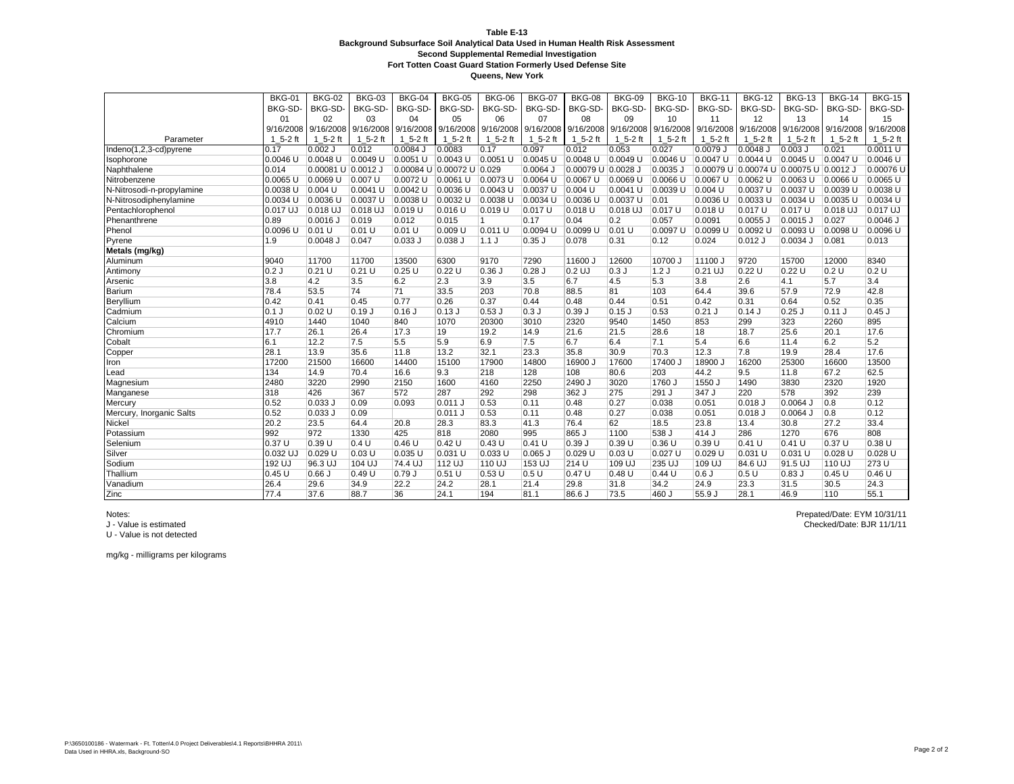**Queens, New York**

|                           | <b>BKG-01</b> | <b>BKG-02</b>      | <b>BKG-03</b> | <b>BKG-04</b> | <b>BKG-05</b>                           | <b>BKG-06</b> | <b>BKG-07</b> | <b>BKG-08</b>       | <b>BKG-09</b> | <b>BKG-10</b>                 | <b>BKG-11</b> | <b>BKG-12</b>                          | <b>BKG-13</b>            | <b>BKG-14</b>                 | <b>BKG-15</b> |
|---------------------------|---------------|--------------------|---------------|---------------|-----------------------------------------|---------------|---------------|---------------------|---------------|-------------------------------|---------------|----------------------------------------|--------------------------|-------------------------------|---------------|
|                           | <b>BKG-SD</b> | BKG-SD-            | BKG-SD-       | BKG-SD-       | BKG-SD-                                 | BKG-SD-       | BKG-SD-       | BKG-SD-             | BKG-SD-       | BKG-SD-                       | BKG-SD-       | BKG-SD-                                | BKG-SD-                  | BKG-SD-                       | BKG-SD-       |
|                           | 01            | 02                 | 03            | 04            | 05                                      | 06            | 07            | 08                  | 09            | 10                            | 11            | 12                                     | 13                       | 14                            | 15            |
|                           | 9/16/2008     | 9/16/2008          |               |               | 9/16/2008 9/16/2008 9/16/2008 9/16/2008 |               |               | 9/16/2008 9/16/2008 |               | 9/16/2008 9/16/2008 9/16/2008 |               | 9/16/2008                              |                          | 9/16/2008 9/16/2008 9/16/2008 |               |
| Parameter                 | $15 - 2$ ft   | $15-2$ ft          | $15-2$ ft     | $15 - 2$ ft   | $15 - 2$ ft                             | $15-2$ ft     | $15-2$ ft     | $1\,5-2\,$ ft       | $1\,5-2\,$ ft | 1 5-2 ft                      | $1_5 - 2$ ft  | $1\,5-2\,$ ft                          | $\mathbf{1}$<br>$5-2$ ft | $15-2$ ft                     | $1_5 - 2$ ft  |
| Indeno(1,2,3-cd)pyrene    | 0.17          | $0.002$ J          | 0.012         | $0.0084$ J    | 0.0083                                  | 0.17          | 0.097         | 0.012               | 0.053         | 0.027                         | 0.0079 J      | $0.0048$ J                             | $0.003$ J                | 0.021                         | 0.0011 U      |
| Isophorone                | 0.0046 U      | 0.0048 U           | 0.0049 U      | $0.0051$ U    | $0.0043$ U                              | 0.0051 U      | $0.0045$ U    | 0.0048 U            | 0.0049 U      | 0.0046 U                      | 0.0047 U      | 0.0044 U                               | $0.0045$ U               | 0.0047 U                      | 0.0046 U      |
| Naphthalene               | 0.014         | 0.00081 U 0.0012 J |               |               | 0.00084 U 0.00072 U 0.029               |               | 0.0064 J      | 0.00079 U 0.0028 J  |               | 0.0035 J                      |               | 0.00079 U 0.00074 U 0.00075 U 0.0012 J |                          |                               | 0.00076 U     |
| Nitrobenzene              | 0.0065 U      | 0.0069 U           | $0.007$ U     | 0.0072 U      | 0.0061 U                                | 0.0073 U      | 0.0064 U      | 0.0067 U            | 0.0069 U      | 0.0066 U                      | 0.0067 U      | 0.0062 U                               | $0.0063$ U               | 0.0066 U                      | 0.0065 U      |
| N-Nitrosodi-n-propylamine | 0.0038 U      | 0.004 U            | 0.0041 U      | $0.0042$ U    | 0.0036 U                                | 0.0043 U      | 0.0037 U      | 0.004 U             | 0.0041 U      | 0.0039 U                      | 0.004 U       | 0.0037 U                               | 0.0037 U                 | 0.0039 U                      | 0.0038 U      |
| N-Nitrosodiphenylamine    | 0.0034 U      | 0.0036 U           | 0.0037 U      | 0.0038 U      | 0.0032 U                                | 0.0038 U      | 0.0034 U      | 0.0036 U            | 0.0037 U      | 0.01                          | 0.0036 U      | 0.0033 U                               | 0.0034 U                 | 0.0035 U                      | 0.0034 U      |
| Pentachlorophenol         | $0.017$ UJ    | 0.018 UJ           | 0.018 UJ      | 0.019 U       | $0.016$ U                               | 0.019 U       | 0.017 U       | 0.018 U             | 0.018 UJ      | 0.017 U                       | 0.018 U       | 0.017 U                                | 0.017 U                  | 0.018 UJ                      | 0.017 UJ      |
| Phenanthrene              | 0.89          | $0.0016$ J         | 0.019         | 0.012         | 0.015                                   | 1             | 0.17          | 0.04                | 0.2           | 0.057                         | 0.0091        | $0.0055$ J                             | $0.0015$ J               | 0.027                         | $0.0046$ J    |
| Phenol                    | 0.0096 U      | 0.01 U             | 0.01 U        | 0.01 U        | 0.009 U                                 | 0.011 U       | 0.0094 U      | 0.0099U             | 0.01 U        | 0.0097 U                      | 0.0099 U      | 0.0092 U                               | 0.0093 U                 | 0.0098 U                      | 0.0096 U      |
| Pyrene                    | 1.9           | $0.0048$ J         | 0.047         | $0.033$ J     | 0.038J                                  | 1.1J          | $0.35$ J      | 0.078               | 0.31          | 0.12                          | 0.024         | $0.012$ J                              | 0.0034 J                 | 0.081                         | 0.013         |
| Metals (mg/kg)            |               |                    |               |               |                                         |               |               |                     |               |                               |               |                                        |                          |                               |               |
| Aluminum                  | 9040          | 11700              | 11700         | 13500         | 6300                                    | 9170          | 7290          | 11600 J             | 12600         | 10700 J                       | 11100 J       | 9720                                   | 15700                    | 12000                         | 8340          |
| Antimony                  | 0.2J          | 0.21 U             | 0.21 U        | 0.25U         | 0.22 U                                  | $0.36$ J      | $0.28$ J      | 0.2 UJ              | $0.3$ J       | 1.2J                          | 0.21 UJ       | 0.22U                                  | 0.22 U                   | 0.2 U                         | 0.2 U         |
| Arsenic                   | 3.8           | 4.2                | 3.5           | 6.2           | 2.3                                     | 3.9           | 3.5           | 6.7                 | 4.5           | 5.3                           | 3.8           | 2.6                                    | 4.1                      | 5.7                           | 3.4           |
| Barium                    | 78.4          | 53.5               | 74            | 71            | 33.5                                    | 203           | 70.8          | 88.5                | 81            | 103                           | 64.4          | 39.6                                   | 57.9                     | 72.9                          | 42.8          |
| Beryllium                 | 0.42          | 0.41               | 0.45          | 0.77          | 0.26                                    | 0.37          | 0.44          | 0.48                | 0.44          | 0.51                          | 0.42          | 0.31                                   | 0.64                     | 0.52                          | 0.35          |
| Cadmium                   | $0.1$ J       | 0.02L              | $0.19$ J      | $0.16$ J      | $0.13$ J                                | $0.53$ J      | $0.3$ J       | $0.39$ J            | $0.15$ J      | 0.53                          | $0.21$ J      | $0.14$ J                               | $0.25$ J                 | $0.11$ J                      | $0.45$ J      |
| Calcium                   | 4910          | 1440               | 1040          | 840           | 1070                                    | 20300         | 3010          | 2320                | 9540          | 1450                          | 853           | 299                                    | 323                      | 2260                          | 895           |
| Chromium                  | 17.7          | 26.1               | 26.4          | 17.3          | 19                                      | 19.2          | 14.9          | 21.6                | 21.5          | 28.6                          | 18            | 18.7                                   | 25.6                     | 20.1                          | 17.6          |
| Cobalt                    | 6.1           | 12.2               | 7.5           | 5.5           | 5.9                                     | 6.9           | 7.5           | 6.7                 | 6.4           | 7.1                           | 5.4           | 6.6                                    | 11.4                     | 6.2                           | 5.2           |
| Copper                    | 28.1          | 13.9               | 35.6          | 11.8          | 13.2                                    | 32.1          | 23.3          | 35.8                | 30.9          | 70.3                          | 12.3          | 7.8                                    | 19.9                     | 28.4                          | 17.6          |
| Iron                      | 17200         | 21500              | 16600         | 14400         | 15100                                   | 17900         | 14800         | 16900J              | 17600         | 17400 J                       | 18900 J       | 16200                                  | 25300                    | 16600                         | 13500         |
| Lead                      | 134           | 14.9               | 70.4          | 16.6          | 9.3                                     | 218           | 128           | 108                 | 80.6          | 203                           | 44.2          | 9.5                                    | 11.8                     | 67.2                          | 62.5          |
| Magnesium                 | 2480          | 3220               | 2990          | 2150          | 1600                                    | 4160          | 2250          | 2490 J              | 3020          | 1760 J                        | 1550 J        | 1490                                   | 3830                     | 2320                          | 1920          |
| Manganese                 | 318           | 426                | 367           | 572           | 287                                     | 292           | 298           | 362 J               | 275           | 291 J                         | 347 J         | 220                                    | 578                      | 392                           | 239           |
| Mercury                   | 0.52          | $0.033$ J          | 0.09          | 0.093         | $0.011$ J                               | 0.53          | 0.11          | 0.48                | 0.27          | 0.038                         | 0.051         | $0.018$ J                              | 0.0064 J                 | 0.8                           | 0.12          |
| Mercury, Inorganic Salts  | 0.52          | 0.033 J            | 0.09          |               | $0.011$ J                               | 0.53          | 0.11          | 0.48                | 0.27          | 0.038                         | 0.051         | $0.018$ J                              | 0.0064 J                 | 0.8                           | 0.12          |
| Nickel                    | 20.2          | 23.5               | 64.4          | 20.8          | 28.3                                    | 83.3          | 41.3          | 76.4                | 62            | 18.5                          | 23.8          | 13.4                                   | 30.8                     | 27.2                          | 33.4          |
| Potassium                 | 992           | 972                | 1330          | 425           | 818                                     | 2080          | 995           | 865 J               | 1100          | 538 J                         | 414 J         | 286                                    | 1270                     | 676                           | 808           |
| Selenium                  | 0.37U         | 0.39U              | 0.4 U         | 0.46U         | 0.42U                                   | 0.43 U        | 0.41 U        | 0.39J               | 0.39U         | 0.36U                         | 0.39 U        | 0.41 U                                 | 0.41 U                   | 0.37 U                        | 0.38 U        |
| Silver                    | 0.032 UJ      | 0.029 U            | 0.03 U        | 0.035 U       | $0.031$ U                               | 0.033U        | $0.065$ J     | 0.029U              | 0.03U         | 0.027 U                       | 0.029 U       | 0.031 U                                | 0.031 U                  | 0.028 U                       | $0.028$ U     |
| Sodium                    | 192 UJ        | 96.3 UJ            | 104 UJ        | 74.4 UJ       | 112 UJ                                  | 110 UJ        | 153 UJ        | 214 U               | 109 UJ        | 235 UJ                        | 109 UJ        | 84.6 UJ                                | 91.5 UJ                  | 110 UJ                        | 273 U         |
| Thallium                  | 0.45U         | $0.66$ J           | 0.49 U        | $0.79$ J      | $0.51$ U                                | 0.53U         | 0.5U          | 0.47 U              | 0.48 U        | 0.44U                         | 0.6J          | 0.5U                                   | $0.83$ J                 | 0.45U                         | 0.46U         |
| Vanadium                  | 26.4          | 29.6               | 34.9          | 22.2          | 24.2                                    | 28.1          | 21.4          | 29.8                | 31.8          | 34.2                          | 24.9          | 23.3                                   | 31.5                     | 30.5                          | 24.3          |
| Zinc                      | 77.4          | 37.6               | 88.7          | 36            | 24.1                                    | 194           | 81.1          | 86.6 J              | 73.5          | 460 J                         | 55.9 J        | 28.1                                   | 46.9                     | 110                           | 55.1          |

U - Value is not detected

mg/kg - milligrams per kilograms

Notes:<br>
1992 - Prepated/Date: EYM 10/31/11<br>
1993 - Value is estimated Checked/Date: BJR 11/1/11 J - Value is estimated Checked/Date: BJR 11/1/11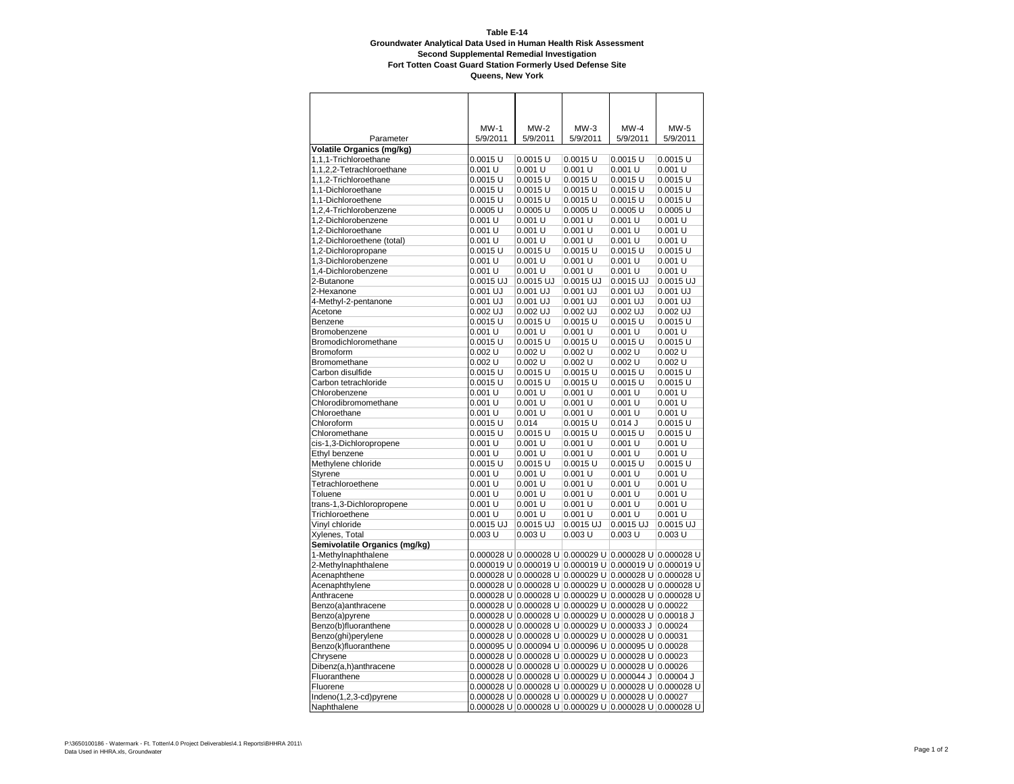|                                               | MW-1                | MW-2                                                    | $MW-3$                | MW-4                | MW-5                  |
|-----------------------------------------------|---------------------|---------------------------------------------------------|-----------------------|---------------------|-----------------------|
| Parameter                                     | 5/9/2011            | 5/9/2011                                                | 5/9/2011              | 5/9/2011            | 5/9/2011              |
| Volatile Organics (mg/kg)                     |                     |                                                         |                       |                     |                       |
| 1,1,1-Trichloroethane                         | 0.0015 U            | $0.0015$ U                                              | $0.0015$ U            | $0.0015$ U          | $0.0015$ U            |
| 1,1,2,2-Tetrachloroethane                     | 0.001 U             | 0.001 U                                                 | 0.001 U               | 0.001 U             | 0.001 U               |
| 1,1,2-Trichloroethane                         | $0.0015$ U          | $0.0015$ U                                              | $0.0015$ U            | $0.0015$ U          | $0.0015$ U            |
| 1,1-Dichloroethane                            | 0.0015 U            | $0.0015$ U                                              | $0.0015$ U            | $0.0015$ U          | $0.0015$ U            |
| 1,1-Dichloroethene                            | 0.0015 U            | $0.0015$ U                                              | $0.0015$ U            | $0.0015$ U          | $0.0015$ U            |
| 1,2,4-Trichlorobenzene<br>1,2-Dichlorobenzene | 0.0005 U<br>0.001 U | $0.0005$ U<br>0.001 U                                   | $0.0005$ U<br>0.001 U | 0.0005 U<br>0.001 U | $0.0005$ U<br>0.001 U |
| 1,2-Dichloroethane                            | 0.001 U             | 0.001 U                                                 | 0.001 U               | 0.001 U             | 0.001 U               |
| 1,2-Dichloroethene (total)                    | 0.001 U             | 0.001 U                                                 | 0.001 U               | 0.001 U             | 0.001 U               |
| 1,2-Dichloropropane                           | 0.0015 U            | $0.0015$ U                                              | $0.0015$ U            | $0.0015$ U          | $0.0015$ U            |
| 1,3-Dichlorobenzene                           | 0.001 U             | 0.001 U                                                 | $0.001$ U             | 0.001 U             | 0.001 U               |
| 1,4-Dichlorobenzene                           | 0.001 U             | 0.001 U                                                 | 0.001 U               | 0.001 U             | 0.001 U               |
| 2-Butanone                                    | 0.0015 UJ           | 0.0015 UJ                                               | 0.0015 UJ             | 0.0015 UJ           | 0.0015 UJ             |
| 2-Hexanone                                    | $0.001$ UJ          | 0.001 UJ                                                | $0.001$ UJ            | $0.001$ UJ          | $0.001$ UJ            |
| 4-Methyl-2-pentanone                          | $0.001$ UJ          | $0.001$ UJ                                              | $0.001$ UJ            | $0.001$ UJ          | $0.001$ UJ            |
| Acetone                                       | 0.002 UJ            | $0.002$ UJ                                              | $0.002$ UJ            | $0.002$ UJ          | $0.002$ UJ            |
| Benzene                                       | $0.0015$ U          | $0.0015$ U                                              | $0.0015$ U            | $0.0015$ U          | $0.0015$ U            |
| Bromobenzene                                  | 0.001 U             | 0.001 U                                                 | 0.001 U               | 0.001 U             | 0.001 U               |
| Bromodichloromethane                          | 0.0015 U            | $0.0015$ U                                              | $0.0015$ U            | $0.0015$ U          | $0.0015$ U            |
| <b>Bromoform</b>                              | 0.002 U             | $0.002$ U                                               | 0.002 U               | $0.002$ U           | $0.002$ U             |
| Bromomethane                                  | 0.002 U             | 0.002 U                                                 | 0.002 U               | 0.002 U             | 0.002 U               |
| Carbon disulfide                              | 0.0015 U            | $0.0015$ U                                              | $0.0015$ U            | $0.0015$ U          | $0.0015$ U            |
| Carbon tetrachloride                          | 0.0015 U            | $0.0015$ U                                              | $0.0015$ U            | $0.0015$ U          | $0.0015$ U            |
| Chlorobenzene                                 | 0.001 U             | 0.001 U                                                 | 0.001 U               | 0.001 U             | 0.001 U               |
| Chlorodibromomethane                          | 0.001 U             | 0.001 U                                                 | 0.001 U               | 0.001 U             | 0.001 U               |
| Chloroethane                                  | 0.001 U             | 0.001 U                                                 | 0.001 U               | 0.001 U             | 0.001 U               |
| Chloroform                                    | 0.0015 U            | 0.014                                                   | $0.0015$ U            | $0.014$ J           | $0.0015$ U            |
| Chloromethane                                 | $0.0015$ U          | $0.0015$ U                                              | $0.0015$ U            | $0.0015$ U          | $0.0015$ U            |
| cis-1,3-Dichloropropene                       | 0.001 U             | 0.001 U                                                 | 0.001 U               | 0.001 U             | 0.001 U               |
| Ethyl benzene                                 | 0.001 U             | 0.001 U                                                 | 0.001 U               | 0.001 U             | 0.001 U               |
| Methylene chloride                            | 0.0015 U            | $0.0015$ U                                              | $0.0015$ U            | $0.0015$ U          | $0.0015$ U            |
| <b>Styrene</b>                                | 0.001 U             | 0.001 U                                                 | 0.001 U               | 0.001 U             | 0.001 U               |
| Tetrachloroethene                             | 0.001 U             | 0.001 U                                                 | 0.001 U               | 0.001 U             | $0.001$ U             |
| Toluene                                       | 0.001 U             | 0.001 U                                                 | 0.001 U               | 0.001 U             | 0.001 U               |
| trans-1,3-Dichloropropene                     | 0.001 U             | 0.001 U                                                 | 0.001 U               | 0.001 U             | 0.001 U               |
| Trichloroethene                               | 0.001 U             | 0.001 U                                                 | 0.001 U               | 0.001 U             | 0.001 U               |
| Vinyl chloride                                | 0.0015 UJ           | 0.0015 UJ                                               | 0.0015 UJ             | 0.0015 UJ           | 0.0015 UJ             |
| Xylenes, Total                                | 0.003 U             | $0.003$ U                                               | $0.003$ U             | $0.003$ U           | $0.003$ U             |
| Semivolatile Organics (mg/kg)                 |                     |                                                         |                       |                     |                       |
| 1-Methylnaphthalene                           |                     |                                                         |                       |                     |                       |
| 2-Methylnaphthalene                           |                     |                                                         |                       |                     |                       |
| Acenaphthene                                  |                     |                                                         |                       |                     |                       |
| Acenaphthylene                                |                     |                                                         |                       |                     |                       |
| Anthracene                                    |                     |                                                         |                       |                     |                       |
| Benzo(a)anthracene                            |                     |                                                         |                       |                     |                       |
| Benzo(a)pyrene<br>Benzo(b)fluoranthene        |                     | 0.000028 U 0.000028 U 0.000029 U 0.000028 U 0.00018 J   |                       |                     |                       |
| Benzo(ghi)perylene                            |                     | 0.000028 U  0.000028 U  0.000029 U  0.000028 U  0.00031 |                       |                     |                       |
| Benzo(k)fluoranthene                          |                     |                                                         |                       |                     |                       |
| Chrysene                                      |                     |                                                         |                       |                     |                       |
| Dibenz(a,h)anthracene                         |                     |                                                         |                       |                     |                       |
| Fluoranthene                                  |                     | 0.000028 U 0.000028 U 0.000029 U 0.000044 J             |                       |                     | $0.00004$ J           |
| Fluorene                                      |                     |                                                         |                       |                     |                       |
| Indeno(1,2,3-cd)pyrene                        |                     |                                                         |                       |                     |                       |
| Naphthalene                                   |                     | 0.000028 U 0.000028 U 0.000029 U 0.000028 U 0.000028 U  |                       |                     |                       |